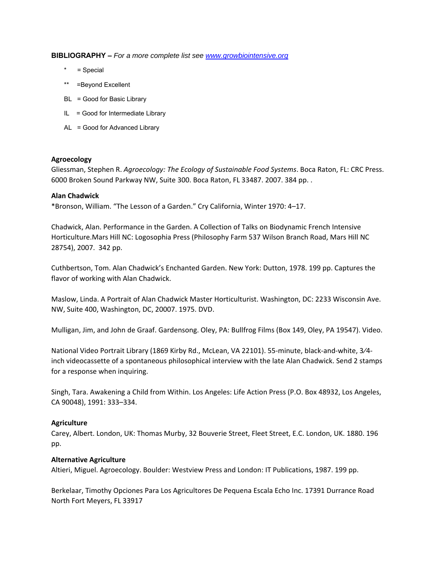**BIBLIOGRAPHY –** *For a more complete list see www.growbiointensive.org*

- \* = Special
- \*\* =Beyond Excellent
- BL = Good for Basic Library
- $IL = Good for Intermediate Library$
- AL = Good for Advanced Library

### **Agroecology**

Gliessman, Stephen R. *Agroecology: The Ecology of Sustainable Food Systems*. Boca Raton, FL: CRC Press. 6000 Broken Sound Parkway NW, Suite 300. Boca Raton, FL 33487. 2007. 384 pp. .

#### **Alan Chadwick**

\*Bronson, William. "The Lesson of a Garden." Cry California, Winter 1970: 4–17.

Chadwick, Alan. Performance in the Garden. A Collection of Talks on Biodynamic French Intensive Horticulture.Mars Hill NC: Logosophia Press (Philosophy Farm 537 Wilson Branch Road, Mars Hill NC 28754), 2007. 342 pp.

Cuthbertson, Tom. Alan Chadwick's Enchanted Garden. New York: Dutton, 1978. 199 pp. Captures the flavor of working with Alan Chadwick.

Maslow, Linda. A Portrait of Alan Chadwick Master Horticulturist. Washington, DC: 2233 Wisconsin Ave. NW, Suite 400, Washington, DC, 20007. 1975. DVD.

Mulligan, Jim, and John de Graaf. Gardensong. Oley, PA: Bullfrog Films (Box 149, Oley, PA 19547). Video.

National Video Portrait Library (1869 Kirby Rd., McLean, VA 22101). 55‐minute, black‐and‐white, 3⁄4‐ inch videocassette of a spontaneous philosophical interview with the late Alan Chadwick. Send 2 stamps for a response when inquiring.

Singh, Tara. Awakening a Child from Within. Los Angeles: Life Action Press (P.O. Box 48932, Los Angeles, CA 90048), 1991: 333–334.

#### **Agriculture**

Carey, Albert. London, UK: Thomas Murby, 32 Bouverie Street, Fleet Street, E.C. London, UK. 1880. 196 pp.

### **Alternative Agriculture**

Altieri, Miguel. Agroecology. Boulder: Westview Press and London: IT Publications, 1987. 199 pp.

Berkelaar, Timothy Opciones Para Los Agricultores De Pequena Escala Echo Inc. 17391 Durrance Road North Fort Meyers, FL 33917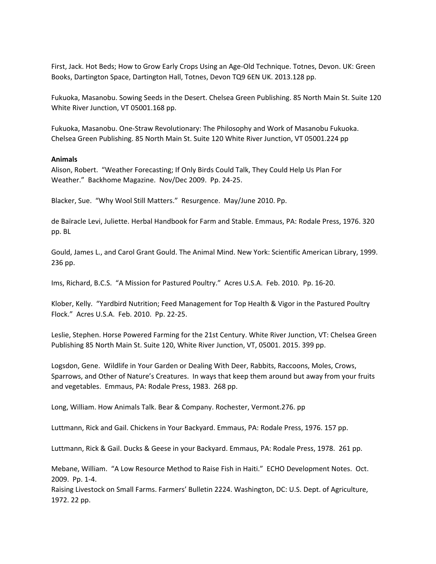First, Jack. Hot Beds; How to Grow Early Crops Using an Age‐Old Technique. Totnes, Devon. UK: Green Books, Dartington Space, Dartington Hall, Totnes, Devon TQ9 6EN UK. 2013.128 pp.

Fukuoka, Masanobu. Sowing Seeds in the Desert. Chelsea Green Publishing. 85 North Main St. Suite 120 White River Junction, VT 05001.168 pp.

Fukuoka, Masanobu. One‐Straw Revolutionary: The Philosophy and Work of Masanobu Fukuoka. Chelsea Green Publishing. 85 North Main St. Suite 120 White River Junction, VT 05001.224 pp

### **Animals**

Alison, Robert. "Weather Forecasting; If Only Birds Could Talk, They Could Help Us Plan For Weather." Backhome Magazine. Nov/Dec 2009. Pp. 24‐25.

Blacker, Sue. "Why Wool Still Matters." Resurgence. May/June 2010. Pp.

de Baïracle Levi, Juliette. Herbal Handbook for Farm and Stable. Emmaus, PA: Rodale Press, 1976. 320 pp. BL

Gould, James L., and Carol Grant Gould. The Animal Mind. New York: Scientific American Library, 1999. 236 pp.

Ims, Richard, B.C.S. "A Mission for Pastured Poultry." Acres U.S.A. Feb. 2010. Pp. 16‐20.

Klober, Kelly. "Yardbird Nutrition; Feed Management for Top Health & Vigor in the Pastured Poultry Flock." Acres U.S.A. Feb. 2010. Pp. 22‐25.

Leslie, Stephen. Horse Powered Farming for the 21st Century. White River Junction, VT: Chelsea Green Publishing 85 North Main St. Suite 120, White River Junction, VT, 05001. 2015. 399 pp.

Logsdon, Gene. Wildlife in Your Garden or Dealing With Deer, Rabbits, Raccoons, Moles, Crows, Sparrows, and Other of Nature's Creatures. In ways that keep them around but away from your fruits and vegetables. Emmaus, PA: Rodale Press, 1983. 268 pp.

Long, William. How Animals Talk. Bear & Company. Rochester, Vermont.276. pp

Luttmann, Rick and Gail. Chickens in Your Backyard. Emmaus, PA: Rodale Press, 1976. 157 pp.

Luttmann, Rick & Gail. Ducks & Geese in your Backyard. Emmaus, PA: Rodale Press, 1978. 261 pp.

Mebane, William. "A Low Resource Method to Raise Fish in Haiti." ECHO Development Notes. Oct. 2009. Pp. 1‐4.

Raising Livestock on Small Farms. Farmers' Bulletin 2224. Washington, DC: U.S. Dept. of Agriculture, 1972. 22 pp.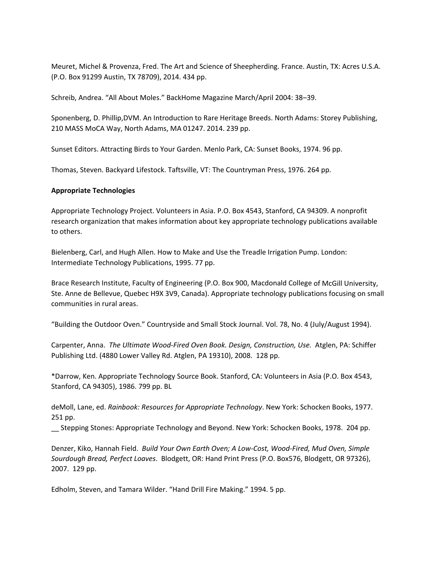Meuret, Michel & Provenza, Fred. The Art and Science of Sheepherding. France. Austin, TX: Acres U.S.A. (P.O. Box 91299 Austin, TX 78709), 2014. 434 pp.

Schreib, Andrea. "All About Moles." BackHome Magazine March/April 2004: 38–39.

Sponenberg, D. Phillip,DVM. An Introduction to Rare Heritage Breeds. North Adams: Storey Publishing, 210 MASS MoCA Way, North Adams, MA 01247. 2014. 239 pp.

Sunset Editors. Attracting Birds to Your Garden. Menlo Park, CA: Sunset Books, 1974. 96 pp.

Thomas, Steven. Backyard Lifestock. Taftsville, VT: The Countryman Press, 1976. 264 pp.

## **Appropriate Technologies**

Appropriate Technology Project. Volunteers in Asia. P.O. Box 4543, Stanford, CA 94309. A nonprofit research organization that makes information about key appropriate technology publications available to others.

Bielenberg, Carl, and Hugh Allen. How to Make and Use the Treadle Irrigation Pump. London: Intermediate Technology Publications, 1995. 77 pp.

Brace Research Institute, Faculty of Engineering (P.O. Box 900, Macdonald College of McGill University, Ste. Anne de Bellevue, Quebec H9X 3V9, Canada). Appropriate technology publications focusing on small communities in rural areas.

"Building the Outdoor Oven." Countryside and Small Stock Journal. Vol. 78, No. 4 (July/August 1994).

Carpenter, Anna. *The Ultimate Wood‐Fired Oven Book. Design, Construction, Use.* Atglen, PA: Schiffer Publishing Ltd. (4880 Lower Valley Rd. Atglen, PA 19310), 2008. 128 pp.

\*Darrow, Ken. Appropriate Technology Source Book. Stanford, CA: Volunteers in Asia (P.O. Box 4543, Stanford, CA 94305), 1986. 799 pp. BL

deMoll, Lane, ed. *Rainbook: Resources for Appropriate Technology*. New York: Schocken Books, 1977. 251 pp.

\_\_ Stepping Stones: Appropriate Technology and Beyond. New York: Schocken Books, 1978. 204 pp.

Denzer, Kiko, Hannah Field. *Build Your Own Earth Oven; A Low‐Cost, Wood‐Fired, Mud Oven, Simple Sourdough Bread, Perfect Loaves*. Blodgett, OR: Hand Print Press (P.O. Box576, Blodgett, OR 97326), 2007. 129 pp.

Edholm, Steven, and Tamara Wilder. "Hand Drill Fire Making." 1994. 5 pp.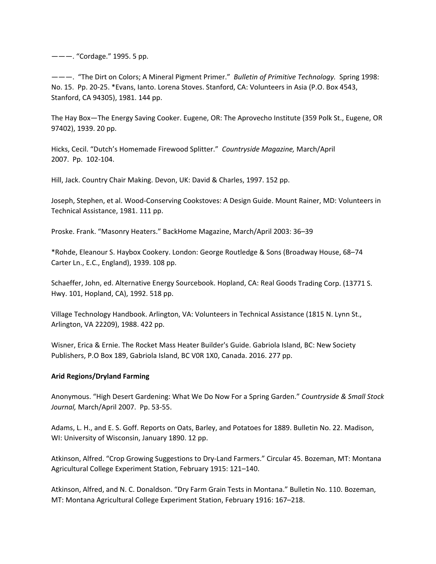———. "Cordage." 1995. 5 pp.

———. "The Dirt on Colors; A Mineral Pigment Primer." *Bulletin of Primitive Technology.* Spring 1998: No. 15. Pp. 20‐25. \*Evans, Ianto. Lorena Stoves. Stanford, CA: Volunteers in Asia (P.O. Box 4543, Stanford, CA 94305), 1981. 144 pp.

The Hay Box—The Energy Saving Cooker. Eugene, OR: The Aprovecho Institute (359 Polk St., Eugene, OR 97402), 1939. 20 pp.

Hicks, Cecil. "Dutch's Homemade Firewood Splitter." *Countryside Magazine,* March/April 2007. Pp. 102‐104.

Hill, Jack. Country Chair Making. Devon, UK: David & Charles, 1997. 152 pp.

Joseph, Stephen, et al. Wood‐Conserving Cookstoves: A Design Guide. Mount Rainer, MD: Volunteers in Technical Assistance, 1981. 111 pp.

Proske. Frank. "Masonry Heaters." BackHome Magazine, March/April 2003: 36–39

\*Rohde, Eleanour S. Haybox Cookery. London: George Routledge & Sons (Broadway House, 68–74 Carter Ln., E.C., England), 1939. 108 pp.

Schaeffer, John, ed. Alternative Energy Sourcebook. Hopland, CA: Real Goods Trading Corp. (13771 S. Hwy. 101, Hopland, CA), 1992. 518 pp.

Village Technology Handbook. Arlington, VA: Volunteers in Technical Assistance (1815 N. Lynn St., Arlington, VA 22209), 1988. 422 pp.

Wisner, Erica & Ernie. The Rocket Mass Heater Builder's Guide. Gabriola Island, BC: New Society Publishers, P.O Box 189, Gabriola Island, BC V0R 1X0, Canada. 2016. 277 pp.

### **Arid Regions/Dryland Farming**

Anonymous. "High Desert Gardening: What We Do Now For a Spring Garden." *Countryside & Small Stock Journal,* March/April 2007. Pp. 53‐55.

Adams, L. H., and E. S. Goff. Reports on Oats, Barley, and Potatoes for 1889. Bulletin No. 22. Madison, WI: University of Wisconsin, January 1890. 12 pp.

Atkinson, Alfred. "Crop Growing Suggestions to Dry‐Land Farmers." Circular 45. Bozeman, MT: Montana Agricultural College Experiment Station, February 1915: 121–140.

Atkinson, Alfred, and N. C. Donaldson. "Dry Farm Grain Tests in Montana." Bulletin No. 110. Bozeman, MT: Montana Agricultural College Experiment Station, February 1916: 167–218.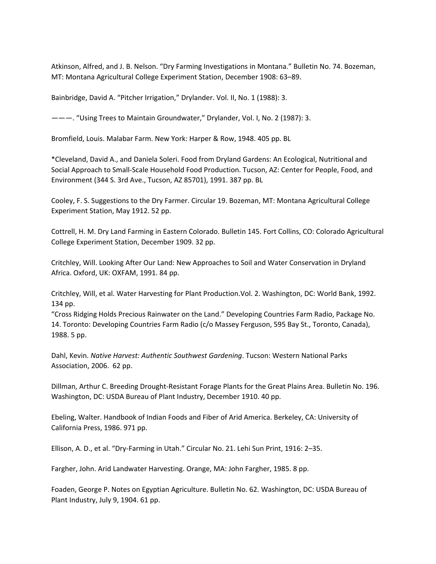Atkinson, Alfred, and J. B. Nelson. "Dry Farming Investigations in Montana." Bulletin No. 74. Bozeman, MT: Montana Agricultural College Experiment Station, December 1908: 63–89.

Bainbridge, David A. "Pitcher Irrigation," Drylander. Vol. II, No. 1 (1988): 3.

———. "Using Trees to Maintain Groundwater," Drylander, Vol. I, No. 2 (1987): 3.

Bromfield, Louis. Malabar Farm. New York: Harper & Row, 1948. 405 pp. BL

\*Cleveland, David A., and Daniela Soleri. Food from Dryland Gardens: An Ecological, Nutritional and Social Approach to Small‐Scale Household Food Production. Tucson, AZ: Center for People, Food, and Environment (344 S. 3rd Ave., Tucson, AZ 85701), 1991. 387 pp. BL

Cooley, F. S. Suggestions to the Dry Farmer. Circular 19. Bozeman, MT: Montana Agricultural College Experiment Station, May 1912. 52 pp.

Cottrell, H. M. Dry Land Farming in Eastern Colorado. Bulletin 145. Fort Collins, CO: Colorado Agricultural College Experiment Station, December 1909. 32 pp.

Critchley, Will. Looking After Our Land: New Approaches to Soil and Water Conservation in Dryland Africa. Oxford, UK: OXFAM, 1991. 84 pp.

Critchley, Will, et al. Water Harvesting for Plant Production.Vol. 2. Washington, DC: World Bank, 1992. 134 pp.

"Cross Ridging Holds Precious Rainwater on the Land." Developing Countries Farm Radio, Package No. 14. Toronto: Developing Countries Farm Radio (c/o Massey Ferguson, 595 Bay St., Toronto, Canada), 1988. 5 pp.

Dahl, Kevin. *Native Harvest: Authentic Southwest Gardening*. Tucson: Western National Parks Association, 2006. 62 pp.

Dillman, Arthur C. Breeding Drought‐Resistant Forage Plants for the Great Plains Area. Bulletin No. 196. Washington, DC: USDA Bureau of Plant Industry, December 1910. 40 pp.

Ebeling, Walter. Handbook of Indian Foods and Fiber of Arid America. Berkeley, CA: University of California Press, 1986. 971 pp.

Ellison, A. D., et al. "Dry‐Farming in Utah." Circular No. 21. Lehi Sun Print, 1916: 2–35.

Fargher, John. Arid Landwater Harvesting. Orange, MA: John Fargher, 1985. 8 pp.

Foaden, George P. Notes on Egyptian Agriculture. Bulletin No. 62. Washington, DC: USDA Bureau of Plant Industry, July 9, 1904. 61 pp.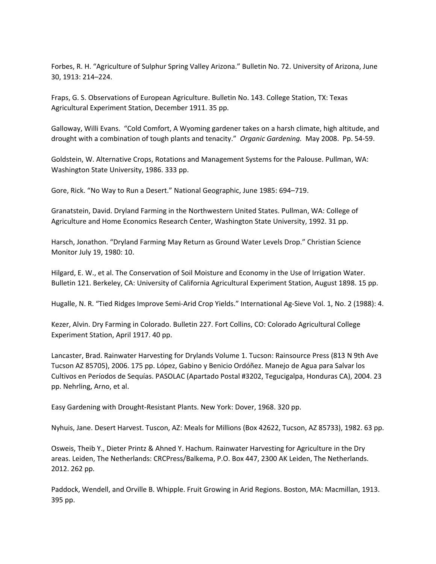Forbes, R. H. "Agriculture of Sulphur Spring Valley Arizona." Bulletin No. 72. University of Arizona, June 30, 1913: 214–224.

Fraps, G. S. Observations of European Agriculture. Bulletin No. 143. College Station, TX: Texas Agricultural Experiment Station, December 1911. 35 pp.

Galloway, Willi Evans. "Cold Comfort, A Wyoming gardener takes on a harsh climate, high altitude, and drought with a combination of tough plants and tenacity." *Organic Gardening.* May 2008. Pp. 54‐59.

Goldstein, W. Alternative Crops, Rotations and Management Systems for the Palouse. Pullman, WA: Washington State University, 1986. 333 pp.

Gore, Rick. "No Way to Run a Desert." National Geographic, June 1985: 694–719.

Granatstein, David. Dryland Farming in the Northwestern United States. Pullman, WA: College of Agriculture and Home Economics Research Center, Washington State University, 1992. 31 pp.

Harsch, Jonathon. "Dryland Farming May Return as Ground Water Levels Drop." Christian Science Monitor July 19, 1980: 10.

Hilgard, E. W., et al. The Conservation of Soil Moisture and Economy in the Use of Irrigation Water. Bulletin 121. Berkeley, CA: University of California Agricultural Experiment Station, August 1898. 15 pp.

Hugalle, N. R. "Tied Ridges Improve Semi‐Arid Crop Yields." International Ag‐Sieve Vol. 1, No. 2 (1988): 4.

Kezer, Alvin. Dry Farming in Colorado. Bulletin 227. Fort Collins, CO: Colorado Agricultural College Experiment Station, April 1917. 40 pp.

Lancaster, Brad. Rainwater Harvesting for Drylands Volume 1. Tucson: Rainsource Press (813 N 9th Ave Tucson AZ 85705), 2006. 175 pp. López, Gabino y Benicio Ordóñez. Manejo de Agua para Salvar los Cultivos en Períodos de Sequías. PASOLAC (Apartado Postal #3202, Tegucigalpa, Honduras CA), 2004. 23 pp. Nehrling, Arno, et al.

Easy Gardening with Drought‐Resistant Plants. New York: Dover, 1968. 320 pp.

Nyhuis, Jane. Desert Harvest. Tuscon, AZ: Meals for Millions (Box 42622, Tucson, AZ 85733), 1982. 63 pp.

Osweis, Theib Y., Dieter Printz & Ahned Y. Hachum. Rainwater Harvesting for Agriculture in the Dry areas. Leiden, The Netherlands: CRCPress/Balkema, P.O. Box 447, 2300 AK Leiden, The Netherlands. 2012. 262 pp.

Paddock, Wendell, and Orville B. Whipple. Fruit Growing in Arid Regions. Boston, MA: Macmillan, 1913. 395 pp.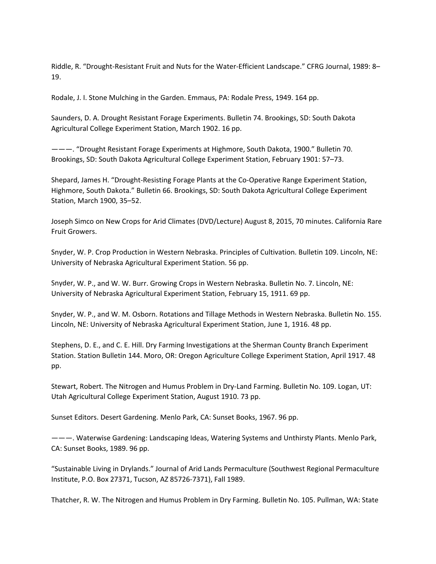Riddle, R. "Drought-Resistant Fruit and Nuts for the Water-Efficient Landscape." CFRG Journal, 1989: 8-19.

Rodale, J. I. Stone Mulching in the Garden. Emmaus, PA: Rodale Press, 1949. 164 pp.

Saunders, D. A. Drought Resistant Forage Experiments. Bulletin 74. Brookings, SD: South Dakota Agricultural College Experiment Station, March 1902. 16 pp.

———. "Drought Resistant Forage Experiments at Highmore, South Dakota, 1900." Bulletin 70. Brookings, SD: South Dakota Agricultural College Experiment Station, February 1901: 57–73.

Shepard, James H. "Drought‐Resisting Forage Plants at the Co‐Operative Range Experiment Station, Highmore, South Dakota." Bulletin 66. Brookings, SD: South Dakota Agricultural College Experiment Station, March 1900, 35–52.

Joseph Simco on New Crops for Arid Climates (DVD/Lecture) August 8, 2015, 70 minutes. California Rare Fruit Growers.

Snyder, W. P. Crop Production in Western Nebraska. Principles of Cultivation. Bulletin 109. Lincoln, NE: University of Nebraska Agricultural Experiment Station. 56 pp.

Snyder, W. P., and W. W. Burr. Growing Crops in Western Nebraska. Bulletin No. 7. Lincoln, NE: University of Nebraska Agricultural Experiment Station, February 15, 1911. 69 pp.

Snyder, W. P., and W. M. Osborn. Rotations and Tillage Methods in Western Nebraska. Bulletin No. 155. Lincoln, NE: University of Nebraska Agricultural Experiment Station, June 1, 1916. 48 pp.

Stephens, D. E., and C. E. Hill. Dry Farming Investigations at the Sherman County Branch Experiment Station. Station Bulletin 144. Moro, OR: Oregon Agriculture College Experiment Station, April 1917. 48 pp.

Stewart, Robert. The Nitrogen and Humus Problem in Dry‐Land Farming. Bulletin No. 109. Logan, UT: Utah Agricultural College Experiment Station, August 1910. 73 pp.

Sunset Editors. Desert Gardening. Menlo Park, CA: Sunset Books, 1967. 96 pp.

———. Waterwise Gardening: Landscaping Ideas, Watering Systems and Unthirsty Plants. Menlo Park, CA: Sunset Books, 1989. 96 pp.

"Sustainable Living in Drylands." Journal of Arid Lands Permaculture (Southwest Regional Permaculture Institute, P.O. Box 27371, Tucson, AZ 85726‐7371), Fall 1989.

Thatcher, R. W. The Nitrogen and Humus Problem in Dry Farming. Bulletin No. 105. Pullman, WA: State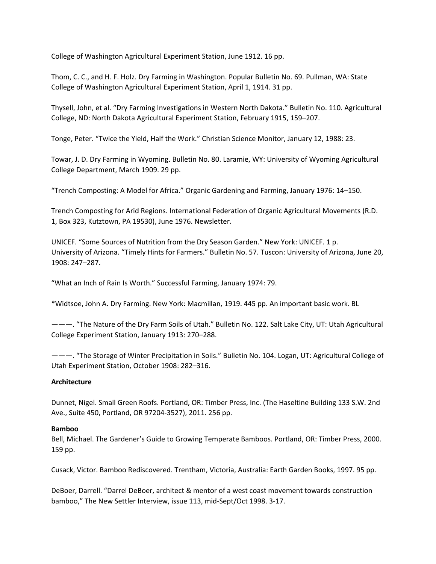College of Washington Agricultural Experiment Station, June 1912. 16 pp.

Thom, C. C., and H. F. Holz. Dry Farming in Washington. Popular Bulletin No. 69. Pullman, WA: State College of Washington Agricultural Experiment Station, April 1, 1914. 31 pp.

Thysell, John, et al. "Dry Farming Investigations in Western North Dakota." Bulletin No. 110. Agricultural College, ND: North Dakota Agricultural Experiment Station, February 1915, 159–207.

Tonge, Peter. "Twice the Yield, Half the Work." Christian Science Monitor, January 12, 1988: 23.

Towar, J. D. Dry Farming in Wyoming. Bulletin No. 80. Laramie, WY: University of Wyoming Agricultural College Department, March 1909. 29 pp.

"Trench Composting: A Model for Africa." Organic Gardening and Farming, January 1976: 14–150.

Trench Composting for Arid Regions. International Federation of Organic Agricultural Movements (R.D. 1, Box 323, Kutztown, PA 19530), June 1976. Newsletter.

UNICEF. "Some Sources of Nutrition from the Dry Season Garden." New York: UNICEF. 1 p. University of Arizona. "Timely Hints for Farmers." Bulletin No. 57. Tuscon: University of Arizona, June 20, 1908: 247–287.

"What an Inch of Rain Is Worth." Successful Farming, January 1974: 79.

\*Widtsoe, John A. Dry Farming. New York: Macmillan, 1919. 445 pp. An important basic work. BL

———. "The Nature of the Dry Farm Soils of Utah." Bulletin No. 122. Salt Lake City, UT: Utah Agricultural College Experiment Station, January 1913: 270–288.

———. "The Storage of Winter Precipitation in Soils." Bulletin No. 104. Logan, UT: Agricultural College of Utah Experiment Station, October 1908: 282–316.

# **Architecture**

Dunnet, Nigel. Small Green Roofs. Portland, OR: Timber Press, Inc. (The Haseltine Building 133 S.W. 2nd Ave., Suite 450, Portland, OR 97204‐3527), 2011. 256 pp.

# **Bamboo**

Bell, Michael. The Gardener's Guide to Growing Temperate Bamboos. Portland, OR: Timber Press, 2000. 159 pp.

Cusack, Victor. Bamboo Rediscovered. Trentham, Victoria, Australia: Earth Garden Books, 1997. 95 pp.

DeBoer, Darrell. "Darrel DeBoer, architect & mentor of a west coast movement towards construction bamboo," The New Settler Interview, issue 113, mid‐Sept/Oct 1998. 3‐17.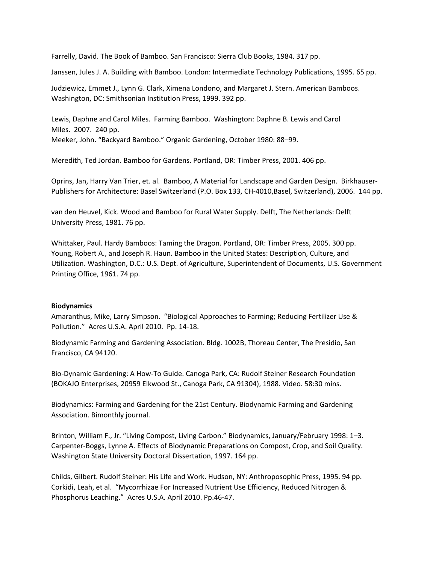Farrelly, David. The Book of Bamboo. San Francisco: Sierra Club Books, 1984. 317 pp.

Janssen, Jules J. A. Building with Bamboo. London: Intermediate Technology Publications, 1995. 65 pp.

Judziewicz, Emmet J., Lynn G. Clark, Ximena Londono, and Margaret J. Stern. American Bamboos. Washington, DC: Smithsonian Institution Press, 1999. 392 pp.

Lewis, Daphne and Carol Miles. Farming Bamboo. Washington: Daphne B. Lewis and Carol Miles. 2007. 240 pp. Meeker, John. "Backyard Bamboo." Organic Gardening, October 1980: 88–99.

Meredith, Ted Jordan. Bamboo for Gardens. Portland, OR: Timber Press, 2001. 406 pp.

Oprins, Jan, Harry Van Trier, et. al. Bamboo, A Material for Landscape and Garden Design. Birkhauser‐ Publishers for Architecture: Basel Switzerland (P.O. Box 133, CH‐4010,Basel, Switzerland), 2006. 144 pp.

van den Heuvel, Kick. Wood and Bamboo for Rural Water Supply. Delft, The Netherlands: Delft University Press, 1981. 76 pp.

Whittaker, Paul. Hardy Bamboos: Taming the Dragon. Portland, OR: Timber Press, 2005. 300 pp. Young, Robert A., and Joseph R. Haun. Bamboo in the United States: Description, Culture, and Utilization. Washington, D.C.: U.S. Dept. of Agriculture, Superintendent of Documents, U.S. Government Printing Office, 1961. 74 pp.

### **Biodynamics**

Amaranthus, Mike, Larry Simpson. "Biological Approaches to Farming; Reducing Fertilizer Use & Pollution." Acres U.S.A. April 2010. Pp. 14‐18.

Biodynamic Farming and Gardening Association. Bldg. 1002B, Thoreau Center, The Presidio, San Francisco, CA 94120.

Bio‐Dynamic Gardening: A How‐To Guide. Canoga Park, CA: Rudolf Steiner Research Foundation (BOKAJO Enterprises, 20959 Elkwood St., Canoga Park, CA 91304), 1988. Video. 58:30 mins.

Biodynamics: Farming and Gardening for the 21st Century. Biodynamic Farming and Gardening Association. Bimonthly journal.

Brinton, William F., Jr. "Living Compost, Living Carbon." Biodynamics, January/February 1998: 1–3. Carpenter‐Boggs, Lynne A. Effects of Biodynamic Preparations on Compost, Crop, and Soil Quality. Washington State University Doctoral Dissertation, 1997. 164 pp.

Childs, Gilbert. Rudolf Steiner: His Life and Work. Hudson, NY: Anthroposophic Press, 1995. 94 pp. Corkidi, Leah, et al. "Mycorrhizae For Increased Nutrient Use Efficiency, Reduced Nitrogen & Phosphorus Leaching." Acres U.S.A. April 2010. Pp.46‐47.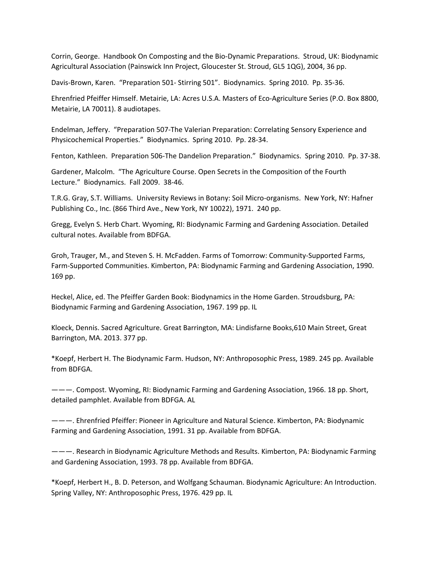Corrin, George. Handbook On Composting and the Bio‐Dynamic Preparations. Stroud, UK: Biodynamic Agricultural Association (Painswick Inn Project, Gloucester St. Stroud, GL5 1QG), 2004, 36 pp.

Davis‐Brown, Karen. "Preparation 501‐ Stirring 501". Biodynamics. Spring 2010. Pp. 35‐36.

Ehrenfried Pfeiffer Himself. Metairie, LA: Acres U.S.A. Masters of Eco‐Agriculture Series (P.O. Box 8800, Metairie, LA 70011). 8 audiotapes.

Endelman, Jeffery. "Preparation 507‐The Valerian Preparation: Correlating Sensory Experience and Physicochemical Properties." Biodynamics. Spring 2010. Pp. 28‐34.

Fenton, Kathleen. Preparation 506-The Dandelion Preparation." Biodynamics. Spring 2010. Pp. 37-38.

Gardener, Malcolm. "The Agriculture Course. Open Secrets in the Composition of the Fourth Lecture." Biodynamics. Fall 2009. 38‐46.

T.R.G. Gray, S.T. Williams. University Reviews in Botany: Soil Micro-organisms. New York, NY: Hafner Publishing Co., Inc. (866 Third Ave., New York, NY 10022), 1971. 240 pp.

Gregg, Evelyn S. Herb Chart. Wyoming, RI: Biodynamic Farming and Gardening Association. Detailed cultural notes. Available from BDFGA.

Groh, Trauger, M., and Steven S. H. McFadden. Farms of Tomorrow: Community‐Supported Farms, Farm‐Supported Communities. Kimberton, PA: Biodynamic Farming and Gardening Association, 1990. 169 pp.

Heckel, Alice, ed. The Pfeiffer Garden Book: Biodynamics in the Home Garden. Stroudsburg, PA: Biodynamic Farming and Gardening Association, 1967. 199 pp. IL

Kloeck, Dennis. Sacred Agriculture. Great Barrington, MA: Lindisfarne Books,610 Main Street, Great Barrington, MA. 2013. 377 pp.

\*Koepf, Herbert H. The Biodynamic Farm. Hudson, NY: Anthroposophic Press, 1989. 245 pp. Available from BDFGA.

———. Compost. Wyoming, RI: Biodynamic Farming and Gardening Association, 1966. 18 pp. Short, detailed pamphlet. Available from BDFGA. AL

———. Ehrenfried Pfeiffer: Pioneer in Agriculture and Natural Science. Kimberton, PA: Biodynamic Farming and Gardening Association, 1991. 31 pp. Available from BDFGA.

———. Research in Biodynamic Agriculture Methods and Results. Kimberton, PA: Biodynamic Farming and Gardening Association, 1993. 78 pp. Available from BDFGA.

\*Koepf, Herbert H., B. D. Peterson, and Wolfgang Schauman. Biodynamic Agriculture: An Introduction. Spring Valley, NY: Anthroposophic Press, 1976. 429 pp. IL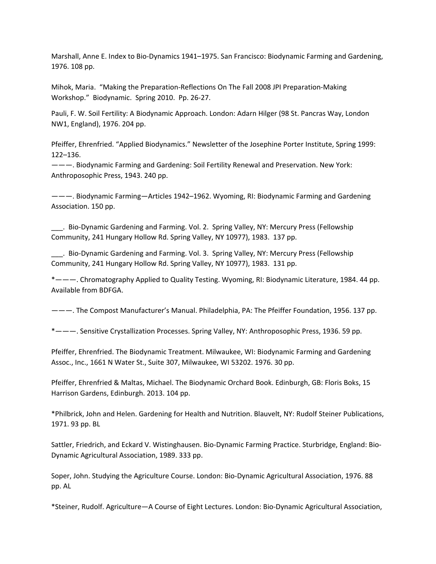Marshall, Anne E. Index to Bio‐Dynamics 1941–1975. San Francisco: Biodynamic Farming and Gardening, 1976. 108 pp.

Mihok, Maria. "Making the Preparation‐Reflections On The Fall 2008 JPI Preparation‐Making Workshop." Biodynamic. Spring 2010. Pp. 26‐27.

Pauli, F. W. Soil Fertility: A Biodynamic Approach. London: Adarn Hilger (98 St. Pancras Way, London NW1, England), 1976. 204 pp.

Pfeiffer, Ehrenfried. "Applied Biodynamics." Newsletter of the Josephine Porter Institute, Spring 1999: 122–136.

———. Biodynamic Farming and Gardening: Soil Fertility Renewal and Preservation. New York: Anthroposophic Press, 1943. 240 pp.

———. Biodynamic Farming—Articles 1942–1962. Wyoming, RI: Biodynamic Farming and Gardening Association. 150 pp.

\_\_\_. Bio‐Dynamic Gardening and Farming. Vol. 2. Spring Valley, NY: Mercury Press (Fellowship Community, 241 Hungary Hollow Rd. Spring Valley, NY 10977), 1983. 137 pp.

\_\_\_. Bio‐Dynamic Gardening and Farming. Vol. 3. Spring Valley, NY: Mercury Press (Fellowship Community, 241 Hungary Hollow Rd. Spring Valley, NY 10977), 1983. 131 pp.

\*———. Chromatography Applied to Quality Testing. Wyoming, RI: Biodynamic Literature, 1984. 44 pp. Available from BDFGA.

———. The Compost Manufacturer's Manual. Philadelphia, PA: The Pfeiffer Foundation, 1956. 137 pp.

\*———. Sensitive Crystallization Processes. Spring Valley, NY: Anthroposophic Press, 1936. 59 pp.

Pfeiffer, Ehrenfried. The Biodynamic Treatment. Milwaukee, WI: Biodynamic Farming and Gardening Assoc., Inc., 1661 N Water St., Suite 307, Milwaukee, WI 53202. 1976. 30 pp.

Pfeiffer, Ehrenfried & Maltas, Michael. The Biodynamic Orchard Book. Edinburgh, GB: Floris Boks, 15 Harrison Gardens, Edinburgh. 2013. 104 pp.

\*Philbrick, John and Helen. Gardening for Health and Nutrition. Blauvelt, NY: Rudolf Steiner Publications, 1971. 93 pp. BL

Sattler, Friedrich, and Eckard V. Wistinghausen. Bio‐Dynamic Farming Practice. Sturbridge, England: Bio‐ Dynamic Agricultural Association, 1989. 333 pp.

Soper, John. Studying the Agriculture Course. London: Bio‐Dynamic Agricultural Association, 1976. 88 pp. AL

\*Steiner, Rudolf. Agriculture—A Course of Eight Lectures. London: Bio‐Dynamic Agricultural Association,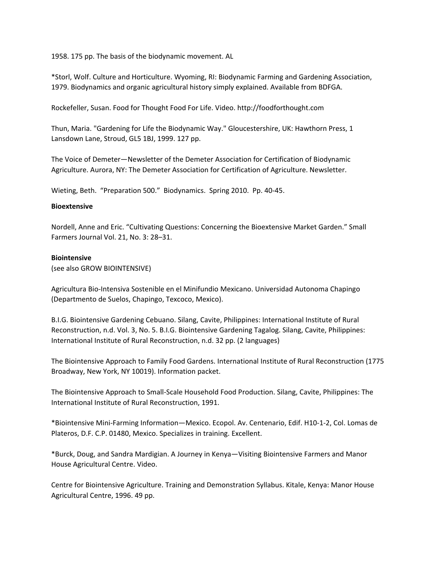1958. 175 pp. The basis of the biodynamic movement. AL

\*Storl, Wolf. Culture and Horticulture. Wyoming, RI: Biodynamic Farming and Gardening Association, 1979. Biodynamics and organic agricultural history simply explained. Available from BDFGA.

Rockefeller, Susan. Food for Thought Food For Life. Video. http://foodforthought.com

Thun, Maria. "Gardening for Life the Biodynamic Way." Gloucestershire, UK: Hawthorn Press, 1 Lansdown Lane, Stroud, GL5 1BJ, 1999. 127 pp.

The Voice of Demeter—Newsletter of the Demeter Association for Certification of Biodynamic Agriculture. Aurora, NY: The Demeter Association for Certification of Agriculture. Newsletter.

Wieting, Beth. "Preparation 500." Biodynamics. Spring 2010. Pp. 40‐45.

## **Bioextensive**

Nordell, Anne and Eric. "Cultivating Questions: Concerning the Bioextensive Market Garden." Small Farmers Journal Vol. 21, No. 3: 28–31.

### **Biointensive**

(see also GROW BIOINTENSIVE)

Agricultura Bio‐Intensiva Sostenible en el Minifundio Mexicano. Universidad Autonoma Chapingo (Departmento de Suelos, Chapingo, Texcoco, Mexico).

B.I.G. Biointensive Gardening Cebuano. Silang, Cavite, Philippines: International Institute of Rural Reconstruction, n.d. Vol. 3, No. 5. B.I.G. Biointensive Gardening Tagalog. Silang, Cavite, Philippines: International Institute of Rural Reconstruction, n.d. 32 pp. (2 languages)

The Biointensive Approach to Family Food Gardens. International Institute of Rural Reconstruction (1775 Broadway, New York, NY 10019). Information packet.

The Biointensive Approach to Small‐Scale Household Food Production. Silang, Cavite, Philippines: The International Institute of Rural Reconstruction, 1991.

\*Biointensive Mini‐Farming Information—Mexico. Ecopol. Av. Centenario, Edif. H10‐1‐2, Col. Lomas de Plateros, D.F. C.P. 01480, Mexico. Specializes in training. Excellent.

\*Burck, Doug, and Sandra Mardigian. A Journey in Kenya—Visiting Biointensive Farmers and Manor House Agricultural Centre. Video.

Centre for Biointensive Agriculture. Training and Demonstration Syllabus. Kitale, Kenya: Manor House Agricultural Centre, 1996. 49 pp.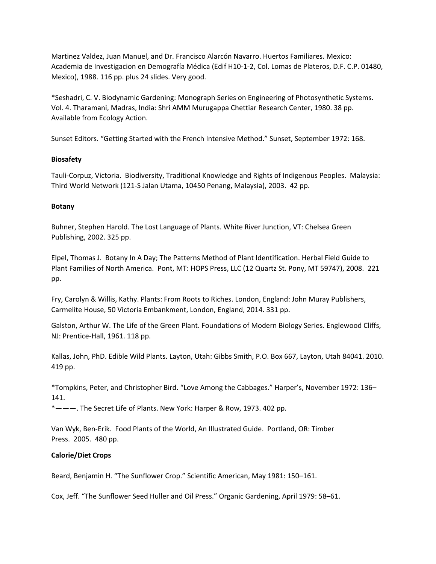Martinez Valdez, Juan Manuel, and Dr. Francisco Alarcón Navarro. Huertos Familiares. Mexico: Academia de Investigacion en Demografía Médica (Edif H10‐1‐2, Col. Lomas de Plateros, D.F. C.P. 01480, Mexico), 1988. 116 pp. plus 24 slides. Very good.

\*Seshadri, C. V. Biodynamic Gardening: Monograph Series on Engineering of Photosynthetic Systems. Vol. 4. Tharamani, Madras, India: Shri AMM Murugappa Chettiar Research Center, 1980. 38 pp. Available from Ecology Action.

Sunset Editors. "Getting Started with the French Intensive Method." Sunset, September 1972: 168.

# **Biosafety**

Tauli‐Corpuz, Victoria. Biodiversity, Traditional Knowledge and Rights of Indigenous Peoples. Malaysia: Third World Network (121‐S Jalan Utama, 10450 Penang, Malaysia), 2003. 42 pp.

# **Botany**

Buhner, Stephen Harold. The Lost Language of Plants. White River Junction, VT: Chelsea Green Publishing, 2002. 325 pp.

Elpel, Thomas J. Botany In A Day; The Patterns Method of Plant Identification. Herbal Field Guide to Plant Families of North America. Pont, MT: HOPS Press, LLC (12 Quartz St. Pony, MT 59747), 2008. 221 pp.

Fry, Carolyn & Willis, Kathy. Plants: From Roots to Riches. London, England: John Muray Publishers, Carmelite House, 50 Victoria Embankment, London, England, 2014. 331 pp.

Galston, Arthur W. The Life of the Green Plant. Foundations of Modern Biology Series. Englewood Cliffs, NJ: Prentice‐Hall, 1961. 118 pp.

Kallas, John, PhD. Edible Wild Plants. Layton, Utah: Gibbs Smith, P.O. Box 667, Layton, Utah 84041. 2010. 419 pp.

\*Tompkins, Peter, and Christopher Bird. "Love Among the Cabbages." Harper's, November 1972: 136– 141.

\*———. The Secret Life of Plants. New York: Harper & Row, 1973. 402 pp.

Van Wyk, Ben‐Erik. Food Plants of the World, An Illustrated Guide. Portland, OR: Timber Press. 2005. 480 pp.

# **Calorie/Diet Crops**

Beard, Benjamin H. "The Sunflower Crop." Scientific American, May 1981: 150–161.

Cox, Jeff. "The Sunflower Seed Huller and Oil Press." Organic Gardening, April 1979: 58–61.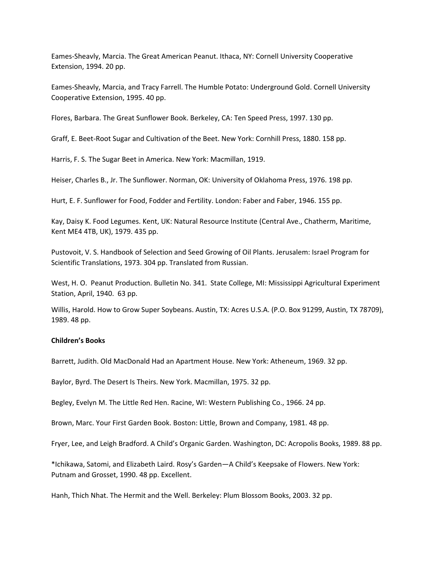Eames‐Sheavly, Marcia. The Great American Peanut. Ithaca, NY: Cornell University Cooperative Extension, 1994. 20 pp.

Eames‐Sheavly, Marcia, and Tracy Farrell. The Humble Potato: Underground Gold. Cornell University Cooperative Extension, 1995. 40 pp.

Flores, Barbara. The Great Sunflower Book. Berkeley, CA: Ten Speed Press, 1997. 130 pp.

Graff, E. Beet‐Root Sugar and Cultivation of the Beet. New York: Cornhill Press, 1880. 158 pp.

Harris, F. S. The Sugar Beet in America. New York: Macmillan, 1919.

Heiser, Charles B., Jr. The Sunflower. Norman, OK: University of Oklahoma Press, 1976. 198 pp.

Hurt, E. F. Sunflower for Food, Fodder and Fertility. London: Faber and Faber, 1946. 155 pp.

Kay, Daisy K. Food Legumes. Kent, UK: Natural Resource Institute (Central Ave., Chatherm, Maritime, Kent ME4 4TB, UK), 1979. 435 pp.

Pustovoit, V. S. Handbook of Selection and Seed Growing of Oil Plants. Jerusalem: Israel Program for Scientific Translations, 1973. 304 pp. Translated from Russian.

West, H. O. Peanut Production. Bulletin No. 341. State College, MI: Mississippi Agricultural Experiment Station, April, 1940. 63 pp.

Willis, Harold. How to Grow Super Soybeans. Austin, TX: Acres U.S.A. (P.O. Box 91299, Austin, TX 78709), 1989. 48 pp.

#### **Children's Books**

Barrett, Judith. Old MacDonald Had an Apartment House. New York: Atheneum, 1969. 32 pp.

Baylor, Byrd. The Desert Is Theirs. New York. Macmillan, 1975. 32 pp.

Begley, Evelyn M. The Little Red Hen. Racine, WI: Western Publishing Co., 1966. 24 pp.

Brown, Marc. Your First Garden Book. Boston: Little, Brown and Company, 1981. 48 pp.

Fryer, Lee, and Leigh Bradford. A Child's Organic Garden. Washington, DC: Acropolis Books, 1989. 88 pp.

\*Ichikawa, Satomi, and Elizabeth Laird. Rosy's Garden—A Child's Keepsake of Flowers. New York: Putnam and Grosset, 1990. 48 pp. Excellent.

Hanh, Thich Nhat. The Hermit and the Well. Berkeley: Plum Blossom Books, 2003. 32 pp.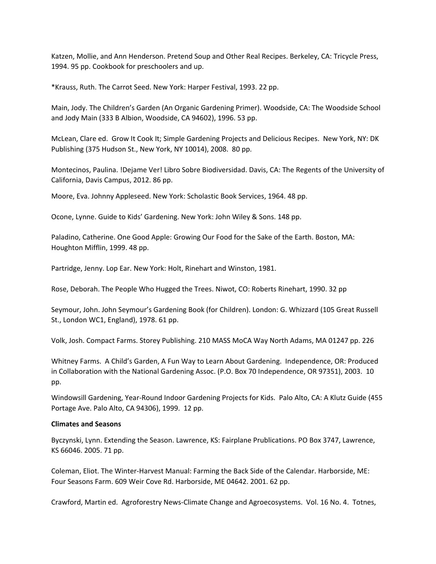Katzen, Mollie, and Ann Henderson. Pretend Soup and Other Real Recipes. Berkeley, CA: Tricycle Press, 1994. 95 pp. Cookbook for preschoolers and up.

\*Krauss, Ruth. The Carrot Seed. New York: Harper Festival, 1993. 22 pp.

Main, Jody. The Children's Garden (An Organic Gardening Primer). Woodside, CA: The Woodside School and Jody Main (333 B Albion, Woodside, CA 94602), 1996. 53 pp.

McLean, Clare ed. Grow It Cook It; Simple Gardening Projects and Delicious Recipes. New York, NY: DK Publishing (375 Hudson St., New York, NY 10014), 2008. 80 pp.

Montecinos, Paulina. !Dejame Ver! Libro Sobre Biodiversidad. Davis, CA: The Regents of the University of California, Davis Campus, 2012. 86 pp.

Moore, Eva. Johnny Appleseed. New York: Scholastic Book Services, 1964. 48 pp.

Ocone, Lynne. Guide to Kids' Gardening. New York: John Wiley & Sons. 148 pp.

Paladino, Catherine. One Good Apple: Growing Our Food for the Sake of the Earth. Boston, MA: Houghton Mifflin, 1999. 48 pp.

Partridge, Jenny. Lop Ear. New York: Holt, Rinehart and Winston, 1981.

Rose, Deborah. The People Who Hugged the Trees. Niwot, CO: Roberts Rinehart, 1990. 32 pp

Seymour, John. John Seymour's Gardening Book (for Children). London: G. Whizzard (105 Great Russell St., London WC1, England), 1978. 61 pp.

Volk, Josh. Compact Farms. Storey Publishing. 210 MASS MoCA Way North Adams, MA 01247 pp. 226

Whitney Farms. A Child's Garden, A Fun Way to Learn About Gardening. Independence, OR: Produced in Collaboration with the National Gardening Assoc. (P.O. Box 70 Independence, OR 97351), 2003. 10 pp.

Windowsill Gardening, Year‐Round Indoor Gardening Projects for Kids. Palo Alto, CA: A Klutz Guide (455 Portage Ave. Palo Alto, CA 94306), 1999. 12 pp.

### **Climates and Seasons**

Byczynski, Lynn. Extending the Season. Lawrence, KS: Fairplane Prublications. PO Box 3747, Lawrence, KS 66046. 2005. 71 pp.

Coleman, Eliot. The Winter‐Harvest Manual: Farming the Back Side of the Calendar. Harborside, ME: Four Seasons Farm. 609 Weir Cove Rd. Harborside, ME 04642. 2001. 62 pp.

Crawford, Martin ed. Agroforestry News‐Climate Change and Agroecosystems. Vol. 16 No. 4. Totnes,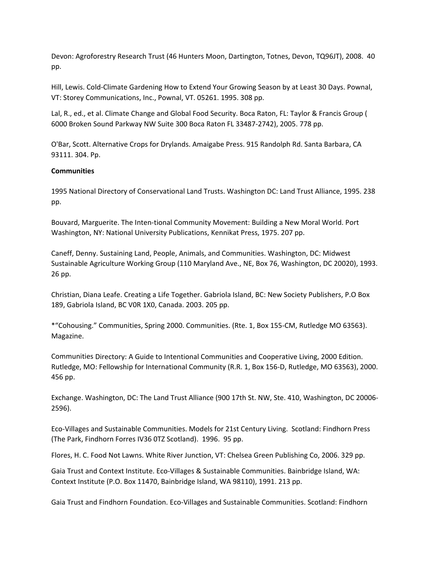Devon: Agroforestry Research Trust (46 Hunters Moon, Dartington, Totnes, Devon, TQ96JT), 2008. 40 pp.

Hill, Lewis. Cold‐Climate Gardening How to Extend Your Growing Season by at Least 30 Days. Pownal, VT: Storey Communications, Inc., Pownal, VT. 05261. 1995. 308 pp.

Lal, R., ed., et al. Climate Change and Global Food Security. Boca Raton, FL: Taylor & Francis Group ( 6000 Broken Sound Parkway NW Suite 300 Boca Raton FL 33487‐2742), 2005. 778 pp.

O'Bar, Scott. Alternative Crops for Drylands. Amaigabe Press. 915 Randolph Rd. Santa Barbara, CA 93111. 304. Pp.

# **Communities**

1995 National Directory of Conservational Land Trusts. Washington DC: Land Trust Alliance, 1995. 238 pp.

Bouvard, Marguerite. The Inten‐tional Community Movement: Building a New Moral World. Port Washington, NY: National University Publications, Kennikat Press, 1975. 207 pp.

Caneff, Denny. Sustaining Land, People, Animals, and Communities. Washington, DC: Midwest Sustainable Agriculture Working Group (110 Maryland Ave., NE, Box 76, Washington, DC 20020), 1993. 26 pp.

Christian, Diana Leafe. Creating a Life Together. Gabriola Island, BC: New Society Publishers, P.O Box 189, Gabriola Island, BC V0R 1X0, Canada. 2003. 205 pp.

\*"Cohousing." Communities, Spring 2000. Communities. (Rte. 1, Box 155‐CM, Rutledge MO 63563). Magazine.

Communities Directory: A Guide to Intentional Communities and Cooperative Living, 2000 Edition. Rutledge, MO: Fellowship for International Community (R.R. 1, Box 156‐D, Rutledge, MO 63563), 2000. 456 pp.

Exchange. Washington, DC: The Land Trust Alliance (900 17th St. NW, Ste. 410, Washington, DC 20006‐ 2596).

Eco‐Villages and Sustainable Communities. Models for 21st Century Living. Scotland: Findhorn Press (The Park, Findhorn Forres IV36 0TZ Scotland). 1996. 95 pp.

Flores, H. C. Food Not Lawns. White River Junction, VT: Chelsea Green Publishing Co, 2006. 329 pp.

Gaia Trust and Context Institute. Eco‐Villages & Sustainable Communities. Bainbridge Island, WA: Context Institute (P.O. Box 11470, Bainbridge Island, WA 98110), 1991. 213 pp.

Gaia Trust and Findhorn Foundation. Eco‐Villages and Sustainable Communities. Scotland: Findhorn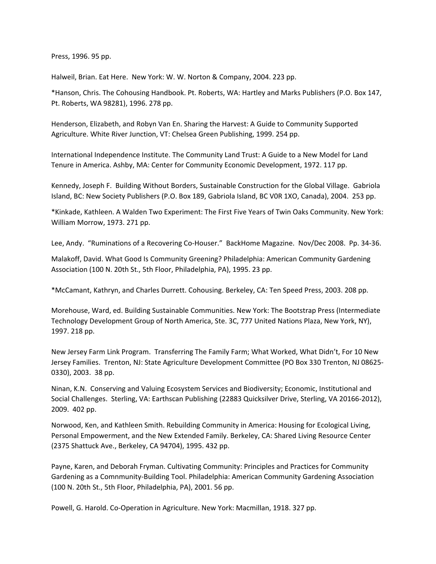Press, 1996. 95 pp.

Halweil, Brian. Eat Here. New York: W. W. Norton & Company, 2004. 223 pp.

\*Hanson, Chris. The Cohousing Handbook. Pt. Roberts, WA: Hartley and Marks Publishers (P.O. Box 147, Pt. Roberts, WA 98281), 1996. 278 pp.

Henderson, Elizabeth, and Robyn Van En. Sharing the Harvest: A Guide to Community Supported Agriculture. White River Junction, VT: Chelsea Green Publishing, 1999. 254 pp.

International Independence Institute. The Community Land Trust: A Guide to a New Model for Land Tenure in America. Ashby, MA: Center for Community Economic Development, 1972. 117 pp.

Kennedy, Joseph F. Building Without Borders, Sustainable Construction for the Global Village. Gabriola Island, BC: New Society Publishers (P.O. Box 189, Gabriola Island, BC V0R 1XO, Canada), 2004. 253 pp.

\*Kinkade, Kathleen. A Walden Two Experiment: The First Five Years of Twin Oaks Community. New York: William Morrow, 1973. 271 pp.

Lee, Andy. "Ruminations of a Recovering Co-Houser." BackHome Magazine. Nov/Dec 2008. Pp. 34-36.

Malakoff, David. What Good Is Community Greening? Philadelphia: American Community Gardening Association (100 N. 20th St., 5th Floor, Philadelphia, PA), 1995. 23 pp.

\*McCamant, Kathryn, and Charles Durrett. Cohousing. Berkeley, CA: Ten Speed Press, 2003. 208 pp.

Morehouse, Ward, ed. Building Sustainable Communities. New York: The Bootstrap Press (Intermediate Technology Development Group of North America, Ste. 3C, 777 United Nations Plaza, New York, NY), 1997. 218 pp.

New Jersey Farm Link Program. Transferring The Family Farm; What Worked, What Didn't, For 10 New Jersey Families. Trenton, NJ: State Agriculture Development Committee (PO Box 330 Trenton, NJ 08625‐ 0330), 2003. 38 pp.

Ninan, K.N. Conserving and Valuing Ecosystem Services and Biodiversity; Economic, Institutional and Social Challenges. Sterling, VA: Earthscan Publishing (22883 Quicksilver Drive, Sterling, VA 20166‐2012), 2009. 402 pp.

Norwood, Ken, and Kathleen Smith. Rebuilding Community in America: Housing for Ecological Living, Personal Empowerment, and the New Extended Family. Berkeley, CA: Shared Living Resource Center (2375 Shattuck Ave., Berkeley, CA 94704), 1995. 432 pp.

Payne, Karen, and Deborah Fryman. Cultivating Community: Principles and Practices for Community Gardening as a Comnmunity‐Building Tool. Philadelphia: American Community Gardening Association (100 N. 20th St., 5th Floor, Philadelphia, PA), 2001. 56 pp.

Powell, G. Harold. Co‐Operation in Agriculture. New York: Macmillan, 1918. 327 pp.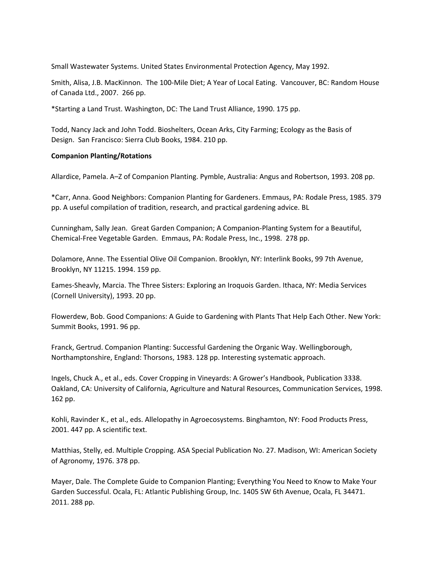Small Wastewater Systems. United States Environmental Protection Agency, May 1992.

Smith, Alisa, J.B. MacKinnon. The 100‐Mile Diet; A Year of Local Eating. Vancouver, BC: Random House of Canada Ltd., 2007. 266 pp.

\*Starting a Land Trust. Washington, DC: The Land Trust Alliance, 1990. 175 pp.

Todd, Nancy Jack and John Todd. Bioshelters, Ocean Arks, City Farming; Ecology as the Basis of Design. San Francisco: Sierra Club Books, 1984. 210 pp.

#### **Companion Planting/Rotations**

Allardice, Pamela. A–Z of Companion Planting. Pymble, Australia: Angus and Robertson, 1993. 208 pp.

\*Carr, Anna. Good Neighbors: Companion Planting for Gardeners. Emmaus, PA: Rodale Press, 1985. 379 pp. A useful compilation of tradition, research, and practical gardening advice. BL

Cunningham, Sally Jean. Great Garden Companion; A Companion‐Planting System for a Beautiful, Chemical‐Free Vegetable Garden. Emmaus, PA: Rodale Press, Inc., 1998. 278 pp.

Dolamore, Anne. The Essential Olive Oil Companion. Brooklyn, NY: Interlink Books, 99 7th Avenue, Brooklyn, NY 11215. 1994. 159 pp.

Eames‐Sheavly, Marcia. The Three Sisters: Exploring an Iroquois Garden. Ithaca, NY: Media Services (Cornell University), 1993. 20 pp.

Flowerdew, Bob. Good Companions: A Guide to Gardening with Plants That Help Each Other. New York: Summit Books, 1991. 96 pp.

Franck, Gertrud. Companion Planting: Successful Gardening the Organic Way. Wellingborough, Northamptonshire, England: Thorsons, 1983. 128 pp. Interesting systematic approach.

Ingels, Chuck A., et al., eds. Cover Cropping in Vineyards: A Grower's Handbook, Publication 3338. Oakland, CA: University of California, Agriculture and Natural Resources, Communication Services, 1998. 162 pp.

Kohli, Ravinder K., et al., eds. Allelopathy in Agroecosystems. Binghamton, NY: Food Products Press, 2001. 447 pp. A scientific text.

Matthias, Stelly, ed. Multiple Cropping. ASA Special Publication No. 27. Madison, WI: American Society of Agronomy, 1976. 378 pp.

Mayer, Dale. The Complete Guide to Companion Planting; Everything You Need to Know to Make Your Garden Successful. Ocala, FL: Atlantic Publishing Group, Inc. 1405 SW 6th Avenue, Ocala, FL 34471. 2011. 288 pp.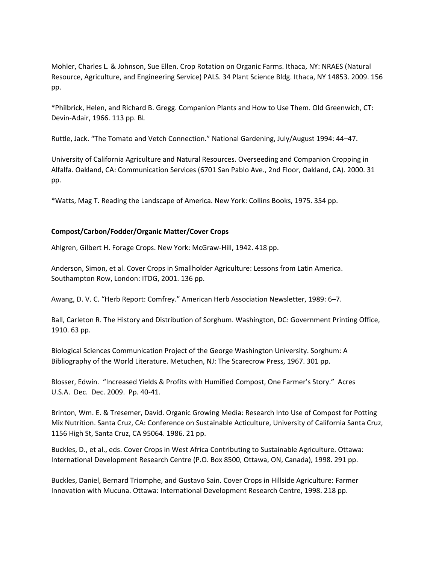Mohler, Charles L. & Johnson, Sue Ellen. Crop Rotation on Organic Farms. Ithaca, NY: NRAES (Natural Resource, Agriculture, and Engineering Service) PALS. 34 Plant Science Bldg. Ithaca, NY 14853. 2009. 156 pp.

\*Philbrick, Helen, and Richard B. Gregg. Companion Plants and How to Use Them. Old Greenwich, CT: Devin‐Adair, 1966. 113 pp. BL

Ruttle, Jack. "The Tomato and Vetch Connection." National Gardening, July/August 1994: 44–47.

University of California Agriculture and Natural Resources. Overseeding and Companion Cropping in Alfalfa. Oakland, CA: Communication Services (6701 San Pablo Ave., 2nd Floor, Oakland, CA). 2000. 31 pp.

\*Watts, Mag T. Reading the Landscape of America. New York: Collins Books, 1975. 354 pp.

# **Compost/Carbon/Fodder/Organic Matter/Cover Crops**

Ahlgren, Gilbert H. Forage Crops. New York: McGraw‐Hill, 1942. 418 pp.

Anderson, Simon, et al. Cover Crops in Smallholder Agriculture: Lessons from Latin America. Southampton Row, London: ITDG, 2001. 136 pp.

Awang, D. V. C. "Herb Report: Comfrey." American Herb Association Newsletter, 1989: 6–7.

Ball, Carleton R. The History and Distribution of Sorghum. Washington, DC: Government Printing Office, 1910. 63 pp.

Biological Sciences Communication Project of the George Washington University. Sorghum: A Bibliography of the World Literature. Metuchen, NJ: The Scarecrow Press, 1967. 301 pp.

Blosser, Edwin. "Increased Yields & Profits with Humified Compost, One Farmer's Story." Acres U.S.A. Dec. Dec. 2009. Pp. 40‐41.

Brinton, Wm. E. & Tresemer, David. Organic Growing Media: Research Into Use of Compost for Potting Mix Nutrition. Santa Cruz, CA: Conference on Sustainable Acticulture, University of California Santa Cruz, 1156 High St, Santa Cruz, CA 95064. 1986. 21 pp.

Buckles, D., et al., eds. Cover Crops in West Africa Contributing to Sustainable Agriculture. Ottawa: International Development Research Centre (P.O. Box 8500, Ottawa, ON, Canada), 1998. 291 pp.

Buckles, Daniel, Bernard Triomphe, and Gustavo Sain. Cover Crops in Hillside Agriculture: Farmer Innovation with Mucuna. Ottawa: International Development Research Centre, 1998. 218 pp.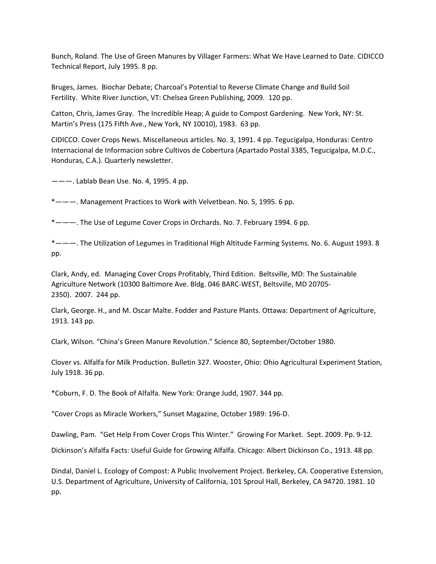Bunch, Roland. The Use of Green Manures by Villager Farmers: What We Have Learned to Date. CIDICCO Technical Report, July 1995. 8 pp.

Bruges, James. Biochar Debate; Charcoal's Potential to Reverse Climate Change and Build Soil Fertility. White River Junction, VT: Chelsea Green Publishing, 2009. 120 pp.

Catton, Chris, James Gray. The Incredible Heap; A guide to Compost Gardening. New York, NY: St. Martin's Press (175 Fifth Ave., New York, NY 10010), 1983. 63 pp.

CIDICCO. Cover Crops News. Miscellaneous articles. No. 3, 1991. 4 pp. Tegucigalpa, Honduras: Centro Internacional de Informacion sobre Cultivos de Cobertura (Apartado Postal 3385, Tegucigalpa, M.D.C., Honduras, C.A.). Quarterly newsletter.

———. Lablab Bean Use. No. 4, 1995. 4 pp.

\*———. Management Practices to Work with Velvetbean. No. 5, 1995. 6 pp.

\*———. The Use of Legume Cover Crops in Orchards. No. 7. February 1994. 6 pp.

\*———. The Utilization of Legumes in Traditional High Altitude Farming Systems. No. 6. August 1993. 8 pp.

Clark, Andy, ed. Managing Cover Crops Profitably, Third Edition. Beltsville, MD: The Sustainable Agriculture Network (10300 Baltimore Ave. Bldg. 046 BARC‐WEST, Beltsville, MD 20705‐ 2350). 2007. 244 pp.

Clark, George. H., and M. Oscar Malte. Fodder and Pasture Plants. Ottawa: Department of Agriculture, 1913. 143 pp.

Clark, Wilson. "China's Green Manure Revolution." Science 80, September/October 1980.

Clover vs. Alfalfa for Milk Production. Bulletin 327. Wooster, Ohio: Ohio Agricultural Experiment Station, July 1918. 36 pp.

\*Coburn, F. D. The Book of Alfalfa. New York: Orange Judd, 1907. 344 pp.

"Cover Crops as Miracle Workers," Sunset Magazine, October 1989: 196‐D.

Dawling, Pam. "Get Help From Cover Crops This Winter." Growing For Market. Sept. 2009. Pp. 9‐12.

Dickinson's Alfalfa Facts: Useful Guide for Growing Alfalfa. Chicago: Albert Dickinson Co., 1913. 48 pp.

Dindal, Daniel L. Ecology of Compost: A Public Involvement Project. Berkeley, CA. Cooperative Estension, U.S. Department of Agriculture, University of California, 101 Sproul Hall, Berkeley, CA 94720. 1981. 10 pp.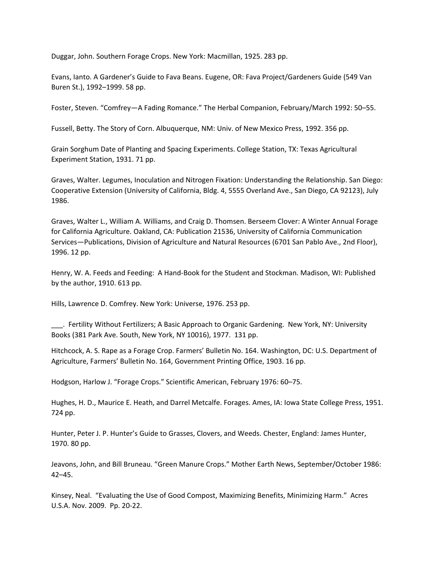Duggar, John. Southern Forage Crops. New York: Macmillan, 1925. 283 pp.

Evans, Ianto. A Gardener's Guide to Fava Beans. Eugene, OR: Fava Project/Gardeners Guide (549 Van Buren St.), 1992–1999. 58 pp.

Foster, Steven. "Comfrey—A Fading Romance." The Herbal Companion, February/March 1992: 50–55.

Fussell, Betty. The Story of Corn. Albuquerque, NM: Univ. of New Mexico Press, 1992. 356 pp.

Grain Sorghum Date of Planting and Spacing Experiments. College Station, TX: Texas Agricultural Experiment Station, 1931. 71 pp.

Graves, Walter. Legumes, Inoculation and Nitrogen Fixation: Understanding the Relationship. San Diego: Cooperative Extension (University of California, Bldg. 4, 5555 Overland Ave., San Diego, CA 92123), July 1986.

Graves, Walter L., William A. Williams, and Craig D. Thomsen. Berseem Clover: A Winter Annual Forage for California Agriculture. Oakland, CA: Publication 21536, University of California Communication Services—Publications, Division of Agriculture and Natural Resources (6701 San Pablo Ave., 2nd Floor), 1996. 12 pp.

Henry, W. A. Feeds and Feeding: A Hand‐Book for the Student and Stockman. Madison, WI: Published by the author, 1910. 613 pp.

Hills, Lawrence D. Comfrey. New York: Universe, 1976. 253 pp.

\_\_\_. Fertility Without Fertilizers; A Basic Approach to Organic Gardening. New York, NY: University Books (381 Park Ave. South, New York, NY 10016), 1977. 131 pp.

Hitchcock, A. S. Rape as a Forage Crop. Farmers' Bulletin No. 164. Washington, DC: U.S. Department of Agriculture, Farmers' Bulletin No. 164, Government Printing Office, 1903. 16 pp.

Hodgson, Harlow J. "Forage Crops." Scientific American, February 1976: 60–75.

Hughes, H. D., Maurice E. Heath, and Darrel Metcalfe. Forages. Ames, IA: Iowa State College Press, 1951. 724 pp.

Hunter, Peter J. P. Hunter's Guide to Grasses, Clovers, and Weeds. Chester, England: James Hunter, 1970. 80 pp.

Jeavons, John, and Bill Bruneau. "Green Manure Crops." Mother Earth News, September/October 1986: 42–45.

Kinsey, Neal. "Evaluating the Use of Good Compost, Maximizing Benefits, Minimizing Harm." Acres U.S.A. Nov. 2009. Pp. 20‐22.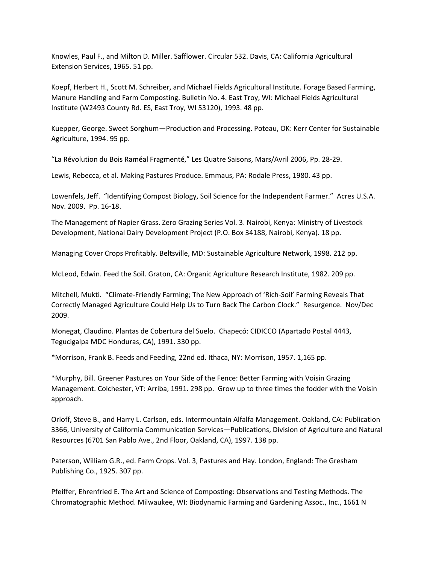Knowles, Paul F., and Milton D. Miller. Safflower. Circular 532. Davis, CA: California Agricultural Extension Services, 1965. 51 pp.

Koepf, Herbert H., Scott M. Schreiber, and Michael Fields Agricultural Institute. Forage Based Farming, Manure Handling and Farm Composting. Bulletin No. 4. East Troy, WI: Michael Fields Agricultural Institute (W2493 County Rd. ES, East Troy, WI 53120), 1993. 48 pp.

Kuepper, George. Sweet Sorghum—Production and Processing. Poteau, OK: Kerr Center for Sustainable Agriculture, 1994. 95 pp.

"La Révolution du Bois Raméal Fragmenté," Les Quatre Saisons, Mars/Avril 2006, Pp. 28‐29.

Lewis, Rebecca, et al. Making Pastures Produce. Emmaus, PA: Rodale Press, 1980. 43 pp.

Lowenfels, Jeff. "Identifying Compost Biology, Soil Science for the Independent Farmer." Acres U.S.A. Nov. 2009. Pp. 16‐18.

The Management of Napier Grass. Zero Grazing Series Vol. 3. Nairobi, Kenya: Ministry of Livestock Development, National Dairy Development Project (P.O. Box 34188, Nairobi, Kenya). 18 pp.

Managing Cover Crops Profitably. Beltsville, MD: Sustainable Agriculture Network, 1998. 212 pp.

McLeod, Edwin. Feed the Soil. Graton, CA: Organic Agriculture Research Institute, 1982. 209 pp.

Mitchell, Mukti. "Climate‐Friendly Farming; The New Approach of 'Rich‐Soil' Farming Reveals That Correctly Managed Agriculture Could Help Us to Turn Back The Carbon Clock." Resurgence. Nov/Dec 2009.

Monegat, Claudino. Plantas de Cobertura del Suelo. Chapecó: CIDICCO (Apartado Postal 4443, Tegucigalpa MDC Honduras, CA), 1991. 330 pp.

\*Morrison, Frank B. Feeds and Feeding, 22nd ed. Ithaca, NY: Morrison, 1957. 1,165 pp.

\*Murphy, Bill. Greener Pastures on Your Side of the Fence: Better Farming with Voisin Grazing Management. Colchester, VT: Arriba, 1991. 298 pp. Grow up to three times the fodder with the Voisin approach.

Orloff, Steve B., and Harry L. Carlson, eds. Intermountain Alfalfa Management. Oakland, CA: Publication 3366, University of California Communication Services—Publications, Division of Agriculture and Natural Resources (6701 San Pablo Ave., 2nd Floor, Oakland, CA), 1997. 138 pp.

Paterson, William G.R., ed. Farm Crops. Vol. 3, Pastures and Hay. London, England: The Gresham Publishing Co., 1925. 307 pp.

Pfeiffer, Ehrenfried E. The Art and Science of Composting: Observations and Testing Methods. The Chromatographic Method. Milwaukee, WI: Biodynamic Farming and Gardening Assoc., Inc., 1661 N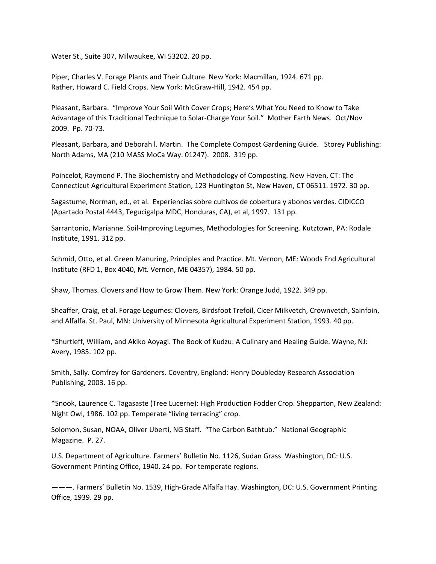Water St., Suite 307, Milwaukee, WI 53202. 20 pp.

Piper, Charles V. Forage Plants and Their Culture. New York: Macmillan, 1924. 671 pp. Rather, Howard C. Field Crops. New York: McGraw‐Hill, 1942. 454 pp.

Pleasant, Barbara. "Improve Your Soil With Cover Crops; Here's What You Need to Know to Take Advantage of this Traditional Technique to Solar‐Charge Your Soil." Mother Earth News. Oct/Nov 2009. Pp. 70‐73.

Pleasant, Barbara, and Deborah I. Martin. The Complete Compost Gardening Guide. Storey Publishing: North Adams, MA (210 MASS MoCa Way. 01247). 2008. 319 pp.

Poincelot, Raymond P. The Biochemistry and Methodology of Composting. New Haven, CT: The Connecticut Agricultural Experiment Station, 123 Huntington St, New Haven, CT 06511. 1972. 30 pp.

Sagastume, Norman, ed., et al. Experiencias sobre cultivos de cobertura y abonos verdes. CIDICCO (Apartado Postal 4443, Tegucigalpa MDC, Honduras, CA), et al, 1997. 131 pp.

Sarrantonio, Marianne. Soil‐Improving Legumes, Methodologies for Screening. Kutztown, PA: Rodale Institute, 1991. 312 pp.

Schmid, Otto, et al. Green Manuring, Principles and Practice. Mt. Vernon, ME: Woods End Agricultural Institute (RFD 1, Box 4040, Mt. Vernon, ME 04357), 1984. 50 pp.

Shaw, Thomas. Clovers and How to Grow Them. New York: Orange Judd, 1922. 349 pp.

Sheaffer, Craig, et al. Forage Legumes: Clovers, Birdsfoot Trefoil, Cicer Milkvetch, Crownvetch, Sainfoin, and Alfalfa. St. Paul, MN: University of Minnesota Agricultural Experiment Station, 1993. 40 pp.

\*Shurtleff, William, and Akiko Aoyagi. The Book of Kudzu: A Culinary and Healing Guide. Wayne, NJ: Avery, 1985. 102 pp.

Smith, Sally. Comfrey for Gardeners. Coventry, England: Henry Doubleday Research Association Publishing, 2003. 16 pp.

\*Snook, Laurence C. Tagasaste (Tree Lucerne): High Production Fodder Crop. Shepparton, New Zealand: Night Owl, 1986. 102 pp. Temperate "living terracing" crop.

Solomon, Susan, NOAA, Oliver Uberti, NG Staff. "The Carbon Bathtub." National Geographic Magazine. P. 27.

U.S. Department of Agriculture. Farmers' Bulletin No. 1126, Sudan Grass. Washington, DC: U.S. Government Printing Office, 1940. 24 pp. For temperate regions.

———. Farmers' Bulletin No. 1539, High‐Grade Alfalfa Hay. Washington, DC: U.S. Government Printing Office, 1939. 29 pp.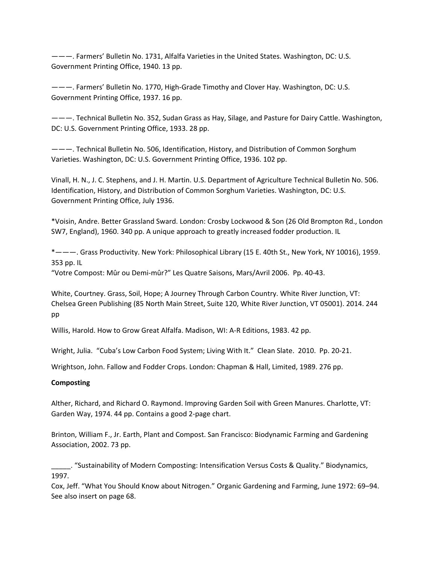———. Farmers' Bulletin No. 1731, Alfalfa Varieties in the United States. Washington, DC: U.S. Government Printing Office, 1940. 13 pp.

———. Farmers' Bulletin No. 1770, High‐Grade Timothy and Clover Hay. Washington, DC: U.S. Government Printing Office, 1937. 16 pp.

———. Technical Bulletin No. 352, Sudan Grass as Hay, Silage, and Pasture for Dairy Cattle. Washington, DC: U.S. Government Printing Office, 1933. 28 pp.

———. Technical Bulletin No. 506, Identification, History, and Distribution of Common Sorghum Varieties. Washington, DC: U.S. Government Printing Office, 1936. 102 pp.

Vinall, H. N., J. C. Stephens, and J. H. Martin. U.S. Department of Agriculture Technical Bulletin No. 506. Identification, History, and Distribution of Common Sorghum Varieties. Washington, DC: U.S. Government Printing Office, July 1936.

\*Voisin, Andre. Better Grassland Sward. London: Crosby Lockwood & Son (26 Old Brompton Rd., London SW7, England), 1960. 340 pp. A unique approach to greatly increased fodder production. IL

\*———. Grass Productivity. New York: Philosophical Library (15 E. 40th St., New York, NY 10016), 1959. 353 pp. IL

"Votre Compost: Mûr ou Demi‐mûr?" Les Quatre Saisons, Mars/Avril 2006. Pp. 40‐43.

White, Courtney. Grass, Soil, Hope; A Journey Through Carbon Country. White River Junction, VT: Chelsea Green Publishing (85 North Main Street, Suite 120, White River Junction, VT 05001). 2014. 244 pp

Willis, Harold. How to Grow Great Alfalfa. Madison, WI: A‐R Editions, 1983. 42 pp.

Wright, Julia. "Cuba's Low Carbon Food System; Living With It." Clean Slate. 2010. Pp. 20‐21.

Wrightson, John. Fallow and Fodder Crops. London: Chapman & Hall, Limited, 1989. 276 pp.

### **Composting**

Alther, Richard, and Richard O. Raymond. Improving Garden Soil with Green Manures. Charlotte, VT: Garden Way, 1974. 44 pp. Contains a good 2‐page chart.

Brinton, William F., Jr. Earth, Plant and Compost. San Francisco: Biodynamic Farming and Gardening Association, 2002. 73 pp.

\_\_\_\_\_. "Sustainability of Modern Composting: Intensification Versus Costs & Quality." Biodynamics, 1997.

Cox, Jeff. "What You Should Know about Nitrogen." Organic Gardening and Farming, June 1972: 69–94. See also insert on page 68.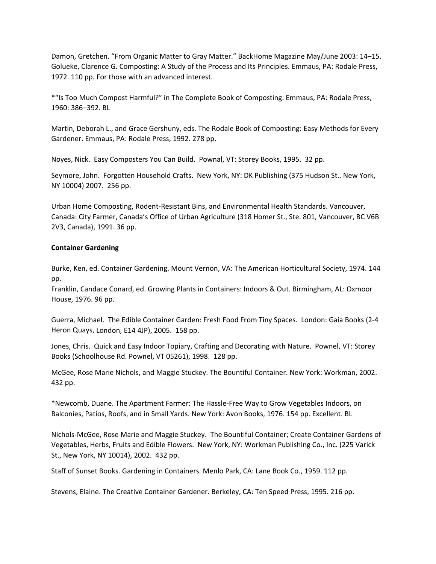Damon, Gretchen. "From Organic Matter to Gray Matter." BackHome Magazine May/June 2003: 14–15. Golueke, Clarence G. Composting: A Study of the Process and Its Principles. Emmaus, PA: Rodale Press, 1972. 110 pp. For those with an advanced interest.

\*"Is Too Much Compost Harmful?" in The Complete Book of Composting. Emmaus, PA: Rodale Press, 1960: 386–392. BL

Martin, Deborah L., and Grace Gershuny, eds. The Rodale Book of Composting: Easy Methods for Every Gardener. Emmaus, PA: Rodale Press, 1992. 278 pp.

Noyes, Nick. Easy Composters You Can Build. Pownal, VT: Storey Books, 1995. 32 pp.

Seymore, John. Forgotten Household Crafts. New York, NY: DK Publishing (375 Hudson St.. New York, NY 10004) 2007. 256 pp.

Urban Home Composting, Rodent‐Resistant Bins, and Environmental Health Standards. Vancouver, Canada: City Farmer, Canada's Office of Urban Agriculture (318 Homer St., Ste. 801, Vancouver, BC V6B 2V3, Canada), 1991. 36 pp.

# **Container Gardening**

Burke, Ken, ed. Container Gardening. Mount Vernon, VA: The American Horticultural Society, 1974. 144 pp.

Franklin, Candace Conard, ed. Growing Plants in Containers: Indoors & Out. Birmingham, AL: Oxmoor House, 1976. 96 pp.

Guerra, Michael. The Edible Container Garden: Fresh Food From Tiny Spaces. London: Gaia Books (2‐4 Heron Quays, London, E14 4JP), 2005. 158 pp.

Jones, Chris. Quick and Easy Indoor Topiary, Crafting and Decorating with Nature. Pownel, VT: Storey Books (Schoolhouse Rd. Pownel, VT 05261), 1998. 128 pp.

McGee, Rose Marie Nichols, and Maggie Stuckey. The Bountiful Container. New York: Workman, 2002. 432 pp.

\*Newcomb, Duane. The Apartment Farmer: The Hassle‐Free Way to Grow Vegetables Indoors, on Balconies, Patios, Roofs, and in Small Yards. New York: Avon Books, 1976. 154 pp. Excellent. BL

Nichols‐McGee, Rose Marie and Maggie Stuckey. The Bountiful Container; Create Container Gardens of Vegetables, Herbs, Fruits and Edible Flowers. New York, NY: Workman Publishing Co., Inc. (225 Varick St., New York, NY 10014), 2002. 432 pp.

Staff of Sunset Books. Gardening in Containers. Menlo Park, CA: Lane Book Co., 1959. 112 pp.

Stevens, Elaine. The Creative Container Gardener. Berkeley, CA: Ten Speed Press, 1995. 216 pp.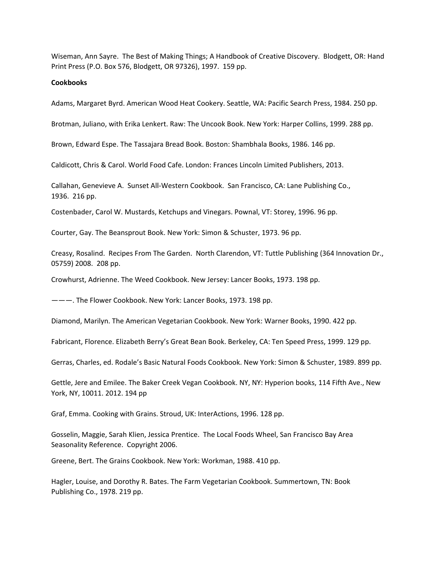Wiseman, Ann Sayre. The Best of Making Things; A Handbook of Creative Discovery. Blodgett, OR: Hand Print Press (P.O. Box 576, Blodgett, OR 97326), 1997. 159 pp.

### **Cookbooks**

Adams, Margaret Byrd. American Wood Heat Cookery. Seattle, WA: Pacific Search Press, 1984. 250 pp.

Brotman, Juliano, with Erika Lenkert. Raw: The Uncook Book. New York: Harper Collins, 1999. 288 pp.

Brown, Edward Espe. The Tassajara Bread Book. Boston: Shambhala Books, 1986. 146 pp.

Caldicott, Chris & Carol. World Food Cafe. London: Frances Lincoln Limited Publishers, 2013.

Callahan, Genevieve A. Sunset All‐Western Cookbook. San Francisco, CA: Lane Publishing Co., 1936. 216 pp.

Costenbader, Carol W. Mustards, Ketchups and Vinegars. Pownal, VT: Storey, 1996. 96 pp.

Courter, Gay. The Beansprout Book. New York: Simon & Schuster, 1973. 96 pp.

Creasy, Rosalind. Recipes From The Garden. North Clarendon, VT: Tuttle Publishing (364 Innovation Dr., 05759) 2008. 208 pp.

Crowhurst, Adrienne. The Weed Cookbook. New Jersey: Lancer Books, 1973. 198 pp.

———. The Flower Cookbook. New York: Lancer Books, 1973. 198 pp.

Diamond, Marilyn. The American Vegetarian Cookbook. New York: Warner Books, 1990. 422 pp.

Fabricant, Florence. Elizabeth Berry's Great Bean Book. Berkeley, CA: Ten Speed Press, 1999. 129 pp.

Gerras, Charles, ed. Rodale's Basic Natural Foods Cookbook. New York: Simon & Schuster, 1989. 899 pp.

Gettle, Jere and Emilee. The Baker Creek Vegan Cookbook. NY, NY: Hyperion books, 114 Fifth Ave., New York, NY, 10011. 2012. 194 pp

Graf, Emma. Cooking with Grains. Stroud, UK: InterActions, 1996. 128 pp.

Gosselin, Maggie, Sarah Klien, Jessica Prentice. The Local Foods Wheel, San Francisco Bay Area Seasonality Reference. Copyright 2006.

Greene, Bert. The Grains Cookbook. New York: Workman, 1988. 410 pp.

Hagler, Louise, and Dorothy R. Bates. The Farm Vegetarian Cookbook. Summertown, TN: Book Publishing Co., 1978. 219 pp.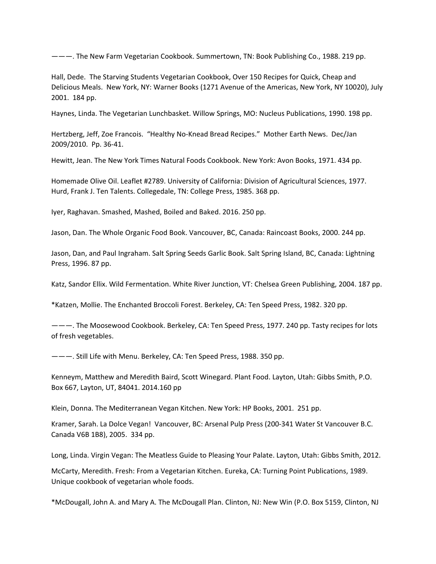———. The New Farm Vegetarian Cookbook. Summertown, TN: Book Publishing Co., 1988. 219 pp.

Hall, Dede. The Starving Students Vegetarian Cookbook, Over 150 Recipes for Quick, Cheap and Delicious Meals. New York, NY: Warner Books (1271 Avenue of the Americas, New York, NY 10020), July 2001. 184 pp.

Haynes, Linda. The Vegetarian Lunchbasket. Willow Springs, MO: Nucleus Publications, 1990. 198 pp.

Hertzberg, Jeff, Zoe Francois. "Healthy No‐Knead Bread Recipes." Mother Earth News. Dec/Jan 2009/2010. Pp. 36‐41.

Hewitt, Jean. The New York Times Natural Foods Cookbook. New York: Avon Books, 1971. 434 pp.

Homemade Olive Oil. Leaflet #2789. University of California: Division of Agricultural Sciences, 1977. Hurd, Frank J. Ten Talents. Collegedale, TN: College Press, 1985. 368 pp.

Iyer, Raghavan. Smashed, Mashed, Boiled and Baked. 2016. 250 pp.

Jason, Dan. The Whole Organic Food Book. Vancouver, BC, Canada: Raincoast Books, 2000. 244 pp.

Jason, Dan, and Paul Ingraham. Salt Spring Seeds Garlic Book. Salt Spring Island, BC, Canada: Lightning Press, 1996. 87 pp.

Katz, Sandor Ellix. Wild Fermentation. White River Junction, VT: Chelsea Green Publishing, 2004. 187 pp.

\*Katzen, Mollie. The Enchanted Broccoli Forest. Berkeley, CA: Ten Speed Press, 1982. 320 pp.

———. The Moosewood Cookbook. Berkeley, CA: Ten Speed Press, 1977. 240 pp. Tasty recipes for lots of fresh vegetables.

———. Still Life with Menu. Berkeley, CA: Ten Speed Press, 1988. 350 pp.

Kenneym, Matthew and Meredith Baird, Scott Winegard. Plant Food. Layton, Utah: Gibbs Smith, P.O. Box 667, Layton, UT, 84041. 2014.160 pp

Klein, Donna. The Mediterranean Vegan Kitchen. New York: HP Books, 2001. 251 pp.

Kramer, Sarah. La Dolce Vegan! Vancouver, BC: Arsenal Pulp Press (200‐341 Water St Vancouver B.C. Canada V6B 1B8), 2005. 334 pp.

Long, Linda. Virgin Vegan: The Meatless Guide to Pleasing Your Palate. Layton, Utah: Gibbs Smith, 2012.

McCarty, Meredith. Fresh: From a Vegetarian Kitchen. Eureka, CA: Turning Point Publications, 1989. Unique cookbook of vegetarian whole foods.

\*McDougall, John A. and Mary A. The McDougall Plan. Clinton, NJ: New Win (P.O. Box 5159, Clinton, NJ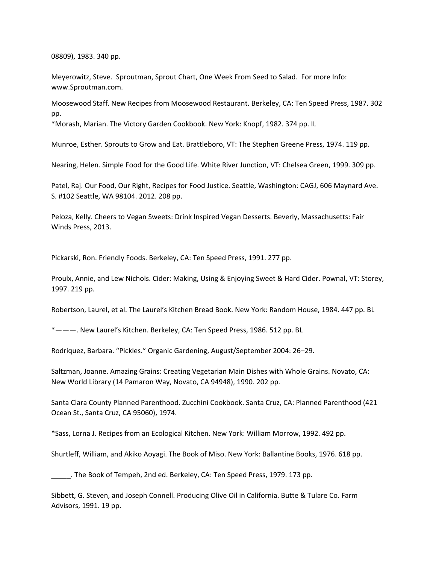08809), 1983. 340 pp.

Meyerowitz, Steve. Sproutman, Sprout Chart, One Week From Seed to Salad. For more Info: www.Sproutman.com.

Moosewood Staff. New Recipes from Moosewood Restaurant. Berkeley, CA: Ten Speed Press, 1987. 302 pp.

\*Morash, Marian. The Victory Garden Cookbook. New York: Knopf, 1982. 374 pp. IL

Munroe, Esther. Sprouts to Grow and Eat. Brattleboro, VT: The Stephen Greene Press, 1974. 119 pp.

Nearing, Helen. Simple Food for the Good Life. White River Junction, VT: Chelsea Green, 1999. 309 pp.

Patel, Raj. Our Food, Our Right, Recipes for Food Justice. Seattle, Washington: CAGJ, 606 Maynard Ave. S. #102 Seattle, WA 98104. 2012. 208 pp.

Peloza, Kelly. Cheers to Vegan Sweets: Drink Inspired Vegan Desserts. Beverly, Massachusetts: Fair Winds Press, 2013.

Pickarski, Ron. Friendly Foods. Berkeley, CA: Ten Speed Press, 1991. 277 pp.

Proulx, Annie, and Lew Nichols. Cider: Making, Using & Enjoying Sweet & Hard Cider. Pownal, VT: Storey, 1997. 219 pp.

Robertson, Laurel, et al. The Laurel's Kitchen Bread Book. New York: Random House, 1984. 447 pp. BL

\*———. New Laurel's Kitchen. Berkeley, CA: Ten Speed Press, 1986. 512 pp. BL

Rodriquez, Barbara. "Pickles." Organic Gardening, August/September 2004: 26–29.

Saltzman, Joanne. Amazing Grains: Creating Vegetarian Main Dishes with Whole Grains. Novato, CA: New World Library (14 Pamaron Way, Novato, CA 94948), 1990. 202 pp.

Santa Clara County Planned Parenthood. Zucchini Cookbook. Santa Cruz, CA: Planned Parenthood (421 Ocean St., Santa Cruz, CA 95060), 1974.

\*Sass, Lorna J. Recipes from an Ecological Kitchen. New York: William Morrow, 1992. 492 pp.

Shurtleff, William, and Akiko Aoyagi. The Book of Miso. New York: Ballantine Books, 1976. 618 pp.

\_\_\_\_\_. The Book of Tempeh, 2nd ed. Berkeley, CA: Ten Speed Press, 1979. 173 pp.

Sibbett, G. Steven, and Joseph Connell. Producing Olive Oil in California. Butte & Tulare Co. Farm Advisors, 1991. 19 pp.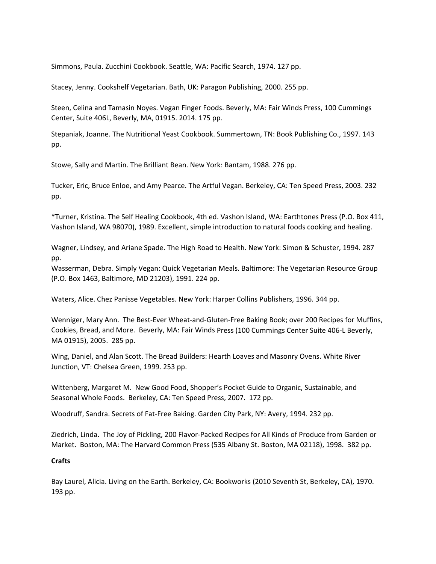Simmons, Paula. Zucchini Cookbook. Seattle, WA: Pacific Search, 1974. 127 pp.

Stacey, Jenny. Cookshelf Vegetarian. Bath, UK: Paragon Publishing, 2000. 255 pp.

Steen, Celina and Tamasin Noyes. Vegan Finger Foods. Beverly, MA: Fair Winds Press, 100 Cummings Center, Suite 406L, Beverly, MA, 01915. 2014. 175 pp.

Stepaniak, Joanne. The Nutritional Yeast Cookbook. Summertown, TN: Book Publishing Co., 1997. 143 pp.

Stowe, Sally and Martin. The Brilliant Bean. New York: Bantam, 1988. 276 pp.

Tucker, Eric, Bruce Enloe, and Amy Pearce. The Artful Vegan. Berkeley, CA: Ten Speed Press, 2003. 232 pp.

\*Turner, Kristina. The Self Healing Cookbook, 4th ed. Vashon Island, WA: Earthtones Press (P.O. Box 411, Vashon Island, WA 98070), 1989. Excellent, simple introduction to natural foods cooking and healing.

Wagner, Lindsey, and Ariane Spade. The High Road to Health. New York: Simon & Schuster, 1994. 287 pp.

Wasserman, Debra. Simply Vegan: Quick Vegetarian Meals. Baltimore: The Vegetarian Resource Group (P.O. Box 1463, Baltimore, MD 21203), 1991. 224 pp.

Waters, Alice. Chez Panisse Vegetables. New York: Harper Collins Publishers, 1996. 344 pp.

Wenniger, Mary Ann. The Best‐Ever Wheat‐and‐Gluten‐Free Baking Book; over 200 Recipes for Muffins, Cookies, Bread, and More. Beverly, MA: Fair Winds Press (100 Cummings Center Suite 406‐L Beverly, MA 01915), 2005. 285 pp.

Wing, Daniel, and Alan Scott. The Bread Builders: Hearth Loaves and Masonry Ovens. White River Junction, VT: Chelsea Green, 1999. 253 pp.

Wittenberg, Margaret M. New Good Food, Shopper's Pocket Guide to Organic, Sustainable, and Seasonal Whole Foods. Berkeley, CA: Ten Speed Press, 2007. 172 pp.

Woodruff, Sandra. Secrets of Fat‐Free Baking. Garden City Park, NY: Avery, 1994. 232 pp.

Ziedrich, Linda. The Joy of Pickling, 200 Flavor‐Packed Recipes for All Kinds of Produce from Garden or Market. Boston, MA: The Harvard Common Press (535 Albany St. Boston, MA 02118), 1998. 382 pp.

### **Crafts**

Bay Laurel, Alicia. Living on the Earth. Berkeley, CA: Bookworks (2010 Seventh St, Berkeley, CA), 1970. 193 pp.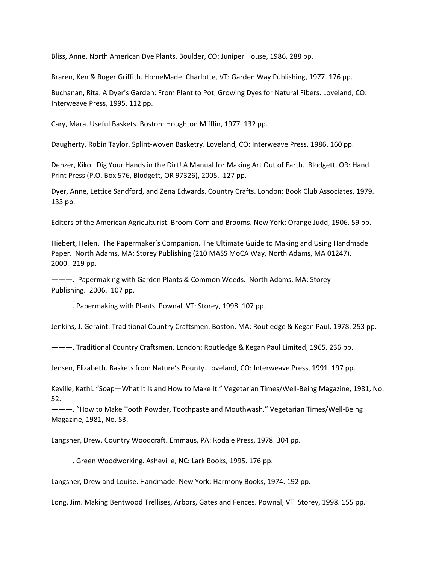Bliss, Anne. North American Dye Plants. Boulder, CO: Juniper House, 1986. 288 pp.

Braren, Ken & Roger Griffith. HomeMade. Charlotte, VT: Garden Way Publishing, 1977. 176 pp.

Buchanan, Rita. A Dyer's Garden: From Plant to Pot, Growing Dyes for Natural Fibers. Loveland, CO: Interweave Press, 1995. 112 pp.

Cary, Mara. Useful Baskets. Boston: Houghton Mifflin, 1977. 132 pp.

Daugherty, Robin Taylor. Splint‐woven Basketry. Loveland, CO: Interweave Press, 1986. 160 pp.

Denzer, Kiko. Dig Your Hands in the Dirt! A Manual for Making Art Out of Earth. Blodgett, OR: Hand Print Press (P.O. Box 576, Blodgett, OR 97326), 2005. 127 pp.

Dyer, Anne, Lettice Sandford, and Zena Edwards. Country Crafts. London: Book Club Associates, 1979. 133 pp.

Editors of the American Agriculturist. Broom‐Corn and Brooms. New York: Orange Judd, 1906. 59 pp.

Hiebert, Helen. The Papermaker's Companion. The Ultimate Guide to Making and Using Handmade Paper. North Adams, MA: Storey Publishing (210 MASS MoCA Way, North Adams, MA 01247), 2000. 219 pp.

———. Papermaking with Garden Plants & Common Weeds. North Adams, MA: Storey Publishing. 2006. 107 pp.

———. Papermaking with Plants. Pownal, VT: Storey, 1998. 107 pp.

Jenkins, J. Geraint. Traditional Country Craftsmen. Boston, MA: Routledge & Kegan Paul, 1978. 253 pp.

———. Traditional Country Craftsmen. London: Routledge & Kegan Paul Limited, 1965. 236 pp.

Jensen, Elizabeth. Baskets from Nature's Bounty. Loveland, CO: Interweave Press, 1991. 197 pp.

Keville, Kathi. "Soap—What It Is and How to Make It." Vegetarian Times/Well‐Being Magazine, 1981, No. 52.

———. "How to Make Tooth Powder, Toothpaste and Mouthwash." Vegetarian Times/Well‐Being Magazine, 1981, No. 53.

Langsner, Drew. Country Woodcraft. Emmaus, PA: Rodale Press, 1978. 304 pp.

———. Green Woodworking. Asheville, NC: Lark Books, 1995. 176 pp.

Langsner, Drew and Louise. Handmade. New York: Harmony Books, 1974. 192 pp.

Long, Jim. Making Bentwood Trellises, Arbors, Gates and Fences. Pownal, VT: Storey, 1998. 155 pp.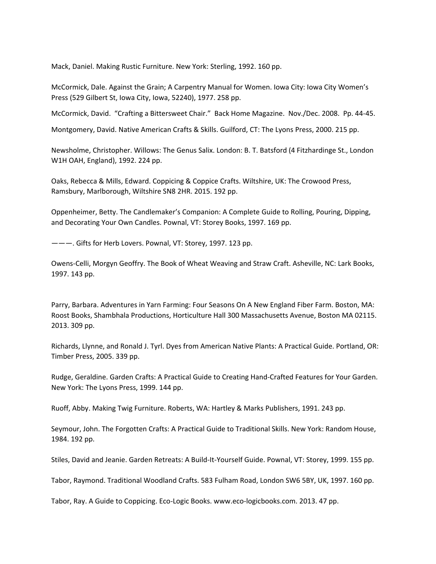Mack, Daniel. Making Rustic Furniture. New York: Sterling, 1992. 160 pp.

McCormick, Dale. Against the Grain; A Carpentry Manual for Women. Iowa City: Iowa City Women's Press (529 Gilbert St, Iowa City, Iowa, 52240), 1977. 258 pp.

McCormick, David. "Crafting a Bittersweet Chair." Back Home Magazine. Nov./Dec. 2008. Pp. 44‐45.

Montgomery, David. Native American Crafts & Skills. Guilford, CT: The Lyons Press, 2000. 215 pp.

Newsholme, Christopher. Willows: The Genus Salix. London: B. T. Batsford (4 Fitzhardinge St., London W1H OAH, England), 1992. 224 pp.

Oaks, Rebecca & Mills, Edward. Coppicing & Coppice Crafts. Wiltshire, UK: The Crowood Press, Ramsbury, Marlborough, Wiltshire SN8 2HR. 2015. 192 pp.

Oppenheimer, Betty. The Candlemaker's Companion: A Complete Guide to Rolling, Pouring, Dipping, and Decorating Your Own Candles. Pownal, VT: Storey Books, 1997. 169 pp.

———. Gifts for Herb Lovers. Pownal, VT: Storey, 1997. 123 pp.

Owens‐Celli, Morgyn Geoffry. The Book of Wheat Weaving and Straw Craft. Asheville, NC: Lark Books, 1997. 143 pp.

Parry, Barbara. Adventures in Yarn Farming: Four Seasons On A New England Fiber Farm. Boston, MA: Roost Books, Shambhala Productions, Horticulture Hall 300 Massachusetts Avenue, Boston MA 02115. 2013. 309 pp.

Richards, Llynne, and Ronald J. Tyrl. Dyes from American Native Plants: A Practical Guide. Portland, OR: Timber Press, 2005. 339 pp.

Rudge, Geraldine. Garden Crafts: A Practical Guide to Creating Hand‐Crafted Features for Your Garden. New York: The Lyons Press, 1999. 144 pp.

Ruoff, Abby. Making Twig Furniture. Roberts, WA: Hartley & Marks Publishers, 1991. 243 pp.

Seymour, John. The Forgotten Crafts: A Practical Guide to Traditional Skills. New York: Random House, 1984. 192 pp.

Stiles, David and Jeanie. Garden Retreats: A Build‐It‐Yourself Guide. Pownal, VT: Storey, 1999. 155 pp.

Tabor, Raymond. Traditional Woodland Crafts. 583 Fulham Road, London SW6 5BY, UK, 1997. 160 pp.

Tabor, Ray. A Guide to Coppicing. Eco‐Logic Books. www.eco‐logicbooks.com. 2013. 47 pp.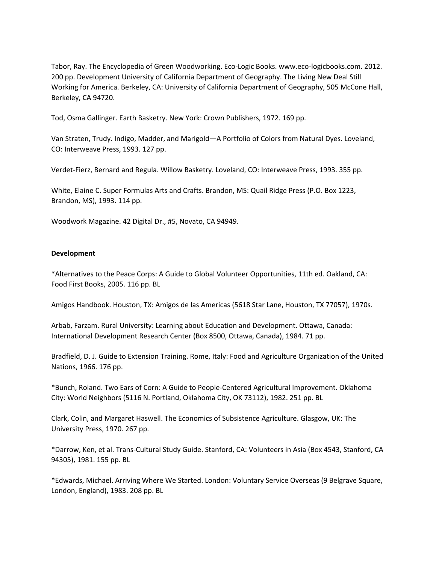Tabor, Ray. The Encyclopedia of Green Woodworking. Eco-Logic Books. www.eco-logicbooks.com. 2012. 200 pp. Development University of California Department of Geography. The Living New Deal Still Working for America. Berkeley, CA: University of California Department of Geography, 505 McCone Hall, Berkeley, CA 94720.

Tod, Osma Gallinger. Earth Basketry. New York: Crown Publishers, 1972. 169 pp.

Van Straten, Trudy. Indigo, Madder, and Marigold—A Portfolio of Colors from Natural Dyes. Loveland, CO: Interweave Press, 1993. 127 pp.

Verdet‐Fierz, Bernard and Regula. Willow Basketry. Loveland, CO: Interweave Press, 1993. 355 pp.

White, Elaine C. Super Formulas Arts and Crafts. Brandon, MS: Quail Ridge Press (P.O. Box 1223, Brandon, MS), 1993. 114 pp.

Woodwork Magazine. 42 Digital Dr., #5, Novato, CA 94949.

## **Development**

\*Alternatives to the Peace Corps: A Guide to Global Volunteer Opportunities, 11th ed. Oakland, CA: Food First Books, 2005. 116 pp. BL

Amigos Handbook. Houston, TX: Amigos de las Americas (5618 Star Lane, Houston, TX 77057), 1970s.

Arbab, Farzam. Rural University: Learning about Education and Development. Ottawa, Canada: International Development Research Center (Box 8500, Ottawa, Canada), 1984. 71 pp.

Bradfield, D. J. Guide to Extension Training. Rome, Italy: Food and Agriculture Organization of the United Nations, 1966. 176 pp.

\*Bunch, Roland. Two Ears of Corn: A Guide to People‐Centered Agricultural Improvement. Oklahoma City: World Neighbors (5116 N. Portland, Oklahoma City, OK 73112), 1982. 251 pp. BL

Clark, Colin, and Margaret Haswell. The Economics of Subsistence Agriculture. Glasgow, UK: The University Press, 1970. 267 pp.

\*Darrow, Ken, et al. Trans‐Cultural Study Guide. Stanford, CA: Volunteers in Asia (Box 4543, Stanford, CA 94305), 1981. 155 pp. BL

\*Edwards, Michael. Arriving Where We Started. London: Voluntary Service Overseas (9 Belgrave Square, London, England), 1983. 208 pp. BL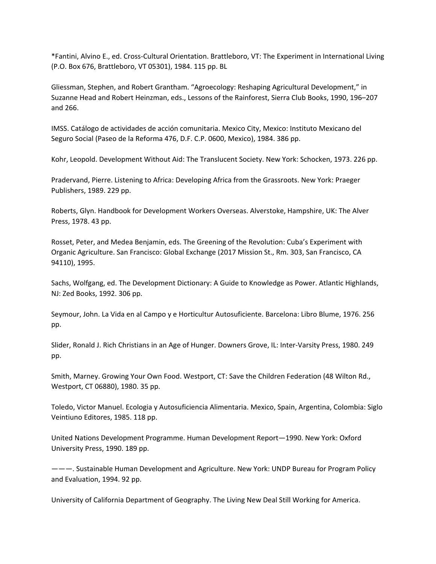\*Fantini, Alvino E., ed. Cross‐Cultural Orientation. Brattleboro, VT: The Experiment in International Living (P.O. Box 676, Brattleboro, VT 05301), 1984. 115 pp. BL

Gliessman, Stephen, and Robert Grantham. "Agroecology: Reshaping Agricultural Development," in Suzanne Head and Robert Heinzman, eds., Lessons of the Rainforest, Sierra Club Books, 1990, 196–207 and 266.

IMSS. Catálogo de actividades de acción comunitaria. Mexico City, Mexico: Instituto Mexicano del Seguro Social (Paseo de la Reforma 476, D.F. C.P. 0600, Mexico), 1984. 386 pp.

Kohr, Leopold. Development Without Aid: The Translucent Society. New York: Schocken, 1973. 226 pp.

Pradervand, Pierre. Listening to Africa: Developing Africa from the Grassroots. New York: Praeger Publishers, 1989. 229 pp.

Roberts, Glyn. Handbook for Development Workers Overseas. Alverstoke, Hampshire, UK: The Alver Press, 1978. 43 pp.

Rosset, Peter, and Medea Benjamin, eds. The Greening of the Revolution: Cuba's Experiment with Organic Agriculture. San Francisco: Global Exchange (2017 Mission St., Rm. 303, San Francisco, CA 94110), 1995.

Sachs, Wolfgang, ed. The Development Dictionary: A Guide to Knowledge as Power. Atlantic Highlands, NJ: Zed Books, 1992. 306 pp.

Seymour, John. La Vida en al Campo y e Horticultur Autosuficiente. Barcelona: Libro Blume, 1976. 256 pp.

Slider, Ronald J. Rich Christians in an Age of Hunger. Downers Grove, IL: Inter‐Varsity Press, 1980. 249 pp.

Smith, Marney. Growing Your Own Food. Westport, CT: Save the Children Federation (48 Wilton Rd., Westport, CT 06880), 1980. 35 pp.

Toledo, Victor Manuel. Ecologia y Autosuficiencia Alimentaria. Mexico, Spain, Argentina, Colombia: Siglo Veintiuno Editores, 1985. 118 pp.

United Nations Development Programme. Human Development Report—1990. New York: Oxford University Press, 1990. 189 pp.

———. Sustainable Human Development and Agriculture. New York: UNDP Bureau for Program Policy and Evaluation, 1994. 92 pp.

University of California Department of Geography. The Living New Deal Still Working for America.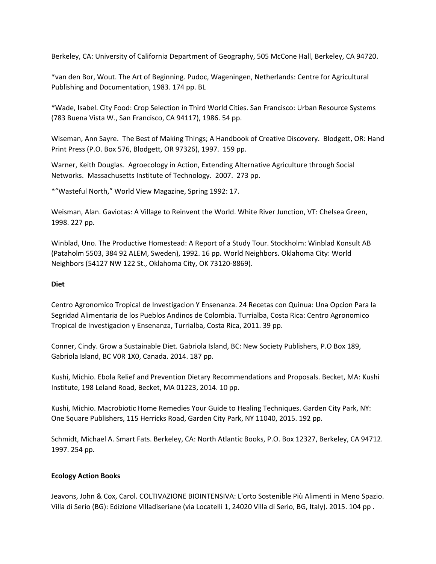Berkeley, CA: University of California Department of Geography, 505 McCone Hall, Berkeley, CA 94720.

\*van den Bor, Wout. The Art of Beginning. Pudoc, Wageningen, Netherlands: Centre for Agricultural Publishing and Documentation, 1983. 174 pp. BL

\*Wade, Isabel. City Food: Crop Selection in Third World Cities. San Francisco: Urban Resource Systems (783 Buena Vista W., San Francisco, CA 94117), 1986. 54 pp.

Wiseman, Ann Sayre. The Best of Making Things; A Handbook of Creative Discovery. Blodgett, OR: Hand Print Press (P.O. Box 576, Blodgett, OR 97326), 1997. 159 pp.

Warner, Keith Douglas. Agroecology in Action, Extending Alternative Agriculture through Social Networks. Massachusetts Institute of Technology. 2007. 273 pp.

\*"Wasteful North," World View Magazine, Spring 1992: 17.

Weisman, Alan. Gaviotas: A Village to Reinvent the World. White River Junction, VT: Chelsea Green, 1998. 227 pp.

Winblad, Uno. The Productive Homestead: A Report of a Study Tour. Stockholm: Winblad Konsult AB (Pataholm 5503, 384 92 ALEM, Sweden), 1992. 16 pp. World Neighbors. Oklahoma City: World Neighbors (54127 NW 122 St., Oklahoma City, OK 73120‐8869).

# **Diet**

Centro Agronomico Tropical de Investigacion Y Ensenanza. 24 Recetas con Quinua: Una Opcion Para la Segridad Alimentaria de los Pueblos Andinos de Colombia. Turrialba, Costa Rica: Centro Agronomico Tropical de Investigacion y Ensenanza, Turrialba, Costa Rica, 2011. 39 pp.

Conner, Cindy. Grow a Sustainable Diet. Gabriola Island, BC: New Society Publishers, P.O Box 189, Gabriola Island, BC V0R 1X0, Canada. 2014. 187 pp.

Kushi, Michio. Ebola Relief and Prevention Dietary Recommendations and Proposals. Becket, MA: Kushi Institute, 198 Leland Road, Becket, MA 01223, 2014. 10 pp.

Kushi, Michio. Macrobiotic Home Remedies Your Guide to Healing Techniques. Garden City Park, NY: One Square Publishers, 115 Herricks Road, Garden City Park, NY 11040, 2015. 192 pp.

Schmidt, Michael A. Smart Fats. Berkeley, CA: North Atlantic Books, P.O. Box 12327, Berkeley, CA 94712. 1997. 254 pp.

# **Ecology Action Books**

Jeavons, John & Cox, Carol. COLTIVAZIONE BIOINTENSIVA: L'orto Sostenible Più Alimenti in Meno Spazio. Villa di Serio (BG): Edizione Villadiseriane (via Locatelli 1, 24020 Villa di Serio, BG, Italy). 2015. 104 pp .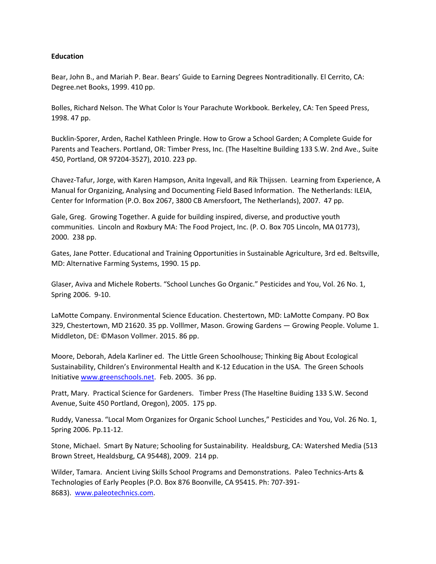## **Education**

Bear, John B., and Mariah P. Bear. Bears' Guide to Earning Degrees Nontraditionally. El Cerrito, CA: Degree.net Books, 1999. 410 pp.

Bolles, Richard Nelson. The What Color Is Your Parachute Workbook. Berkeley, CA: Ten Speed Press, 1998. 47 pp.

Bucklin‐Sporer, Arden, Rachel Kathleen Pringle. How to Grow a School Garden; A Complete Guide for Parents and Teachers. Portland, OR: Timber Press, Inc. (The Haseltine Building 133 S.W. 2nd Ave., Suite 450, Portland, OR 97204‐3527), 2010. 223 pp.

Chavez‐Tafur, Jorge, with Karen Hampson, Anita Ingevall, and Rik Thijssen. Learning from Experience, A Manual for Organizing, Analysing and Documenting Field Based Information. The Netherlands: ILEIA, Center for Information (P.O. Box 2067, 3800 CB Amersfoort, The Netherlands), 2007. 47 pp.

Gale, Greg. Growing Together. A guide for building inspired, diverse, and productive youth communities. Lincoln and Roxbury MA: The Food Project, Inc. (P. O. Box 705 Lincoln, MA 01773), 2000. 238 pp.

Gates, Jane Potter. Educational and Training Opportunities in Sustainable Agriculture, 3rd ed. Beltsville, MD: Alternative Farming Systems, 1990. 15 pp.

Glaser, Aviva and Michele Roberts. "School Lunches Go Organic." Pesticides and You, Vol. 26 No. 1, Spring 2006. 9‐10.

LaMotte Company. Environmental Science Education. Chestertown, MD: LaMotte Company. PO Box 329, Chestertown, MD 21620. 35 pp. Volllmer, Mason. Growing Gardens — Growing People. Volume 1. Middleton, DE: ©Mason Vollmer. 2015. 86 pp.

Moore, Deborah, Adela Karliner ed. The Little Green Schoolhouse; Thinking Big About Ecological Sustainability, Children's Environmental Health and K‐12 Education in the USA. The Green Schools Initiative www.greenschools.net. Feb. 2005. 36 pp.

Pratt, Mary. Practical Science for Gardeners. Timber Press (The Haseltine Buiding 133 S.W. Second Avenue, Suite 450 Portland, Oregon), 2005. 175 pp.

Ruddy, Vanessa. "Local Mom Organizes for Organic School Lunches," Pesticides and You, Vol. 26 No. 1, Spring 2006. Pp.11‐12.

Stone, Michael. Smart By Nature; Schooling for Sustainability. Healdsburg, CA: Watershed Media (513 Brown Street, Healdsburg, CA 95448), 2009. 214 pp.

Wilder, Tamara. Ancient Living Skills School Programs and Demonstrations. Paleo Technics‐Arts & Technologies of Early Peoples (P.O. Box 876 Boonville, CA 95415. Ph: 707‐391‐ 8683). www.paleotechnics.com.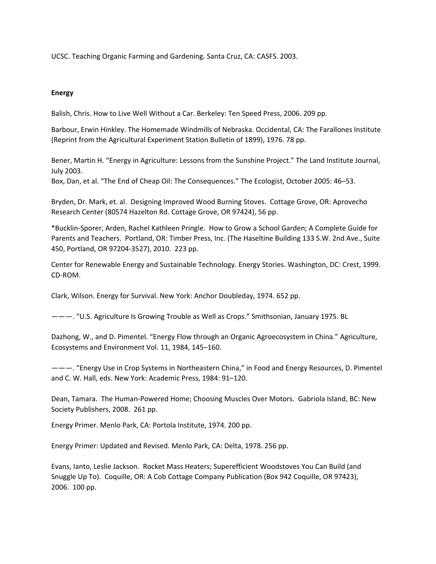UCSC. Teaching Organic Farming and Gardening. Santa Cruz, CA: CASFS. 2003.

# **Energy**

Balish, Chris. How to Live Well Without a Car. Berkeley: Ten Speed Press, 2006. 209 pp.

Barbour, Erwin Hinkley. The Homemade Windmills of Nebraska. Occidental, CA: The Farallones Institute (Reprint from the Agricultural Experiment Station Bulletin of 1899), 1976. 78 pp.

Bener, Martin H. "Energy in Agriculture: Lessons from the Sunshine Project." The Land Institute Journal, July 2003.

Box, Dan, et al. "The End of Cheap Oil: The Consequences." The Ecologist, October 2005: 46–53.

Bryden, Dr. Mark, et. al. Designing Improved Wood Burning Stoves. Cottage Grove, OR: Aprovecho Research Center (80574 Hazelton Rd. Cottage Grove, OR 97424), 56 pp.

\*Bucklin‐Sporer, Arden, Rachel Kathleen Pringle. How to Grow a School Garden; A Complete Guide for Parents and Teachers. Portland, OR: Timber Press, Inc. (The Haseltine Building 133 S.W. 2nd Ave., Suite 450, Portland, OR 97204‐3527), 2010. 223 pp.

Center for Renewable Energy and Sustainable Technology. Energy Stories. Washington, DC: Crest, 1999. CD‐ROM.

Clark, Wilson. Energy for Survival. New York: Anchor Doubleday, 1974. 652 pp.

———. "U.S. Agriculture Is Growing Trouble as Well as Crops." Smithsonian, January 1975. BL

Dazhong, W., and D. Pimentel. "Energy Flow through an Organic Agroecosystem in China." Agriculture, Ecosystems and Environment Vol. 11, 1984, 145–160.

———. "Energy Use in Crop Systems in Northeastern China," in Food and Energy Resources, D. Pimentel and C. W. Hall, eds. New York: Academic Press, 1984: 91–120.

Dean, Tamara. The Human‐Powered Home; Choosing Muscles Over Motors. Gabriola Island, BC: New Society Publishers, 2008. 261 pp.

Energy Primer. Menlo Park, CA: Portola Institute, 1974. 200 pp.

Energy Primer: Updated and Revised. Menlo Park, CA: Delta, 1978. 256 pp.

Evans, Ianto, Leslie Jackson. Rocket Mass Heaters; Superefficient Woodstoves You Can Build (and Snuggle Up To). Coquille, OR: A Cob Cottage Company Publication (Box 942 Coquille, OR 97423), 2006. 100 pp.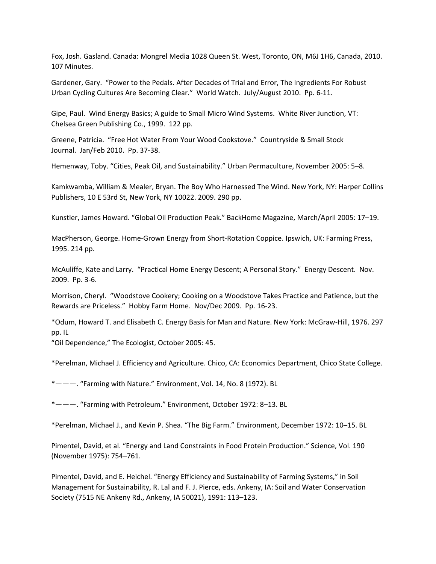Fox, Josh. Gasland. Canada: Mongrel Media 1028 Queen St. West, Toronto, ON, M6J 1H6, Canada, 2010. 107 Minutes.

Gardener, Gary. "Power to the Pedals. After Decades of Trial and Error, The Ingredients For Robust Urban Cycling Cultures Are Becoming Clear." World Watch. July/August 2010. Pp. 6‐11.

Gipe, Paul. Wind Energy Basics; A guide to Small Micro Wind Systems. White River Junction, VT: Chelsea Green Publishing Co., 1999. 122 pp.

Greene, Patricia. "Free Hot Water From Your Wood Cookstove." Countryside & Small Stock Journal. Jan/Feb 2010. Pp. 37‐38.

Hemenway, Toby. "Cities, Peak Oil, and Sustainability." Urban Permaculture, November 2005: 5–8.

Kamkwamba, William & Mealer, Bryan. The Boy Who Harnessed The Wind. New York, NY: Harper Collins Publishers, 10 E 53rd St, New York, NY 10022. 2009. 290 pp.

Kunstler, James Howard. "Global Oil Production Peak." BackHome Magazine, March/April 2005: 17–19.

MacPherson, George. Home‐Grown Energy from Short‐Rotation Coppice. Ipswich, UK: Farming Press, 1995. 214 pp.

McAuliffe, Kate and Larry. "Practical Home Energy Descent; A Personal Story." Energy Descent. Nov. 2009. Pp. 3‐6.

Morrison, Cheryl. "Woodstove Cookery; Cooking on a Woodstove Takes Practice and Patience, but the Rewards are Priceless." Hobby Farm Home. Nov/Dec 2009. Pp. 16‐23.

\*Odum, Howard T. and Elisabeth C. Energy Basis for Man and Nature. New York: McGraw‐Hill, 1976. 297 pp. IL

"Oil Dependence," The Ecologist, October 2005: 45.

\*Perelman, Michael J. Efficiency and Agriculture. Chico, CA: Economics Department, Chico State College.

\*———. "Farming with Nature." Environment, Vol. 14, No. 8 (1972). BL

\*———. "Farming with Petroleum." Environment, October 1972: 8–13. BL

\*Perelman, Michael J., and Kevin P. Shea. "The Big Farm." Environment, December 1972: 10–15. BL

Pimentel, David, et al. "Energy and Land Constraints in Food Protein Production." Science, Vol. 190 (November 1975): 754–761.

Pimentel, David, and E. Heichel. "Energy Efficiency and Sustainability of Farming Systems," in Soil Management for Sustainability, R. Lal and F. J. Pierce, eds. Ankeny, IA: Soil and Water Conservation Society (7515 NE Ankeny Rd., Ankeny, IA 50021), 1991: 113–123.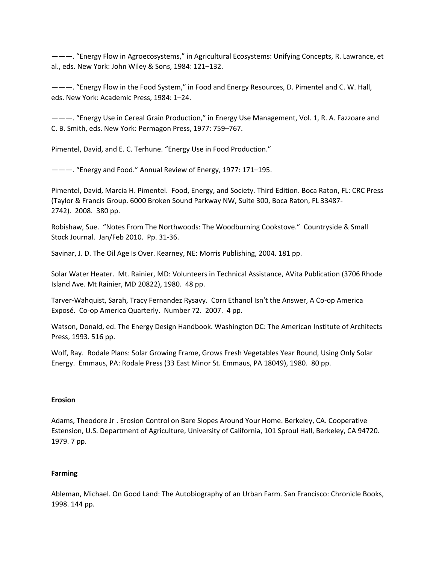———. "Energy Flow in Agroecosystems," in Agricultural Ecosystems: Unifying Concepts, R. Lawrance, et al., eds. New York: John Wiley & Sons, 1984: 121–132.

———. "Energy Flow in the Food System," in Food and Energy Resources, D. Pimentel and C. W. Hall, eds. New York: Academic Press, 1984: 1–24.

———. "Energy Use in Cereal Grain Production," in Energy Use Management, Vol. 1, R. A. Fazzoare and C. B. Smith, eds. New York: Permagon Press, 1977: 759–767.

Pimentel, David, and E. C. Terhune. "Energy Use in Food Production."

———. "Energy and Food." Annual Review of Energy, 1977: 171–195.

Pimentel, David, Marcia H. Pimentel. Food, Energy, and Society. Third Edition. Boca Raton, FL: CRC Press (Taylor & Francis Group. 6000 Broken Sound Parkway NW, Suite 300, Boca Raton, FL 33487‐ 2742). 2008. 380 pp.

Robishaw, Sue. "Notes From The Northwoods: The Woodburning Cookstove." Countryside & Small Stock Journal. Jan/Feb 2010. Pp. 31‐36.

Savinar, J. D. The Oil Age Is Over. Kearney, NE: Morris Publishing, 2004. 181 pp.

Solar Water Heater. Mt. Rainier, MD: Volunteers in Technical Assistance, AVita Publication (3706 Rhode Island Ave. Mt Rainier, MD 20822), 1980. 48 pp.

Tarver‐Wahquist, Sarah, Tracy Fernandez Rysavy. Corn Ethanol Isn't the Answer, A Co‐op America Exposé. Co‐op America Quarterly. Number 72. 2007. 4 pp.

Watson, Donald, ed. The Energy Design Handbook. Washington DC: The American Institute of Architects Press, 1993. 516 pp.

Wolf, Ray. Rodale Plans: Solar Growing Frame, Grows Fresh Vegetables Year Round, Using Only Solar Energy. Emmaus, PA: Rodale Press (33 East Minor St. Emmaus, PA 18049), 1980. 80 pp.

# **Erosion**

Adams, Theodore Jr . Erosion Control on Bare Slopes Around Your Home. Berkeley, CA. Cooperative Estension, U.S. Department of Agriculture, University of California, 101 Sproul Hall, Berkeley, CA 94720. 1979. 7 pp.

# **Farming**

Ableman, Michael. On Good Land: The Autobiography of an Urban Farm. San Francisco: Chronicle Books, 1998. 144 pp.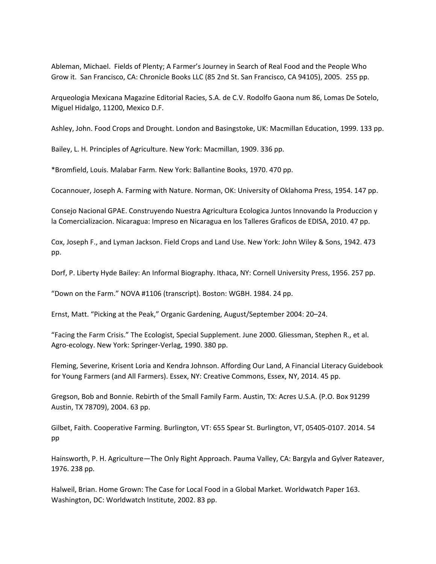Ableman, Michael. Fields of Plenty; A Farmer's Journey in Search of Real Food and the People Who Grow it. San Francisco, CA: Chronicle Books LLC (85 2nd St. San Francisco, CA 94105), 2005. 255 pp.

Arqueologia Mexicana Magazine Editorial Racies, S.A. de C.V. Rodolfo Gaona num 86, Lomas De Sotelo, Miguel Hidalgo, 11200, Mexico D.F.

Ashley, John. Food Crops and Drought. London and Basingstoke, UK: Macmillan Education, 1999. 133 pp.

Bailey, L. H. Principles of Agriculture. New York: Macmillan, 1909. 336 pp.

\*Bromfield, Louis. Malabar Farm. New York: Ballantine Books, 1970. 470 pp.

Cocannouer, Joseph A. Farming with Nature. Norman, OK: University of Oklahoma Press, 1954. 147 pp.

Consejo Nacional GPAE. Construyendo Nuestra Agricultura Ecologica Juntos Innovando la Produccion y la Comercializacion. Nicaragua: Impreso en Nicaragua en los Talleres Graficos de EDISA, 2010. 47 pp.

Cox, Joseph F., and Lyman Jackson. Field Crops and Land Use. New York: John Wiley & Sons, 1942. 473 pp.

Dorf, P. Liberty Hyde Bailey: An Informal Biography. Ithaca, NY: Cornell University Press, 1956. 257 pp.

"Down on the Farm." NOVA #1106 (transcript). Boston: WGBH. 1984. 24 pp.

Ernst, Matt. "Picking at the Peak," Organic Gardening, August/September 2004: 20–24.

"Facing the Farm Crisis." The Ecologist, Special Supplement. June 2000. Gliessman, Stephen R., et al. Agro‐ecology. New York: Springer‐Verlag, 1990. 380 pp.

Fleming, Severine, Krisent Loria and Kendra Johnson. Affording Our Land, A Financial Literacy Guidebook for Young Farmers (and All Farmers). Essex, NY: Creative Commons, Essex, NY, 2014. 45 pp.

Gregson, Bob and Bonnie. Rebirth of the Small Family Farm. Austin, TX: Acres U.S.A. (P.O. Box 91299 Austin, TX 78709), 2004. 63 pp.

Gilbet, Faith. Cooperative Farming. Burlington, VT: 655 Spear St. Burlington, VT, 05405‐0107. 2014. 54 pp

Hainsworth, P. H. Agriculture—The Only Right Approach. Pauma Valley, CA: Bargyla and Gylver Rateaver, 1976. 238 pp.

Halweil, Brian. Home Grown: The Case for Local Food in a Global Market. Worldwatch Paper 163. Washington, DC: Worldwatch Institute, 2002. 83 pp.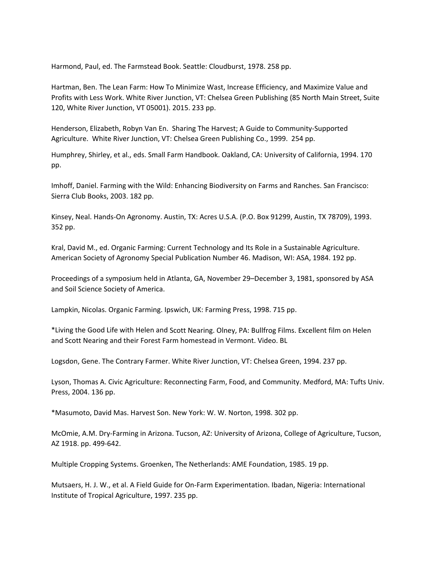Harmond, Paul, ed. The Farmstead Book. Seattle: Cloudburst, 1978. 258 pp.

Hartman, Ben. The Lean Farm: How To Minimize Wast, Increase Efficiency, and Maximize Value and Profits with Less Work. White River Junction, VT: Chelsea Green Publishing (85 North Main Street, Suite 120, White River Junction, VT 05001). 2015. 233 pp.

Henderson, Elizabeth, Robyn Van En. Sharing The Harvest; A Guide to Community‐Supported Agriculture. White River Junction, VT: Chelsea Green Publishing Co., 1999. 254 pp.

Humphrey, Shirley, et al., eds. Small Farm Handbook. Oakland, CA: University of California, 1994. 170 pp.

Imhoff, Daniel. Farming with the Wild: Enhancing Biodiversity on Farms and Ranches. San Francisco: Sierra Club Books, 2003. 182 pp.

Kinsey, Neal. Hands‐On Agronomy. Austin, TX: Acres U.S.A. (P.O. Box 91299, Austin, TX 78709), 1993. 352 pp.

Kral, David M., ed. Organic Farming: Current Technology and Its Role in a Sustainable Agriculture. American Society of Agronomy Special Publication Number 46. Madison, WI: ASA, 1984. 192 pp.

Proceedings of a symposium held in Atlanta, GA, November 29–December 3, 1981, sponsored by ASA and Soil Science Society of America.

Lampkin, Nicolas. Organic Farming. Ipswich, UK: Farming Press, 1998. 715 pp.

\*Living the Good Life with Helen and Scott Nearing. Olney, PA: Bullfrog Films. Excellent film on Helen and Scott Nearing and their Forest Farm homestead in Vermont. Video. BL

Logsdon, Gene. The Contrary Farmer. White River Junction, VT: Chelsea Green, 1994. 237 pp.

Lyson, Thomas A. Civic Agriculture: Reconnecting Farm, Food, and Community. Medford, MA: Tufts Univ. Press, 2004. 136 pp.

\*Masumoto, David Mas. Harvest Son. New York: W. W. Norton, 1998. 302 pp.

McOmie, A.M. Dry‐Farming in Arizona. Tucson, AZ: University of Arizona, College of Agriculture, Tucson, AZ 1918. pp. 499‐642.

Multiple Cropping Systems. Groenken, The Netherlands: AME Foundation, 1985. 19 pp.

Mutsaers, H. J. W., et al. A Field Guide for On‐Farm Experimentation. Ibadan, Nigeria: International Institute of Tropical Agriculture, 1997. 235 pp.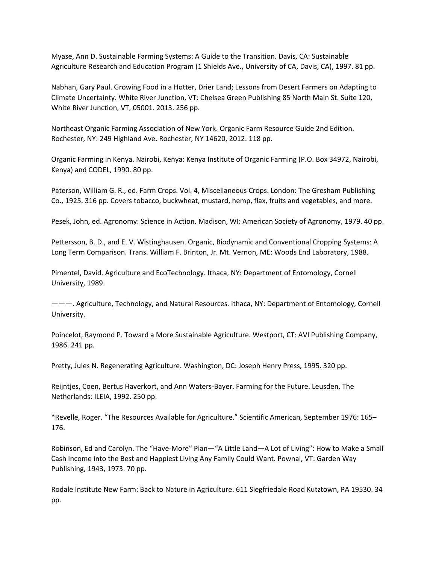Myase, Ann D. Sustainable Farming Systems: A Guide to the Transition. Davis, CA: Sustainable Agriculture Research and Education Program (1 Shields Ave., University of CA, Davis, CA), 1997. 81 pp.

Nabhan, Gary Paul. Growing Food in a Hotter, Drier Land; Lessons from Desert Farmers on Adapting to Climate Uncertainty. White River Junction, VT: Chelsea Green Publishing 85 North Main St. Suite 120, White River Junction, VT, 05001. 2013. 256 pp.

Northeast Organic Farming Association of New York. Organic Farm Resource Guide 2nd Edition. Rochester, NY: 249 Highland Ave. Rochester, NY 14620, 2012. 118 pp.

Organic Farming in Kenya. Nairobi, Kenya: Kenya Institute of Organic Farming (P.O. Box 34972, Nairobi, Kenya) and CODEL, 1990. 80 pp.

Paterson, William G. R., ed. Farm Crops. Vol. 4, Miscellaneous Crops. London: The Gresham Publishing Co., 1925. 316 pp. Covers tobacco, buckwheat, mustard, hemp, flax, fruits and vegetables, and more.

Pesek, John, ed. Agronomy: Science in Action. Madison, WI: American Society of Agronomy, 1979. 40 pp.

Pettersson, B. D., and E. V. Wistinghausen. Organic, Biodynamic and Conventional Cropping Systems: A Long Term Comparison. Trans. William F. Brinton, Jr. Mt. Vernon, ME: Woods End Laboratory, 1988.

Pimentel, David. Agriculture and EcoTechnology. Ithaca, NY: Department of Entomology, Cornell University, 1989.

———. Agriculture, Technology, and Natural Resources. Ithaca, NY: Department of Entomology, Cornell University.

Poincelot, Raymond P. Toward a More Sustainable Agriculture. Westport, CT: AVI Publishing Company, 1986. 241 pp.

Pretty, Jules N. Regenerating Agriculture. Washington, DC: Joseph Henry Press, 1995. 320 pp.

Reijntjes, Coen, Bertus Haverkort, and Ann Waters‐Bayer. Farming for the Future. Leusden, The Netherlands: ILEIA, 1992. 250 pp.

\*Revelle, Roger. "The Resources Available for Agriculture." Scientific American, September 1976: 165– 176.

Robinson, Ed and Carolyn. The "Have‐More" Plan—"A Little Land—A Lot of Living": How to Make a Small Cash Income into the Best and Happiest Living Any Family Could Want. Pownal, VT: Garden Way Publishing, 1943, 1973. 70 pp.

Rodale Institute New Farm: Back to Nature in Agriculture. 611 Siegfriedale Road Kutztown, PA 19530. 34 pp.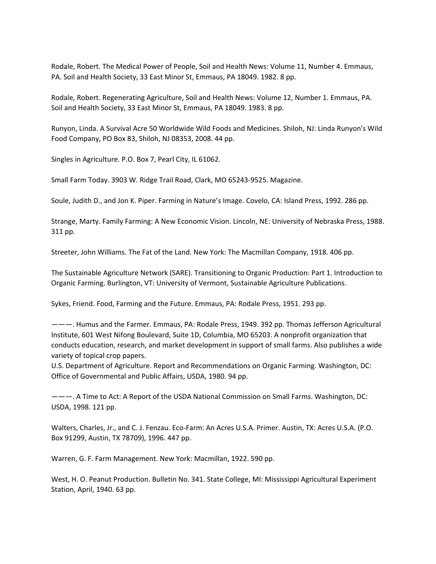Rodale, Robert. The Medical Power of People, Soil and Health News: Volume 11, Number 4. Emmaus, PA. Soil and Health Society, 33 East Minor St, Emmaus, PA 18049. 1982. 8 pp.

Rodale, Robert. Regenerating Agriculture, Soil and Health News: Volume 12, Number 1. Emmaus, PA. Soil and Health Society, 33 East Minor St, Emmaus, PA 18049. 1983. 8 pp.

Runyon, Linda. A Survival Acre 50 Worldwide Wild Foods and Medicines. Shiloh, NJ: Linda Runyon's Wild Food Company, PO Box 83, Shiloh, NJ 08353, 2008. 44 pp.

Singles in Agriculture. P.O. Box 7, Pearl City, IL 61062.

Small Farm Today. 3903 W. Ridge Trail Road, Clark, MO 65243‐9525. Magazine.

Soule, Judith D., and Jon K. Piper. Farming in Nature's Image. Covelo, CA: Island Press, 1992. 286 pp.

Strange, Marty. Family Farming: A New Economic Vision. Lincoln, NE: University of Nebraska Press, 1988. 311 pp.

Streeter, John Williams. The Fat of the Land. New York: The Macmillan Company, 1918. 406 pp.

The Sustainable Agriculture Network (SARE). Transitioning to Organic Production: Part 1. Introduction to Organic Farming. Burlington, VT: University of Vermont, Sustainable Agriculture Publications.

Sykes, Friend. Food, Farming and the Future. Emmaus, PA: Rodale Press, 1951. 293 pp.

———. Humus and the Farmer. Emmaus, PA: Rodale Press, 1949. 392 pp. Thomas Jefferson Agricultural Institute, 601 West Nifong Boulevard, Suite 1D, Columbia, MO 65203. A nonprofit organization that conducts education, research, and market development in support of small farms. Also publishes a wide variety of topical crop papers.

U.S. Department of Agriculture. Report and Recommendations on Organic Farming. Washington, DC: Office of Governmental and Public Affairs, USDA, 1980. 94 pp.

———. A Time to Act: A Report of the USDA National Commission on Small Farms. Washington, DC: USDA, 1998. 121 pp.

Walters, Charles, Jr., and C. J. Fenzau. Eco‐Farm: An Acres U.S.A. Primer. Austin, TX: Acres U.S.A. (P.O. Box 91299, Austin, TX 78709), 1996. 447 pp.

Warren, G. F. Farm Management. New York: Macmillan, 1922. 590 pp.

West, H. O. Peanut Production. Bulletin No. 341. State College, MI: Mississippi Agricultural Experiment Station, April, 1940. 63 pp.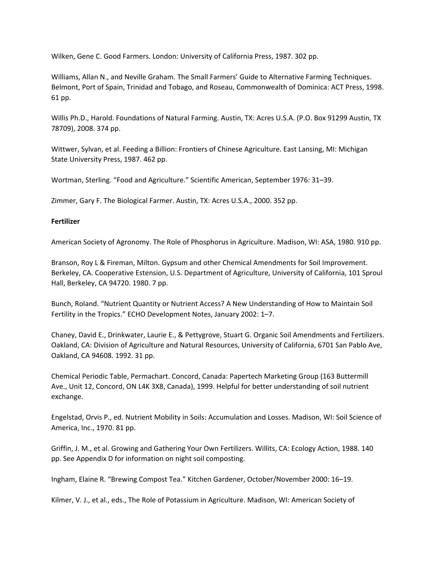Wilken, Gene C. Good Farmers. London: University of California Press, 1987. 302 pp.

Williams, Allan N., and Neville Graham. The Small Farmers' Guide to Alternative Farming Techniques. Belmont, Port of Spain, Trinidad and Tobago, and Roseau, Commonwealth of Dominica: ACT Press, 1998. 61 pp.

Willis Ph.D., Harold. Foundations of Natural Farming. Austin, TX: Acres U.S.A. (P.O. Box 91299 Austin, TX 78709), 2008. 374 pp.

Wittwer, Sylvan, et al. Feeding a Billion: Frontiers of Chinese Agriculture. East Lansing, MI: Michigan State University Press, 1987. 462 pp.

Wortman, Sterling. "Food and Agriculture." Scientific American, September 1976: 31–39.

Zimmer, Gary F. The Biological Farmer. Austin, TX: Acres U.S.A., 2000. 352 pp.

### **Fertilizer**

American Society of Agronomy. The Role of Phosphorus in Agriculture. Madison, WI: ASA, 1980. 910 pp.

Branson, Roy L & Fireman, Milton. Gypsum and other Chemical Amendments for Soil Improvement. Berkeley, CA. Cooperative Estension, U.S. Department of Agriculture, University of California, 101 Sproul Hall, Berkeley, CA 94720. 1980. 7 pp.

Bunch, Roland. "Nutrient Quantity or Nutrient Access? A New Understanding of How to Maintain Soil Fertility in the Tropics." ECHO Development Notes, January 2002: 1–7.

Chaney, David E., Drinkwater, Laurie E., & Pettygrove, Stuart G. Organic Soil Amendments and Fertilizers. Oakland, CA: Division of Agriculture and Natural Resources, University of California, 6701 San Pablo Ave, Oakland, CA 94608. 1992. 31 pp.

Chemical Periodic Table, Permachart. Concord, Canada: Papertech Marketing Group (163 Buttermill Ave., Unit 12, Concord, ON L4K 3X8, Canada), 1999. Helpful for better understanding of soil nutrient exchange.

Engelstad, Orvis P., ed. Nutrient Mobility in Soils: Accumulation and Losses. Madison, WI: Soil Science of America, Inc., 1970. 81 pp.

Griffin, J. M., et al. Growing and Gathering Your Own Fertilizers. Willits, CA: Ecology Action, 1988. 140 pp. See Appendix D for information on night soil composting.

Ingham, Elaine R. "Brewing Compost Tea." Kitchen Gardener, October/November 2000: 16–19.

Kilmer, V. J., et al., eds., The Role of Potassium in Agriculture. Madison, WI: American Society of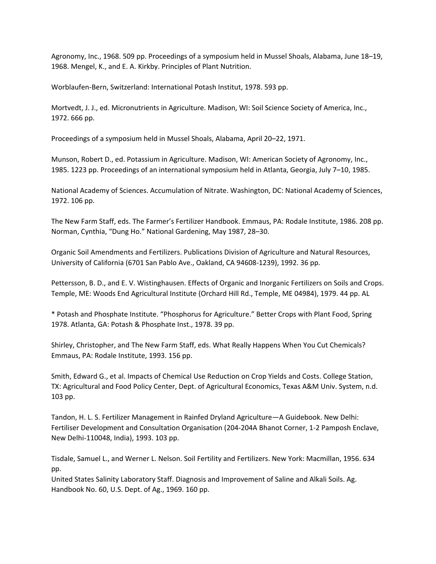Agronomy, Inc., 1968. 509 pp. Proceedings of a symposium held in Mussel Shoals, Alabama, June 18–19, 1968. Mengel, K., and E. A. Kirkby. Principles of Plant Nutrition.

Worblaufen‐Bern, Switzerland: International Potash Institut, 1978. 593 pp.

Mortvedt, J. J., ed. Micronutrients in Agriculture. Madison, WI: Soil Science Society of America, Inc., 1972. 666 pp.

Proceedings of a symposium held in Mussel Shoals, Alabama, April 20–22, 1971.

Munson, Robert D., ed. Potassium in Agriculture. Madison, WI: American Society of Agronomy, Inc., 1985. 1223 pp. Proceedings of an international symposium held in Atlanta, Georgia, July 7–10, 1985.

National Academy of Sciences. Accumulation of Nitrate. Washington, DC: National Academy of Sciences, 1972. 106 pp.

The New Farm Staff, eds. The Farmer's Fertilizer Handbook. Emmaus, PA: Rodale Institute, 1986. 208 pp. Norman, Cynthia, "Dung Ho." National Gardening, May 1987, 28–30.

Organic Soil Amendments and Fertilizers. Publications Division of Agriculture and Natural Resources, University of California (6701 San Pablo Ave., Oakland, CA 94608‐1239), 1992. 36 pp.

Pettersson, B. D., and E. V. Wistinghausen. Effects of Organic and Inorganic Fertilizers on Soils and Crops. Temple, ME: Woods End Agricultural Institute (Orchard Hill Rd., Temple, ME 04984), 1979. 44 pp. AL

\* Potash and Phosphate Institute. "Phosphorus for Agriculture." Better Crops with Plant Food, Spring 1978. Atlanta, GA: Potash & Phosphate Inst., 1978. 39 pp.

Shirley, Christopher, and The New Farm Staff, eds. What Really Happens When You Cut Chemicals? Emmaus, PA: Rodale Institute, 1993. 156 pp.

Smith, Edward G., et al. Impacts of Chemical Use Reduction on Crop Yields and Costs. College Station, TX: Agricultural and Food Policy Center, Dept. of Agricultural Economics, Texas A&M Univ. System, n.d. 103 pp.

Tandon, H. L. S. Fertilizer Management in Rainfed Dryland Agriculture—A Guidebook. New Delhi: Fertiliser Development and Consultation Organisation (204‐204A Bhanot Corner, 1‐2 Pamposh Enclave, New Delhi‐110048, India), 1993. 103 pp.

Tisdale, Samuel L., and Werner L. Nelson. Soil Fertility and Fertilizers. New York: Macmillan, 1956. 634 pp.

United States Salinity Laboratory Staff. Diagnosis and Improvement of Saline and Alkali Soils. Ag. Handbook No. 60, U.S. Dept. of Ag., 1969. 160 pp.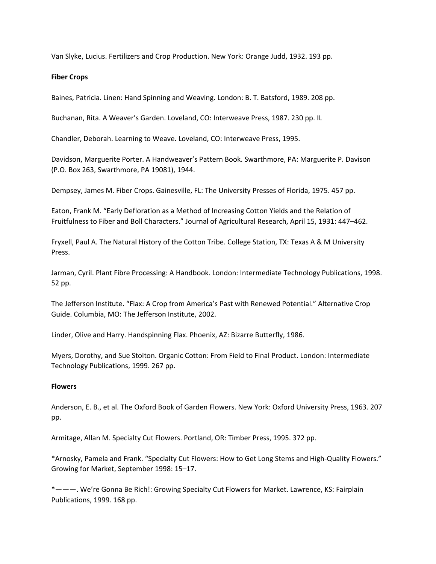Van Slyke, Lucius. Fertilizers and Crop Production. New York: Orange Judd, 1932. 193 pp.

### **Fiber Crops**

Baines, Patricia. Linen: Hand Spinning and Weaving. London: B. T. Batsford, 1989. 208 pp.

Buchanan, Rita. A Weaver's Garden. Loveland, CO: Interweave Press, 1987. 230 pp. IL

Chandler, Deborah. Learning to Weave. Loveland, CO: Interweave Press, 1995.

Davidson, Marguerite Porter. A Handweaver's Pattern Book. Swarthmore, PA: Marguerite P. Davison (P.O. Box 263, Swarthmore, PA 19081), 1944.

Dempsey, James M. Fiber Crops. Gainesville, FL: The University Presses of Florida, 1975. 457 pp.

Eaton, Frank M. "Early Defloration as a Method of Increasing Cotton Yields and the Relation of Fruitfulness to Fiber and Boll Characters." Journal of Agricultural Research, April 15, 1931: 447–462.

Fryxell, Paul A. The Natural History of the Cotton Tribe. College Station, TX: Texas A & M University Press.

Jarman, Cyril. Plant Fibre Processing: A Handbook. London: Intermediate Technology Publications, 1998. 52 pp.

The Jefferson Institute. "Flax: A Crop from America's Past with Renewed Potential." Alternative Crop Guide. Columbia, MO: The Jefferson Institute, 2002.

Linder, Olive and Harry. Handspinning Flax. Phoenix, AZ: Bizarre Butterfly, 1986.

Myers, Dorothy, and Sue Stolton. Organic Cotton: From Field to Final Product. London: Intermediate Technology Publications, 1999. 267 pp.

# **Flowers**

Anderson, E. B., et al. The Oxford Book of Garden Flowers. New York: Oxford University Press, 1963. 207 pp.

Armitage, Allan M. Specialty Cut Flowers. Portland, OR: Timber Press, 1995. 372 pp.

\*Arnosky, Pamela and Frank. "Specialty Cut Flowers: How to Get Long Stems and High‐Quality Flowers." Growing for Market, September 1998: 15–17.

\*———. We're Gonna Be Rich!: Growing Specialty Cut Flowers for Market. Lawrence, KS: Fairplain Publications, 1999. 168 pp.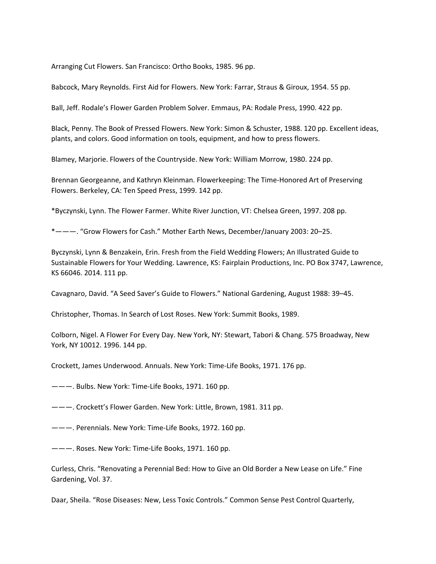Arranging Cut Flowers. San Francisco: Ortho Books, 1985. 96 pp.

Babcock, Mary Reynolds. First Aid for Flowers. New York: Farrar, Straus & Giroux, 1954. 55 pp.

Ball, Jeff. Rodale's Flower Garden Problem Solver. Emmaus, PA: Rodale Press, 1990. 422 pp.

Black, Penny. The Book of Pressed Flowers. New York: Simon & Schuster, 1988. 120 pp. Excellent ideas, plants, and colors. Good information on tools, equipment, and how to press flowers.

Blamey, Marjorie. Flowers of the Countryside. New York: William Morrow, 1980. 224 pp.

Brennan Georgeanne, and Kathryn Kleinman. Flowerkeeping: The Time‐Honored Art of Preserving Flowers. Berkeley, CA: Ten Speed Press, 1999. 142 pp.

\*Byczynski, Lynn. The Flower Farmer. White River Junction, VT: Chelsea Green, 1997. 208 pp.

\*———. "Grow Flowers for Cash." Mother Earth News, December/January 2003: 20–25.

Byczynski, Lynn & Benzakein, Erin. Fresh from the Field Wedding Flowers; An Illustrated Guide to Sustainable Flowers for Your Wedding. Lawrence, KS: Fairplain Productions, Inc. PO Box 3747, Lawrence, KS 66046. 2014. 111 pp.

Cavagnaro, David. "A Seed Saver's Guide to Flowers." National Gardening, August 1988: 39–45.

Christopher, Thomas. In Search of Lost Roses. New York: Summit Books, 1989.

Colborn, Nigel. A Flower For Every Day. New York, NY: Stewart, Tabori & Chang. 575 Broadway, New York, NY 10012. 1996. 144 pp.

Crockett, James Underwood. Annuals. New York: Time‐Life Books, 1971. 176 pp.

———. Bulbs. New York: Time‐Life Books, 1971. 160 pp.

———. Crockett's Flower Garden. New York: Little, Brown, 1981. 311 pp.

———. Perennials. New York: Time‐Life Books, 1972. 160 pp.

———. Roses. New York: Time‐Life Books, 1971. 160 pp.

Curless, Chris. "Renovating a Perennial Bed: How to Give an Old Border a New Lease on Life." Fine Gardening, Vol. 37.

Daar, Sheila. "Rose Diseases: New, Less Toxic Controls." Common Sense Pest Control Quarterly,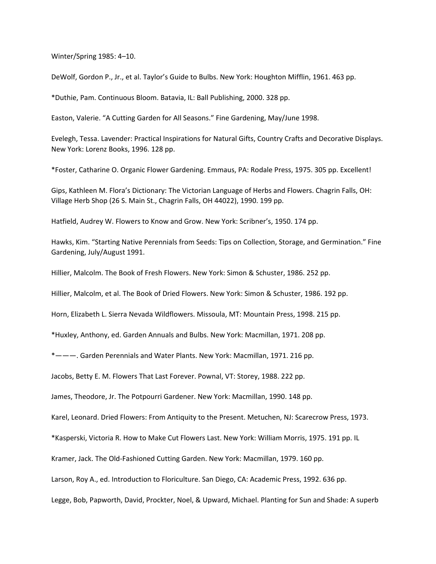Winter/Spring 1985: 4–10.

DeWolf, Gordon P., Jr., et al. Taylor's Guide to Bulbs. New York: Houghton Mifflin, 1961. 463 pp.

\*Duthie, Pam. Continuous Bloom. Batavia, IL: Ball Publishing, 2000. 328 pp.

Easton, Valerie. "A Cutting Garden for All Seasons." Fine Gardening, May/June 1998.

Evelegh, Tessa. Lavender: Practical Inspirations for Natural Gifts, Country Crafts and Decorative Displays. New York: Lorenz Books, 1996. 128 pp.

\*Foster, Catharine O. Organic Flower Gardening. Emmaus, PA: Rodale Press, 1975. 305 pp. Excellent!

Gips, Kathleen M. Flora's Dictionary: The Victorian Language of Herbs and Flowers. Chagrin Falls, OH: Village Herb Shop (26 S. Main St., Chagrin Falls, OH 44022), 1990. 199 pp.

Hatfield, Audrey W. Flowers to Know and Grow. New York: Scribner's, 1950. 174 pp.

Hawks, Kim. "Starting Native Perennials from Seeds: Tips on Collection, Storage, and Germination." Fine Gardening, July/August 1991.

Hillier, Malcolm. The Book of Fresh Flowers. New York: Simon & Schuster, 1986. 252 pp.

Hillier, Malcolm, et al. The Book of Dried Flowers. New York: Simon & Schuster, 1986. 192 pp.

Horn, Elizabeth L. Sierra Nevada Wildflowers. Missoula, MT: Mountain Press, 1998. 215 pp.

\*Huxley, Anthony, ed. Garden Annuals and Bulbs. New York: Macmillan, 1971. 208 pp.

\*———. Garden Perennials and Water Plants. New York: Macmillan, 1971. 216 pp.

Jacobs, Betty E. M. Flowers That Last Forever. Pownal, VT: Storey, 1988. 222 pp.

James, Theodore, Jr. The Potpourri Gardener. New York: Macmillan, 1990. 148 pp.

Karel, Leonard. Dried Flowers: From Antiquity to the Present. Metuchen, NJ: Scarecrow Press, 1973.

\*Kasperski, Victoria R. How to Make Cut Flowers Last. New York: William Morris, 1975. 191 pp. IL

Kramer, Jack. The Old‐Fashioned Cutting Garden. New York: Macmillan, 1979. 160 pp.

Larson, Roy A., ed. Introduction to Floriculture. San Diego, CA: Academic Press, 1992. 636 pp.

Legge, Bob, Papworth, David, Prockter, Noel, & Upward, Michael. Planting for Sun and Shade: A superb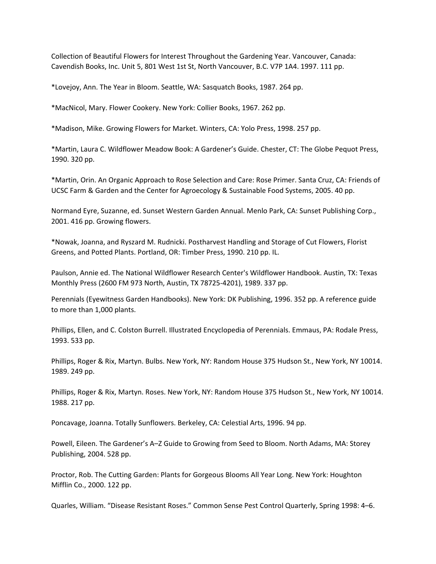Collection of Beautiful Flowers for Interest Throughout the Gardening Year. Vancouver, Canada: Cavendish Books, Inc. Unit 5, 801 West 1st St, North Vancouver, B.C. V7P 1A4. 1997. 111 pp.

\*Lovejoy, Ann. The Year in Bloom. Seattle, WA: Sasquatch Books, 1987. 264 pp.

\*MacNicol, Mary. Flower Cookery. New York: Collier Books, 1967. 262 pp.

\*Madison, Mike. Growing Flowers for Market. Winters, CA: Yolo Press, 1998. 257 pp.

\*Martin, Laura C. Wildflower Meadow Book: A Gardener's Guide. Chester, CT: The Globe Pequot Press, 1990. 320 pp.

\*Martin, Orin. An Organic Approach to Rose Selection and Care: Rose Primer. Santa Cruz, CA: Friends of UCSC Farm & Garden and the Center for Agroecology & Sustainable Food Systems, 2005. 40 pp.

Normand Eyre, Suzanne, ed. Sunset Western Garden Annual. Menlo Park, CA: Sunset Publishing Corp., 2001. 416 pp. Growing flowers.

\*Nowak, Joanna, and Ryszard M. Rudnicki. Postharvest Handling and Storage of Cut Flowers, Florist Greens, and Potted Plants. Portland, OR: Timber Press, 1990. 210 pp. IL.

Paulson, Annie ed. The National Wildflower Research Center's Wildflower Handbook. Austin, TX: Texas Monthly Press (2600 FM 973 North, Austin, TX 78725‐4201), 1989. 337 pp.

Perennials (Eyewitness Garden Handbooks). New York: DK Publishing, 1996. 352 pp. A reference guide to more than 1,000 plants.

Phillips, Ellen, and C. Colston Burrell. Illustrated Encyclopedia of Perennials. Emmaus, PA: Rodale Press, 1993. 533 pp.

Phillips, Roger & Rix, Martyn. Bulbs. New York, NY: Random House 375 Hudson St., New York, NY 10014. 1989. 249 pp.

Phillips, Roger & Rix, Martyn. Roses. New York, NY: Random House 375 Hudson St., New York, NY 10014. 1988. 217 pp.

Poncavage, Joanna. Totally Sunflowers. Berkeley, CA: Celestial Arts, 1996. 94 pp.

Powell, Eileen. The Gardener's A–Z Guide to Growing from Seed to Bloom. North Adams, MA: Storey Publishing, 2004. 528 pp.

Proctor, Rob. The Cutting Garden: Plants for Gorgeous Blooms All Year Long. New York: Houghton Mifflin Co., 2000. 122 pp.

Quarles, William. "Disease Resistant Roses." Common Sense Pest Control Quarterly, Spring 1998: 4–6.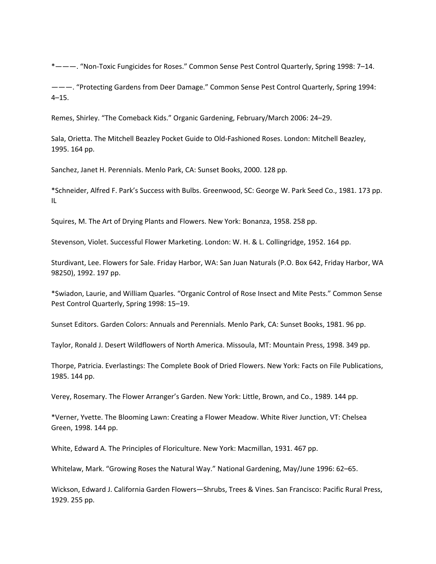\*———. "Non‐Toxic Fungicides for Roses." Common Sense Pest Control Quarterly, Spring 1998: 7–14.

———. "Protecting Gardens from Deer Damage." Common Sense Pest Control Quarterly, Spring 1994: 4–15.

Remes, Shirley. "The Comeback Kids." Organic Gardening, February/March 2006: 24–29.

Sala, Orietta. The Mitchell Beazley Pocket Guide to Old‐Fashioned Roses. London: Mitchell Beazley, 1995. 164 pp.

Sanchez, Janet H. Perennials. Menlo Park, CA: Sunset Books, 2000. 128 pp.

\*Schneider, Alfred F. Park's Success with Bulbs. Greenwood, SC: George W. Park Seed Co., 1981. 173 pp. IL

Squires, M. The Art of Drying Plants and Flowers. New York: Bonanza, 1958. 258 pp.

Stevenson, Violet. Successful Flower Marketing. London: W. H. & L. Collingridge, 1952. 164 pp.

Sturdivant, Lee. Flowers for Sale. Friday Harbor, WA: San Juan Naturals (P.O. Box 642, Friday Harbor, WA 98250), 1992. 197 pp.

\*Swiadon, Laurie, and William Quarles. "Organic Control of Rose Insect and Mite Pests." Common Sense Pest Control Quarterly, Spring 1998: 15–19.

Sunset Editors. Garden Colors: Annuals and Perennials. Menlo Park, CA: Sunset Books, 1981. 96 pp.

Taylor, Ronald J. Desert Wildflowers of North America. Missoula, MT: Mountain Press, 1998. 349 pp.

Thorpe, Patricia. Everlastings: The Complete Book of Dried Flowers. New York: Facts on File Publications, 1985. 144 pp.

Verey, Rosemary. The Flower Arranger's Garden. New York: Little, Brown, and Co., 1989. 144 pp.

\*Verner, Yvette. The Blooming Lawn: Creating a Flower Meadow. White River Junction, VT: Chelsea Green, 1998. 144 pp.

White, Edward A. The Principles of Floriculture. New York: Macmillan, 1931. 467 pp.

Whitelaw, Mark. "Growing Roses the Natural Way." National Gardening, May/June 1996: 62–65.

Wickson, Edward J. California Garden Flowers—Shrubs, Trees & Vines. San Francisco: Pacific Rural Press, 1929. 255 pp.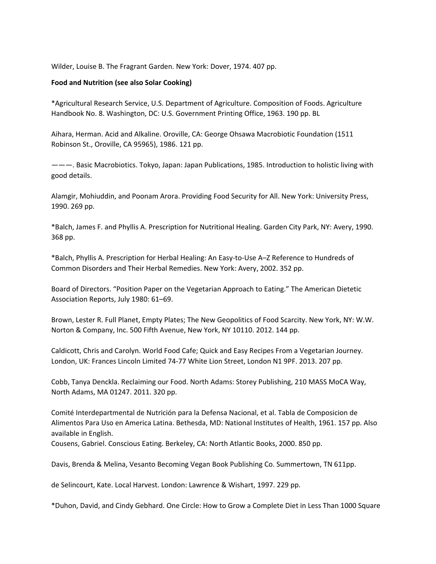Wilder, Louise B. The Fragrant Garden. New York: Dover, 1974. 407 pp.

## **Food and Nutrition (see also Solar Cooking)**

\*Agricultural Research Service, U.S. Department of Agriculture. Composition of Foods. Agriculture Handbook No. 8. Washington, DC: U.S. Government Printing Office, 1963. 190 pp. BL

Aihara, Herman. Acid and Alkaline. Oroville, CA: George Ohsawa Macrobiotic Foundation (1511 Robinson St., Oroville, CA 95965), 1986. 121 pp.

———. Basic Macrobiotics. Tokyo, Japan: Japan Publications, 1985. Introduction to holistic living with good details.

Alamgir, Mohiuddin, and Poonam Arora. Providing Food Security for All. New York: University Press, 1990. 269 pp.

\*Balch, James F. and Phyllis A. Prescription for Nutritional Healing. Garden City Park, NY: Avery, 1990. 368 pp.

\*Balch, Phyllis A. Prescription for Herbal Healing: An Easy‐to‐Use A–Z Reference to Hundreds of Common Disorders and Their Herbal Remedies. New York: Avery, 2002. 352 pp.

Board of Directors. "Position Paper on the Vegetarian Approach to Eating." The American Dietetic Association Reports, July 1980: 61–69.

Brown, Lester R. Full Planet, Empty Plates; The New Geopolitics of Food Scarcity. New York, NY: W.W. Norton & Company, Inc. 500 Fifth Avenue, New York, NY 10110. 2012. 144 pp.

Caldicott, Chris and Carolyn. World Food Cafe; Quick and Easy Recipes From a Vegetarian Journey. London, UK: Frances Lincoln Limited 74‐77 White Lion Street, London N1 9PF. 2013. 207 pp.

Cobb, Tanya Denckla. Reclaiming our Food. North Adams: Storey Publishing, 210 MASS MoCA Way, North Adams, MA 01247. 2011. 320 pp.

Comité Interdepartmental de Nutrición para la Defensa Nacional, et al. Tabla de Composicion de Alimentos Para Uso en America Latina. Bethesda, MD: National Institutes of Health, 1961. 157 pp. Also available in English.

Cousens, Gabriel. Conscious Eating. Berkeley, CA: North Atlantic Books, 2000. 850 pp.

Davis, Brenda & Melina, Vesanto Becoming Vegan Book Publishing Co. Summertown, TN 611pp.

de Selincourt, Kate. Local Harvest. London: Lawrence & Wishart, 1997. 229 pp.

\*Duhon, David, and Cindy Gebhard. One Circle: How to Grow a Complete Diet in Less Than 1000 Square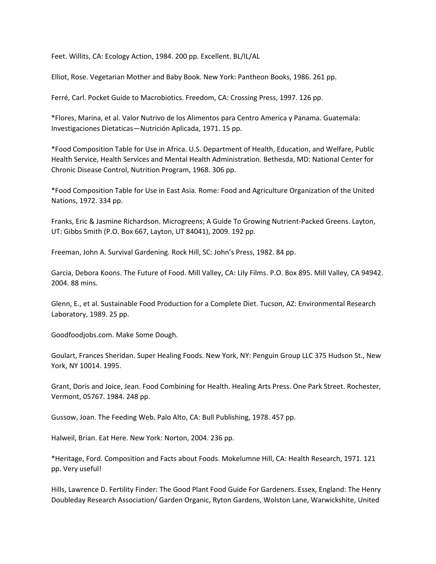Feet. Willits, CA: Ecology Action, 1984. 200 pp. Excellent. BL/IL/AL

Elliot, Rose. Vegetarian Mother and Baby Book. New York: Pantheon Books, 1986. 261 pp.

Ferré, Carl. Pocket Guide to Macrobiotics. Freedom, CA: Crossing Press, 1997. 126 pp.

\*Flores, Marina, et al. Valor Nutrivo de los Alimentos para Centro America y Panama. Guatemala: Investigaciones Dietaticas—Nutrición Aplicada, 1971. 15 pp.

\*Food Composition Table for Use in Africa. U.S. Department of Health, Education, and Welfare, Public Health Service, Health Services and Mental Health Administration. Bethesda, MD: National Center for Chronic Disease Control, Nutrition Program, 1968. 306 pp.

\*Food Composition Table for Use in East Asia. Rome: Food and Agriculture Organization of the United Nations, 1972. 334 pp.

Franks, Eric & Jasmine Richardson. Microgreens; A Guide To Growing Nutrient‐Packed Greens. Layton, UT: Gibbs Smith (P.O. Box 667, Layton, UT 84041), 2009. 192 pp.

Freeman, John A. Survival Gardening. Rock Hill, SC: John's Press, 1982. 84 pp.

Garcia, Debora Koons. The Future of Food. Mill Valley, CA: Lily Films. P.O. Box 895. Mill Valley, CA 94942. 2004. 88 mins.

Glenn, E., et al. Sustainable Food Production for a Complete Diet. Tucson, AZ: Environmental Research Laboratory, 1989. 25 pp.

Goodfoodjobs.com. Make Some Dough.

Goulart, Frances Sheridan. Super Healing Foods. New York, NY: Penguin Group LLC 375 Hudson St., New York, NY 10014. 1995.

Grant, Doris and Joice, Jean. Food Combining for Health. Healing Arts Press. One Park Street. Rochester, Vermont, 05767. 1984. 248 pp.

Gussow, Joan. The Feeding Web. Palo Alto, CA: Bull Publishing, 1978. 457 pp.

Halweil, Brian. Eat Here. New York: Norton, 2004. 236 pp.

\*Heritage, Ford. Composition and Facts about Foods. Mokelumne Hill, CA: Health Research, 1971. 121 pp. Very useful!

Hills, Lawrence D. Fertility Finder: The Good Plant Food Guide For Gardeners. Essex, England: The Henry Doubleday Research Association/ Garden Organic, Ryton Gardens, Wolston Lane, Warwickshite, United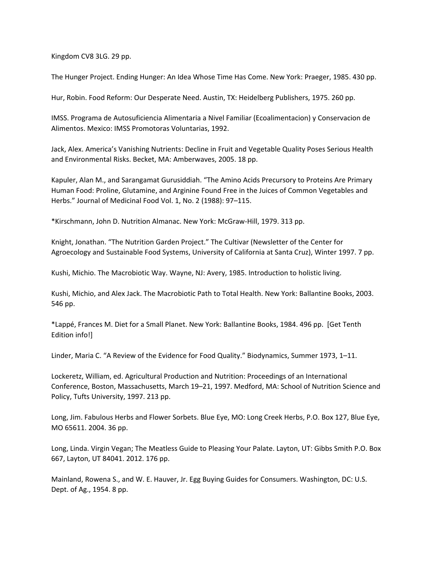Kingdom CV8 3LG. 29 pp.

The Hunger Project. Ending Hunger: An Idea Whose Time Has Come. New York: Praeger, 1985. 430 pp.

Hur, Robin. Food Reform: Our Desperate Need. Austin, TX: Heidelberg Publishers, 1975. 260 pp.

IMSS. Programa de Autosuficiencia Alimentaria a Nivel Familiar (Ecoalimentacion) y Conservacion de Alimentos. Mexico: IMSS Promotoras Voluntarias, 1992.

Jack, Alex. America's Vanishing Nutrients: Decline in Fruit and Vegetable Quality Poses Serious Health and Environmental Risks. Becket, MA: Amberwaves, 2005. 18 pp.

Kapuler, Alan M., and Sarangamat Gurusiddiah. "The Amino Acids Precursory to Proteins Are Primary Human Food: Proline, Glutamine, and Arginine Found Free in the Juices of Common Vegetables and Herbs." Journal of Medicinal Food Vol. 1, No. 2 (1988): 97–115.

\*Kirschmann, John D. Nutrition Almanac. New York: McGraw‐Hill, 1979. 313 pp.

Knight, Jonathan. "The Nutrition Garden Project." The Cultivar (Newsletter of the Center for Agroecology and Sustainable Food Systems, University of California at Santa Cruz), Winter 1997. 7 pp.

Kushi, Michio. The Macrobiotic Way. Wayne, NJ: Avery, 1985. Introduction to holistic living.

Kushi, Michio, and Alex Jack. The Macrobiotic Path to Total Health. New York: Ballantine Books, 2003. 546 pp.

\*Lappé, Frances M. Diet for a Small Planet. New York: Ballantine Books, 1984. 496 pp. [Get Tenth Edition info!]

Linder, Maria C. "A Review of the Evidence for Food Quality." Biodynamics, Summer 1973, 1–11.

Lockeretz, William, ed. Agricultural Production and Nutrition: Proceedings of an International Conference, Boston, Massachusetts, March 19–21, 1997. Medford, MA: School of Nutrition Science and Policy, Tufts University, 1997. 213 pp.

Long, Jim. Fabulous Herbs and Flower Sorbets. Blue Eye, MO: Long Creek Herbs, P.O. Box 127, Blue Eye, MO 65611. 2004. 36 pp.

Long, Linda. Virgin Vegan; The Meatless Guide to Pleasing Your Palate. Layton, UT: Gibbs Smith P.O. Box 667, Layton, UT 84041. 2012. 176 pp.

Mainland, Rowena S., and W. E. Hauver, Jr. Egg Buying Guides for Consumers. Washington, DC: U.S. Dept. of Ag., 1954. 8 pp.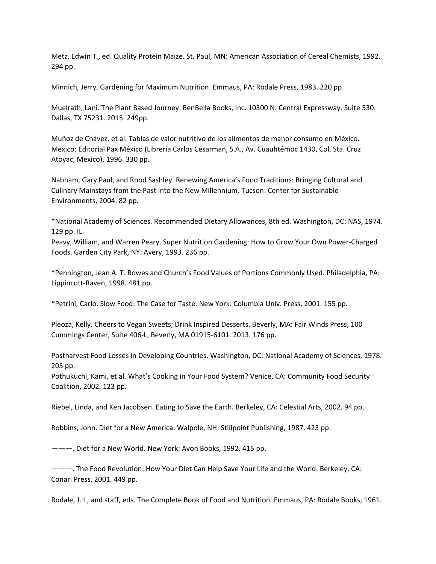Metz, Edwin T., ed. Quality Protein Maize. St. Paul, MN: American Association of Cereal Chemists, 1992. 294 pp.

Minnich, Jerry. Gardening for Maximum Nutrition. Emmaus, PA: Rodale Press, 1983. 220 pp.

Muelrath, Lani. The Plant Based Journey. BenBella Books, Inc. 10300 N. Central Expressway. Suite 530. Dallas, TX 75231. 2015. 249pp.

Muñoz de Chávez, et al. Tablas de valor nutritivo de los alimentos de mahor consumo en México. Mexico: Editorial Pax México (Libreria Carlos Césarman, S.A., Av. Cuauhtémoc 1430, Col. Sta. Cruz Atoyac, Mexico), 1996. 330 pp.

Nabham, Gary Paul, and Rood Sashley. Renewing America's Food Traditions: Bringing Cultural and Culinary Mainstays from the Past into the New Millennium. Tucson: Center for Sustainable Environments, 2004. 82 pp.

\*National Academy of Sciences. Recommended Dietary Allowances, 8th ed. Washington, DC: NAS, 1974. 129 pp. IL

Peavy, William, and Warren Peary. Super Nutrition Gardening: How to Grow Your Own Power‐Charged Foods. Garden City Park, NY: Avery, 1993. 236 pp.

\*Pennington, Jean A. T. Bowes and Church's Food Values of Portions Commonly Used. Philadelphia, PA: Lippincott‐Raven, 1998. 481 pp.

\*Petrini, Carlo. Slow Food: The Case for Taste. New York: Columbia Univ. Press, 2001. 155 pp.

Pleoza, Kelly. Cheers to Vegan Sweets; Drink Inspired Desserts. Beverly, MA: Fair Winds Press, 100 Cummings Center, Suite 406‐L, Beverly, MA 01915‐6101. 2013. 176 pp.

Postharvest Food Losses in Developing Countries. Washington, DC: National Academy of Sciences, 1978. 205 pp.

Pothukuchi, Kami, et al. What's Cooking in Your Food System? Venice, CA: Community Food Security Coalition, 2002. 123 pp.

Riebel, Linda, and Ken Jacobsen. Eating to Save the Earth. Berkeley, CA: Celestial Arts, 2002. 94 pp.

Robbins, John. Diet for a New America. Walpole, NH: Stillpoint Publishing, 1987. 423 pp.

———. Diet for a New World. New York: Avon Books, 1992. 415 pp.

———. The Food Revolution: How Your Diet Can Help Save Your Life and the World. Berkeley, CA: Conari Press, 2001. 449 pp.

Rodale, J. I., and staff, eds. The Complete Book of Food and Nutrition. Emmaus, PA: Rodale Books, 1961.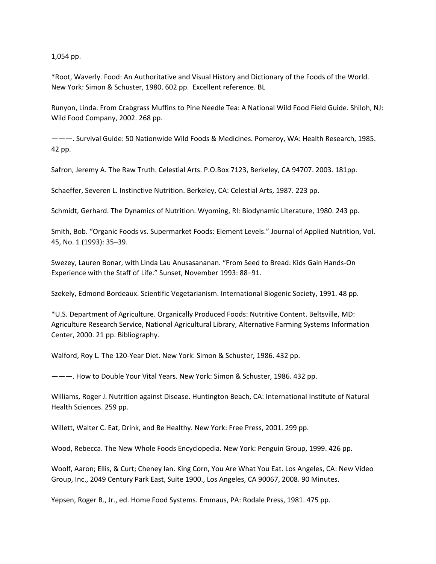1,054 pp.

\*Root, Waverly. Food: An Authoritative and Visual History and Dictionary of the Foods of the World. New York: Simon & Schuster, 1980. 602 pp. Excellent reference. BL

Runyon, Linda. From Crabgrass Muffins to Pine Needle Tea: A National Wild Food Field Guide. Shiloh, NJ: Wild Food Company, 2002. 268 pp.

———. Survival Guide: 50 Nationwide Wild Foods & Medicines. Pomeroy, WA: Health Research, 1985. 42 pp.

Safron, Jeremy A. The Raw Truth. Celestial Arts. P.O.Box 7123, Berkeley, CA 94707. 2003. 181pp.

Schaeffer, Severen L. Instinctive Nutrition. Berkeley, CA: Celestial Arts, 1987. 223 pp.

Schmidt, Gerhard. The Dynamics of Nutrition. Wyoming, RI: Biodynamic Literature, 1980. 243 pp.

Smith, Bob. "Organic Foods vs. Supermarket Foods: Element Levels." Journal of Applied Nutrition, Vol. 45, No. 1 (1993): 35–39.

Swezey, Lauren Bonar, with Linda Lau Anusasananan. "From Seed to Bread: Kids Gain Hands‐On Experience with the Staff of Life." Sunset, November 1993: 88–91.

Szekely, Edmond Bordeaux. Scientific Vegetarianism. International Biogenic Society, 1991. 48 pp.

\*U.S. Department of Agriculture. Organically Produced Foods: Nutritive Content. Beltsville, MD: Agriculture Research Service, National Agricultural Library, Alternative Farming Systems Information Center, 2000. 21 pp. Bibliography.

Walford, Roy L. The 120‐Year Diet. New York: Simon & Schuster, 1986. 432 pp.

———. How to Double Your Vital Years. New York: Simon & Schuster, 1986. 432 pp.

Williams, Roger J. Nutrition against Disease. Huntington Beach, CA: International Institute of Natural Health Sciences. 259 pp.

Willett, Walter C. Eat, Drink, and Be Healthy. New York: Free Press, 2001. 299 pp.

Wood, Rebecca. The New Whole Foods Encyclopedia. New York: Penguin Group, 1999. 426 pp.

Woolf, Aaron; Ellis, & Curt; Cheney Ian. King Corn, You Are What You Eat. Los Angeles, CA: New Video Group, Inc., 2049 Century Park East, Suite 1900., Los Angeles, CA 90067, 2008. 90 Minutes.

Yepsen, Roger B., Jr., ed. Home Food Systems. Emmaus, PA: Rodale Press, 1981. 475 pp.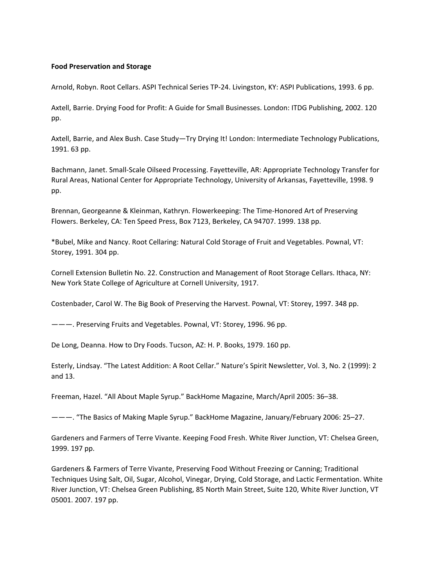### **Food Preservation and Storage**

Arnold, Robyn. Root Cellars. ASPI Technical Series TP‐24. Livingston, KY: ASPI Publications, 1993. 6 pp.

Axtell, Barrie. Drying Food for Profit: A Guide for Small Businesses. London: ITDG Publishing, 2002. 120 pp.

Axtell, Barrie, and Alex Bush. Case Study—Try Drying It! London: Intermediate Technology Publications, 1991. 63 pp.

Bachmann, Janet. Small‐Scale Oilseed Processing. Fayetteville, AR: Appropriate Technology Transfer for Rural Areas, National Center for Appropriate Technology, University of Arkansas, Fayetteville, 1998. 9 pp.

Brennan, Georgeanne & Kleinman, Kathryn. Flowerkeeping: The Time‐Honored Art of Preserving Flowers. Berkeley, CA: Ten Speed Press, Box 7123, Berkeley, CA 94707. 1999. 138 pp.

\*Bubel, Mike and Nancy. Root Cellaring: Natural Cold Storage of Fruit and Vegetables. Pownal, VT: Storey, 1991. 304 pp.

Cornell Extension Bulletin No. 22. Construction and Management of Root Storage Cellars. Ithaca, NY: New York State College of Agriculture at Cornell University, 1917.

Costenbader, Carol W. The Big Book of Preserving the Harvest. Pownal, VT: Storey, 1997. 348 pp.

———. Preserving Fruits and Vegetables. Pownal, VT: Storey, 1996. 96 pp.

De Long, Deanna. How to Dry Foods. Tucson, AZ: H. P. Books, 1979. 160 pp.

Esterly, Lindsay. "The Latest Addition: A Root Cellar." Nature's Spirit Newsletter, Vol. 3, No. 2 (1999): 2 and 13.

Freeman, Hazel. "All About Maple Syrup." BackHome Magazine, March/April 2005: 36–38.

———. "The Basics of Making Maple Syrup." BackHome Magazine, January/February 2006: 25–27.

Gardeners and Farmers of Terre Vivante. Keeping Food Fresh. White River Junction, VT: Chelsea Green, 1999. 197 pp.

Gardeners & Farmers of Terre Vivante, Preserving Food Without Freezing or Canning; Traditional Techniques Using Salt, Oil, Sugar, Alcohol, Vinegar, Drying, Cold Storage, and Lactic Fermentation. White River Junction, VT: Chelsea Green Publishing, 85 North Main Street, Suite 120, White River Junction, VT 05001. 2007. 197 pp.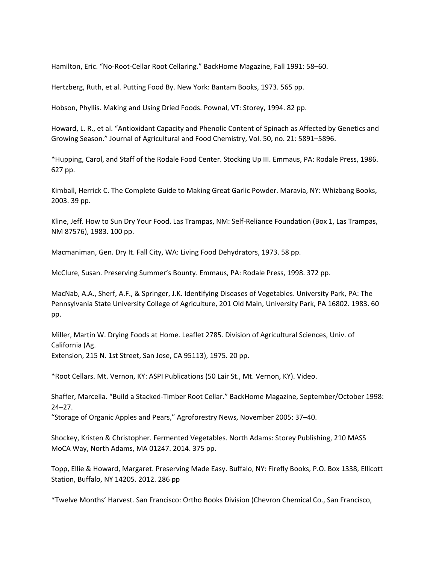Hamilton, Eric. "No‐Root‐Cellar Root Cellaring." BackHome Magazine, Fall 1991: 58–60.

Hertzberg, Ruth, et al. Putting Food By. New York: Bantam Books, 1973. 565 pp.

Hobson, Phyllis. Making and Using Dried Foods. Pownal, VT: Storey, 1994. 82 pp.

Howard, L. R., et al. "Antioxidant Capacity and Phenolic Content of Spinach as Affected by Genetics and Growing Season." Journal of Agricultural and Food Chemistry, Vol. 50, no. 21: 5891–5896.

\*Hupping, Carol, and Staff of the Rodale Food Center. Stocking Up III. Emmaus, PA: Rodale Press, 1986. 627 pp.

Kimball, Herrick C. The Complete Guide to Making Great Garlic Powder. Maravia, NY: Whizbang Books, 2003. 39 pp.

Kline, Jeff. How to Sun Dry Your Food. Las Trampas, NM: Self‐Reliance Foundation (Box 1, Las Trampas, NM 87576), 1983. 100 pp.

Macmaniman, Gen. Dry It. Fall City, WA: Living Food Dehydrators, 1973. 58 pp.

McClure, Susan. Preserving Summer's Bounty. Emmaus, PA: Rodale Press, 1998. 372 pp.

MacNab, A.A., Sherf, A.F., & Springer, J.K. Identifying Diseases of Vegetables. University Park, PA: The Pennsylvania State University College of Agriculture, 201 Old Main, University Park, PA 16802. 1983. 60 pp.

Miller, Martin W. Drying Foods at Home. Leaflet 2785. Division of Agricultural Sciences, Univ. of California (Ag. Extension, 215 N. 1st Street, San Jose, CA 95113), 1975. 20 pp.

\*Root Cellars. Mt. Vernon, KY: ASPI Publications (50 Lair St., Mt. Vernon, KY). Video.

Shaffer, Marcella. "Build a Stacked‐Timber Root Cellar." BackHome Magazine, September/October 1998: 24–27.

"Storage of Organic Apples and Pears," Agroforestry News, November 2005: 37–40.

Shockey, Kristen & Christopher. Fermented Vegetables. North Adams: Storey Publishing, 210 MASS MoCA Way, North Adams, MA 01247. 2014. 375 pp.

Topp, Ellie & Howard, Margaret. Preserving Made Easy. Buffalo, NY: Firefly Books, P.O. Box 1338, Ellicott Station, Buffalo, NY 14205. 2012. 286 pp

\*Twelve Months' Harvest. San Francisco: Ortho Books Division (Chevron Chemical Co., San Francisco,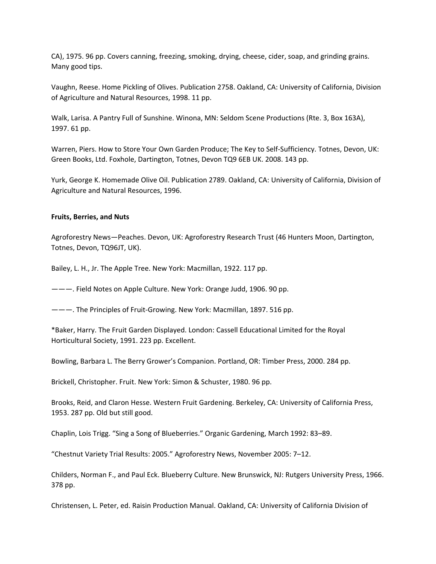CA), 1975. 96 pp. Covers canning, freezing, smoking, drying, cheese, cider, soap, and grinding grains. Many good tips.

Vaughn, Reese. Home Pickling of Olives. Publication 2758. Oakland, CA: University of California, Division of Agriculture and Natural Resources, 1998. 11 pp.

Walk, Larisa. A Pantry Full of Sunshine. Winona, MN: Seldom Scene Productions (Rte. 3, Box 163A), 1997. 61 pp.

Warren, Piers. How to Store Your Own Garden Produce; The Key to Self‐Sufficiency. Totnes, Devon, UK: Green Books, Ltd. Foxhole, Dartington, Totnes, Devon TQ9 6EB UK. 2008. 143 pp.

Yurk, George K. Homemade Olive Oil. Publication 2789. Oakland, CA: University of California, Division of Agriculture and Natural Resources, 1996.

#### **Fruits, Berries, and Nuts**

Agroforestry News—Peaches. Devon, UK: Agroforestry Research Trust (46 Hunters Moon, Dartington, Totnes, Devon, TQ96JT, UK).

Bailey, L. H., Jr. The Apple Tree. New York: Macmillan, 1922. 117 pp.

———. Field Notes on Apple Culture. New York: Orange Judd, 1906. 90 pp.

———. The Principles of Fruit‐Growing. New York: Macmillan, 1897. 516 pp.

\*Baker, Harry. The Fruit Garden Displayed. London: Cassell Educational Limited for the Royal Horticultural Society, 1991. 223 pp. Excellent.

Bowling, Barbara L. The Berry Grower's Companion. Portland, OR: Timber Press, 2000. 284 pp.

Brickell, Christopher. Fruit. New York: Simon & Schuster, 1980. 96 pp.

Brooks, Reid, and Claron Hesse. Western Fruit Gardening. Berkeley, CA: University of California Press, 1953. 287 pp. Old but still good.

Chaplin, Lois Trigg. "Sing a Song of Blueberries." Organic Gardening, March 1992: 83–89.

"Chestnut Variety Trial Results: 2005." Agroforestry News, November 2005: 7–12.

Childers, Norman F., and Paul Eck. Blueberry Culture. New Brunswick, NJ: Rutgers University Press, 1966. 378 pp.

Christensen, L. Peter, ed. Raisin Production Manual. Oakland, CA: University of California Division of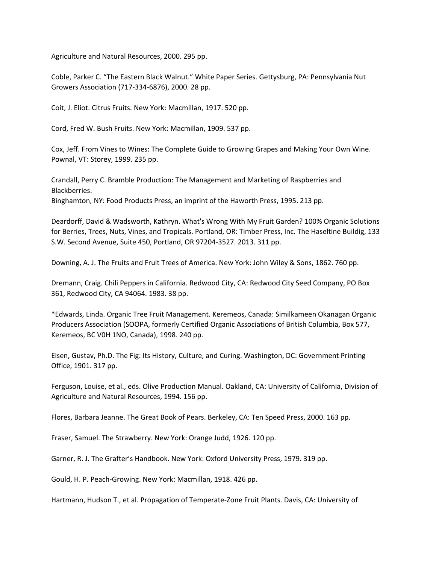Agriculture and Natural Resources, 2000. 295 pp.

Coble, Parker C. "The Eastern Black Walnut." White Paper Series. Gettysburg, PA: Pennsylvania Nut Growers Association (717‐334‐6876), 2000. 28 pp.

Coit, J. Eliot. Citrus Fruits. New York: Macmillan, 1917. 520 pp.

Cord, Fred W. Bush Fruits. New York: Macmillan, 1909. 537 pp.

Cox, Jeff. From Vines to Wines: The Complete Guide to Growing Grapes and Making Your Own Wine. Pownal, VT: Storey, 1999. 235 pp.

Crandall, Perry C. Bramble Production: The Management and Marketing of Raspberries and Blackberries. Binghamton, NY: Food Products Press, an imprint of the Haworth Press, 1995. 213 pp.

Deardorff, David & Wadsworth, Kathryn. What's Wrong With My Fruit Garden? 100% Organic Solutions for Berries, Trees, Nuts, Vines, and Tropicals. Portland, OR: Timber Press, Inc. The Haseltine Buildig, 133 S.W. Second Avenue, Suite 450, Portland, OR 97204‐3527. 2013. 311 pp.

Downing, A. J. The Fruits and Fruit Trees of America. New York: John Wiley & Sons, 1862. 760 pp.

Dremann, Craig. Chili Peppers in California. Redwood City, CA: Redwood City Seed Company, PO Box 361, Redwood City, CA 94064. 1983. 38 pp.

\*Edwards, Linda. Organic Tree Fruit Management. Keremeos, Canada: Similkameen Okanagan Organic Producers Association (SOOPA, formerly Certified Organic Associations of British Columbia, Box 577, Keremeos, BC V0H 1NO, Canada), 1998. 240 pp.

Eisen, Gustav, Ph.D. The Fig: Its History, Culture, and Curing. Washington, DC: Government Printing Office, 1901. 317 pp.

Ferguson, Louise, et al., eds. Olive Production Manual. Oakland, CA: University of California, Division of Agriculture and Natural Resources, 1994. 156 pp.

Flores, Barbara Jeanne. The Great Book of Pears. Berkeley, CA: Ten Speed Press, 2000. 163 pp.

Fraser, Samuel. The Strawberry. New York: Orange Judd, 1926. 120 pp.

Garner, R. J. The Grafter's Handbook. New York: Oxford University Press, 1979. 319 pp.

Gould, H. P. Peach‐Growing. New York: Macmillan, 1918. 426 pp.

Hartmann, Hudson T., et al. Propagation of Temperate‐Zone Fruit Plants. Davis, CA: University of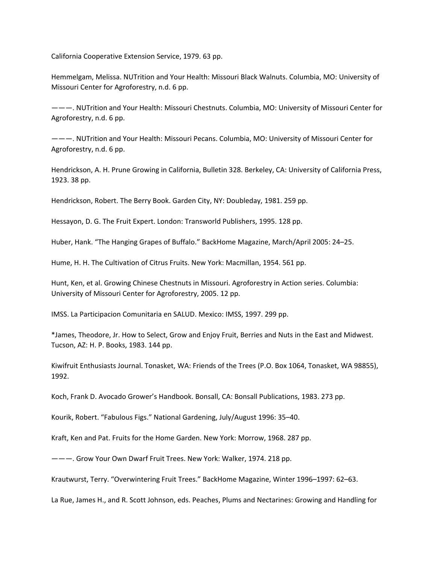California Cooperative Extension Service, 1979. 63 pp.

Hemmelgam, Melissa. NUTrition and Your Health: Missouri Black Walnuts. Columbia, MO: University of Missouri Center for Agroforestry, n.d. 6 pp.

———. NUTrition and Your Health: Missouri Chestnuts. Columbia, MO: University of Missouri Center for Agroforestry, n.d. 6 pp.

———. NUTrition and Your Health: Missouri Pecans. Columbia, MO: University of Missouri Center for Agroforestry, n.d. 6 pp.

Hendrickson, A. H. Prune Growing in California, Bulletin 328. Berkeley, CA: University of California Press, 1923. 38 pp.

Hendrickson, Robert. The Berry Book. Garden City, NY: Doubleday, 1981. 259 pp.

Hessayon, D. G. The Fruit Expert. London: Transworld Publishers, 1995. 128 pp.

Huber, Hank. "The Hanging Grapes of Buffalo." BackHome Magazine, March/April 2005: 24–25.

Hume, H. H. The Cultivation of Citrus Fruits. New York: Macmillan, 1954. 561 pp.

Hunt, Ken, et al. Growing Chinese Chestnuts in Missouri. Agroforestry in Action series. Columbia: University of Missouri Center for Agroforestry, 2005. 12 pp.

IMSS. La Participacion Comunitaria en SALUD. Mexico: IMSS, 1997. 299 pp.

\*James, Theodore, Jr. How to Select, Grow and Enjoy Fruit, Berries and Nuts in the East and Midwest. Tucson, AZ: H. P. Books, 1983. 144 pp.

Kiwifruit Enthusiasts Journal. Tonasket, WA: Friends of the Trees (P.O. Box 1064, Tonasket, WA 98855), 1992.

Koch, Frank D. Avocado Grower's Handbook. Bonsall, CA: Bonsall Publications, 1983. 273 pp.

Kourik, Robert. "Fabulous Figs." National Gardening, July/August 1996: 35–40.

Kraft, Ken and Pat. Fruits for the Home Garden. New York: Morrow, 1968. 287 pp.

———. Grow Your Own Dwarf Fruit Trees. New York: Walker, 1974. 218 pp.

Krautwurst, Terry. "Overwintering Fruit Trees." BackHome Magazine, Winter 1996–1997: 62–63.

La Rue, James H., and R. Scott Johnson, eds. Peaches, Plums and Nectarines: Growing and Handling for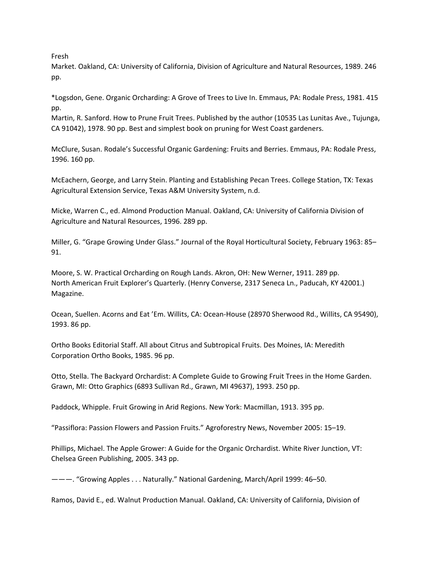Fresh

Market. Oakland, CA: University of California, Division of Agriculture and Natural Resources, 1989. 246 pp.

\*Logsdon, Gene. Organic Orcharding: A Grove of Trees to Live In. Emmaus, PA: Rodale Press, 1981. 415 pp.

Martin, R. Sanford. How to Prune Fruit Trees. Published by the author (10535 Las Lunitas Ave., Tujunga, CA 91042), 1978. 90 pp. Best and simplest book on pruning for West Coast gardeners.

McClure, Susan. Rodale's Successful Organic Gardening: Fruits and Berries. Emmaus, PA: Rodale Press, 1996. 160 pp.

McEachern, George, and Larry Stein. Planting and Establishing Pecan Trees. College Station, TX: Texas Agricultural Extension Service, Texas A&M University System, n.d.

Micke, Warren C., ed. Almond Production Manual. Oakland, CA: University of California Division of Agriculture and Natural Resources, 1996. 289 pp.

Miller, G. "Grape Growing Under Glass." Journal of the Royal Horticultural Society, February 1963: 85– 91.

Moore, S. W. Practical Orcharding on Rough Lands. Akron, OH: New Werner, 1911. 289 pp. North American Fruit Explorer's Quarterly. (Henry Converse, 2317 Seneca Ln., Paducah, KY 42001.) Magazine.

Ocean, Suellen. Acorns and Eat 'Em. Willits, CA: Ocean‐House (28970 Sherwood Rd., Willits, CA 95490), 1993. 86 pp.

Ortho Books Editorial Staff. All about Citrus and Subtropical Fruits. Des Moines, IA: Meredith Corporation Ortho Books, 1985. 96 pp.

Otto, Stella. The Backyard Orchardist: A Complete Guide to Growing Fruit Trees in the Home Garden. Grawn, MI: Otto Graphics (6893 Sullivan Rd., Grawn, MI 49637), 1993. 250 pp.

Paddock, Whipple. Fruit Growing in Arid Regions. New York: Macmillan, 1913. 395 pp.

"Passiflora: Passion Flowers and Passion Fruits." Agroforestry News, November 2005: 15–19.

Phillips, Michael. The Apple Grower: A Guide for the Organic Orchardist. White River Junction, VT: Chelsea Green Publishing, 2005. 343 pp.

———. "Growing Apples . . . Naturally." National Gardening, March/April 1999: 46–50.

Ramos, David E., ed. Walnut Production Manual. Oakland, CA: University of California, Division of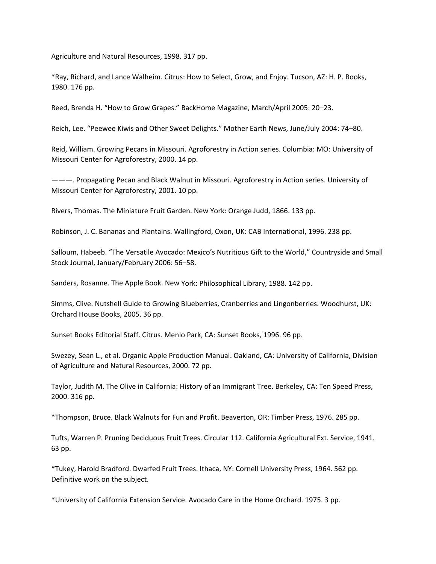Agriculture and Natural Resources, 1998. 317 pp.

\*Ray, Richard, and Lance Walheim. Citrus: How to Select, Grow, and Enjoy. Tucson, AZ: H. P. Books, 1980. 176 pp.

Reed, Brenda H. "How to Grow Grapes." BackHome Magazine, March/April 2005: 20–23.

Reich, Lee. "Peewee Kiwis and Other Sweet Delights." Mother Earth News, June/July 2004: 74–80.

Reid, William. Growing Pecans in Missouri. Agroforestry in Action series. Columbia: MO: University of Missouri Center for Agroforestry, 2000. 14 pp.

———. Propagating Pecan and Black Walnut in Missouri. Agroforestry in Action series. University of Missouri Center for Agroforestry, 2001. 10 pp.

Rivers, Thomas. The Miniature Fruit Garden. New York: Orange Judd, 1866. 133 pp.

Robinson, J. C. Bananas and Plantains. Wallingford, Oxon, UK: CAB International, 1996. 238 pp.

Salloum, Habeeb. "The Versatile Avocado: Mexico's Nutritious Gift to the World," Countryside and Small Stock Journal, January/February 2006: 56–58.

Sanders, Rosanne. The Apple Book. New York: Philosophical Library, 1988. 142 pp.

Simms, Clive. Nutshell Guide to Growing Blueberries, Cranberries and Lingonberries. Woodhurst, UK: Orchard House Books, 2005. 36 pp.

Sunset Books Editorial Staff. Citrus. Menlo Park, CA: Sunset Books, 1996. 96 pp.

Swezey, Sean L., et al. Organic Apple Production Manual. Oakland, CA: University of California, Division of Agriculture and Natural Resources, 2000. 72 pp.

Taylor, Judith M. The Olive in California: History of an Immigrant Tree. Berkeley, CA: Ten Speed Press, 2000. 316 pp.

\*Thompson, Bruce. Black Walnuts for Fun and Profit. Beaverton, OR: Timber Press, 1976. 285 pp.

Tufts, Warren P. Pruning Deciduous Fruit Trees. Circular 112. California Agricultural Ext. Service, 1941. 63 pp.

\*Tukey, Harold Bradford. Dwarfed Fruit Trees. Ithaca, NY: Cornell University Press, 1964. 562 pp. Definitive work on the subject.

\*University of California Extension Service. Avocado Care in the Home Orchard. 1975. 3 pp.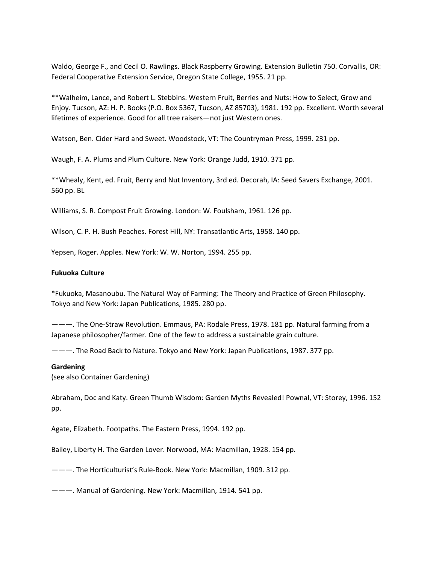Waldo, George F., and Cecil O. Rawlings. Black Raspberry Growing. Extension Bulletin 750. Corvallis, OR: Federal Cooperative Extension Service, Oregon State College, 1955. 21 pp.

\*\*Walheim, Lance, and Robert L. Stebbins. Western Fruit, Berries and Nuts: How to Select, Grow and Enjoy. Tucson, AZ: H. P. Books (P.O. Box 5367, Tucson, AZ 85703), 1981. 192 pp. Excellent. Worth several lifetimes of experience. Good for all tree raisers—not just Western ones.

Watson, Ben. Cider Hard and Sweet. Woodstock, VT: The Countryman Press, 1999. 231 pp.

Waugh, F. A. Plums and Plum Culture. New York: Orange Judd, 1910. 371 pp.

\*\*Whealy, Kent, ed. Fruit, Berry and Nut Inventory, 3rd ed. Decorah, IA: Seed Savers Exchange, 2001. 560 pp. BL

Williams, S. R. Compost Fruit Growing. London: W. Foulsham, 1961. 126 pp.

Wilson, C. P. H. Bush Peaches. Forest Hill, NY: Transatlantic Arts, 1958. 140 pp.

Yepsen, Roger. Apples. New York: W. W. Norton, 1994. 255 pp.

#### **Fukuoka Culture**

\*Fukuoka, Masanoubu. The Natural Way of Farming: The Theory and Practice of Green Philosophy. Tokyo and New York: Japan Publications, 1985. 280 pp.

———. The One‐Straw Revolution. Emmaus, PA: Rodale Press, 1978. 181 pp. Natural farming from a Japanese philosopher/farmer. One of the few to address a sustainable grain culture.

———. The Road Back to Nature. Tokyo and New York: Japan Publications, 1987. 377 pp.

#### **Gardening**

(see also Container Gardening)

Abraham, Doc and Katy. Green Thumb Wisdom: Garden Myths Revealed! Pownal, VT: Storey, 1996. 152 pp.

Agate, Elizabeth. Footpaths. The Eastern Press, 1994. 192 pp.

Bailey, Liberty H. The Garden Lover. Norwood, MA: Macmillan, 1928. 154 pp.

———. The Horticulturist's Rule‐Book. New York: Macmillan, 1909. 312 pp.

———. Manual of Gardening. New York: Macmillan, 1914. 541 pp.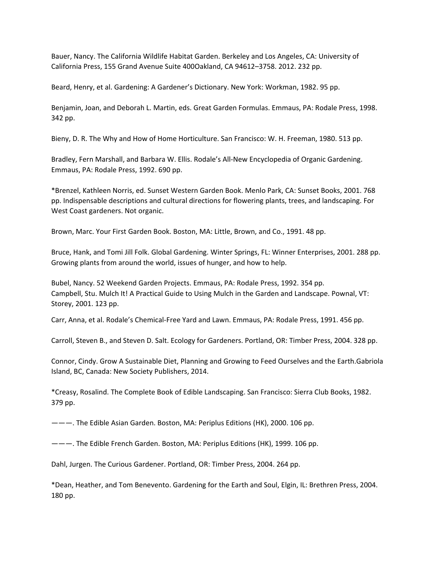Bauer, Nancy. The California Wildlife Habitat Garden. Berkeley and Los Angeles, CA: University of California Press, 155 Grand Avenue Suite 400Oakland, CA 94612–3758. 2012. 232 pp.

Beard, Henry, et al. Gardening: A Gardener's Dictionary. New York: Workman, 1982. 95 pp.

Benjamin, Joan, and Deborah L. Martin, eds. Great Garden Formulas. Emmaus, PA: Rodale Press, 1998. 342 pp.

Bieny, D. R. The Why and How of Home Horticulture. San Francisco: W. H. Freeman, 1980. 513 pp.

Bradley, Fern Marshall, and Barbara W. Ellis. Rodale's All‐New Encyclopedia of Organic Gardening. Emmaus, PA: Rodale Press, 1992. 690 pp.

\*Brenzel, Kathleen Norris, ed. Sunset Western Garden Book. Menlo Park, CA: Sunset Books, 2001. 768 pp. Indispensable descriptions and cultural directions for flowering plants, trees, and landscaping. For West Coast gardeners. Not organic.

Brown, Marc. Your First Garden Book. Boston, MA: Little, Brown, and Co., 1991. 48 pp.

Bruce, Hank, and Tomi Jill Folk. Global Gardening. Winter Springs, FL: Winner Enterprises, 2001. 288 pp. Growing plants from around the world, issues of hunger, and how to help.

Bubel, Nancy. 52 Weekend Garden Projects. Emmaus, PA: Rodale Press, 1992. 354 pp. Campbell, Stu. Mulch It! A Practical Guide to Using Mulch in the Garden and Landscape. Pownal, VT: Storey, 2001. 123 pp.

Carr, Anna, et al. Rodale's Chemical‐Free Yard and Lawn. Emmaus, PA: Rodale Press, 1991. 456 pp.

Carroll, Steven B., and Steven D. Salt. Ecology for Gardeners. Portland, OR: Timber Press, 2004. 328 pp.

Connor, Cindy. Grow A Sustainable Diet, Planning and Growing to Feed Ourselves and the Earth.Gabriola Island, BC, Canada: New Society Publishers, 2014.

\*Creasy, Rosalind. The Complete Book of Edible Landscaping. San Francisco: Sierra Club Books, 1982. 379 pp.

———. The Edible Asian Garden. Boston, MA: Periplus Editions (HK), 2000. 106 pp.

———. The Edible French Garden. Boston, MA: Periplus Editions (HK), 1999. 106 pp.

Dahl, Jurgen. The Curious Gardener. Portland, OR: Timber Press, 2004. 264 pp.

\*Dean, Heather, and Tom Benevento. Gardening for the Earth and Soul, Elgin, IL: Brethren Press, 2004. 180 pp.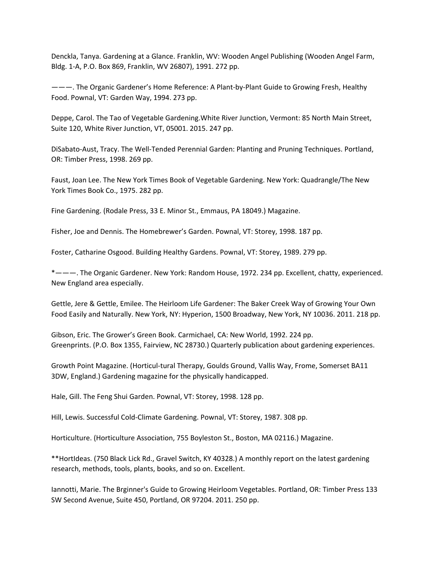Denckla, Tanya. Gardening at a Glance. Franklin, WV: Wooden Angel Publishing (Wooden Angel Farm, Bldg. 1‐A, P.O. Box 869, Franklin, WV 26807), 1991. 272 pp.

———. The Organic Gardener's Home Reference: A Plant‐by‐Plant Guide to Growing Fresh, Healthy Food. Pownal, VT: Garden Way, 1994. 273 pp.

Deppe, Carol. The Tao of Vegetable Gardening.White River Junction, Vermont: 85 North Main Street, Suite 120, White River Junction, VT, 05001. 2015. 247 pp.

DiSabato‐Aust, Tracy. The Well‐Tended Perennial Garden: Planting and Pruning Techniques. Portland, OR: Timber Press, 1998. 269 pp.

Faust, Joan Lee. The New York Times Book of Vegetable Gardening. New York: Quadrangle/The New York Times Book Co., 1975. 282 pp.

Fine Gardening. (Rodale Press, 33 E. Minor St., Emmaus, PA 18049.) Magazine.

Fisher, Joe and Dennis. The Homebrewer's Garden. Pownal, VT: Storey, 1998. 187 pp.

Foster, Catharine Osgood. Building Healthy Gardens. Pownal, VT: Storey, 1989. 279 pp.

\*———. The Organic Gardener. New York: Random House, 1972. 234 pp. Excellent, chatty, experienced. New England area especially.

Gettle, Jere & Gettle, Emilee. The Heirloom Life Gardener: The Baker Creek Way of Growing Your Own Food Easily and Naturally. New York, NY: Hyperion, 1500 Broadway, New York, NY 10036. 2011. 218 pp.

Gibson, Eric. The Grower's Green Book. Carmichael, CA: New World, 1992. 224 pp. Greenprints. (P.O. Box 1355, Fairview, NC 28730.) Quarterly publication about gardening experiences.

Growth Point Magazine. (Horticul‐tural Therapy, Goulds Ground, Vallis Way, Frome, Somerset BA11 3DW, England.) Gardening magazine for the physically handicapped.

Hale, Gill. The Feng Shui Garden. Pownal, VT: Storey, 1998. 128 pp.

Hill, Lewis. Successful Cold‐Climate Gardening. Pownal, VT: Storey, 1987. 308 pp.

Horticulture. (Horticulture Association, 755 Boyleston St., Boston, MA 02116.) Magazine.

\*\*HortIdeas. (750 Black Lick Rd., Gravel Switch, KY 40328.) A monthly report on the latest gardening research, methods, tools, plants, books, and so on. Excellent.

Iannotti, Marie. The Brginner's Guide to Growing Heirloom Vegetables. Portland, OR: Timber Press 133 SW Second Avenue, Suite 450, Portland, OR 97204. 2011. 250 pp.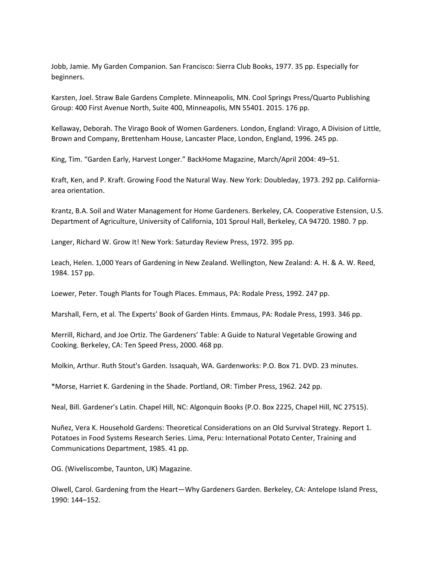Jobb, Jamie. My Garden Companion. San Francisco: Sierra Club Books, 1977. 35 pp. Especially for beginners.

Karsten, Joel. Straw Bale Gardens Complete. Minneapolis, MN. Cool Springs Press/Quarto Publishing Group: 400 First Avenue North, Suite 400, Minneapolis, MN 55401. 2015. 176 pp.

Kellaway, Deborah. The Virago Book of Women Gardeners. London, England: Virago, A Division of Little, Brown and Company, Brettenham House, Lancaster Place, London, England, 1996. 245 pp.

King, Tim. "Garden Early, Harvest Longer." BackHome Magazine, March/April 2004: 49–51.

Kraft, Ken, and P. Kraft. Growing Food the Natural Way. New York: Doubleday, 1973. 292 pp. California‐ area orientation.

Krantz, B.A. Soil and Water Management for Home Gardeners. Berkeley, CA. Cooperative Estension, U.S. Department of Agriculture, University of California, 101 Sproul Hall, Berkeley, CA 94720. 1980. 7 pp.

Langer, Richard W. Grow It! New York: Saturday Review Press, 1972. 395 pp.

Leach, Helen. 1,000 Years of Gardening in New Zealand. Wellington, New Zealand: A. H. & A. W. Reed, 1984. 157 pp.

Loewer, Peter. Tough Plants for Tough Places. Emmaus, PA: Rodale Press, 1992. 247 pp.

Marshall, Fern, et al. The Experts' Book of Garden Hints. Emmaus, PA: Rodale Press, 1993. 346 pp.

Merrill, Richard, and Joe Ortiz. The Gardeners' Table: A Guide to Natural Vegetable Growing and Cooking. Berkeley, CA: Ten Speed Press, 2000. 468 pp.

Molkin, Arthur. Ruth Stout's Garden. Issaquah, WA. Gardenworks: P.O. Box 71. DVD. 23 minutes.

\*Morse, Harriet K. Gardening in the Shade. Portland, OR: Timber Press, 1962. 242 pp.

Neal, Bill. Gardener's Latin. Chapel Hill, NC: Algonquin Books (P.O. Box 2225, Chapel Hill, NC 27515).

Nuñez, Vera K. Household Gardens: Theoretical Considerations on an Old Survival Strategy. Report 1. Potatoes in Food Systems Research Series. Lima, Peru: International Potato Center, Training and Communications Department, 1985. 41 pp.

OG. (Wiveliscombe, Taunton, UK) Magazine.

Olwell, Carol. Gardening from the Heart—Why Gardeners Garden. Berkeley, CA: Antelope Island Press, 1990: 144–152.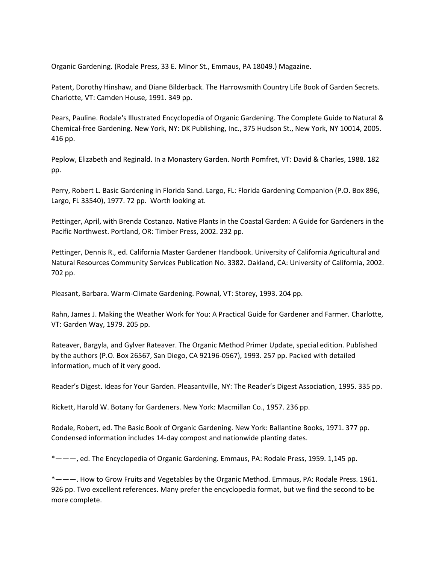Organic Gardening. (Rodale Press, 33 E. Minor St., Emmaus, PA 18049.) Magazine.

Patent, Dorothy Hinshaw, and Diane Bilderback. The Harrowsmith Country Life Book of Garden Secrets. Charlotte, VT: Camden House, 1991. 349 pp.

Pears, Pauline. Rodale's Illustrated Encyclopedia of Organic Gardening. The Complete Guide to Natural & Chemical‐free Gardening. New York, NY: DK Publishing, Inc., 375 Hudson St., New York, NY 10014, 2005. 416 pp.

Peplow, Elizabeth and Reginald. In a Monastery Garden. North Pomfret, VT: David & Charles, 1988. 182 pp.

Perry, Robert L. Basic Gardening in Florida Sand. Largo, FL: Florida Gardening Companion (P.O. Box 896, Largo, FL 33540), 1977. 72 pp. Worth looking at.

Pettinger, April, with Brenda Costanzo. Native Plants in the Coastal Garden: A Guide for Gardeners in the Pacific Northwest. Portland, OR: Timber Press, 2002. 232 pp.

Pettinger, Dennis R., ed. California Master Gardener Handbook. University of California Agricultural and Natural Resources Community Services Publication No. 3382. Oakland, CA: University of California, 2002. 702 pp.

Pleasant, Barbara. Warm‐Climate Gardening. Pownal, VT: Storey, 1993. 204 pp.

Rahn, James J. Making the Weather Work for You: A Practical Guide for Gardener and Farmer. Charlotte, VT: Garden Way, 1979. 205 pp.

Rateaver, Bargyla, and Gylver Rateaver. The Organic Method Primer Update, special edition. Published by the authors (P.O. Box 26567, San Diego, CA 92196‐0567), 1993. 257 pp. Packed with detailed information, much of it very good.

Reader's Digest. Ideas for Your Garden. Pleasantville, NY: The Reader's Digest Association, 1995. 335 pp.

Rickett, Harold W. Botany for Gardeners. New York: Macmillan Co., 1957. 236 pp.

Rodale, Robert, ed. The Basic Book of Organic Gardening. New York: Ballantine Books, 1971. 377 pp. Condensed information includes 14‐day compost and nationwide planting dates.

\*———, ed. The Encyclopedia of Organic Gardening. Emmaus, PA: Rodale Press, 1959. 1,145 pp.

\*———. How to Grow Fruits and Vegetables by the Organic Method. Emmaus, PA: Rodale Press. 1961. 926 pp. Two excellent references. Many prefer the encyclopedia format, but we find the second to be more complete.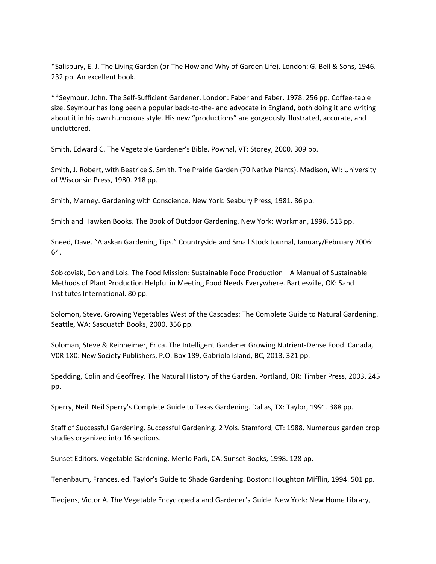\*Salisbury, E. J. The Living Garden (or The How and Why of Garden Life). London: G. Bell & Sons, 1946. 232 pp. An excellent book.

\*\*Seymour, John. The Self‐Sufficient Gardener. London: Faber and Faber, 1978. 256 pp. Coffee‐table size. Seymour has long been a popular back-to-the-land advocate in England, both doing it and writing about it in his own humorous style. His new "productions" are gorgeously illustrated, accurate, and uncluttered.

Smith, Edward C. The Vegetable Gardener's Bible. Pownal, VT: Storey, 2000. 309 pp.

Smith, J. Robert, with Beatrice S. Smith. The Prairie Garden (70 Native Plants). Madison, WI: University of Wisconsin Press, 1980. 218 pp.

Smith, Marney. Gardening with Conscience. New York: Seabury Press, 1981. 86 pp.

Smith and Hawken Books. The Book of Outdoor Gardening. New York: Workman, 1996. 513 pp.

Sneed, Dave. "Alaskan Gardening Tips." Countryside and Small Stock Journal, January/February 2006: 64.

Sobkoviak, Don and Lois. The Food Mission: Sustainable Food Production—A Manual of Sustainable Methods of Plant Production Helpful in Meeting Food Needs Everywhere. Bartlesville, OK: Sand Institutes International. 80 pp.

Solomon, Steve. Growing Vegetables West of the Cascades: The Complete Guide to Natural Gardening. Seattle, WA: Sasquatch Books, 2000. 356 pp.

Soloman, Steve & Reinheimer, Erica. The Intelligent Gardener Growing Nutrient‐Dense Food. Canada, V0R 1X0: New Society Publishers, P.O. Box 189, Gabriola Island, BC, 2013. 321 pp.

Spedding, Colin and Geoffrey. The Natural History of the Garden. Portland, OR: Timber Press, 2003. 245 pp.

Sperry, Neil. Neil Sperry's Complete Guide to Texas Gardening. Dallas, TX: Taylor, 1991. 388 pp.

Staff of Successful Gardening. Successful Gardening. 2 Vols. Stamford, CT: 1988. Numerous garden crop studies organized into 16 sections.

Sunset Editors. Vegetable Gardening. Menlo Park, CA: Sunset Books, 1998. 128 pp.

Tenenbaum, Frances, ed. Taylor's Guide to Shade Gardening. Boston: Houghton Mifflin, 1994. 501 pp.

Tiedjens, Victor A. The Vegetable Encyclopedia and Gardener's Guide. New York: New Home Library,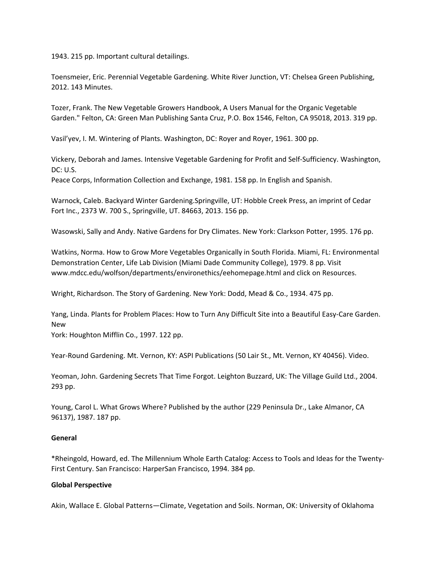1943. 215 pp. Important cultural detailings.

Toensmeier, Eric. Perennial Vegetable Gardening. White River Junction, VT: Chelsea Green Publishing, 2012. 143 Minutes.

Tozer, Frank. The New Vegetable Growers Handbook, A Users Manual for the Organic Vegetable Garden." Felton, CA: Green Man Publishing Santa Cruz, P.O. Box 1546, Felton, CA 95018, 2013. 319 pp.

Vasil'yev, I. M. Wintering of Plants. Washington, DC: Royer and Royer, 1961. 300 pp.

Vickery, Deborah and James. Intensive Vegetable Gardening for Profit and Self‐Sufficiency. Washington, DC: U.S.

Peace Corps, Information Collection and Exchange, 1981. 158 pp. In English and Spanish.

Warnock, Caleb. Backyard Winter Gardening.Springville, UT: Hobble Creek Press, an imprint of Cedar Fort Inc., 2373 W. 700 S., Springville, UT. 84663, 2013. 156 pp.

Wasowski, Sally and Andy. Native Gardens for Dry Climates. New York: Clarkson Potter, 1995. 176 pp.

Watkins, Norma. How to Grow More Vegetables Organically in South Florida. Miami, FL: Environmental Demonstration Center, Life Lab Division (Miami Dade Community College), 1979. 8 pp. Visit www.mdcc.edu/wolfson/departments/environethics/eehomepage.html and click on Resources.

Wright, Richardson. The Story of Gardening. New York: Dodd, Mead & Co., 1934. 475 pp.

Yang, Linda. Plants for Problem Places: How to Turn Any Difficult Site into a Beautiful Easy-Care Garden. New

York: Houghton Mifflin Co., 1997. 122 pp.

Year-Round Gardening. Mt. Vernon, KY: ASPI Publications (50 Lair St., Mt. Vernon, KY 40456). Video.

Yeoman, John. Gardening Secrets That Time Forgot. Leighton Buzzard, UK: The Village Guild Ltd., 2004. 293 pp.

Young, Carol L. What Grows Where? Published by the author (229 Peninsula Dr., Lake Almanor, CA 96137), 1987. 187 pp.

#### **General**

\*Rheingold, Howard, ed. The Millennium Whole Earth Catalog: Access to Tools and Ideas for the Twenty‐ First Century. San Francisco: HarperSan Francisco, 1994. 384 pp.

#### **Global Perspective**

Akin, Wallace E. Global Patterns—Climate, Vegetation and Soils. Norman, OK: University of Oklahoma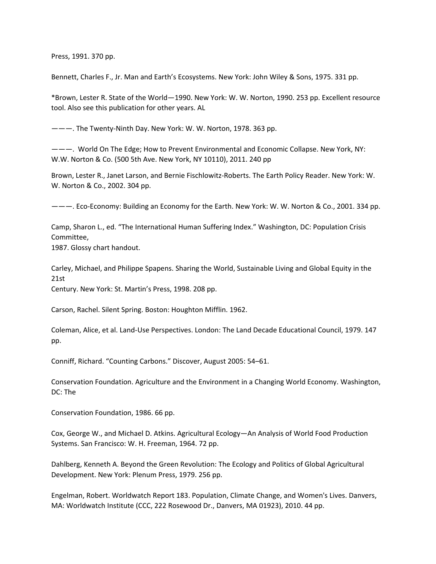Press, 1991. 370 pp.

Bennett, Charles F., Jr. Man and Earth's Ecosystems. New York: John Wiley & Sons, 1975. 331 pp.

\*Brown, Lester R. State of the World—1990. New York: W. W. Norton, 1990. 253 pp. Excellent resource tool. Also see this publication for other years. AL

———. The Twenty‐Ninth Day. New York: W. W. Norton, 1978. 363 pp.

———. World On The Edge; How to Prevent Environmental and Economic Collapse. New York, NY: W.W. Norton & Co. (500 5th Ave. New York, NY 10110), 2011. 240 pp

Brown, Lester R., Janet Larson, and Bernie Fischlowitz‐Roberts. The Earth Policy Reader. New York: W. W. Norton & Co., 2002. 304 pp.

———. Eco‐Economy: Building an Economy for the Earth. New York: W. W. Norton & Co., 2001. 334 pp.

Camp, Sharon L., ed. "The International Human Suffering Index." Washington, DC: Population Crisis Committee,

1987. Glossy chart handout.

Carley, Michael, and Philippe Spapens. Sharing the World, Sustainable Living and Global Equity in the 21st

Century. New York: St. Martin's Press, 1998. 208 pp.

Carson, Rachel. Silent Spring. Boston: Houghton Mifflin. 1962.

Coleman, Alice, et al. Land‐Use Perspectives. London: The Land Decade Educational Council, 1979. 147 pp.

Conniff, Richard. "Counting Carbons." Discover, August 2005: 54–61.

Conservation Foundation. Agriculture and the Environment in a Changing World Economy. Washington, DC: The

Conservation Foundation, 1986. 66 pp.

Cox, George W., and Michael D. Atkins. Agricultural Ecology—An Analysis of World Food Production Systems. San Francisco: W. H. Freeman, 1964. 72 pp.

Dahlberg, Kenneth A. Beyond the Green Revolution: The Ecology and Politics of Global Agricultural Development. New York: Plenum Press, 1979. 256 pp.

Engelman, Robert. Worldwatch Report 183. Population, Climate Change, and Women's Lives. Danvers, MA: Worldwatch Institute (CCC, 222 Rosewood Dr., Danvers, MA 01923), 2010. 44 pp.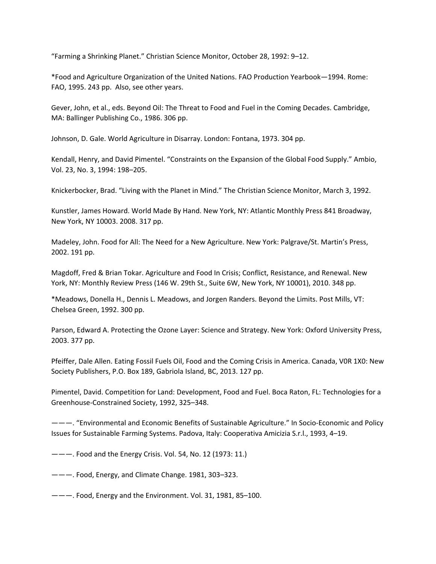"Farming a Shrinking Planet." Christian Science Monitor, October 28, 1992: 9–12.

\*Food and Agriculture Organization of the United Nations. FAO Production Yearbook—1994. Rome: FAO, 1995. 243 pp. Also, see other years.

Gever, John, et al., eds. Beyond Oil: The Threat to Food and Fuel in the Coming Decades. Cambridge, MA: Ballinger Publishing Co., 1986. 306 pp.

Johnson, D. Gale. World Agriculture in Disarray. London: Fontana, 1973. 304 pp.

Kendall, Henry, and David Pimentel. "Constraints on the Expansion of the Global Food Supply." Ambio, Vol. 23, No. 3, 1994: 198–205.

Knickerbocker, Brad. "Living with the Planet in Mind." The Christian Science Monitor, March 3, 1992.

Kunstler, James Howard. World Made By Hand. New York, NY: Atlantic Monthly Press 841 Broadway, New York, NY 10003. 2008. 317 pp.

Madeley, John. Food for All: The Need for a New Agriculture. New York: Palgrave/St. Martin's Press, 2002. 191 pp.

Magdoff, Fred & Brian Tokar. Agriculture and Food In Crisis; Conflict, Resistance, and Renewal. New York, NY: Monthly Review Press (146 W. 29th St., Suite 6W, New York, NY 10001), 2010. 348 pp.

\*Meadows, Donella H., Dennis L. Meadows, and Jorgen Randers. Beyond the Limits. Post Mills, VT: Chelsea Green, 1992. 300 pp.

Parson, Edward A. Protecting the Ozone Layer: Science and Strategy. New York: Oxford University Press, 2003. 377 pp.

Pfeiffer, Dale Allen. Eating Fossil Fuels Oil, Food and the Coming Crisis in America. Canada, V0R 1X0: New Society Publishers, P.O. Box 189, Gabriola Island, BC, 2013. 127 pp.

Pimentel, David. Competition for Land: Development, Food and Fuel. Boca Raton, FL: Technologies for a Greenhouse‐Constrained Society, 1992, 325–348.

———. "Environmental and Economic Benefits of Sustainable Agriculture." In Socio‐Economic and Policy Issues for Sustainable Farming Systems. Padova, Italy: Cooperativa Amicizia S.r.l., 1993, 4–19.

———. Food and the Energy Crisis. Vol. 54, No. 12 (1973: 11.)

———. Food, Energy, and Climate Change. 1981, 303–323.

 $---$ . Food, Energy and the Environment. Vol. 31, 1981, 85-100.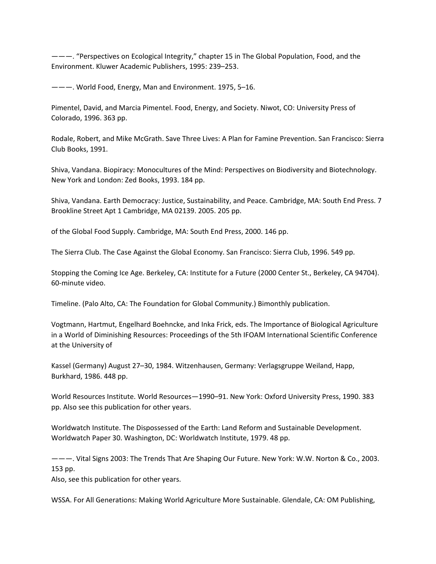———. "Perspectives on Ecological Integrity," chapter 15 in The Global Population, Food, and the Environment. Kluwer Academic Publishers, 1995: 239–253.

———. World Food, Energy, Man and Environment. 1975, 5–16.

Pimentel, David, and Marcia Pimentel. Food, Energy, and Society. Niwot, CO: University Press of Colorado, 1996. 363 pp.

Rodale, Robert, and Mike McGrath. Save Three Lives: A Plan for Famine Prevention. San Francisco: Sierra Club Books, 1991.

Shiva, Vandana. Biopiracy: Monocultures of the Mind: Perspectives on Biodiversity and Biotechnology. New York and London: Zed Books, 1993. 184 pp.

Shiva, Vandana. Earth Democracy: Justice, Sustainability, and Peace. Cambridge, MA: South End Press. 7 Brookline Street Apt 1 Cambridge, MA 02139. 2005. 205 pp.

of the Global Food Supply. Cambridge, MA: South End Press, 2000. 146 pp.

The Sierra Club. The Case Against the Global Economy. San Francisco: Sierra Club, 1996. 549 pp.

Stopping the Coming Ice Age. Berkeley, CA: Institute for a Future (2000 Center St., Berkeley, CA 94704). 60‐minute video.

Timeline. (Palo Alto, CA: The Foundation for Global Community.) Bimonthly publication.

Vogtmann, Hartmut, Engelhard Boehncke, and Inka Frick, eds. The Importance of Biological Agriculture in a World of Diminishing Resources: Proceedings of the 5th IFOAM International Scientific Conference at the University of

Kassel (Germany) August 27–30, 1984. Witzenhausen, Germany: Verlagsgruppe Weiland, Happ, Burkhard, 1986. 448 pp.

World Resources Institute. World Resources—1990–91. New York: Oxford University Press, 1990. 383 pp. Also see this publication for other years.

Worldwatch Institute. The Dispossessed of the Earth: Land Reform and Sustainable Development. Worldwatch Paper 30. Washington, DC: Worldwatch Institute, 1979. 48 pp.

———. Vital Signs 2003: The Trends That Are Shaping Our Future. New York: W.W. Norton & Co., 2003. 153 pp.

Also, see this publication for other years.

WSSA. For All Generations: Making World Agriculture More Sustainable. Glendale, CA: OM Publishing,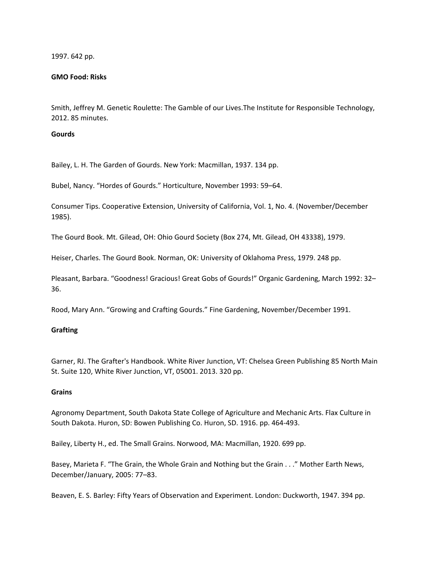1997. 642 pp.

## **GMO Food: Risks**

Smith, Jeffrey M. Genetic Roulette: The Gamble of our Lives.The Institute for Responsible Technology, 2012. 85 minutes.

### **Gourds**

Bailey, L. H. The Garden of Gourds. New York: Macmillan, 1937. 134 pp.

Bubel, Nancy. "Hordes of Gourds." Horticulture, November 1993: 59–64.

Consumer Tips. Cooperative Extension, University of California, Vol. 1, No. 4. (November/December 1985).

The Gourd Book. Mt. Gilead, OH: Ohio Gourd Society (Box 274, Mt. Gilead, OH 43338), 1979.

Heiser, Charles. The Gourd Book. Norman, OK: University of Oklahoma Press, 1979. 248 pp.

Pleasant, Barbara. "Goodness! Gracious! Great Gobs of Gourds!" Organic Gardening, March 1992: 32– 36.

Rood, Mary Ann. "Growing and Crafting Gourds." Fine Gardening, November/December 1991.

# **Grafting**

Garner, RJ. The Grafter's Handbook. White River Junction, VT: Chelsea Green Publishing 85 North Main St. Suite 120, White River Junction, VT, 05001. 2013. 320 pp.

#### **Grains**

Agronomy Department, South Dakota State College of Agriculture and Mechanic Arts. Flax Culture in South Dakota. Huron, SD: Bowen Publishing Co. Huron, SD. 1916. pp. 464‐493.

Bailey, Liberty H., ed. The Small Grains. Norwood, MA: Macmillan, 1920. 699 pp.

Basey, Marieta F. "The Grain, the Whole Grain and Nothing but the Grain . . ." Mother Earth News, December/January, 2005: 77–83.

Beaven, E. S. Barley: Fifty Years of Observation and Experiment. London: Duckworth, 1947. 394 pp.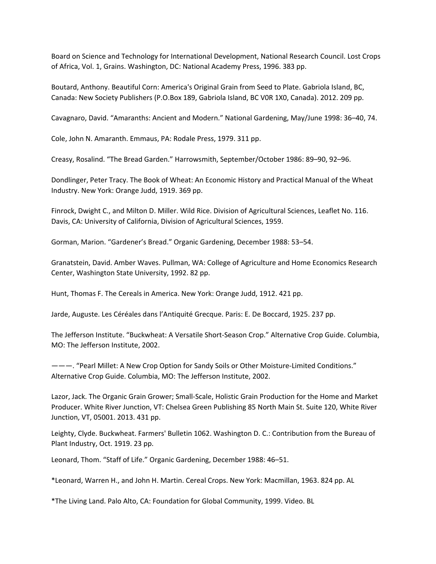Board on Science and Technology for International Development, National Research Council. Lost Crops of Africa, Vol. 1, Grains. Washington, DC: National Academy Press, 1996. 383 pp.

Boutard, Anthony. Beautiful Corn: America's Original Grain from Seed to Plate. Gabriola Island, BC, Canada: New Society Publishers (P.O.Box 189, Gabriola Island, BC V0R 1X0, Canada). 2012. 209 pp.

Cavagnaro, David. "Amaranths: Ancient and Modern." National Gardening, May/June 1998: 36–40, 74.

Cole, John N. Amaranth. Emmaus, PA: Rodale Press, 1979. 311 pp.

Creasy, Rosalind. "The Bread Garden." Harrowsmith, September/October 1986: 89–90, 92–96.

Dondlinger, Peter Tracy. The Book of Wheat: An Economic History and Practical Manual of the Wheat Industry. New York: Orange Judd, 1919. 369 pp.

Finrock, Dwight C., and Milton D. Miller. Wild Rice. Division of Agricultural Sciences, Leaflet No. 116. Davis, CA: University of California, Division of Agricultural Sciences, 1959.

Gorman, Marion. "Gardener's Bread." Organic Gardening, December 1988: 53–54.

Granatstein, David. Amber Waves. Pullman, WA: College of Agriculture and Home Economics Research Center, Washington State University, 1992. 82 pp.

Hunt, Thomas F. The Cereals in America. New York: Orange Judd, 1912. 421 pp.

Jarde, Auguste. Les Céréales dans l'Antiquité Grecque. Paris: E. De Boccard, 1925. 237 pp.

The Jefferson Institute. "Buckwheat: A Versatile Short‐Season Crop." Alternative Crop Guide. Columbia, MO: The Jefferson Institute, 2002.

———. "Pearl Millet: A New Crop Option for Sandy Soils or Other Moisture‐Limited Conditions." Alternative Crop Guide. Columbia, MO: The Jefferson Institute, 2002.

Lazor, Jack. The Organic Grain Grower; Small‐Scale, Holistic Grain Production for the Home and Market Producer. White River Junction, VT: Chelsea Green Publishing 85 North Main St. Suite 120, White River Junction, VT, 05001. 2013. 431 pp.

Leighty, Clyde. Buckwheat. Farmers' Bulletin 1062. Washington D. C.: Contribution from the Bureau of Plant Industry, Oct. 1919. 23 pp.

Leonard, Thom. "Staff of Life." Organic Gardening, December 1988: 46–51.

\*Leonard, Warren H., and John H. Martin. Cereal Crops. New York: Macmillan, 1963. 824 pp. AL

\*The Living Land. Palo Alto, CA: Foundation for Global Community, 1999. Video. BL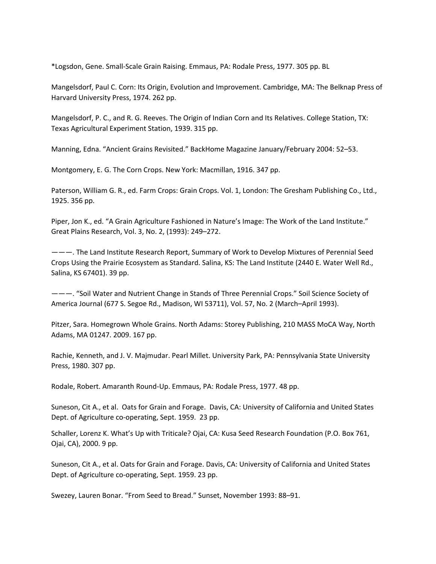\*Logsdon, Gene. Small‐Scale Grain Raising. Emmaus, PA: Rodale Press, 1977. 305 pp. BL

Mangelsdorf, Paul C. Corn: Its Origin, Evolution and Improvement. Cambridge, MA: The Belknap Press of Harvard University Press, 1974. 262 pp.

Mangelsdorf, P. C., and R. G. Reeves. The Origin of Indian Corn and Its Relatives. College Station, TX: Texas Agricultural Experiment Station, 1939. 315 pp.

Manning, Edna. "Ancient Grains Revisited." BackHome Magazine January/February 2004: 52–53.

Montgomery, E. G. The Corn Crops. New York: Macmillan, 1916. 347 pp.

Paterson, William G. R., ed. Farm Crops: Grain Crops. Vol. 1, London: The Gresham Publishing Co., Ltd., 1925. 356 pp.

Piper, Jon K., ed. "A Grain Agriculture Fashioned in Nature's Image: The Work of the Land Institute." Great Plains Research, Vol. 3, No. 2, (1993): 249–272.

———. The Land Institute Research Report, Summary of Work to Develop Mixtures of Perennial Seed Crops Using the Prairie Ecosystem as Standard. Salina, KS: The Land Institute (2440 E. Water Well Rd., Salina, KS 67401). 39 pp.

———. "Soil Water and Nutrient Change in Stands of Three Perennial Crops." Soil Science Society of America Journal (677 S. Segoe Rd., Madison, WI 53711), Vol. 57, No. 2 (March–April 1993).

Pitzer, Sara. Homegrown Whole Grains. North Adams: Storey Publishing, 210 MASS MoCA Way, North Adams, MA 01247. 2009. 167 pp.

Rachie, Kenneth, and J. V. Majmudar. Pearl Millet. University Park, PA: Pennsylvania State University Press, 1980. 307 pp.

Rodale, Robert. Amaranth Round‐Up. Emmaus, PA: Rodale Press, 1977. 48 pp.

Suneson, Cit A., et al. Oats for Grain and Forage. Davis, CA: University of California and United States Dept. of Agriculture co-operating, Sept. 1959. 23 pp.

Schaller, Lorenz K. What's Up with Triticale? Ojai, CA: Kusa Seed Research Foundation (P.O. Box 761, Ojai, CA), 2000. 9 pp.

Suneson, Cit A., et al. Oats for Grain and Forage. Davis, CA: University of California and United States Dept. of Agriculture co-operating, Sept. 1959. 23 pp.

Swezey, Lauren Bonar. "From Seed to Bread." Sunset, November 1993: 88–91.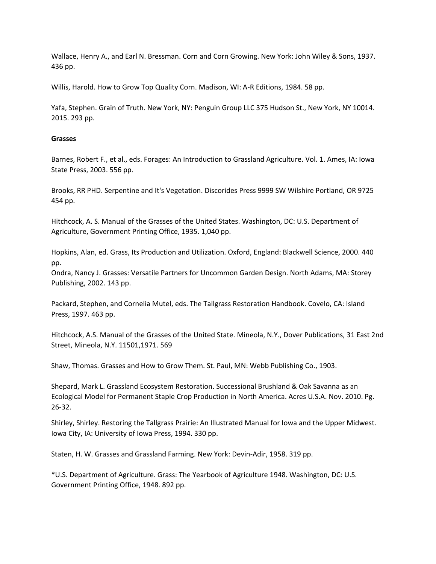Wallace, Henry A., and Earl N. Bressman. Corn and Corn Growing. New York: John Wiley & Sons, 1937. 436 pp.

Willis, Harold. How to Grow Top Quality Corn. Madison, WI: A‐R Editions, 1984. 58 pp.

Yafa, Stephen. Grain of Truth. New York, NY: Penguin Group LLC 375 Hudson St., New York, NY 10014. 2015. 293 pp.

## **Grasses**

Barnes, Robert F., et al., eds. Forages: An Introduction to Grassland Agriculture. Vol. 1. Ames, IA: Iowa State Press, 2003. 556 pp.

Brooks, RR PHD. Serpentine and It's Vegetation. Discorides Press 9999 SW Wilshire Portland, OR 9725 454 pp.

Hitchcock, A. S. Manual of the Grasses of the United States. Washington, DC: U.S. Department of Agriculture, Government Printing Office, 1935. 1,040 pp.

Hopkins, Alan, ed. Grass, Its Production and Utilization. Oxford, England: Blackwell Science, 2000. 440 pp.

Ondra, Nancy J. Grasses: Versatile Partners for Uncommon Garden Design. North Adams, MA: Storey Publishing, 2002. 143 pp.

Packard, Stephen, and Cornelia Mutel, eds. The Tallgrass Restoration Handbook. Covelo, CA: Island Press, 1997. 463 pp.

Hitchcock, A.S. Manual of the Grasses of the United State. Mineola, N.Y., Dover Publications, 31 East 2nd Street, Mineola, N.Y. 11501,1971. 569

Shaw, Thomas. Grasses and How to Grow Them. St. Paul, MN: Webb Publishing Co., 1903.

Shepard, Mark L. Grassland Ecosystem Restoration. Successional Brushland & Oak Savanna as an Ecological Model for Permanent Staple Crop Production in North America. Acres U.S.A. Nov. 2010. Pg. 26‐32.

Shirley, Shirley. Restoring the Tallgrass Prairie: An Illustrated Manual for Iowa and the Upper Midwest. Iowa City, IA: University of Iowa Press, 1994. 330 pp.

Staten, H. W. Grasses and Grassland Farming. New York: Devin‐Adir, 1958. 319 pp.

\*U.S. Department of Agriculture. Grass: The Yearbook of Agriculture 1948. Washington, DC: U.S. Government Printing Office, 1948. 892 pp.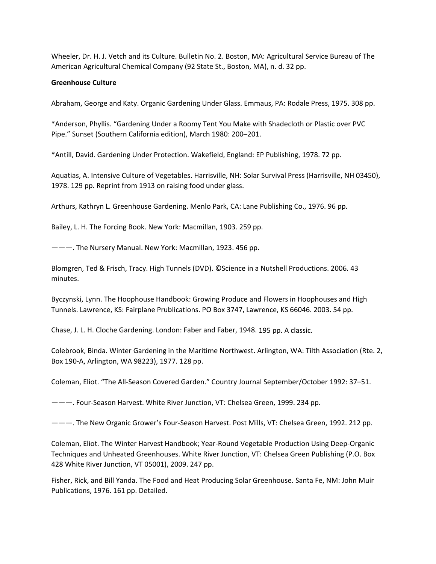Wheeler, Dr. H. J. Vetch and its Culture. Bulletin No. 2. Boston, MA: Agricultural Service Bureau of The American Agricultural Chemical Company (92 State St., Boston, MA), n. d. 32 pp.

# **Greenhouse Culture**

Abraham, George and Katy. Organic Gardening Under Glass. Emmaus, PA: Rodale Press, 1975. 308 pp.

\*Anderson, Phyllis. "Gardening Under a Roomy Tent You Make with Shadecloth or Plastic over PVC Pipe." Sunset (Southern California edition), March 1980: 200–201.

\*Antill, David. Gardening Under Protection. Wakefield, England: EP Publishing, 1978. 72 pp.

Aquatias, A. Intensive Culture of Vegetables. Harrisville, NH: Solar Survival Press (Harrisville, NH 03450), 1978. 129 pp. Reprint from 1913 on raising food under glass.

Arthurs, Kathryn L. Greenhouse Gardening. Menlo Park, CA: Lane Publishing Co., 1976. 96 pp.

Bailey, L. H. The Forcing Book. New York: Macmillan, 1903. 259 pp.

———. The Nursery Manual. New York: Macmillan, 1923. 456 pp.

Blomgren, Ted & Frisch, Tracy. High Tunnels (DVD). ©Science in a Nutshell Productions. 2006. 43 minutes.

Byczynski, Lynn. The Hoophouse Handbook: Growing Produce and Flowers in Hoophouses and High Tunnels. Lawrence, KS: Fairplane Prublications. PO Box 3747, Lawrence, KS 66046. 2003. 54 pp.

Chase, J. L. H. Cloche Gardening. London: Faber and Faber, 1948. 195 pp. A classic.

Colebrook, Binda. Winter Gardening in the Maritime Northwest. Arlington, WA: Tilth Association (Rte. 2, Box 190‐A, Arlington, WA 98223), 1977. 128 pp.

Coleman, Eliot. "The All‐Season Covered Garden." Country Journal September/October 1992: 37–51.

———. Four‐Season Harvest. White River Junction, VT: Chelsea Green, 1999. 234 pp.

———. The New Organic Grower's Four‐Season Harvest. Post Mills, VT: Chelsea Green, 1992. 212 pp.

Coleman, Eliot. The Winter Harvest Handbook; Year‐Round Vegetable Production Using Deep‐Organic Techniques and Unheated Greenhouses. White River Junction, VT: Chelsea Green Publishing (P.O. Box 428 White River Junction, VT 05001), 2009. 247 pp.

Fisher, Rick, and Bill Yanda. The Food and Heat Producing Solar Greenhouse. Santa Fe, NM: John Muir Publications, 1976. 161 pp. Detailed.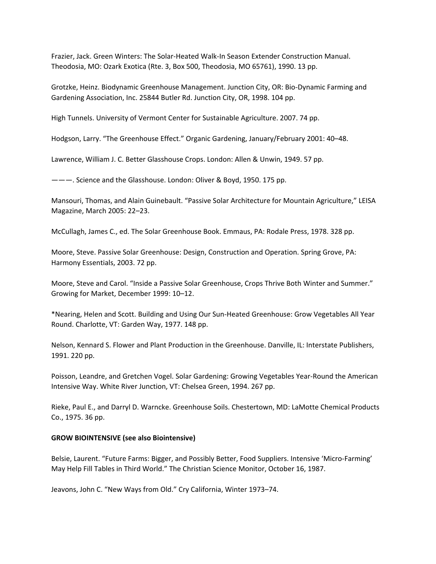Frazier, Jack. Green Winters: The Solar‐Heated Walk‐In Season Extender Construction Manual. Theodosia, MO: Ozark Exotica (Rte. 3, Box 500, Theodosia, MO 65761), 1990. 13 pp.

Grotzke, Heinz. Biodynamic Greenhouse Management. Junction City, OR: Bio‐Dynamic Farming and Gardening Association, Inc. 25844 Butler Rd. Junction City, OR, 1998. 104 pp.

High Tunnels. University of Vermont Center for Sustainable Agriculture. 2007. 74 pp.

Hodgson, Larry. "The Greenhouse Effect." Organic Gardening, January/February 2001: 40–48.

Lawrence, William J. C. Better Glasshouse Crops. London: Allen & Unwin, 1949. 57 pp.

———. Science and the Glasshouse. London: Oliver & Boyd, 1950. 175 pp.

Mansouri, Thomas, and Alain Guinebault. "Passive Solar Architecture for Mountain Agriculture," LEISA Magazine, March 2005: 22–23.

McCullagh, James C., ed. The Solar Greenhouse Book. Emmaus, PA: Rodale Press, 1978. 328 pp.

Moore, Steve. Passive Solar Greenhouse: Design, Construction and Operation. Spring Grove, PA: Harmony Essentials, 2003. 72 pp.

Moore, Steve and Carol. "Inside a Passive Solar Greenhouse, Crops Thrive Both Winter and Summer." Growing for Market, December 1999: 10–12.

\*Nearing, Helen and Scott. Building and Using Our Sun‐Heated Greenhouse: Grow Vegetables All Year Round. Charlotte, VT: Garden Way, 1977. 148 pp.

Nelson, Kennard S. Flower and Plant Production in the Greenhouse. Danville, IL: Interstate Publishers, 1991. 220 pp.

Poisson, Leandre, and Gretchen Vogel. Solar Gardening: Growing Vegetables Year‐Round the American Intensive Way. White River Junction, VT: Chelsea Green, 1994. 267 pp.

Rieke, Paul E., and Darryl D. Warncke. Greenhouse Soils. Chestertown, MD: LaMotte Chemical Products Co., 1975. 36 pp.

#### **GROW BIOINTENSIVE (see also Biointensive)**

Belsie, Laurent. "Future Farms: Bigger, and Possibly Better, Food Suppliers. Intensive 'Micro‐Farming' May Help Fill Tables in Third World." The Christian Science Monitor, October 16, 1987.

Jeavons, John C. "New Ways from Old." Cry California, Winter 1973–74.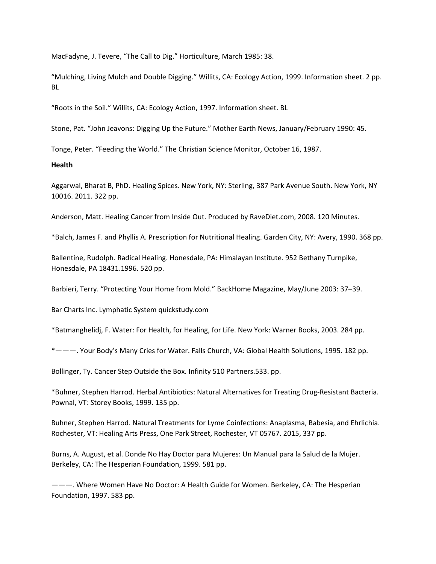MacFadyne, J. Tevere, "The Call to Dig." Horticulture, March 1985: 38.

"Mulching, Living Mulch and Double Digging." Willits, CA: Ecology Action, 1999. Information sheet. 2 pp. BL

"Roots in the Soil." Willits, CA: Ecology Action, 1997. Information sheet. BL

Stone, Pat. "John Jeavons: Digging Up the Future." Mother Earth News, January/February 1990: 45.

Tonge, Peter. "Feeding the World." The Christian Science Monitor, October 16, 1987.

## **Health**

Aggarwal, Bharat B, PhD. Healing Spices. New York, NY: Sterling, 387 Park Avenue South. New York, NY 10016. 2011. 322 pp.

Anderson, Matt. Healing Cancer from Inside Out. Produced by RaveDiet.com, 2008. 120 Minutes.

\*Balch, James F. and Phyllis A. Prescription for Nutritional Healing. Garden City, NY: Avery, 1990. 368 pp.

Ballentine, Rudolph. Radical Healing. Honesdale, PA: Himalayan Institute. 952 Bethany Turnpike, Honesdale, PA 18431.1996. 520 pp.

Barbieri, Terry. "Protecting Your Home from Mold." BackHome Magazine, May/June 2003: 37–39.

Bar Charts Inc. Lymphatic System quickstudy.com

\*Batmanghelidj, F. Water: For Health, for Healing, for Life. New York: Warner Books, 2003. 284 pp.

\*———. Your Body's Many Cries for Water. Falls Church, VA: Global Health Solutions, 1995. 182 pp.

Bollinger, Ty. Cancer Step Outside the Box. Infinity 510 Partners.533. pp.

\*Buhner, Stephen Harrod. Herbal Antibiotics: Natural Alternatives for Treating Drug‐Resistant Bacteria. Pownal, VT: Storey Books, 1999. 135 pp.

Buhner, Stephen Harrod. Natural Treatments for Lyme Coinfections: Anaplasma, Babesia, and Ehrlichia. Rochester, VT: Healing Arts Press, One Park Street, Rochester, VT 05767. 2015, 337 pp.

Burns, A. August, et al. Donde No Hay Doctor para Mujeres: Un Manual para la Salud de la Mujer. Berkeley, CA: The Hesperian Foundation, 1999. 581 pp.

———. Where Women Have No Doctor: A Health Guide for Women. Berkeley, CA: The Hesperian Foundation, 1997. 583 pp.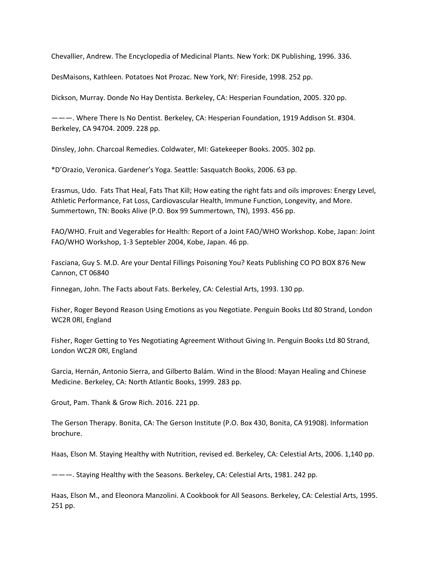Chevallier, Andrew. The Encyclopedia of Medicinal Plants. New York: DK Publishing, 1996. 336.

DesMaisons, Kathleen. Potatoes Not Prozac. New York, NY: Fireside, 1998. 252 pp.

Dickson, Murray. Donde No Hay Dentista. Berkeley, CA: Hesperian Foundation, 2005. 320 pp.

———. Where There Is No Dentist. Berkeley, CA: Hesperian Foundation, 1919 Addison St. #304. Berkeley, CA 94704. 2009. 228 pp.

Dinsley, John. Charcoal Remedies. Coldwater, MI: Gatekeeper Books. 2005. 302 pp.

\*D'Orazio, Veronica. Gardener's Yoga. Seattle: Sasquatch Books, 2006. 63 pp.

Erasmus, Udo. Fats That Heal, Fats That Kill; How eating the right fats and oils improves: Energy Level, Athletic Performance, Fat Loss, Cardiovascular Health, Immune Function, Longevity, and More. Summertown, TN: Books Alive (P.O. Box 99 Summertown, TN), 1993. 456 pp.

FAO/WHO. Fruit and Vegerables for Health: Report of a Joint FAO/WHO Workshop. Kobe, Japan: Joint FAO/WHO Workshop, 1‐3 Septebler 2004, Kobe, Japan. 46 pp.

Fasciana, Guy S. M.D. Are your Dental Fillings Poisoning You? Keats Publishing CO PO BOX 876 New Cannon, CT 06840

Finnegan, John. The Facts about Fats. Berkeley, CA: Celestial Arts, 1993. 130 pp.

Fisher, Roger Beyond Reason Using Emotions as you Negotiate. Penguin Books Ltd 80 Strand, London WC2R 0Rl, England

Fisher, Roger Getting to Yes Negotiating Agreement Without Giving In. Penguin Books Ltd 80 Strand, London WC2R 0Rl, England

Garcia, Hernán, Antonio Sierra, and Gilberto Balám. Wind in the Blood: Mayan Healing and Chinese Medicine. Berkeley, CA: North Atlantic Books, 1999. 283 pp.

Grout, Pam. Thank & Grow Rich. 2016. 221 pp.

The Gerson Therapy. Bonita, CA: The Gerson Institute (P.O. Box 430, Bonita, CA 91908). Information brochure.

Haas, Elson M. Staying Healthy with Nutrition, revised ed. Berkeley, CA: Celestial Arts, 2006. 1,140 pp.

———. Staying Healthy with the Seasons. Berkeley, CA: Celestial Arts, 1981. 242 pp.

Haas, Elson M., and Eleonora Manzolini. A Cookbook for All Seasons. Berkeley, CA: Celestial Arts, 1995. 251 pp.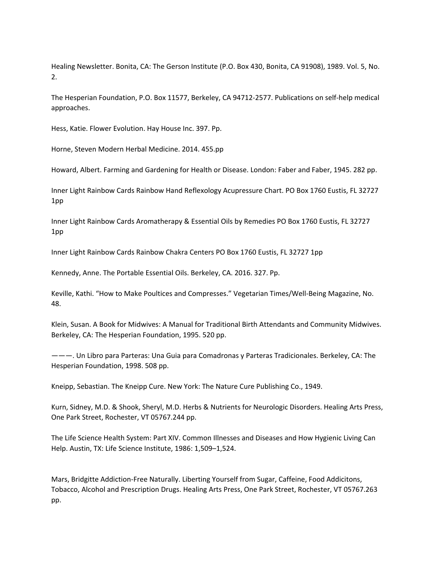Healing Newsletter. Bonita, CA: The Gerson Institute (P.O. Box 430, Bonita, CA 91908), 1989. Vol. 5, No. 2.

The Hesperian Foundation, P.O. Box 11577, Berkeley, CA 94712‐2577. Publications on self‐help medical approaches.

Hess, Katie. Flower Evolution. Hay House Inc. 397. Pp.

Horne, Steven Modern Herbal Medicine. 2014. 455.pp

Howard, Albert. Farming and Gardening for Health or Disease. London: Faber and Faber, 1945. 282 pp.

Inner Light Rainbow Cards Rainbow Hand Reflexology Acupressure Chart. PO Box 1760 Eustis, FL 32727 1pp

Inner Light Rainbow Cards Aromatherapy & Essential Oils by Remedies PO Box 1760 Eustis, FL 32727 1pp

Inner Light Rainbow Cards Rainbow Chakra Centers PO Box 1760 Eustis, FL 32727 1pp

Kennedy, Anne. The Portable Essential Oils. Berkeley, CA. 2016. 327. Pp.

Keville, Kathi. "How to Make Poultices and Compresses." Vegetarian Times/Well‐Being Magazine, No. 48.

Klein, Susan. A Book for Midwives: A Manual for Traditional Birth Attendants and Community Midwives. Berkeley, CA: The Hesperian Foundation, 1995. 520 pp.

———. Un Libro para Parteras: Una Guia para Comadronas y Parteras Tradicionales. Berkeley, CA: The Hesperian Foundation, 1998. 508 pp.

Kneipp, Sebastian. The Kneipp Cure. New York: The Nature Cure Publishing Co., 1949.

Kurn, Sidney, M.D. & Shook, Sheryl, M.D. Herbs & Nutrients for Neurologic Disorders. Healing Arts Press, One Park Street, Rochester, VT 05767.244 pp.

The Life Science Health System: Part XIV. Common Illnesses and Diseases and How Hygienic Living Can Help. Austin, TX: Life Science Institute, 1986: 1,509–1,524.

Mars, Bridgitte Addiction‐Free Naturally. Liberting Yourself from Sugar, Caffeine, Food Addicitons, Tobacco, Alcohol and Prescription Drugs. Healing Arts Press, One Park Street, Rochester, VT 05767.263 pp.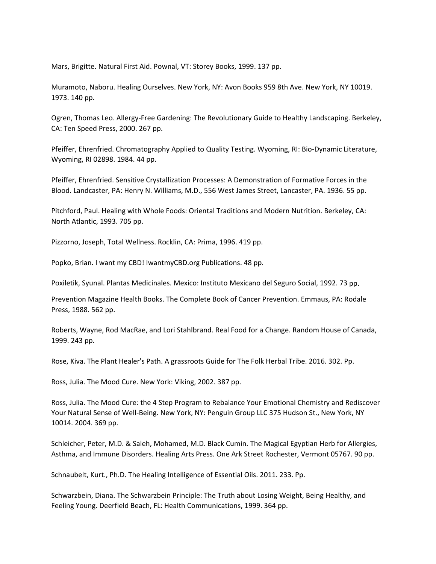Mars, Brigitte. Natural First Aid. Pownal, VT: Storey Books, 1999. 137 pp.

Muramoto, Naboru. Healing Ourselves. New York, NY: Avon Books 959 8th Ave. New York, NY 10019. 1973. 140 pp.

Ogren, Thomas Leo. Allergy‐Free Gardening: The Revolutionary Guide to Healthy Landscaping. Berkeley, CA: Ten Speed Press, 2000. 267 pp.

Pfeiffer, Ehrenfried. Chromatography Applied to Quality Testing. Wyoming, RI: Bio‐Dynamic Literature, Wyoming, RI 02898. 1984. 44 pp.

Pfeiffer, Ehrenfried. Sensitive Crystallization Processes: A Demonstration of Formative Forces in the Blood. Landcaster, PA: Henry N. Williams, M.D., 556 West James Street, Lancaster, PA. 1936. 55 pp.

Pitchford, Paul. Healing with Whole Foods: Oriental Traditions and Modern Nutrition. Berkeley, CA: North Atlantic, 1993. 705 pp.

Pizzorno, Joseph, Total Wellness. Rocklin, CA: Prima, 1996. 419 pp.

Popko, Brian. I want my CBD! IwantmyCBD.org Publications. 48 pp.

Poxiletik, Syunal. Plantas Medicinales. Mexico: Instituto Mexicano del Seguro Social, 1992. 73 pp.

Prevention Magazine Health Books. The Complete Book of Cancer Prevention. Emmaus, PA: Rodale Press, 1988. 562 pp.

Roberts, Wayne, Rod MacRae, and Lori Stahlbrand. Real Food for a Change. Random House of Canada, 1999. 243 pp.

Rose, Kiva. The Plant Healer's Path. A grassroots Guide for The Folk Herbal Tribe. 2016. 302. Pp.

Ross, Julia. The Mood Cure. New York: Viking, 2002. 387 pp.

Ross, Julia. The Mood Cure: the 4 Step Program to Rebalance Your Emotional Chemistry and Rediscover Your Natural Sense of Well‐Being. New York, NY: Penguin Group LLC 375 Hudson St., New York, NY 10014. 2004. 369 pp.

Schleicher, Peter, M.D. & Saleh, Mohamed, M.D. Black Cumin. The Magical Egyptian Herb for Allergies, Asthma, and Immune Disorders. Healing Arts Press. One Ark Street Rochester, Vermont 05767. 90 pp.

Schnaubelt, Kurt., Ph.D. The Healing Intelligence of Essential Oils. 2011. 233. Pp.

Schwarzbein, Diana. The Schwarzbein Principle: The Truth about Losing Weight, Being Healthy, and Feeling Young. Deerfield Beach, FL: Health Communications, 1999. 364 pp.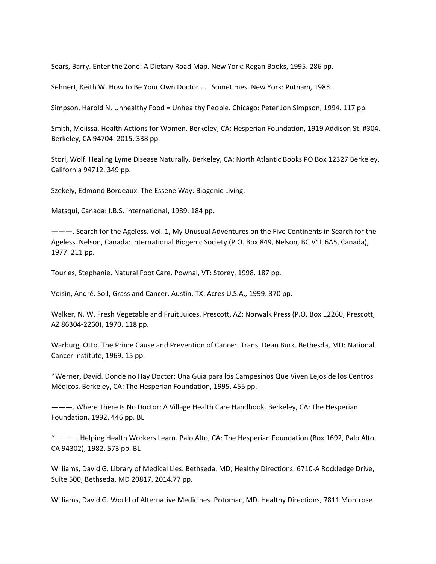Sears, Barry. Enter the Zone: A Dietary Road Map. New York: Regan Books, 1995. 286 pp.

Sehnert, Keith W. How to Be Your Own Doctor . . . Sometimes. New York: Putnam, 1985.

Simpson, Harold N. Unhealthy Food = Unhealthy People. Chicago: Peter Jon Simpson, 1994. 117 pp.

Smith, Melissa. Health Actions for Women. Berkeley, CA: Hesperian Foundation, 1919 Addison St. #304. Berkeley, CA 94704. 2015. 338 pp.

Storl, Wolf. Healing Lyme Disease Naturally. Berkeley, CA: North Atlantic Books PO Box 12327 Berkeley, California 94712. 349 pp.

Szekely, Edmond Bordeaux. The Essene Way: Biogenic Living.

Matsqui, Canada: I.B.S. International, 1989. 184 pp.

———. Search for the Ageless. Vol. 1, My Unusual Adventures on the Five Continents in Search for the Ageless. Nelson, Canada: International Biogenic Society (P.O. Box 849, Nelson, BC V1L 6A5, Canada), 1977. 211 pp.

Tourles, Stephanie. Natural Foot Care. Pownal, VT: Storey, 1998. 187 pp.

Voisin, André. Soil, Grass and Cancer. Austin, TX: Acres U.S.A., 1999. 370 pp.

Walker, N. W. Fresh Vegetable and Fruit Juices. Prescott, AZ: Norwalk Press (P.O. Box 12260, Prescott, AZ 86304‐2260), 1970. 118 pp.

Warburg, Otto. The Prime Cause and Prevention of Cancer. Trans. Dean Burk. Bethesda, MD: National Cancer Institute, 1969. 15 pp.

\*Werner, David. Donde no Hay Doctor: Una Guia para los Campesinos Que Viven Lejos de los Centros Médicos. Berkeley, CA: The Hesperian Foundation, 1995. 455 pp.

———. Where There Is No Doctor: A Village Health Care Handbook. Berkeley, CA: The Hesperian Foundation, 1992. 446 pp. BL

\*———. Helping Health Workers Learn. Palo Alto, CA: The Hesperian Foundation (Box 1692, Palo Alto, CA 94302), 1982. 573 pp. BL

Williams, David G. Library of Medical Lies. Bethseda, MD; Healthy Directions, 6710‐A Rockledge Drive, Suite 500, Bethseda, MD 20817. 2014.77 pp.

Williams, David G. World of Alternative Medicines. Potomac, MD. Healthy Directions, 7811 Montrose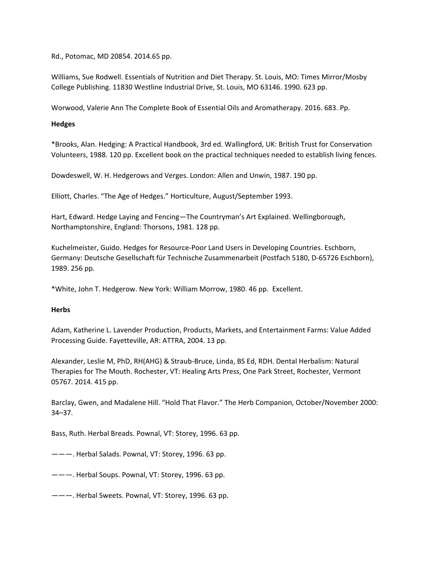Rd., Potomac, MD 20854. 2014.65 pp.

Williams, Sue Rodwell. Essentials of Nutrition and Diet Therapy. St. Louis, MO: Times Mirror/Mosby College Publishing. 11830 Westline Industrial Drive, St. Louis, MO 63146. 1990. 623 pp.

Worwood, Valerie Ann The Complete Book of Essential Oils and Aromatherapy. 2016. 683. Pp.

## **Hedges**

\*Brooks, Alan. Hedging: A Practical Handbook, 3rd ed. Wallingford, UK: British Trust for Conservation Volunteers, 1988. 120 pp. Excellent book on the practical techniques needed to establish living fences.

Dowdeswell, W. H. Hedgerows and Verges. London: Allen and Unwin, 1987. 190 pp.

Elliott, Charles. "The Age of Hedges." Horticulture, August/September 1993.

Hart, Edward. Hedge Laying and Fencing—The Countryman's Art Explained. Wellingborough, Northamptonshire, England: Thorsons, 1981. 128 pp.

Kuchelmeister, Guido. Hedges for Resource‐Poor Land Users in Developing Countries. Eschborn, Germany: Deutsche Gesellschaft für Technische Zusammenarbeit (Postfach 5180, D‐65726 Eschborn), 1989. 256 pp.

\*White, John T. Hedgerow. New York: William Morrow, 1980. 46 pp. Excellent.

#### **Herbs**

Adam, Katherine L. Lavender Production, Products, Markets, and Entertainment Farms: Value Added Processing Guide. Fayetteville, AR: ATTRA, 2004. 13 pp.

Alexander, Leslie M, PhD, RH(AHG) & Straub‐Bruce, Linda, BS Ed, RDH. Dental Herbalism: Natural Therapies for The Mouth. Rochester, VT: Healing Arts Press, One Park Street, Rochester, Vermont 05767. 2014. 415 pp.

Barclay, Gwen, and Madalene Hill. "Hold That Flavor." The Herb Companion, October/November 2000: 34–37.

Bass, Ruth. Herbal Breads. Pownal, VT: Storey, 1996. 63 pp.

———. Herbal Salads. Pownal, VT: Storey, 1996. 63 pp.

———. Herbal Soups. Pownal, VT: Storey, 1996. 63 pp.

———. Herbal Sweets. Pownal, VT: Storey, 1996. 63 pp.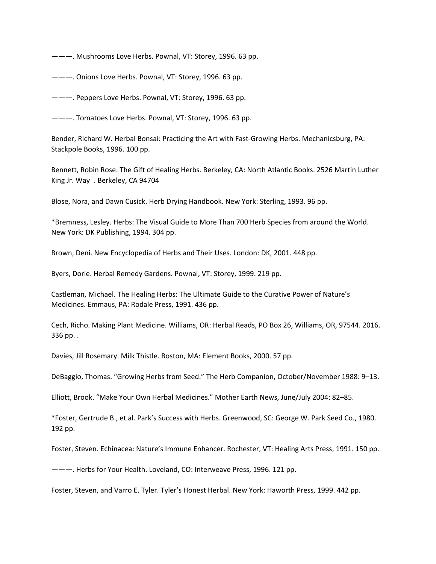———. Mushrooms Love Herbs. Pownal, VT: Storey, 1996. 63 pp.

———. Onions Love Herbs. Pownal, VT: Storey, 1996. 63 pp.

———. Peppers Love Herbs. Pownal, VT: Storey, 1996. 63 pp.

———. Tomatoes Love Herbs. Pownal, VT: Storey, 1996. 63 pp.

Bender, Richard W. Herbal Bonsai: Practicing the Art with Fast-Growing Herbs. Mechanicsburg, PA: Stackpole Books, 1996. 100 pp.

Bennett, Robin Rose. The Gift of Healing Herbs. Berkeley, CA: North Atlantic Books. 2526 Martin Luther King Jr. Way . Berkeley, CA 94704

Blose, Nora, and Dawn Cusick. Herb Drying Handbook. New York: Sterling, 1993. 96 pp.

\*Bremness, Lesley. Herbs: The Visual Guide to More Than 700 Herb Species from around the World. New York: DK Publishing, 1994. 304 pp.

Brown, Deni. New Encyclopedia of Herbs and Their Uses. London: DK, 2001. 448 pp.

Byers, Dorie. Herbal Remedy Gardens. Pownal, VT: Storey, 1999. 219 pp.

Castleman, Michael. The Healing Herbs: The Ultimate Guide to the Curative Power of Nature's Medicines. Emmaus, PA: Rodale Press, 1991. 436 pp.

Cech, Richo. Making Plant Medicine. Williams, OR: Herbal Reads, PO Box 26, Williams, OR, 97544. 2016. 336 pp. .

Davies, Jill Rosemary. Milk Thistle. Boston, MA: Element Books, 2000. 57 pp.

DeBaggio, Thomas. "Growing Herbs from Seed." The Herb Companion, October/November 1988: 9–13.

Elliott, Brook. "Make Your Own Herbal Medicines." Mother Earth News, June/July 2004: 82–85.

\*Foster, Gertrude B., et al. Park's Success with Herbs. Greenwood, SC: George W. Park Seed Co., 1980. 192 pp.

Foster, Steven. Echinacea: Nature's Immune Enhancer. Rochester, VT: Healing Arts Press, 1991. 150 pp.

———. Herbs for Your Health. Loveland, CO: Interweave Press, 1996. 121 pp.

Foster, Steven, and Varro E. Tyler. Tyler's Honest Herbal. New York: Haworth Press, 1999. 442 pp.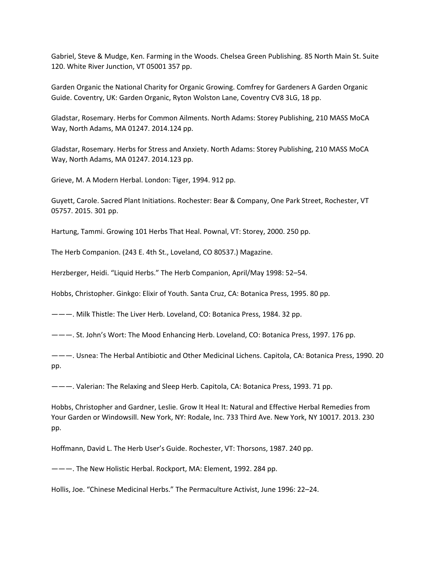Gabriel, Steve & Mudge, Ken. Farming in the Woods. Chelsea Green Publishing. 85 North Main St. Suite 120. White River Junction, VT 05001 357 pp.

Garden Organic the National Charity for Organic Growing. Comfrey for Gardeners A Garden Organic Guide. Coventry, UK: Garden Organic, Ryton Wolston Lane, Coventry CV8 3LG, 18 pp.

Gladstar, Rosemary. Herbs for Common Ailments. North Adams: Storey Publishing, 210 MASS MoCA Way, North Adams, MA 01247. 2014.124 pp.

Gladstar, Rosemary. Herbs for Stress and Anxiety. North Adams: Storey Publishing, 210 MASS MoCA Way, North Adams, MA 01247. 2014.123 pp.

Grieve, M. A Modern Herbal. London: Tiger, 1994. 912 pp.

Guyett, Carole. Sacred Plant Initiations. Rochester: Bear & Company, One Park Street, Rochester, VT 05757. 2015. 301 pp.

Hartung, Tammi. Growing 101 Herbs That Heal. Pownal, VT: Storey, 2000. 250 pp.

The Herb Companion. (243 E. 4th St., Loveland, CO 80537.) Magazine.

Herzberger, Heidi. "Liquid Herbs." The Herb Companion, April/May 1998: 52–54.

Hobbs, Christopher. Ginkgo: Elixir of Youth. Santa Cruz, CA: Botanica Press, 1995. 80 pp.

———. Milk Thistle: The Liver Herb. Loveland, CO: Botanica Press, 1984. 32 pp.

———. St. John's Wort: The Mood Enhancing Herb. Loveland, CO: Botanica Press, 1997. 176 pp.

———. Usnea: The Herbal Antibiotic and Other Medicinal Lichens. Capitola, CA: Botanica Press, 1990. 20 pp.

———. Valerian: The Relaxing and Sleep Herb. Capitola, CA: Botanica Press, 1993. 71 pp.

Hobbs, Christopher and Gardner, Leslie. Grow It Heal It: Natural and Effective Herbal Remedies from Your Garden or Windowsill. New York, NY: Rodale, Inc. 733 Third Ave. New York, NY 10017. 2013. 230 pp.

Hoffmann, David L. The Herb User's Guide. Rochester, VT: Thorsons, 1987. 240 pp.

———. The New Holistic Herbal. Rockport, MA: Element, 1992. 284 pp.

Hollis, Joe. "Chinese Medicinal Herbs." The Permaculture Activist, June 1996: 22–24.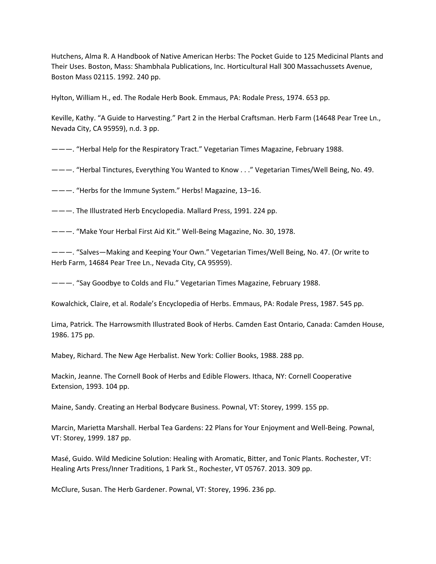Hutchens, Alma R. A Handbook of Native American Herbs: The Pocket Guide to 125 Medicinal Plants and Their Uses. Boston, Mass: Shambhala Publications, Inc. Horticultural Hall 300 Massachussets Avenue, Boston Mass 02115. 1992. 240 pp.

Hylton, William H., ed. The Rodale Herb Book. Emmaus, PA: Rodale Press, 1974. 653 pp.

Keville, Kathy. "A Guide to Harvesting." Part 2 in the Herbal Craftsman. Herb Farm (14648 Pear Tree Ln., Nevada City, CA 95959), n.d. 3 pp.

———. "Herbal Help for the Respiratory Tract." Vegetarian Times Magazine, February 1988.

———. "Herbal Tinctures, Everything You Wanted to Know . . ." Vegetarian Times/Well Being, No. 49.

———. "Herbs for the Immune System." Herbs! Magazine, 13–16.

———. The Illustrated Herb Encyclopedia. Mallard Press, 1991. 224 pp.

———. "Make Your Herbal First Aid Kit." Well‐Being Magazine, No. 30, 1978.

———. "Salves—Making and Keeping Your Own." Vegetarian Times/Well Being, No. 47. (Or write to Herb Farm, 14684 Pear Tree Ln., Nevada City, CA 95959).

———. "Say Goodbye to Colds and Flu." Vegetarian Times Magazine, February 1988.

Kowalchick, Claire, et al. Rodale's Encyclopedia of Herbs. Emmaus, PA: Rodale Press, 1987. 545 pp.

Lima, Patrick. The Harrowsmith Illustrated Book of Herbs. Camden East Ontario, Canada: Camden House, 1986. 175 pp.

Mabey, Richard. The New Age Herbalist. New York: Collier Books, 1988. 288 pp.

Mackin, Jeanne. The Cornell Book of Herbs and Edible Flowers. Ithaca, NY: Cornell Cooperative Extension, 1993. 104 pp.

Maine, Sandy. Creating an Herbal Bodycare Business. Pownal, VT: Storey, 1999. 155 pp.

Marcin, Marietta Marshall. Herbal Tea Gardens: 22 Plans for Your Enjoyment and Well‐Being. Pownal, VT: Storey, 1999. 187 pp.

Masé, Guido. Wild Medicine Solution: Healing with Aromatic, Bitter, and Tonic Plants. Rochester, VT: Healing Arts Press/Inner Traditions, 1 Park St., Rochester, VT 05767. 2013. 309 pp.

McClure, Susan. The Herb Gardener. Pownal, VT: Storey, 1996. 236 pp.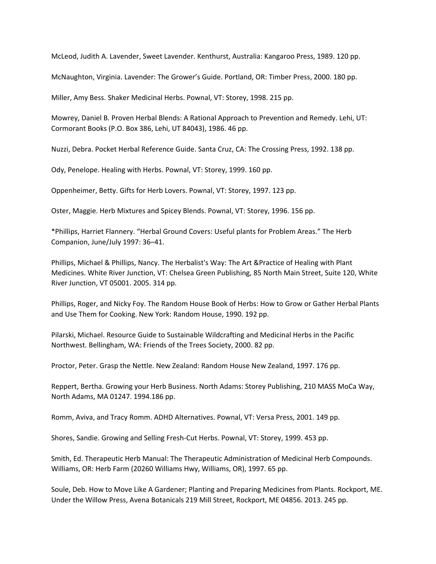McLeod, Judith A. Lavender, Sweet Lavender. Kenthurst, Australia: Kangaroo Press, 1989. 120 pp.

McNaughton, Virginia. Lavender: The Grower's Guide. Portland, OR: Timber Press, 2000. 180 pp.

Miller, Amy Bess. Shaker Medicinal Herbs. Pownal, VT: Storey, 1998. 215 pp.

Mowrey, Daniel B. Proven Herbal Blends: A Rational Approach to Prevention and Remedy. Lehi, UT: Cormorant Books (P.O. Box 386, Lehi, UT 84043), 1986. 46 pp.

Nuzzi, Debra. Pocket Herbal Reference Guide. Santa Cruz, CA: The Crossing Press, 1992. 138 pp.

Ody, Penelope. Healing with Herbs. Pownal, VT: Storey, 1999. 160 pp.

Oppenheimer, Betty. Gifts for Herb Lovers. Pownal, VT: Storey, 1997. 123 pp.

Oster, Maggie. Herb Mixtures and Spicey Blends. Pownal, VT: Storey, 1996. 156 pp.

\*Phillips, Harriet Flannery. "Herbal Ground Covers: Useful plants for Problem Areas." The Herb Companion, June/July 1997: 36–41.

Phillips, Michael & Phillips, Nancy. The Herbalist's Way: The Art &Practice of Healing with Plant Medicines. White River Junction, VT: Chelsea Green Publishing, 85 North Main Street, Suite 120, White River Junction, VT 05001. 2005. 314 pp.

Phillips, Roger, and Nicky Foy. The Random House Book of Herbs: How to Grow or Gather Herbal Plants and Use Them for Cooking. New York: Random House, 1990. 192 pp.

Pilarski, Michael. Resource Guide to Sustainable Wildcrafting and Medicinal Herbs in the Pacific Northwest. Bellingham, WA: Friends of the Trees Society, 2000. 82 pp.

Proctor, Peter. Grasp the Nettle. New Zealand: Random House New Zealand, 1997. 176 pp.

Reppert, Bertha. Growing your Herb Business. North Adams: Storey Publishing, 210 MASS MoCa Way, North Adams, MA 01247. 1994.186 pp.

Romm, Aviva, and Tracy Romm. ADHD Alternatives. Pownal, VT: Versa Press, 2001. 149 pp.

Shores, Sandie. Growing and Selling Fresh‐Cut Herbs. Pownal, VT: Storey, 1999. 453 pp.

Smith, Ed. Therapeutic Herb Manual: The Therapeutic Administration of Medicinal Herb Compounds. Williams, OR: Herb Farm (20260 Williams Hwy, Williams, OR), 1997. 65 pp.

Soule, Deb. How to Move Like A Gardener; Planting and Preparing Medicines from Plants. Rockport, ME. Under the Willow Press, Avena Botanicals 219 Mill Street, Rockport, ME 04856. 2013. 245 pp.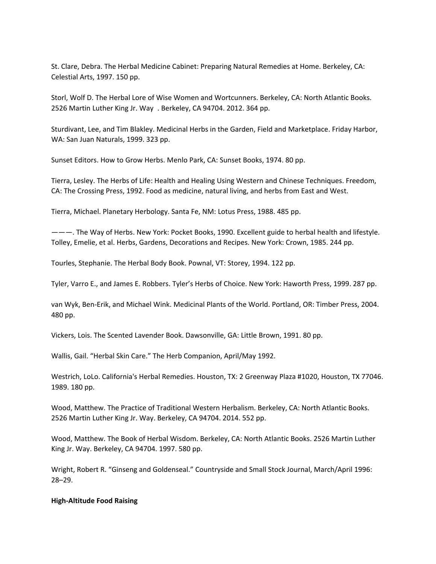St. Clare, Debra. The Herbal Medicine Cabinet: Preparing Natural Remedies at Home. Berkeley, CA: Celestial Arts, 1997. 150 pp.

Storl, Wolf D. The Herbal Lore of Wise Women and Wortcunners. Berkeley, CA: North Atlantic Books. 2526 Martin Luther King Jr. Way . Berkeley, CA 94704. 2012. 364 pp.

Sturdivant, Lee, and Tim Blakley. Medicinal Herbs in the Garden, Field and Marketplace. Friday Harbor, WA: San Juan Naturals, 1999. 323 pp.

Sunset Editors. How to Grow Herbs. Menlo Park, CA: Sunset Books, 1974. 80 pp.

Tierra, Lesley. The Herbs of Life: Health and Healing Using Western and Chinese Techniques. Freedom, CA: The Crossing Press, 1992. Food as medicine, natural living, and herbs from East and West.

Tierra, Michael. Planetary Herbology. Santa Fe, NM: Lotus Press, 1988. 485 pp.

———. The Way of Herbs. New York: Pocket Books, 1990. Excellent guide to herbal health and lifestyle. Tolley, Emelie, et al. Herbs, Gardens, Decorations and Recipes. New York: Crown, 1985. 244 pp.

Tourles, Stephanie. The Herbal Body Book. Pownal, VT: Storey, 1994. 122 pp.

Tyler, Varro E., and James E. Robbers. Tyler's Herbs of Choice. New York: Haworth Press, 1999. 287 pp.

van Wyk, Ben-Erik, and Michael Wink. Medicinal Plants of the World. Portland, OR: Timber Press, 2004. 480 pp.

Vickers, Lois. The Scented Lavender Book. Dawsonville, GA: Little Brown, 1991. 80 pp.

Wallis, Gail. "Herbal Skin Care." The Herb Companion, April/May 1992.

Westrich, LoLo. California's Herbal Remedies. Houston, TX: 2 Greenway Plaza #1020, Houston, TX 77046. 1989. 180 pp.

Wood, Matthew. The Practice of Traditional Western Herbalism. Berkeley, CA: North Atlantic Books. 2526 Martin Luther King Jr. Way. Berkeley, CA 94704. 2014. 552 pp.

Wood, Matthew. The Book of Herbal Wisdom. Berkeley, CA: North Atlantic Books. 2526 Martin Luther King Jr. Way. Berkeley, CA 94704. 1997. 580 pp.

Wright, Robert R. "Ginseng and Goldenseal." Countryside and Small Stock Journal, March/April 1996: 28–29.

#### **High‐Altitude Food Raising**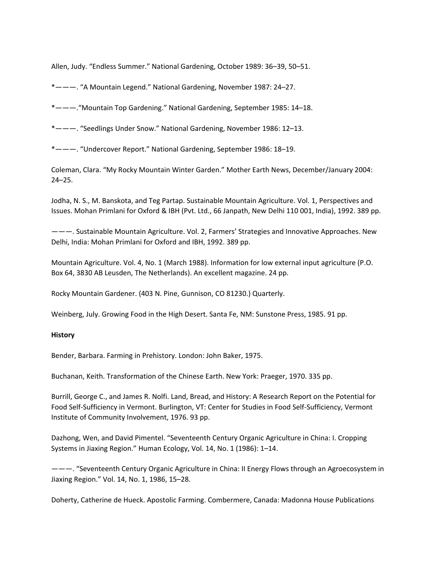Allen, Judy. "Endless Summer." National Gardening, October 1989: 36–39, 50–51.

\*———. "A Mountain Legend." National Gardening, November 1987: 24–27.

\*———."Mountain Top Gardening." National Gardening, September 1985: 14–18.

\*———. "Seedlings Under Snow." National Gardening, November 1986: 12–13.

\*———. "Undercover Report." National Gardening, September 1986: 18–19.

Coleman, Clara. "My Rocky Mountain Winter Garden." Mother Earth News, December/January 2004: 24–25.

Jodha, N. S., M. Banskota, and Teg Partap. Sustainable Mountain Agriculture. Vol. 1, Perspectives and Issues. Mohan Primlani for Oxford & IBH (Pvt. Ltd., 66 Janpath, New Delhi 110 001, India), 1992. 389 pp.

———. Sustainable Mountain Agriculture. Vol. 2, Farmers' Strategies and Innovative Approaches. New Delhi, India: Mohan Primlani for Oxford and IBH, 1992. 389 pp.

Mountain Agriculture. Vol. 4, No. 1 (March 1988). Information for low external input agriculture (P.O. Box 64, 3830 AB Leusden, The Netherlands). An excellent magazine. 24 pp.

Rocky Mountain Gardener. (403 N. Pine, Gunnison, CO 81230.) Quarterly.

Weinberg, July. Growing Food in the High Desert. Santa Fe, NM: Sunstone Press, 1985. 91 pp.

#### **History**

Bender, Barbara. Farming in Prehistory. London: John Baker, 1975.

Buchanan, Keith. Transformation of the Chinese Earth. New York: Praeger, 1970. 335 pp.

Burrill, George C., and James R. Nolfi. Land, Bread, and History: A Research Report on the Potential for Food Self‐Sufficiency in Vermont. Burlington, VT: Center for Studies in Food Self‐Sufficiency, Vermont Institute of Community Involvement, 1976. 93 pp.

Dazhong, Wen, and David Pimentel. "Seventeenth Century Organic Agriculture in China: I. Cropping Systems in Jiaxing Region." Human Ecology, Vol. 14, No. 1 (1986): 1–14.

———. "Seventeenth Century Organic Agriculture in China: II Energy Flows through an Agroecosystem in Jiaxing Region." Vol. 14, No. 1, 1986, 15–28.

Doherty, Catherine de Hueck. Apostolic Farming. Combermere, Canada: Madonna House Publications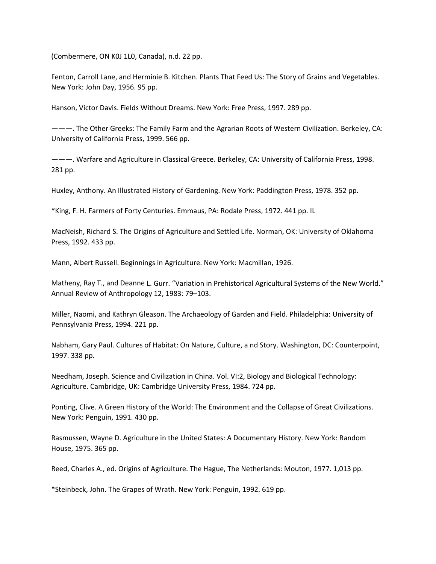(Combermere, ON K0J 1L0, Canada), n.d. 22 pp.

Fenton, Carroll Lane, and Herminie B. Kitchen. Plants That Feed Us: The Story of Grains and Vegetables. New York: John Day, 1956. 95 pp.

Hanson, Victor Davis. Fields Without Dreams. New York: Free Press, 1997. 289 pp.

———. The Other Greeks: The Family Farm and the Agrarian Roots of Western Civilization. Berkeley, CA: University of California Press, 1999. 566 pp.

———. Warfare and Agriculture in Classical Greece. Berkeley, CA: University of California Press, 1998. 281 pp.

Huxley, Anthony. An Illustrated History of Gardening. New York: Paddington Press, 1978. 352 pp.

\*King, F. H. Farmers of Forty Centuries. Emmaus, PA: Rodale Press, 1972. 441 pp. IL

MacNeish, Richard S. The Origins of Agriculture and Settled Life. Norman, OK: University of Oklahoma Press, 1992. 433 pp.

Mann, Albert Russell. Beginnings in Agriculture. New York: Macmillan, 1926.

Matheny, Ray T., and Deanne L. Gurr. "Variation in Prehistorical Agricultural Systems of the New World." Annual Review of Anthropology 12, 1983: 79–103.

Miller, Naomi, and Kathryn Gleason. The Archaeology of Garden and Field. Philadelphia: University of Pennsylvania Press, 1994. 221 pp.

Nabham, Gary Paul. Cultures of Habitat: On Nature, Culture, a nd Story. Washington, DC: Counterpoint, 1997. 338 pp.

Needham, Joseph. Science and Civilization in China. Vol. VI:2, Biology and Biological Technology: Agriculture. Cambridge, UK: Cambridge University Press, 1984. 724 pp.

Ponting, Clive. A Green History of the World: The Environment and the Collapse of Great Civilizations. New York: Penguin, 1991. 430 pp.

Rasmussen, Wayne D. Agriculture in the United States: A Documentary History. New York: Random House, 1975. 365 pp.

Reed, Charles A., ed. Origins of Agriculture. The Hague, The Netherlands: Mouton, 1977. 1,013 pp.

\*Steinbeck, John. The Grapes of Wrath. New York: Penguin, 1992. 619 pp.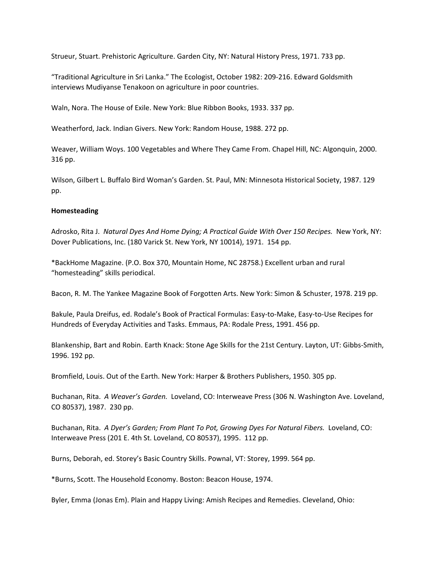Strueur, Stuart. Prehistoric Agriculture. Garden City, NY: Natural History Press, 1971. 733 pp.

"Traditional Agriculture in Sri Lanka." The Ecologist, October 1982: 209‐216. Edward Goldsmith interviews Mudiyanse Tenakoon on agriculture in poor countries.

Waln, Nora. The House of Exile. New York: Blue Ribbon Books, 1933. 337 pp.

Weatherford, Jack. Indian Givers. New York: Random House, 1988. 272 pp.

Weaver, William Woys. 100 Vegetables and Where They Came From. Chapel Hill, NC: Algonquin, 2000. 316 pp.

Wilson, Gilbert L. Buffalo Bird Woman's Garden. St. Paul, MN: Minnesota Historical Society, 1987. 129 pp.

## **Homesteading**

Adrosko, Rita J. *Natural Dyes And Home Dying; A Practical Guide With Over 150 Recipes.* New York, NY: Dover Publications, Inc. (180 Varick St. New York, NY 10014), 1971. 154 pp.

\*BackHome Magazine. (P.O. Box 370, Mountain Home, NC 28758.) Excellent urban and rural "homesteading" skills periodical.

Bacon, R. M. The Yankee Magazine Book of Forgotten Arts. New York: Simon & Schuster, 1978. 219 pp.

Bakule, Paula Dreifus, ed. Rodale's Book of Practical Formulas: Easy‐to‐Make, Easy‐to‐Use Recipes for Hundreds of Everyday Activities and Tasks. Emmaus, PA: Rodale Press, 1991. 456 pp.

Blankenship, Bart and Robin. Earth Knack: Stone Age Skills for the 21st Century. Layton, UT: Gibbs‐Smith, 1996. 192 pp.

Bromfield, Louis. Out of the Earth. New York: Harper & Brothers Publishers, 1950. 305 pp.

Buchanan, Rita. *A Weaver's Garden.* Loveland, CO: Interweave Press (306 N. Washington Ave. Loveland, CO 80537), 1987. 230 pp.

Buchanan, Rita. *A Dyer's Garden; From Plant To Pot, Growing Dyes For Natural Fibers.* Loveland, CO: Interweave Press (201 E. 4th St. Loveland, CO 80537), 1995. 112 pp.

Burns, Deborah, ed. Storey's Basic Country Skills. Pownal, VT: Storey, 1999. 564 pp.

\*Burns, Scott. The Household Economy. Boston: Beacon House, 1974.

Byler, Emma (Jonas Em). Plain and Happy Living: Amish Recipes and Remedies. Cleveland, Ohio: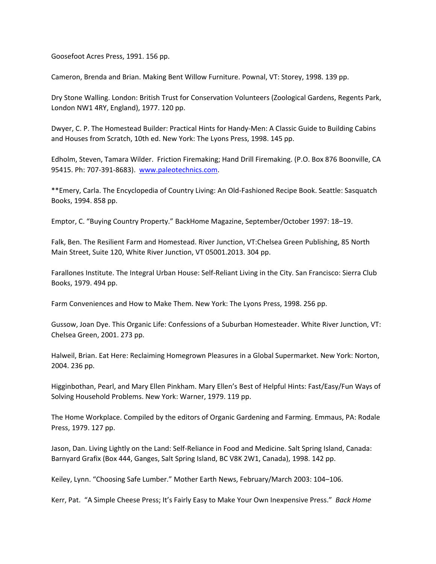Goosefoot Acres Press, 1991. 156 pp.

Cameron, Brenda and Brian. Making Bent Willow Furniture. Pownal, VT: Storey, 1998. 139 pp.

Dry Stone Walling. London: British Trust for Conservation Volunteers (Zoological Gardens, Regents Park, London NW1 4RY, England), 1977. 120 pp.

Dwyer, C. P. The Homestead Builder: Practical Hints for Handy‐Men: A Classic Guide to Building Cabins and Houses from Scratch, 10th ed. New York: The Lyons Press, 1998. 145 pp.

Edholm, Steven, Tamara Wilder. Friction Firemaking; Hand Drill Firemaking. (P.O. Box 876 Boonville, CA 95415. Ph: 707‐391‐8683). www.paleotechnics.com.

\*\*Emery, Carla. The Encyclopedia of Country Living: An Old‐Fashioned Recipe Book. Seattle: Sasquatch Books, 1994. 858 pp.

Emptor, C. "Buying Country Property." BackHome Magazine, September/October 1997: 18–19.

Falk, Ben. The Resilient Farm and Homestead. River Junction, VT:Chelsea Green Publishing, 85 North Main Street, Suite 120, White River Junction, VT 05001.2013. 304 pp.

Farallones Institute. The Integral Urban House: Self‐Reliant Living in the City. San Francisco: Sierra Club Books, 1979. 494 pp.

Farm Conveniences and How to Make Them. New York: The Lyons Press, 1998. 256 pp.

Gussow, Joan Dye. This Organic Life: Confessions of a Suburban Homesteader. White River Junction, VT: Chelsea Green, 2001. 273 pp.

Halweil, Brian. Eat Here: Reclaiming Homegrown Pleasures in a Global Supermarket. New York: Norton, 2004. 236 pp.

Higginbothan, Pearl, and Mary Ellen Pinkham. Mary Ellen's Best of Helpful Hints: Fast/Easy/Fun Ways of Solving Household Problems. New York: Warner, 1979. 119 pp.

The Home Workplace. Compiled by the editors of Organic Gardening and Farming. Emmaus, PA: Rodale Press, 1979. 127 pp.

Jason, Dan. Living Lightly on the Land: Self‐Reliance in Food and Medicine. Salt Spring Island, Canada: Barnyard Grafix (Box 444, Ganges, Salt Spring Island, BC V8K 2W1, Canada), 1998. 142 pp.

Keiley, Lynn. "Choosing Safe Lumber." Mother Earth News, February/March 2003: 104–106.

Kerr, Pat. "A Simple Cheese Press; It's Fairly Easy to Make Your Own Inexpensive Press." *Back Home*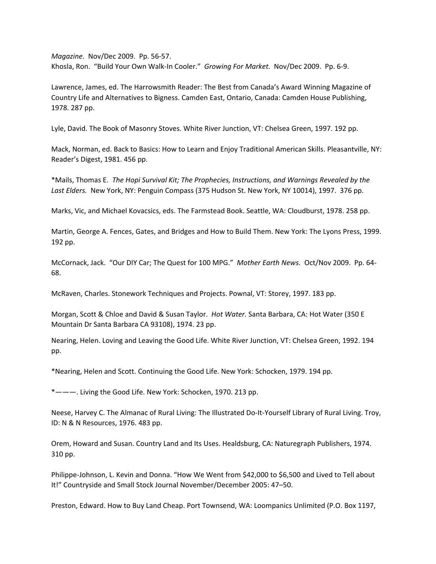*Magazine*. Nov/Dec 2009. Pp. 56‐57. Khosla, Ron. "Build Your Own Walk‐In Cooler." *Growing For Market.* Nov/Dec 2009. Pp. 6‐9.

Lawrence, James, ed. The Harrowsmith Reader: The Best from Canada's Award Winning Magazine of Country Life and Alternatives to Bigness. Camden East, Ontario, Canada: Camden House Publishing, 1978. 287 pp.

Lyle, David. The Book of Masonry Stoves. White River Junction, VT: Chelsea Green, 1997. 192 pp.

Mack, Norman, ed. Back to Basics: How to Learn and Enjoy Traditional American Skills. Pleasantville, NY: Reader's Digest, 1981. 456 pp.

\*Mails, Thomas E. *The Hopi Survival Kit; The Prophecies, Instructions, and Warnings Revealed by the* Last *Elders.* New York, NY: Penguin Compass (375 Hudson St. New York, NY 10014), 1997. 376 pp.

Marks, Vic, and Michael Kovacsics, eds. The Farmstead Book. Seattle, WA: Cloudburst, 1978. 258 pp.

Martin, George A. Fences, Gates, and Bridges and How to Build Them. New York: The Lyons Press, 1999. 192 pp.

McCornack, Jack. "Our DIY Car; The Quest for 100 MPG." *Mother Earth News.* Oct/Nov 2009. Pp. 64‐ 68.

McRaven, Charles. Stonework Techniques and Projects. Pownal, VT: Storey, 1997. 183 pp.

Morgan, Scott & Chloe and David & Susan Taylor. *Hot Water.* Santa Barbara, CA: Hot Water (350 E Mountain Dr Santa Barbara CA 93108), 1974. 23 pp.

Nearing, Helen. Loving and Leaving the Good Life. White River Junction, VT: Chelsea Green, 1992. 194 pp.

\*Nearing, Helen and Scott. Continuing the Good Life. New York: Schocken, 1979. 194 pp.

\*———. Living the Good Life. New York: Schocken, 1970. 213 pp.

Neese, Harvey C. The Almanac of Rural Living: The Illustrated Do‐It‐Yourself Library of Rural Living. Troy, ID: N & N Resources, 1976. 483 pp.

Orem, Howard and Susan. Country Land and Its Uses. Healdsburg, CA: Naturegraph Publishers, 1974. 310 pp.

Philippe‐Johnson, L. Kevin and Donna. "How We Went from \$42,000 to \$6,500 and Lived to Tell about It!" Countryside and Small Stock Journal November/December 2005: 47–50.

Preston, Edward. How to Buy Land Cheap. Port Townsend, WA: Loompanics Unlimited (P.O. Box 1197,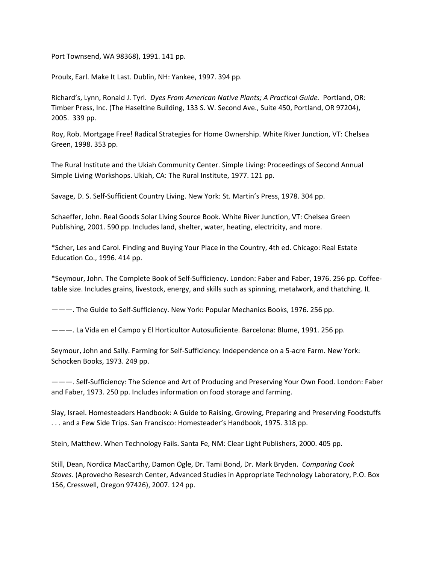Port Townsend, WA 98368), 1991. 141 pp.

Proulx, Earl. Make It Last. Dublin, NH: Yankee, 1997. 394 pp.

Richard's, Lynn, Ronald J. Tyrl. *Dyes From American Native Plants; A Practical Guide.* Portland, OR: Timber Press, Inc. (The Haseltine Building, 133 S. W. Second Ave., Suite 450, Portland, OR 97204), 2005. 339 pp.

Roy, Rob. Mortgage Free! Radical Strategies for Home Ownership. White River Junction, VT: Chelsea Green, 1998. 353 pp.

The Rural Institute and the Ukiah Community Center. Simple Living: Proceedings of Second Annual Simple Living Workshops. Ukiah, CA: The Rural Institute, 1977. 121 pp.

Savage, D. S. Self‐Sufficient Country Living. New York: St. Martin's Press, 1978. 304 pp.

Schaeffer, John. Real Goods Solar Living Source Book. White River Junction, VT: Chelsea Green Publishing, 2001. 590 pp. Includes land, shelter, water, heating, electricity, and more.

\*Scher, Les and Carol. Finding and Buying Your Place in the Country, 4th ed. Chicago: Real Estate Education Co., 1996. 414 pp.

\*Seymour, John. The Complete Book of Self‐Sufficiency. London: Faber and Faber, 1976. 256 pp. Coffee‐ table size. Includes grains, livestock, energy, and skills such as spinning, metalwork, and thatching. IL

———. The Guide to Self‐Sufficiency. New York: Popular Mechanics Books, 1976. 256 pp.

———. La Vida en el Campo y El Horticultor Autosuficiente. Barcelona: Blume, 1991. 256 pp.

Seymour, John and Sally. Farming for Self‐Sufficiency: Independence on a 5‐acre Farm. New York: Schocken Books, 1973. 249 pp.

———. Self‐Sufficiency: The Science and Art of Producing and Preserving Your Own Food. London: Faber and Faber, 1973. 250 pp. Includes information on food storage and farming.

Slay, Israel. Homesteaders Handbook: A Guide to Raising, Growing, Preparing and Preserving Foodstuffs . . . and a Few Side Trips. San Francisco: Homesteader's Handbook, 1975. 318 pp.

Stein, Matthew. When Technology Fails. Santa Fe, NM: Clear Light Publishers, 2000. 405 pp.

Still, Dean, Nordica MacCarthy, Damon Ogle, Dr. Tami Bond, Dr. Mark Bryden. *Comparing Cook Stoves.* (Aprovecho Research Center, Advanced Studies in Appropriate Technology Laboratory, P.O. Box 156, Cresswell, Oregon 97426), 2007. 124 pp.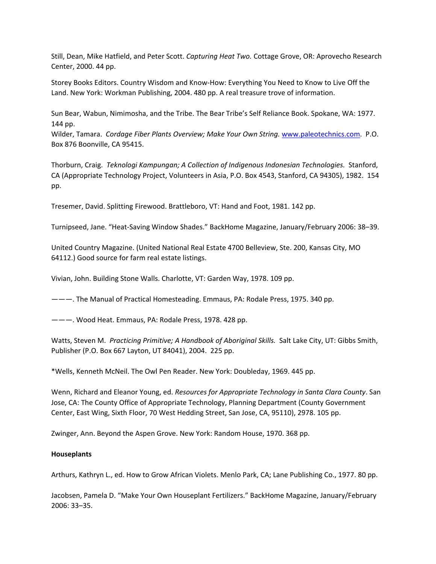Still, Dean, Mike Hatfield, and Peter Scott. *Capturing Heat Two.* Cottage Grove, OR: Aprovecho Research Center, 2000. 44 pp.

Storey Books Editors. Country Wisdom and Know‐How: Everything You Need to Know to Live Off the Land. New York: Workman Publishing, 2004. 480 pp. A real treasure trove of information.

Sun Bear, Wabun, Nimimosha, and the Tribe. The Bear Tribe's Self Reliance Book. Spokane, WA: 1977. 144 pp.

Wilder, Tamara. *Cordage Fiber Plants Overview; Make Your Own String.* www.paleotechnics.com. P.O. Box 876 Boonville, CA 95415.

Thorburn, Craig. *Teknologi Kampungan; A Collection of Indigenous Indonesian Technologies.* Stanford, CA (Appropriate Technology Project, Volunteers in Asia, P.O. Box 4543, Stanford, CA 94305), 1982. 154 pp.

Tresemer, David. Splitting Firewood. Brattleboro, VT: Hand and Foot, 1981. 142 pp.

Turnipseed, Jane. "Heat‐Saving Window Shades." BackHome Magazine, January/February 2006: 38–39.

United Country Magazine. (United National Real Estate 4700 Belleview, Ste. 200, Kansas City, MO 64112.) Good source for farm real estate listings.

Vivian, John. Building Stone Walls. Charlotte, VT: Garden Way, 1978. 109 pp.

———. The Manual of Practical Homesteading. Emmaus, PA: Rodale Press, 1975. 340 pp.

———. Wood Heat. Emmaus, PA: Rodale Press, 1978. 428 pp.

Watts, Steven M. *Practicing Primitive; A Handbook of Aboriginal Skills.* Salt Lake City, UT: Gibbs Smith, Publisher (P.O. Box 667 Layton, UT 84041), 2004. 225 pp.

\*Wells, Kenneth McNeil. The Owl Pen Reader. New York: Doubleday, 1969. 445 pp.

Wenn, Richard and Eleanor Young, ed. *Resources for Appropriate Technology in Santa Clara County*. San Jose, CA: The County Office of Appropriate Technology, Planning Department (County Government Center, East Wing, Sixth Floor, 70 West Hedding Street, San Jose, CA, 95110), 2978. 105 pp.

Zwinger, Ann. Beyond the Aspen Grove. New York: Random House, 1970. 368 pp.

# **Houseplants**

Arthurs, Kathryn L., ed. How to Grow African Violets. Menlo Park, CA; Lane Publishing Co., 1977. 80 pp.

Jacobsen, Pamela D. "Make Your Own Houseplant Fertilizers." BackHome Magazine, January/February 2006: 33–35.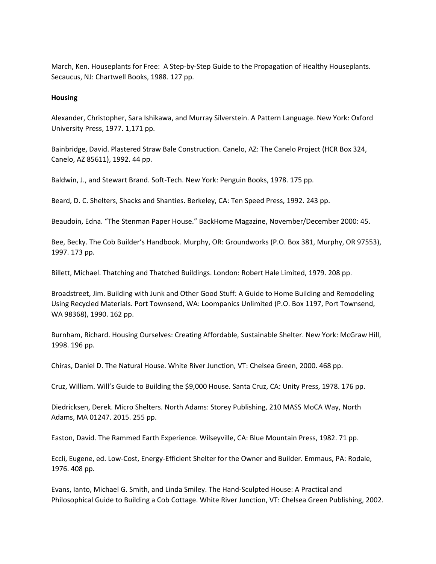March, Ken. Houseplants for Free: A Step‐by‐Step Guide to the Propagation of Healthy Houseplants. Secaucus, NJ: Chartwell Books, 1988. 127 pp.

#### **Housing**

Alexander, Christopher, Sara Ishikawa, and Murray Silverstein. A Pattern Language. New York: Oxford University Press, 1977. 1,171 pp.

Bainbridge, David. Plastered Straw Bale Construction. Canelo, AZ: The Canelo Project (HCR Box 324, Canelo, AZ 85611), 1992. 44 pp.

Baldwin, J., and Stewart Brand. Soft‐Tech. New York: Penguin Books, 1978. 175 pp.

Beard, D. C. Shelters, Shacks and Shanties. Berkeley, CA: Ten Speed Press, 1992. 243 pp.

Beaudoin, Edna. "The Stenman Paper House." BackHome Magazine, November/December 2000: 45.

Bee, Becky. The Cob Builder's Handbook. Murphy, OR: Groundworks (P.O. Box 381, Murphy, OR 97553), 1997. 173 pp.

Billett, Michael. Thatching and Thatched Buildings. London: Robert Hale Limited, 1979. 208 pp.

Broadstreet, Jim. Building with Junk and Other Good Stuff: A Guide to Home Building and Remodeling Using Recycled Materials. Port Townsend, WA: Loompanics Unlimited (P.O. Box 1197, Port Townsend, WA 98368), 1990. 162 pp.

Burnham, Richard. Housing Ourselves: Creating Affordable, Sustainable Shelter. New York: McGraw Hill, 1998. 196 pp.

Chiras, Daniel D. The Natural House. White River Junction, VT: Chelsea Green, 2000. 468 pp.

Cruz, William. Will's Guide to Building the \$9,000 House. Santa Cruz, CA: Unity Press, 1978. 176 pp.

Diedricksen, Derek. Micro Shelters. North Adams: Storey Publishing, 210 MASS MoCA Way, North Adams, MA 01247. 2015. 255 pp.

Easton, David. The Rammed Earth Experience. Wilseyville, CA: Blue Mountain Press, 1982. 71 pp.

Eccli, Eugene, ed. Low‐Cost, Energy‐Efficient Shelter for the Owner and Builder. Emmaus, PA: Rodale, 1976. 408 pp.

Evans, Ianto, Michael G. Smith, and Linda Smiley. The Hand‐Sculpted House: A Practical and Philosophical Guide to Building a Cob Cottage. White River Junction, VT: Chelsea Green Publishing, 2002.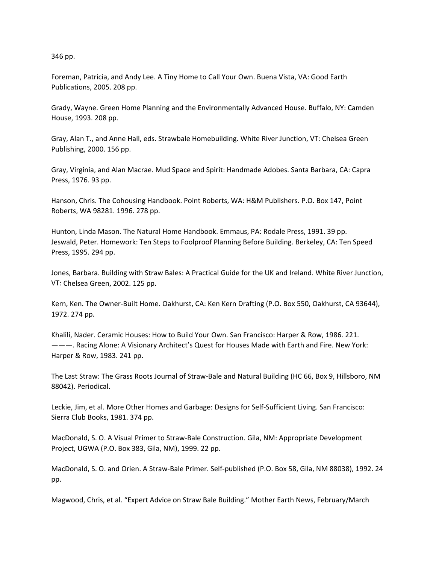346 pp.

Foreman, Patricia, and Andy Lee. A Tiny Home to Call Your Own. Buena Vista, VA: Good Earth Publications, 2005. 208 pp.

Grady, Wayne. Green Home Planning and the Environmentally Advanced House. Buffalo, NY: Camden House, 1993. 208 pp.

Gray, Alan T., and Anne Hall, eds. Strawbale Homebuilding. White River Junction, VT: Chelsea Green Publishing, 2000. 156 pp.

Gray, Virginia, and Alan Macrae. Mud Space and Spirit: Handmade Adobes. Santa Barbara, CA: Capra Press, 1976. 93 pp.

Hanson, Chris. The Cohousing Handbook. Point Roberts, WA: H&M Publishers. P.O. Box 147, Point Roberts, WA 98281. 1996. 278 pp.

Hunton, Linda Mason. The Natural Home Handbook. Emmaus, PA: Rodale Press, 1991. 39 pp. Jeswald, Peter. Homework: Ten Steps to Foolproof Planning Before Building. Berkeley, CA: Ten Speed Press, 1995. 294 pp.

Jones, Barbara. Building with Straw Bales: A Practical Guide for the UK and Ireland. White River Junction, VT: Chelsea Green, 2002. 125 pp.

Kern, Ken. The Owner‐Built Home. Oakhurst, CA: Ken Kern Drafting (P.O. Box 550, Oakhurst, CA 93644), 1972. 274 pp.

Khalili, Nader. Ceramic Houses: How to Build Your Own. San Francisco: Harper & Row, 1986. 221. ———. Racing Alone: A Visionary Architect's Quest for Houses Made with Earth and Fire. New York: Harper & Row, 1983. 241 pp.

The Last Straw: The Grass Roots Journal of Straw‐Bale and Natural Building (HC 66, Box 9, Hillsboro, NM 88042). Periodical.

Leckie, Jim, et al. More Other Homes and Garbage: Designs for Self‐Sufficient Living. San Francisco: Sierra Club Books, 1981. 374 pp.

MacDonald, S. O. A Visual Primer to Straw-Bale Construction. Gila, NM: Appropriate Development Project, UGWA (P.O. Box 383, Gila, NM), 1999. 22 pp.

MacDonald, S. O. and Orien. A Straw‐Bale Primer. Self‐published (P.O. Box 58, Gila, NM 88038), 1992. 24 pp.

Magwood, Chris, et al. "Expert Advice on Straw Bale Building." Mother Earth News, February/March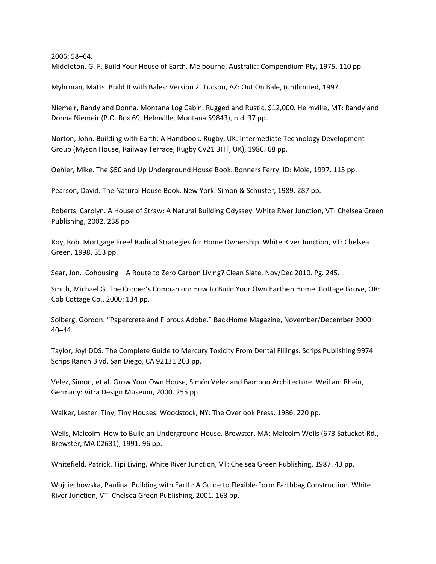2006: 58–64.

Middleton, G. F. Build Your House of Earth. Melbourne, Australia: Compendium Pty, 1975. 110 pp.

Myhrman, Matts. Build It with Bales: Version 2. Tucson, AZ: Out On Bale, (un)limited, 1997.

Niemeir, Randy and Donna. Montana Log Cabin, Rugged and Rustic, \$12,000. Helmville, MT: Randy and Donna Niemeir (P.O. Box 69, Helmville, Montana 59843), n.d. 37 pp.

Norton, John. Building with Earth: A Handbook. Rugby, UK: Intermediate Technology Development Group (Myson House, Railway Terrace, Rugby CV21 3HT, UK), 1986. 68 pp.

Oehler, Mike. The \$50 and Up Underground House Book. Bonners Ferry, ID: Mole, 1997. 115 pp.

Pearson, David. The Natural House Book. New York: Simon & Schuster, 1989. 287 pp.

Roberts, Carolyn. A House of Straw: A Natural Building Odyssey. White River Junction, VT: Chelsea Green Publishing, 2002. 238 pp.

Roy, Rob. Mortgage Free! Radical Strategies for Home Ownership. White River Junction, VT: Chelsea Green, 1998. 353 pp.

Sear, Jon. Cohousing – A Route to Zero Carbon Living? Clean Slate. Nov/Dec 2010. Pg. 245.

Smith, Michael G. The Cobber's Companion: How to Build Your Own Earthen Home. Cottage Grove, OR: Cob Cottage Co., 2000: 134 pp.

Solberg, Gordon. "Papercrete and Fibrous Adobe." BackHome Magazine, November/December 2000: 40–44.

Taylor, Joyl DDS. The Complete Guide to Mercury Toxicity From Dental Fillings. Scrips Publishing 9974 Scrips Ranch Blvd. San Diego, CA 92131 203 pp.

Vélez, Simón, et al. Grow Your Own House, Simón Vélez and Bamboo Architecture. Weil am Rhein, Germany: Vitra Design Museum, 2000. 255 pp.

Walker, Lester. Tiny, Tiny Houses. Woodstock, NY: The Overlook Press, 1986. 220 pp.

Wells, Malcolm. How to Build an Underground House. Brewster, MA: Malcolm Wells (673 Satucket Rd., Brewster, MA 02631), 1991. 96 pp.

Whitefield, Patrick. Tipi Living. White River Junction, VT: Chelsea Green Publishing, 1987. 43 pp.

Wojciechowska, Paulina. Building with Earth: A Guide to Flexible‐Form Earthbag Construction. White River Junction, VT: Chelsea Green Publishing, 2001. 163 pp.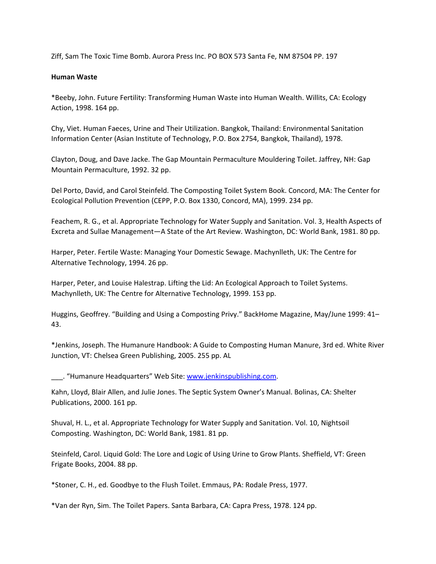Ziff, Sam The Toxic Time Bomb. Aurora Press Inc. PO BOX 573 Santa Fe, NM 87504 PP. 197

## **Human Waste**

\*Beeby, John. Future Fertility: Transforming Human Waste into Human Wealth. Willits, CA: Ecology Action, 1998. 164 pp.

Chy, Viet. Human Faeces, Urine and Their Utilization. Bangkok, Thailand: Environmental Sanitation Information Center (Asian Institute of Technology, P.O. Box 2754, Bangkok, Thailand), 1978.

Clayton, Doug, and Dave Jacke. The Gap Mountain Permaculture Mouldering Toilet. Jaffrey, NH: Gap Mountain Permaculture, 1992. 32 pp.

Del Porto, David, and Carol Steinfeld. The Composting Toilet System Book. Concord, MA: The Center for Ecological Pollution Prevention (CEPP, P.O. Box 1330, Concord, MA), 1999. 234 pp.

Feachem, R. G., et al. Appropriate Technology for Water Supply and Sanitation. Vol. 3, Health Aspects of Excreta and Sullae Management—A State of the Art Review. Washington, DC: World Bank, 1981. 80 pp.

Harper, Peter. Fertile Waste: Managing Your Domestic Sewage. Machynlleth, UK: The Centre for Alternative Technology, 1994. 26 pp.

Harper, Peter, and Louise Halestrap. Lifting the Lid: An Ecological Approach to Toilet Systems. Machynlleth, UK: The Centre for Alternative Technology, 1999. 153 pp.

Huggins, Geoffrey. "Building and Using a Composting Privy." BackHome Magazine, May/June 1999: 41– 43.

\*Jenkins, Joseph. The Humanure Handbook: A Guide to Composting Human Manure, 3rd ed. White River Junction, VT: Chelsea Green Publishing, 2005. 255 pp. AL

. "Humanure Headquarters" Web Site: www.jenkinspublishing.com.

Kahn, Lloyd, Blair Allen, and Julie Jones. The Septic System Owner's Manual. Bolinas, CA: Shelter Publications, 2000. 161 pp.

Shuval, H. L., et al. Appropriate Technology for Water Supply and Sanitation. Vol. 10, Nightsoil Composting. Washington, DC: World Bank, 1981. 81 pp.

Steinfeld, Carol. Liquid Gold: The Lore and Logic of Using Urine to Grow Plants. Sheffield, VT: Green Frigate Books, 2004. 88 pp.

\*Stoner, C. H., ed. Goodbye to the Flush Toilet. Emmaus, PA: Rodale Press, 1977.

\*Van der Ryn, Sim. The Toilet Papers. Santa Barbara, CA: Capra Press, 1978. 124 pp.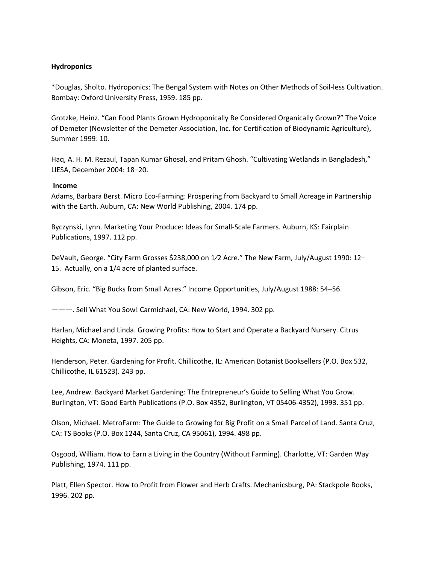# **Hydroponics**

\*Douglas, Sholto. Hydroponics: The Bengal System with Notes on Other Methods of Soil‐less Cultivation. Bombay: Oxford University Press, 1959. 185 pp.

Grotzke, Heinz. "Can Food Plants Grown Hydroponically Be Considered Organically Grown?" The Voice of Demeter (Newsletter of the Demeter Association, Inc. for Certification of Biodynamic Agriculture), Summer 1999: 10.

Haq, A. H. M. Rezaul, Tapan Kumar Ghosal, and Pritam Ghosh. "Cultivating Wetlands in Bangladesh," LIESA, December 2004: 18–20.

## **Income**

Adams, Barbara Berst. Micro Eco‐Farming: Prospering from Backyard to Small Acreage in Partnership with the Earth. Auburn, CA: New World Publishing, 2004. 174 pp.

Byczynski, Lynn. Marketing Your Produce: Ideas for Small‐Scale Farmers. Auburn, KS: Fairplain Publications, 1997. 112 pp.

DeVault, George. "City Farm Grosses \$238,000 on 1⁄2 Acre." The New Farm, July/August 1990: 12– 15. Actually, on a 1/4 acre of planted surface.

Gibson, Eric. "Big Bucks from Small Acres." Income Opportunities, July/August 1988: 54–56.

———. Sell What You Sow! Carmichael, CA: New World, 1994. 302 pp.

Harlan, Michael and Linda. Growing Profits: How to Start and Operate a Backyard Nursery. Citrus Heights, CA: Moneta, 1997. 205 pp.

Henderson, Peter. Gardening for Profit. Chillicothe, IL: American Botanist Booksellers (P.O. Box 532, Chillicothe, IL 61523). 243 pp.

Lee, Andrew. Backyard Market Gardening: The Entrepreneur's Guide to Selling What You Grow. Burlington, VT: Good Earth Publications (P.O. Box 4352, Burlington, VT 05406‐4352), 1993. 351 pp.

Olson, Michael. MetroFarm: The Guide to Growing for Big Profit on a Small Parcel of Land. Santa Cruz, CA: TS Books (P.O. Box 1244, Santa Cruz, CA 95061), 1994. 498 pp.

Osgood, William. How to Earn a Living in the Country (Without Farming). Charlotte, VT: Garden Way Publishing, 1974. 111 pp.

Platt, Ellen Spector. How to Profit from Flower and Herb Crafts. Mechanicsburg, PA: Stackpole Books, 1996. 202 pp.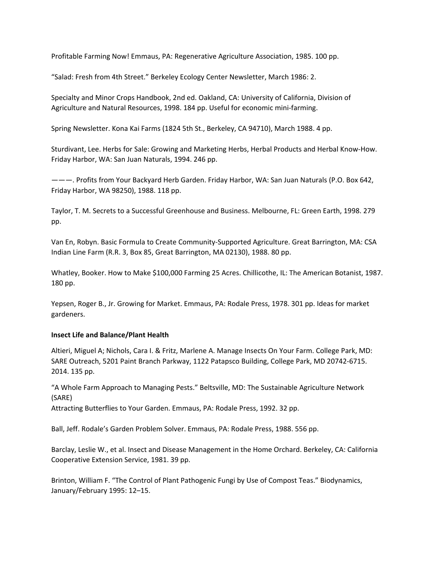Profitable Farming Now! Emmaus, PA: Regenerative Agriculture Association, 1985. 100 pp.

"Salad: Fresh from 4th Street." Berkeley Ecology Center Newsletter, March 1986: 2.

Specialty and Minor Crops Handbook, 2nd ed. Oakland, CA: University of California, Division of Agriculture and Natural Resources, 1998. 184 pp. Useful for economic mini‐farming.

Spring Newsletter. Kona Kai Farms (1824 5th St., Berkeley, CA 94710), March 1988. 4 pp.

Sturdivant, Lee. Herbs for Sale: Growing and Marketing Herbs, Herbal Products and Herbal Know‐How. Friday Harbor, WA: San Juan Naturals, 1994. 246 pp.

———. Profits from Your Backyard Herb Garden. Friday Harbor, WA: San Juan Naturals (P.O. Box 642, Friday Harbor, WA 98250), 1988. 118 pp.

Taylor, T. M. Secrets to a Successful Greenhouse and Business. Melbourne, FL: Green Earth, 1998. 279 pp.

Van En, Robyn. Basic Formula to Create Community‐Supported Agriculture. Great Barrington, MA: CSA Indian Line Farm (R.R. 3, Box 85, Great Barrington, MA 02130), 1988. 80 pp.

Whatley, Booker. How to Make \$100,000 Farming 25 Acres. Chillicothe, IL: The American Botanist, 1987. 180 pp.

Yepsen, Roger B., Jr. Growing for Market. Emmaus, PA: Rodale Press, 1978. 301 pp. Ideas for market gardeners.

# **Insect Life and Balance/Plant Health**

Altieri, Miguel A; Nichols, Cara I. & Fritz, Marlene A. Manage Insects On Your Farm. College Park, MD: SARE Outreach, 5201 Paint Branch Parkway, 1122 Patapsco Building, College Park, MD 20742‐6715. 2014. 135 pp.

"A Whole Farm Approach to Managing Pests." Beltsville, MD: The Sustainable Agriculture Network (SARE)

Attracting Butterflies to Your Garden. Emmaus, PA: Rodale Press, 1992. 32 pp.

Ball, Jeff. Rodale's Garden Problem Solver. Emmaus, PA: Rodale Press, 1988. 556 pp.

Barclay, Leslie W., et al. Insect and Disease Management in the Home Orchard. Berkeley, CA: California Cooperative Extension Service, 1981. 39 pp.

Brinton, William F. "The Control of Plant Pathogenic Fungi by Use of Compost Teas." Biodynamics, January/February 1995: 12–15.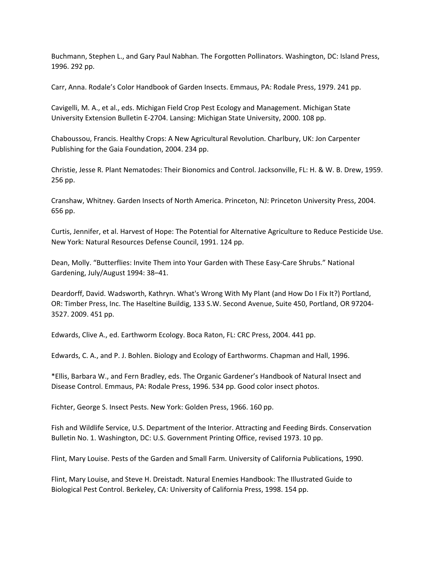Buchmann, Stephen L., and Gary Paul Nabhan. The Forgotten Pollinators. Washington, DC: Island Press, 1996. 292 pp.

Carr, Anna. Rodale's Color Handbook of Garden Insects. Emmaus, PA: Rodale Press, 1979. 241 pp.

Cavigelli, M. A., et al., eds. Michigan Field Crop Pest Ecology and Management. Michigan State University Extension Bulletin E‐2704. Lansing: Michigan State University, 2000. 108 pp.

Chaboussou, Francis. Healthy Crops: A New Agricultural Revolution. Charlbury, UK: Jon Carpenter Publishing for the Gaia Foundation, 2004. 234 pp.

Christie, Jesse R. Plant Nematodes: Their Bionomics and Control. Jacksonville, FL: H. & W. B. Drew, 1959. 256 pp.

Cranshaw, Whitney. Garden Insects of North America. Princeton, NJ: Princeton University Press, 2004. 656 pp.

Curtis, Jennifer, et al. Harvest of Hope: The Potential for Alternative Agriculture to Reduce Pesticide Use. New York: Natural Resources Defense Council, 1991. 124 pp.

Dean, Molly. "Butterflies: Invite Them into Your Garden with These Easy-Care Shrubs." National Gardening, July/August 1994: 38–41.

Deardorff, David. Wadsworth, Kathryn. What's Wrong With My Plant (and How Do I Fix It?) Portland, OR: Timber Press, Inc. The Haseltine Buildig, 133 S.W. Second Avenue, Suite 450, Portland, OR 97204‐ 3527. 2009. 451 pp.

Edwards, Clive A., ed. Earthworm Ecology. Boca Raton, FL: CRC Press, 2004. 441 pp.

Edwards, C. A., and P. J. Bohlen. Biology and Ecology of Earthworms. Chapman and Hall, 1996.

\*Ellis, Barbara W., and Fern Bradley, eds. The Organic Gardener's Handbook of Natural Insect and Disease Control. Emmaus, PA: Rodale Press, 1996. 534 pp. Good color insect photos.

Fichter, George S. Insect Pests. New York: Golden Press, 1966. 160 pp.

Fish and Wildlife Service, U.S. Department of the Interior. Attracting and Feeding Birds. Conservation Bulletin No. 1. Washington, DC: U.S. Government Printing Office, revised 1973. 10 pp.

Flint, Mary Louise. Pests of the Garden and Small Farm. University of California Publications, 1990.

Flint, Mary Louise, and Steve H. Dreistadt. Natural Enemies Handbook: The Illustrated Guide to Biological Pest Control. Berkeley, CA: University of California Press, 1998. 154 pp.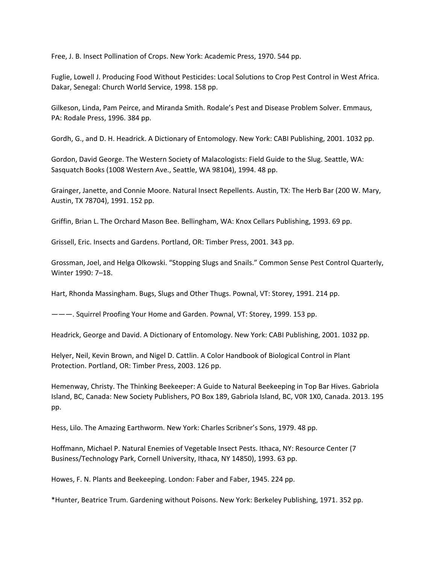Free, J. B. Insect Pollination of Crops. New York: Academic Press, 1970. 544 pp.

Fuglie, Lowell J. Producing Food Without Pesticides: Local Solutions to Crop Pest Control in West Africa. Dakar, Senegal: Church World Service, 1998. 158 pp.

Gilkeson, Linda, Pam Peirce, and Miranda Smith. Rodale's Pest and Disease Problem Solver. Emmaus, PA: Rodale Press, 1996. 384 pp.

Gordh, G., and D. H. Headrick. A Dictionary of Entomology. New York: CABI Publishing, 2001. 1032 pp.

Gordon, David George. The Western Society of Malacologists: Field Guide to the Slug. Seattle, WA: Sasquatch Books (1008 Western Ave., Seattle, WA 98104), 1994. 48 pp.

Grainger, Janette, and Connie Moore. Natural Insect Repellents. Austin, TX: The Herb Bar (200 W. Mary, Austin, TX 78704), 1991. 152 pp.

Griffin, Brian L. The Orchard Mason Bee. Bellingham, WA: Knox Cellars Publishing, 1993. 69 pp.

Grissell, Eric. Insects and Gardens. Portland, OR: Timber Press, 2001. 343 pp.

Grossman, Joel, and Helga Olkowski. "Stopping Slugs and Snails." Common Sense Pest Control Quarterly, Winter 1990: 7–18.

Hart, Rhonda Massingham. Bugs, Slugs and Other Thugs. Pownal, VT: Storey, 1991. 214 pp.

———. Squirrel Proofing Your Home and Garden. Pownal, VT: Storey, 1999. 153 pp.

Headrick, George and David. A Dictionary of Entomology. New York: CABI Publishing, 2001. 1032 pp.

Helyer, Neil, Kevin Brown, and Nigel D. Cattlin. A Color Handbook of Biological Control in Plant Protection. Portland, OR: Timber Press, 2003. 126 pp.

Hemenway, Christy. The Thinking Beekeeper: A Guide to Natural Beekeeping in Top Bar Hives. Gabriola Island, BC, Canada: New Society Publishers, PO Box 189, Gabriola Island, BC, V0R 1X0, Canada. 2013. 195 pp.

Hess, Lilo. The Amazing Earthworm. New York: Charles Scribner's Sons, 1979. 48 pp.

Hoffmann, Michael P. Natural Enemies of Vegetable Insect Pests. Ithaca, NY: Resource Center (7 Business/Technology Park, Cornell University, Ithaca, NY 14850), 1993. 63 pp.

Howes, F. N. Plants and Beekeeping. London: Faber and Faber, 1945. 224 pp.

\*Hunter, Beatrice Trum. Gardening without Poisons. New York: Berkeley Publishing, 1971. 352 pp.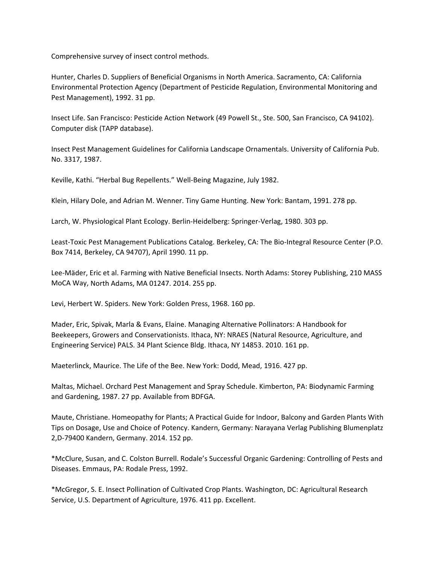Comprehensive survey of insect control methods.

Hunter, Charles D. Suppliers of Beneficial Organisms in North America. Sacramento, CA: California Environmental Protection Agency (Department of Pesticide Regulation, Environmental Monitoring and Pest Management), 1992. 31 pp.

Insect Life. San Francisco: Pesticide Action Network (49 Powell St., Ste. 500, San Francisco, CA 94102). Computer disk (TAPP database).

Insect Pest Management Guidelines for California Landscape Ornamentals. University of California Pub. No. 3317, 1987.

Keville, Kathi. "Herbal Bug Repellents." Well‐Being Magazine, July 1982.

Klein, Hilary Dole, and Adrian M. Wenner. Tiny Game Hunting. New York: Bantam, 1991. 278 pp.

Larch, W. Physiological Plant Ecology. Berlin‐Heidelberg: Springer‐Verlag, 1980. 303 pp.

Least-Toxic Pest Management Publications Catalog. Berkeley, CA: The Bio-Integral Resource Center (P.O. Box 7414, Berkeley, CA 94707), April 1990. 11 pp.

Lee‐Mäder, Eric et al. Farming with Native Beneficial Insects. North Adams: Storey Publishing, 210 MASS MoCA Way, North Adams, MA 01247. 2014. 255 pp.

Levi, Herbert W. Spiders. New York: Golden Press, 1968. 160 pp.

Mader, Eric, Spivak, Marla & Evans, Elaine. Managing Alternative Pollinators: A Handbook for Beekeepers, Growers and Conservationists. Ithaca, NY: NRAES (Natural Resource, Agriculture, and Engineering Service) PALS. 34 Plant Science Bldg. Ithaca, NY 14853. 2010. 161 pp.

Maeterlinck, Maurice. The Life of the Bee. New York: Dodd, Mead, 1916. 427 pp.

Maltas, Michael. Orchard Pest Management and Spray Schedule. Kimberton, PA: Biodynamic Farming and Gardening, 1987. 27 pp. Available from BDFGA.

Maute, Christiane. Homeopathy for Plants; A Practical Guide for Indoor, Balcony and Garden Plants With Tips on Dosage, Use and Choice of Potency. Kandern, Germany: Narayana Verlag Publishing Blumenplatz 2,D‐79400 Kandern, Germany. 2014. 152 pp.

\*McClure, Susan, and C. Colston Burrell. Rodale's Successful Organic Gardening: Controlling of Pests and Diseases. Emmaus, PA: Rodale Press, 1992.

\*McGregor, S. E. Insect Pollination of Cultivated Crop Plants. Washington, DC: Agricultural Research Service, U.S. Department of Agriculture, 1976. 411 pp. Excellent.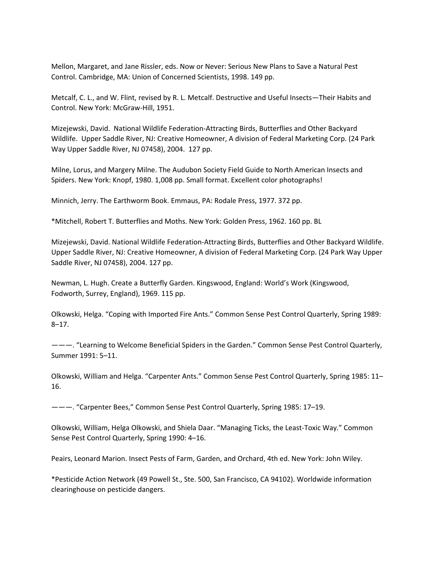Mellon, Margaret, and Jane Rissler, eds. Now or Never: Serious New Plans to Save a Natural Pest Control. Cambridge, MA: Union of Concerned Scientists, 1998. 149 pp.

Metcalf, C. L., and W. Flint, revised by R. L. Metcalf. Destructive and Useful Insects—Their Habits and Control. New York: McGraw‐Hill, 1951.

Mizejewski, David. National Wildlife Federation‐Attracting Birds, Butterflies and Other Backyard Wildlife. Upper Saddle River, NJ: Creative Homeowner, A division of Federal Marketing Corp. (24 Park Way Upper Saddle River, NJ 07458), 2004. 127 pp.

Milne, Lorus, and Margery Milne. The Audubon Society Field Guide to North American Insects and Spiders. New York: Knopf, 1980. 1,008 pp. Small format. Excellent color photographs!

Minnich, Jerry. The Earthworm Book. Emmaus, PA: Rodale Press, 1977. 372 pp.

\*Mitchell, Robert T. Butterflies and Moths. New York: Golden Press, 1962. 160 pp. BL

Mizejewski, David. National Wildlife Federation‐Attracting Birds, Butterflies and Other Backyard Wildlife. Upper Saddle River, NJ: Creative Homeowner, A division of Federal Marketing Corp. (24 Park Way Upper Saddle River, NJ 07458), 2004. 127 pp.

Newman, L. Hugh. Create a Butterfly Garden. Kingswood, England: World's Work (Kingswood, Fodworth, Surrey, England), 1969. 115 pp.

Olkowski, Helga. "Coping with Imported Fire Ants." Common Sense Pest Control Quarterly, Spring 1989: 8–17.

———. "Learning to Welcome Beneficial Spiders in the Garden." Common Sense Pest Control Quarterly, Summer 1991: 5–11.

Olkowski, William and Helga. "Carpenter Ants." Common Sense Pest Control Quarterly, Spring 1985: 11– 16.

———. "Carpenter Bees," Common Sense Pest Control Quarterly, Spring 1985: 17–19.

Olkowski, William, Helga Olkowski, and Shiela Daar. "Managing Ticks, the Least‐Toxic Way." Common Sense Pest Control Quarterly, Spring 1990: 4–16.

Peairs, Leonard Marion. Insect Pests of Farm, Garden, and Orchard, 4th ed. New York: John Wiley.

\*Pesticide Action Network (49 Powell St., Ste. 500, San Francisco, CA 94102). Worldwide information clearinghouse on pesticide dangers.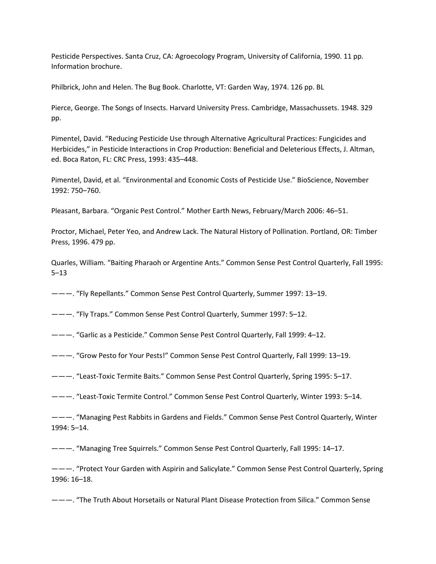Pesticide Perspectives. Santa Cruz, CA: Agroecology Program, University of California, 1990. 11 pp. Information brochure.

Philbrick, John and Helen. The Bug Book. Charlotte, VT: Garden Way, 1974. 126 pp. BL

Pierce, George. The Songs of Insects. Harvard University Press. Cambridge, Massachussets. 1948. 329 pp.

Pimentel, David. "Reducing Pesticide Use through Alternative Agricultural Practices: Fungicides and Herbicides," in Pesticide Interactions in Crop Production: Beneficial and Deleterious Effects, J. Altman, ed. Boca Raton, FL: CRC Press, 1993: 435–448.

Pimentel, David, et al. "Environmental and Economic Costs of Pesticide Use." BioScience, November 1992: 750–760.

Pleasant, Barbara. "Organic Pest Control." Mother Earth News, February/March 2006: 46–51.

Proctor, Michael, Peter Yeo, and Andrew Lack. The Natural History of Pollination. Portland, OR: Timber Press, 1996. 479 pp.

Quarles, William. "Baiting Pharaoh or Argentine Ants." Common Sense Pest Control Quarterly, Fall 1995: 5–13

———. "Fly Repellants." Common Sense Pest Control Quarterly, Summer 1997: 13–19.

———. "Fly Traps." Common Sense Pest Control Quarterly, Summer 1997: 5–12.

———. "Garlic as a Pesticide." Common Sense Pest Control Quarterly, Fall 1999: 4–12.

———. "Grow Pesto for Your Pests!" Common Sense Pest Control Quarterly, Fall 1999: 13–19.

———. "Least‐Toxic Termite Baits." Common Sense Pest Control Quarterly, Spring 1995: 5–17.

———. "Least‐Toxic Termite Control." Common Sense Pest Control Quarterly, Winter 1993: 5–14.

———. "Managing Pest Rabbits in Gardens and Fields." Common Sense Pest Control Quarterly, Winter 1994: 5–14.

———. "Managing Tree Squirrels." Common Sense Pest Control Quarterly, Fall 1995: 14–17.

———. "Protect Your Garden with Aspirin and Salicylate." Common Sense Pest Control Quarterly, Spring 1996: 16–18.

———. "The Truth About Horsetails or Natural Plant Disease Protection from Silica." Common Sense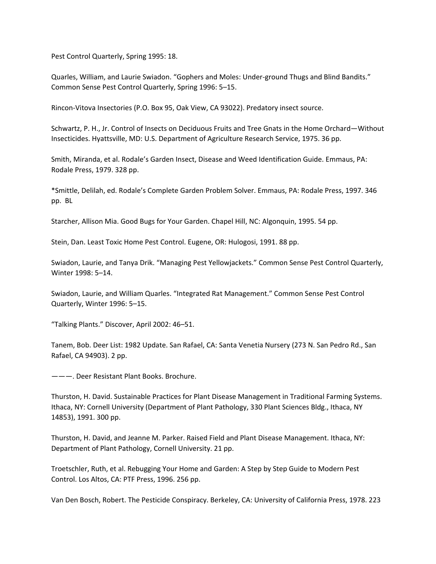Pest Control Quarterly, Spring 1995: 18.

Quarles, William, and Laurie Swiadon. "Gophers and Moles: Under‐ground Thugs and Blind Bandits." Common Sense Pest Control Quarterly, Spring 1996: 5–15.

Rincon‐Vitova Insectories (P.O. Box 95, Oak View, CA 93022). Predatory insect source.

Schwartz, P. H., Jr. Control of Insects on Deciduous Fruits and Tree Gnats in the Home Orchard—Without Insecticides. Hyattsville, MD: U.S. Department of Agriculture Research Service, 1975. 36 pp.

Smith, Miranda, et al. Rodale's Garden Insect, Disease and Weed Identification Guide. Emmaus, PA: Rodale Press, 1979. 328 pp.

\*Smittle, Delilah, ed. Rodale's Complete Garden Problem Solver. Emmaus, PA: Rodale Press, 1997. 346 pp. BL

Starcher, Allison Mia. Good Bugs for Your Garden. Chapel Hill, NC: Algonquin, 1995. 54 pp.

Stein, Dan. Least Toxic Home Pest Control. Eugene, OR: Hulogosi, 1991. 88 pp.

Swiadon, Laurie, and Tanya Drik. "Managing Pest Yellowjackets." Common Sense Pest Control Quarterly, Winter 1998: 5–14.

Swiadon, Laurie, and William Quarles. "Integrated Rat Management." Common Sense Pest Control Quarterly, Winter 1996: 5–15.

"Talking Plants." Discover, April 2002: 46–51.

Tanem, Bob. Deer List: 1982 Update. San Rafael, CA: Santa Venetia Nursery (273 N. San Pedro Rd., San Rafael, CA 94903). 2 pp.

———. Deer Resistant Plant Books. Brochure.

Thurston, H. David. Sustainable Practices for Plant Disease Management in Traditional Farming Systems. Ithaca, NY: Cornell University (Department of Plant Pathology, 330 Plant Sciences Bldg., Ithaca, NY 14853), 1991. 300 pp.

Thurston, H. David, and Jeanne M. Parker. Raised Field and Plant Disease Management. Ithaca, NY: Department of Plant Pathology, Cornell University. 21 pp.

Troetschler, Ruth, et al. Rebugging Your Home and Garden: A Step by Step Guide to Modern Pest Control. Los Altos, CA: PTF Press, 1996. 256 pp.

Van Den Bosch, Robert. The Pesticide Conspiracy. Berkeley, CA: University of California Press, 1978. 223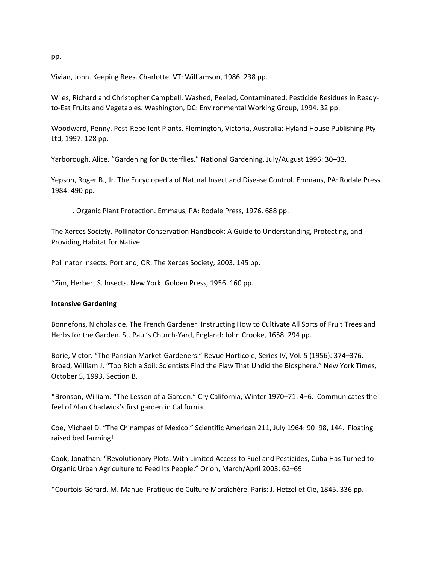pp.

Vivian, John. Keeping Bees. Charlotte, VT: Williamson, 1986. 238 pp.

Wiles, Richard and Christopher Campbell. Washed, Peeled, Contaminated: Pesticide Residues in Ready‐ to-Eat Fruits and Vegetables. Washington, DC: Environmental Working Group, 1994. 32 pp.

Woodward, Penny. Pest‐Repellent Plants. Flemington, Victoria, Australia: Hyland House Publishing Pty Ltd, 1997. 128 pp.

Yarborough, Alice. "Gardening for Butterflies." National Gardening, July/August 1996: 30–33.

Yepson, Roger B., Jr. The Encyclopedia of Natural Insect and Disease Control. Emmaus, PA: Rodale Press, 1984. 490 pp.

———. Organic Plant Protection. Emmaus, PA: Rodale Press, 1976. 688 pp.

The Xerces Society. Pollinator Conservation Handbook: A Guide to Understanding, Protecting, and Providing Habitat for Native

Pollinator Insects. Portland, OR: The Xerces Society, 2003. 145 pp.

\*Zim, Herbert S. Insects. New York: Golden Press, 1956. 160 pp.

#### **Intensive Gardening**

Bonnefons, Nicholas de. The French Gardener: Instructing How to Cultivate All Sorts of Fruit Trees and Herbs for the Garden. St. Paul's Church‐Yard, England: John Crooke, 1658. 294 pp.

Borie, Victor. "The Parisian Market‐Gardeners." Revue Horticole, Series IV, Vol. 5 (1956): 374–376. Broad, William J. "Too Rich a Soil: Scientists Find the Flaw That Undid the Biosphere." New York Times, October 5, 1993, Section B.

\*Bronson, William. "The Lesson of a Garden." Cry California, Winter 1970–71: 4–6. Communicates the feel of Alan Chadwick's first garden in California.

Coe, Michael D. "The Chinampas of Mexico." Scientific American 211, July 1964: 90–98, 144. Floating raised bed farming!

Cook, Jonathan. "Revolutionary Plots: With Limited Access to Fuel and Pesticides, Cuba Has Turned to Organic Urban Agriculture to Feed Its People." Orion, March/April 2003: 62–69

\*Courtois‐Gérard, M. Manuel Pratique de Culture Maraîchère. Paris: J. Hetzel et Cie, 1845. 336 pp.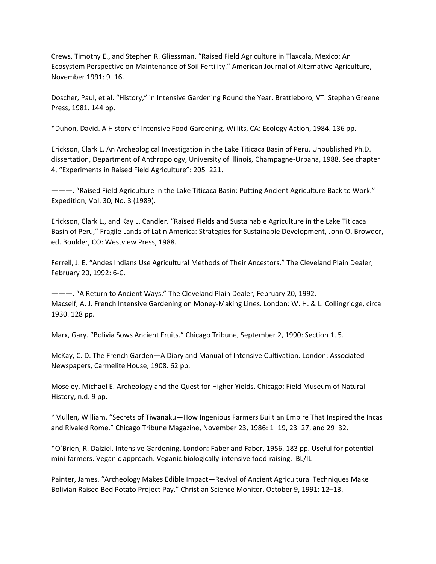Crews, Timothy E., and Stephen R. Gliessman. "Raised Field Agriculture in Tlaxcala, Mexico: An Ecosystem Perspective on Maintenance of Soil Fertility." American Journal of Alternative Agriculture, November 1991: 9–16.

Doscher, Paul, et al. "History," in Intensive Gardening Round the Year. Brattleboro, VT: Stephen Greene Press, 1981. 144 pp.

\*Duhon, David. A History of Intensive Food Gardening. Willits, CA: Ecology Action, 1984. 136 pp.

Erickson, Clark L. An Archeological Investigation in the Lake Titicaca Basin of Peru. Unpublished Ph.D. dissertation, Department of Anthropology, University of Illinois, Champagne‐Urbana, 1988. See chapter 4, "Experiments in Raised Field Agriculture": 205–221.

———. "Raised Field Agriculture in the Lake Titicaca Basin: Putting Ancient Agriculture Back to Work." Expedition, Vol. 30, No. 3 (1989).

Erickson, Clark L., and Kay L. Candler. "Raised Fields and Sustainable Agriculture in the Lake Titicaca Basin of Peru," Fragile Lands of Latin America: Strategies for Sustainable Development, John O. Browder, ed. Boulder, CO: Westview Press, 1988.

Ferrell, J. E. "Andes Indians Use Agricultural Methods of Their Ancestors." The Cleveland Plain Dealer, February 20, 1992: 6‐C.

———. "A Return to Ancient Ways." The Cleveland Plain Dealer, February 20, 1992. Macself, A. J. French Intensive Gardening on Money‐Making Lines. London: W. H. & L. Collingridge, circa 1930. 128 pp.

Marx, Gary. "Bolivia Sows Ancient Fruits." Chicago Tribune, September 2, 1990: Section 1, 5.

McKay, C. D. The French Garden—A Diary and Manual of Intensive Cultivation. London: Associated Newspapers, Carmelite House, 1908. 62 pp.

Moseley, Michael E. Archeology and the Quest for Higher Yields. Chicago: Field Museum of Natural History, n.d. 9 pp.

\*Mullen, William. "Secrets of Tiwanaku—How Ingenious Farmers Built an Empire That Inspired the Incas and Rivaled Rome." Chicago Tribune Magazine, November 23, 1986: 1–19, 23–27, and 29–32.

\*O'Brien, R. Dalziel. Intensive Gardening. London: Faber and Faber, 1956. 183 pp. Useful for potential mini-farmers. Veganic approach. Veganic biologically-intensive food-raising. BL/IL

Painter, James. "Archeology Makes Edible Impact—Revival of Ancient Agricultural Techniques Make Bolivian Raised Bed Potato Project Pay." Christian Science Monitor, October 9, 1991: 12–13.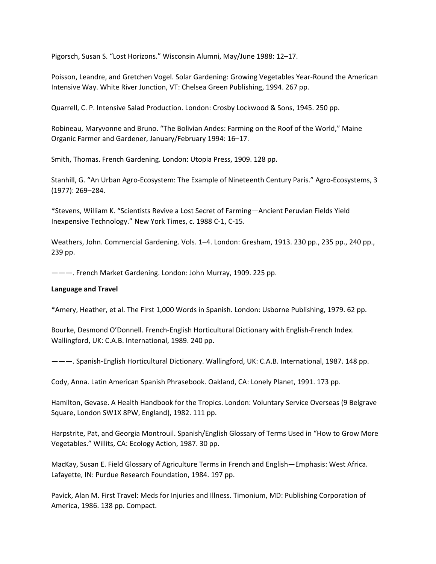Pigorsch, Susan S. "Lost Horizons." Wisconsin Alumni, May/June 1988: 12–17.

Poisson, Leandre, and Gretchen Vogel. Solar Gardening: Growing Vegetables Year‐Round the American Intensive Way. White River Junction, VT: Chelsea Green Publishing, 1994. 267 pp.

Quarrell, C. P. Intensive Salad Production. London: Crosby Lockwood & Sons, 1945. 250 pp.

Robineau, Maryvonne and Bruno. "The Bolivian Andes: Farming on the Roof of the World," Maine Organic Farmer and Gardener, January/February 1994: 16–17.

Smith, Thomas. French Gardening. London: Utopia Press, 1909. 128 pp.

Stanhill, G. "An Urban Agro‐Ecosystem: The Example of Nineteenth Century Paris." Agro‐Ecosystems, 3 (1977): 269–284.

\*Stevens, William K. "Scientists Revive a Lost Secret of Farming—Ancient Peruvian Fields Yield Inexpensive Technology." New York Times, c. 1988 C‐1, C‐15.

Weathers, John. Commercial Gardening. Vols. 1–4. London: Gresham, 1913. 230 pp., 235 pp., 240 pp., 239 pp.

———. French Market Gardening. London: John Murray, 1909. 225 pp.

### **Language and Travel**

\*Amery, Heather, et al. The First 1,000 Words in Spanish. London: Usborne Publishing, 1979. 62 pp.

Bourke, Desmond O'Donnell. French‐English Horticultural Dictionary with English‐French Index. Wallingford, UK: C.A.B. International, 1989. 240 pp.

———. Spanish‐English Horticultural Dictionary. Wallingford, UK: C.A.B. International, 1987. 148 pp.

Cody, Anna. Latin American Spanish Phrasebook. Oakland, CA: Lonely Planet, 1991. 173 pp.

Hamilton, Gevase. A Health Handbook for the Tropics. London: Voluntary Service Overseas (9 Belgrave Square, London SW1X 8PW, England), 1982. 111 pp.

Harpstrite, Pat, and Georgia Montrouil. Spanish/English Glossary of Terms Used in "How to Grow More Vegetables." Willits, CA: Ecology Action, 1987. 30 pp.

MacKay, Susan E. Field Glossary of Agriculture Terms in French and English—Emphasis: West Africa. Lafayette, IN: Purdue Research Foundation, 1984. 197 pp.

Pavick, Alan M. First Travel: Meds for Injuries and Illness. Timonium, MD: Publishing Corporation of America, 1986. 138 pp. Compact.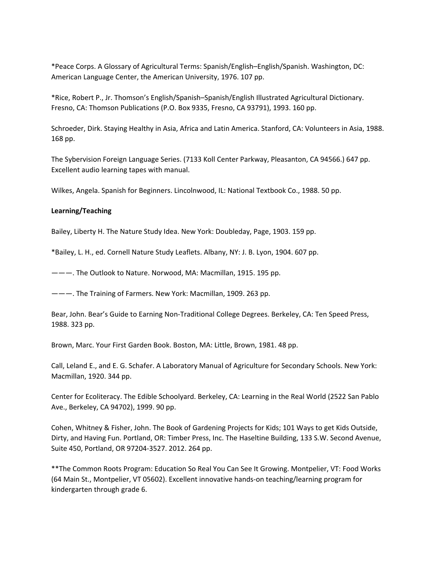\*Peace Corps. A Glossary of Agricultural Terms: Spanish/English–English/Spanish. Washington, DC: American Language Center, the American University, 1976. 107 pp.

\*Rice, Robert P., Jr. Thomson's English/Spanish–Spanish/English Illustrated Agricultural Dictionary. Fresno, CA: Thomson Publications (P.O. Box 9335, Fresno, CA 93791), 1993. 160 pp.

Schroeder, Dirk. Staying Healthy in Asia, Africa and Latin America. Stanford, CA: Volunteers in Asia, 1988. 168 pp.

The Sybervision Foreign Language Series. (7133 Koll Center Parkway, Pleasanton, CA 94566.) 647 pp. Excellent audio learning tapes with manual.

Wilkes, Angela. Spanish for Beginners. Lincolnwood, IL: National Textbook Co., 1988. 50 pp.

# **Learning/Teaching**

Bailey, Liberty H. The Nature Study Idea. New York: Doubleday, Page, 1903. 159 pp.

\*Bailey, L. H., ed. Cornell Nature Study Leaflets. Albany, NY: J. B. Lyon, 1904. 607 pp.

———. The Outlook to Nature. Norwood, MA: Macmillan, 1915. 195 pp.

———. The Training of Farmers. New York: Macmillan, 1909. 263 pp.

Bear, John. Bear's Guide to Earning Non-Traditional College Degrees. Berkeley, CA: Ten Speed Press, 1988. 323 pp.

Brown, Marc. Your First Garden Book. Boston, MA: Little, Brown, 1981. 48 pp.

Call, Leland E., and E. G. Schafer. A Laboratory Manual of Agriculture for Secondary Schools. New York: Macmillan, 1920. 344 pp.

Center for Ecoliteracy. The Edible Schoolyard. Berkeley, CA: Learning in the Real World (2522 San Pablo Ave., Berkeley, CA 94702), 1999. 90 pp.

Cohen, Whitney & Fisher, John. The Book of Gardening Projects for Kids; 101 Ways to get Kids Outside, Dirty, and Having Fun. Portland, OR: Timber Press, Inc. The Haseltine Building, 133 S.W. Second Avenue, Suite 450, Portland, OR 97204‐3527. 2012. 264 pp.

\*\*The Common Roots Program: Education So Real You Can See It Growing. Montpelier, VT: Food Works (64 Main St., Montpelier, VT 05602). Excellent innovative hands‐on teaching/learning program for kindergarten through grade 6.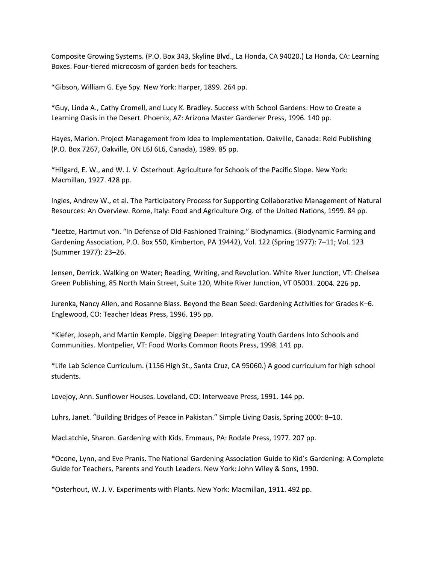Composite Growing Systems. (P.O. Box 343, Skyline Blvd., La Honda, CA 94020.) La Honda, CA: Learning Boxes. Four‐tiered microcosm of garden beds for teachers.

\*Gibson, William G. Eye Spy. New York: Harper, 1899. 264 pp.

\*Guy, Linda A., Cathy Cromell, and Lucy K. Bradley. Success with School Gardens: How to Create a Learning Oasis in the Desert. Phoenix, AZ: Arizona Master Gardener Press, 1996. 140 pp.

Hayes, Marion. Project Management from Idea to Implementation. Oakville, Canada: Reid Publishing (P.O. Box 7267, Oakville, ON L6J 6L6, Canada), 1989. 85 pp.

\*Hilgard, E. W., and W. J. V. Osterhout. Agriculture for Schools of the Pacific Slope. New York: Macmillan, 1927. 428 pp.

Ingles, Andrew W., et al. The Participatory Process for Supporting Collaborative Management of Natural Resources: An Overview. Rome, Italy: Food and Agriculture Org. of the United Nations, 1999. 84 pp.

\*Jeetze, Hartmut von. "In Defense of Old‐Fashioned Training." Biodynamics. (Biodynamic Farming and Gardening Association, P.O. Box 550, Kimberton, PA 19442), Vol. 122 (Spring 1977): 7–11; Vol. 123 (Summer 1977): 23–26.

Jensen, Derrick. Walking on Water; Reading, Writing, and Revolution. White River Junction, VT: Chelsea Green Publishing, 85 North Main Street, Suite 120, White River Junction, VT 05001. 2004. 226 pp.

Jurenka, Nancy Allen, and Rosanne Blass. Beyond the Bean Seed: Gardening Activities for Grades K–6. Englewood, CO: Teacher Ideas Press, 1996. 195 pp.

\*Kiefer, Joseph, and Martin Kemple. Digging Deeper: Integrating Youth Gardens Into Schools and Communities. Montpelier, VT: Food Works Common Roots Press, 1998. 141 pp.

\*Life Lab Science Curriculum. (1156 High St., Santa Cruz, CA 95060.) A good curriculum for high school students.

Lovejoy, Ann. Sunflower Houses. Loveland, CO: Interweave Press, 1991. 144 pp.

Luhrs, Janet. "Building Bridges of Peace in Pakistan." Simple Living Oasis, Spring 2000: 8–10.

MacLatchie, Sharon. Gardening with Kids. Emmaus, PA: Rodale Press, 1977. 207 pp.

\*Ocone, Lynn, and Eve Pranis. The National Gardening Association Guide to Kid's Gardening: A Complete Guide for Teachers, Parents and Youth Leaders. New York: John Wiley & Sons, 1990.

\*Osterhout, W. J. V. Experiments with Plants. New York: Macmillan, 1911. 492 pp.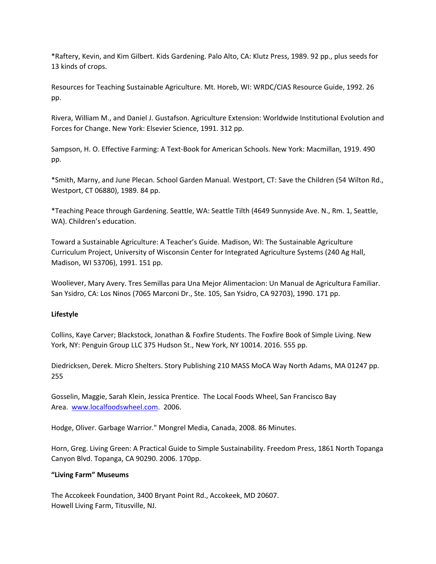\*Raftery, Kevin, and Kim Gilbert. Kids Gardening. Palo Alto, CA: Klutz Press, 1989. 92 pp., plus seeds for 13 kinds of crops.

Resources for Teaching Sustainable Agriculture. Mt. Horeb, WI: WRDC/CIAS Resource Guide, 1992. 26 pp.

Rivera, William M., and Daniel J. Gustafson. Agriculture Extension: Worldwide Institutional Evolution and Forces for Change. New York: Elsevier Science, 1991. 312 pp.

Sampson, H. O. Effective Farming: A Text‐Book for American Schools. New York: Macmillan, 1919. 490 pp.

\*Smith, Marny, and June Plecan. School Garden Manual. Westport, CT: Save the Children (54 Wilton Rd., Westport, CT 06880), 1989. 84 pp.

\*Teaching Peace through Gardening. Seattle, WA: Seattle Tilth (4649 Sunnyside Ave. N., Rm. 1, Seattle, WA). Children's education.

Toward a Sustainable Agriculture: A Teacher's Guide. Madison, WI: The Sustainable Agriculture Curriculum Project, University of Wisconsin Center for Integrated Agriculture Systems (240 Ag Hall, Madison, WI 53706), 1991. 151 pp.

Wooliever, Mary Avery. Tres Semillas para Una Mejor Alimentacion: Un Manual de Agricultura Familiar. San Ysidro, CA: Los Ninos (7065 Marconi Dr., Ste. 105, San Ysidro, CA 92703), 1990. 171 pp.

# **Lifestyle**

Collins, Kaye Carver; Blackstock, Jonathan & Foxfire Students. The Foxfire Book of Simple Living. New York, NY: Penguin Group LLC 375 Hudson St., New York, NY 10014. 2016. 555 pp.

Diedricksen, Derek. Micro Shelters. Story Publishing 210 MASS MoCA Way North Adams, MA 01247 pp. 255

Gosselin, Maggie, Sarah Klein, Jessica Prentice. The Local Foods Wheel, San Francisco Bay Area. www.localfoodswheel.com. 2006.

Hodge, Oliver. Garbage Warrior." Mongrel Media, Canada, 2008. 86 Minutes.

Horn, Greg. Living Green: A Practical Guide to Simple Sustainability. Freedom Press, 1861 North Topanga Canyon Blvd. Topanga, CA 90290. 2006. 170pp.

# **"Living Farm" Museums**

The Accokeek Foundation, 3400 Bryant Point Rd., Accokeek, MD 20607. Howell Living Farm, Titusville, NJ.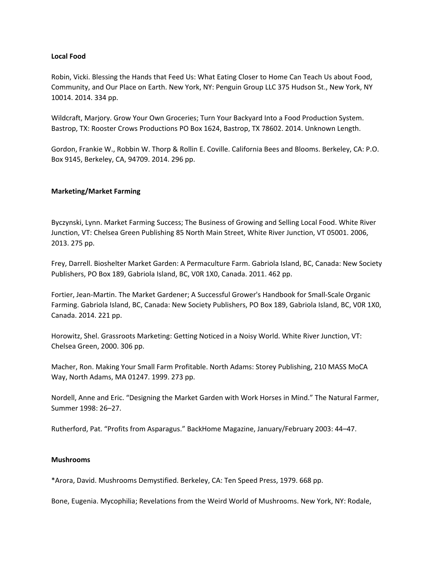## **Local Food**

Robin, Vicki. Blessing the Hands that Feed Us: What Eating Closer to Home Can Teach Us about Food, Community, and Our Place on Earth. New York, NY: Penguin Group LLC 375 Hudson St., New York, NY 10014. 2014. 334 pp.

Wildcraft, Marjory. Grow Your Own Groceries; Turn Your Backyard Into a Food Production System. Bastrop, TX: Rooster Crows Productions PO Box 1624, Bastrop, TX 78602. 2014. Unknown Length.

Gordon, Frankie W., Robbin W. Thorp & Rollin E. Coville. California Bees and Blooms. Berkeley, CA: P.O. Box 9145, Berkeley, CA, 94709. 2014. 296 pp.

## **Marketing/Market Farming**

Byczynski, Lynn. Market Farming Success; The Business of Growing and Selling Local Food. White River Junction, VT: Chelsea Green Publishing 85 North Main Street, White River Junction, VT 05001. 2006, 2013. 275 pp.

Frey, Darrell. Bioshelter Market Garden: A Permaculture Farm. Gabriola Island, BC, Canada: New Society Publishers, PO Box 189, Gabriola Island, BC, V0R 1X0, Canada. 2011. 462 pp.

Fortier, Jean‐Martin. The Market Gardener; A Successful Grower's Handbook for Small‐Scale Organic Farming. Gabriola Island, BC, Canada: New Society Publishers, PO Box 189, Gabriola Island, BC, V0R 1X0, Canada. 2014. 221 pp.

Horowitz, Shel. Grassroots Marketing: Getting Noticed in a Noisy World. White River Junction, VT: Chelsea Green, 2000. 306 pp.

Macher, Ron. Making Your Small Farm Profitable. North Adams: Storey Publishing, 210 MASS MoCA Way, North Adams, MA 01247. 1999. 273 pp.

Nordell, Anne and Eric. "Designing the Market Garden with Work Horses in Mind." The Natural Farmer, Summer 1998: 26–27.

Rutherford, Pat. "Profits from Asparagus." BackHome Magazine, January/February 2003: 44–47.

### **Mushrooms**

\*Arora, David. Mushrooms Demystified. Berkeley, CA: Ten Speed Press, 1979. 668 pp.

Bone, Eugenia. Mycophilia; Revelations from the Weird World of Mushrooms. New York, NY: Rodale,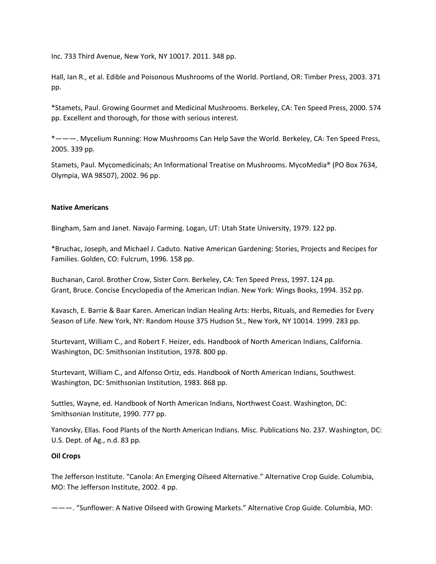Inc. 733 Third Avenue, New York, NY 10017. 2011. 348 pp.

Hall, Ian R., et al. Edible and Poisonous Mushrooms of the World. Portland, OR: Timber Press, 2003. 371 pp.

\*Stamets, Paul. Growing Gourmet and Medicinal Mushrooms. Berkeley, CA: Ten Speed Press, 2000. 574 pp. Excellent and thorough, for those with serious interest.

\*———. Mycelium Running: How Mushrooms Can Help Save the World. Berkeley, CA: Ten Speed Press, 2005. 339 pp.

Stamets, Paul. Mycomedicinals; An Informational Treatise on Mushrooms. MycoMedia® (PO Box 7634, Olympia, WA 98507), 2002. 96 pp.

## **Native Americans**

Bingham, Sam and Janet. Navajo Farming. Logan, UT: Utah State University, 1979. 122 pp.

\*Bruchac, Joseph, and Michael J. Caduto. Native American Gardening: Stories, Projects and Recipes for Families. Golden, CO: Fulcrum, 1996. 158 pp.

Buchanan, Carol. Brother Crow, Sister Corn. Berkeley, CA: Ten Speed Press, 1997. 124 pp. Grant, Bruce. Concise Encyclopedia of the American Indian. New York: Wings Books, 1994. 352 pp.

Kavasch, E. Barrie & Baar Karen. American Indian Healing Arts: Herbs, Rituals, and Remedies for Every Season of Life. New York, NY: Random House 375 Hudson St., New York, NY 10014. 1999. 283 pp.

Sturtevant, William C., and Robert F. Heizer, eds. Handbook of North American Indians, California. Washington, DC: Smithsonian Institution, 1978. 800 pp.

Sturtevant, William C., and Alfonso Ortiz, eds. Handbook of North American Indians, Southwest. Washington, DC: Smithsonian Institution, 1983. 868 pp.

Suttles, Wayne, ed. Handbook of North American Indians, Northwest Coast. Washington, DC: Smithsonian Institute, 1990. 777 pp.

Yanovsky, Ellas. Food Plants of the North American Indians. Misc. Publications No. 237. Washington, DC: U.S. Dept. of Ag., n.d. 83 pp.

# **Oil Crops**

The Jefferson Institute. "Canola: An Emerging Oilseed Alternative." Alternative Crop Guide. Columbia, MO: The Jefferson Institute, 2002. 4 pp.

———. "Sunflower: A Native Oilseed with Growing Markets." Alternative Crop Guide. Columbia, MO: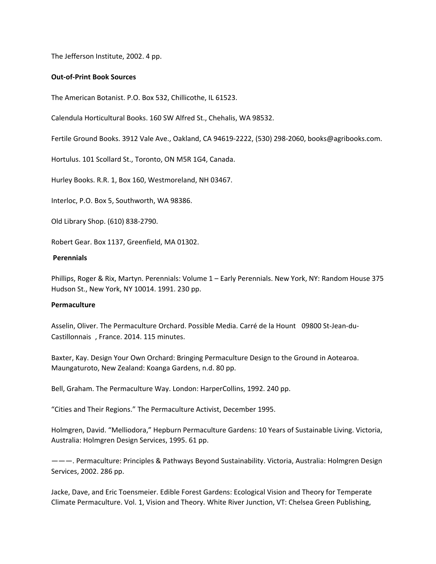The Jefferson Institute, 2002. 4 pp.

### **Out‐of‐Print Book Sources**

The American Botanist. P.O. Box 532, Chillicothe, IL 61523.

Calendula Horticultural Books. 160 SW Alfred St., Chehalis, WA 98532.

Fertile Ground Books. 3912 Vale Ave., Oakland, CA 94619‐2222, (530) 298‐2060, books@agribooks.com.

Hortulus. 101 Scollard St., Toronto, ON M5R 1G4, Canada.

Hurley Books. R.R. 1, Box 160, Westmoreland, NH 03467.

Interloc, P.O. Box 5, Southworth, WA 98386.

Old Library Shop. (610) 838‐2790.

Robert Gear. Box 1137, Greenfield, MA 01302.

## **Perennials**

Phillips, Roger & Rix, Martyn. Perennials: Volume 1 – Early Perennials. New York, NY: Random House 375 Hudson St., New York, NY 10014. 1991. 230 pp.

# **Permaculture**

Asselin, Oliver. The Permaculture Orchard. Possible Media. Carré de la Hount 09800 St‐Jean‐du‐ Castillonnais , France. 2014. 115 minutes.

Baxter, Kay. Design Your Own Orchard: Bringing Permaculture Design to the Ground in Aotearoa. Maungaturoto, New Zealand: Koanga Gardens, n.d. 80 pp.

Bell, Graham. The Permaculture Way. London: HarperCollins, 1992. 240 pp.

"Cities and Their Regions." The Permaculture Activist, December 1995.

Holmgren, David. "Melliodora," Hepburn Permaculture Gardens: 10 Years of Sustainable Living. Victoria, Australia: Holmgren Design Services, 1995. 61 pp.

———. Permaculture: Principles & Pathways Beyond Sustainability. Victoria, Australia: Holmgren Design Services, 2002. 286 pp.

Jacke, Dave, and Eric Toensmeier. Edible Forest Gardens: Ecological Vision and Theory for Temperate Climate Permaculture. Vol. 1, Vision and Theory. White River Junction, VT: Chelsea Green Publishing,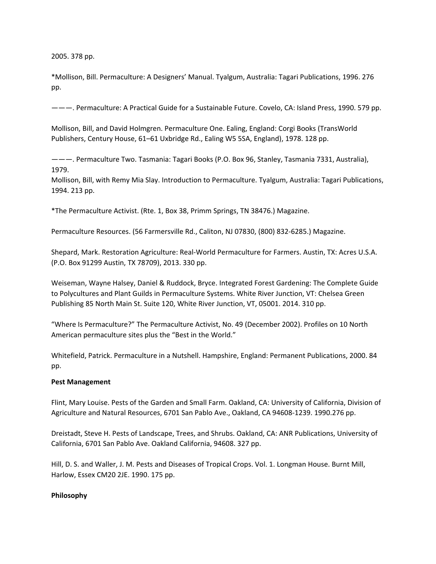2005. 378 pp.

\*Mollison, Bill. Permaculture: A Designers' Manual. Tyalgum, Australia: Tagari Publications, 1996. 276 pp.

———. Permaculture: A Practical Guide for a Sustainable Future. Covelo, CA: Island Press, 1990. 579 pp.

Mollison, Bill, and David Holmgren. Permaculture One. Ealing, England: Corgi Books (TransWorld Publishers, Century House, 61–61 Uxbridge Rd., Ealing W5 5SA, England), 1978. 128 pp.

———. Permaculture Two. Tasmania: Tagari Books (P.O. Box 96, Stanley, Tasmania 7331, Australia), 1979.

Mollison, Bill, with Remy Mia Slay. Introduction to Permaculture. Tyalgum, Australia: Tagari Publications, 1994. 213 pp.

\*The Permaculture Activist. (Rte. 1, Box 38, Primm Springs, TN 38476.) Magazine.

Permaculture Resources. (56 Farmersville Rd., Caliton, NJ 07830, (800) 832‐6285.) Magazine.

Shepard, Mark. Restoration Agriculture: Real‐World Permaculture for Farmers. Austin, TX: Acres U.S.A. (P.O. Box 91299 Austin, TX 78709), 2013. 330 pp.

Weiseman, Wayne Halsey, Daniel & Ruddock, Bryce. Integrated Forest Gardening: The Complete Guide to Polycultures and Plant Guilds in Permaculture Systems. White River Junction, VT: Chelsea Green Publishing 85 North Main St. Suite 120, White River Junction, VT, 05001. 2014. 310 pp.

"Where Is Permaculture?" The Permaculture Activist, No. 49 (December 2002). Profiles on 10 North American permaculture sites plus the "Best in the World."

Whitefield, Patrick. Permaculture in a Nutshell. Hampshire, England: Permanent Publications, 2000. 84 pp.

### **Pest Management**

Flint, Mary Louise. Pests of the Garden and Small Farm. Oakland, CA: University of California, Division of Agriculture and Natural Resources, 6701 San Pablo Ave., Oakland, CA 94608‐1239. 1990.276 pp.

Dreistadt, Steve H. Pests of Landscape, Trees, and Shrubs. Oakland, CA: ANR Publications, University of California, 6701 San Pablo Ave. Oakland California, 94608. 327 pp.

Hill, D. S. and Waller, J. M. Pests and Diseases of Tropical Crops. Vol. 1. Longman House. Burnt Mill, Harlow, Essex CM20 2JE. 1990. 175 pp.

### **Philosophy**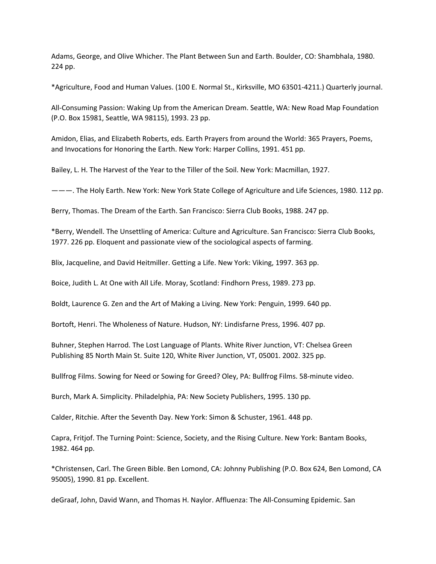Adams, George, and Olive Whicher. The Plant Between Sun and Earth. Boulder, CO: Shambhala, 1980. 224 pp.

\*Agriculture, Food and Human Values. (100 E. Normal St., Kirksville, MO 63501‐4211.) Quarterly journal.

All‐Consuming Passion: Waking Up from the American Dream. Seattle, WA: New Road Map Foundation (P.O. Box 15981, Seattle, WA 98115), 1993. 23 pp.

Amidon, Elias, and Elizabeth Roberts, eds. Earth Prayers from around the World: 365 Prayers, Poems, and Invocations for Honoring the Earth. New York: Harper Collins, 1991. 451 pp.

Bailey, L. H. The Harvest of the Year to the Tiller of the Soil. New York: Macmillan, 1927.

———. The Holy Earth. New York: New York State College of Agriculture and Life Sciences, 1980. 112 pp.

Berry, Thomas. The Dream of the Earth. San Francisco: Sierra Club Books, 1988. 247 pp.

\*Berry, Wendell. The Unsettling of America: Culture and Agriculture. San Francisco: Sierra Club Books, 1977. 226 pp. Eloquent and passionate view of the sociological aspects of farming.

Blix, Jacqueline, and David Heitmiller. Getting a Life. New York: Viking, 1997. 363 pp.

Boice, Judith L. At One with All Life. Moray, Scotland: Findhorn Press, 1989. 273 pp.

Boldt, Laurence G. Zen and the Art of Making a Living. New York: Penguin, 1999. 640 pp.

Bortoft, Henri. The Wholeness of Nature. Hudson, NY: Lindisfarne Press, 1996. 407 pp.

Buhner, Stephen Harrod. The Lost Language of Plants. White River Junction, VT: Chelsea Green Publishing 85 North Main St. Suite 120, White River Junction, VT, 05001. 2002. 325 pp.

Bullfrog Films. Sowing for Need or Sowing for Greed? Oley, PA: Bullfrog Films. 58‐minute video.

Burch, Mark A. Simplicity. Philadelphia, PA: New Society Publishers, 1995. 130 pp.

Calder, Ritchie. After the Seventh Day. New York: Simon & Schuster, 1961. 448 pp.

Capra, Fritjof. The Turning Point: Science, Society, and the Rising Culture. New York: Bantam Books, 1982. 464 pp.

\*Christensen, Carl. The Green Bible. Ben Lomond, CA: Johnny Publishing (P.O. Box 624, Ben Lomond, CA 95005), 1990. 81 pp. Excellent.

deGraaf, John, David Wann, and Thomas H. Naylor. Affluenza: The All‐Consuming Epidemic. San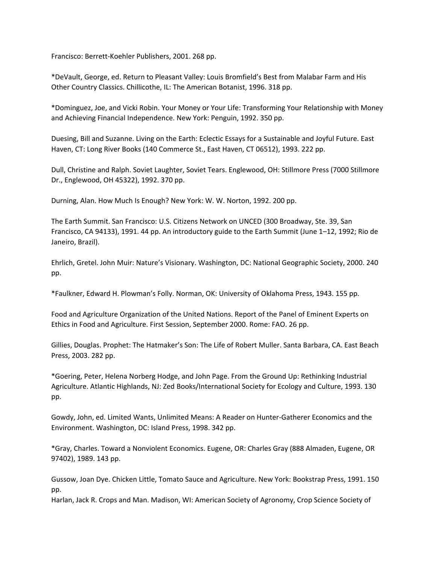Francisco: Berrett‐Koehler Publishers, 2001. 268 pp.

\*DeVault, George, ed. Return to Pleasant Valley: Louis Bromfield's Best from Malabar Farm and His Other Country Classics. Chillicothe, IL: The American Botanist, 1996. 318 pp.

\*Dominguez, Joe, and Vicki Robin. Your Money or Your Life: Transforming Your Relationship with Money and Achieving Financial Independence. New York: Penguin, 1992. 350 pp.

Duesing, Bill and Suzanne. Living on the Earth: Eclectic Essays for a Sustainable and Joyful Future. East Haven, CT: Long River Books (140 Commerce St., East Haven, CT 06512), 1993. 222 pp.

Dull, Christine and Ralph. Soviet Laughter, Soviet Tears. Englewood, OH: Stillmore Press (7000 Stillmore Dr., Englewood, OH 45322), 1992. 370 pp.

Durning, Alan. How Much Is Enough? New York: W. W. Norton, 1992. 200 pp.

The Earth Summit. San Francisco: U.S. Citizens Network on UNCED (300 Broadway, Ste. 39, San Francisco, CA 94133), 1991. 44 pp. An introductory guide to the Earth Summit (June 1–12, 1992; Rio de Janeiro, Brazil).

Ehrlich, Gretel. John Muir: Nature's Visionary. Washington, DC: National Geographic Society, 2000. 240 pp.

\*Faulkner, Edward H. Plowman's Folly. Norman, OK: University of Oklahoma Press, 1943. 155 pp.

Food and Agriculture Organization of the United Nations. Report of the Panel of Eminent Experts on Ethics in Food and Agriculture. First Session, September 2000. Rome: FAO. 26 pp.

Gillies, Douglas. Prophet: The Hatmaker's Son: The Life of Robert Muller. Santa Barbara, CA. East Beach Press, 2003. 282 pp.

\*Goering, Peter, Helena Norberg Hodge, and John Page. From the Ground Up: Rethinking Industrial Agriculture. Atlantic Highlands, NJ: Zed Books/International Society for Ecology and Culture, 1993. 130 pp.

Gowdy, John, ed. Limited Wants, Unlimited Means: A Reader on Hunter‐Gatherer Economics and the Environment. Washington, DC: Island Press, 1998. 342 pp.

\*Gray, Charles. Toward a Nonviolent Economics. Eugene, OR: Charles Gray (888 Almaden, Eugene, OR 97402), 1989. 143 pp.

Gussow, Joan Dye. Chicken Little, Tomato Sauce and Agriculture. New York: Bookstrap Press, 1991. 150 pp.

Harlan, Jack R. Crops and Man. Madison, WI: American Society of Agronomy, Crop Science Society of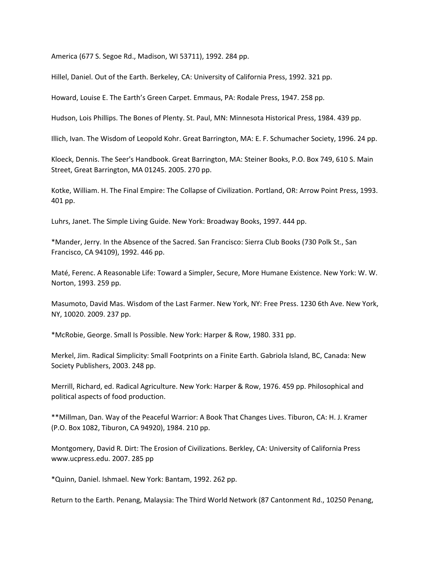America (677 S. Segoe Rd., Madison, WI 53711), 1992. 284 pp.

Hillel, Daniel. Out of the Earth. Berkeley, CA: University of California Press, 1992. 321 pp.

Howard, Louise E. The Earth's Green Carpet. Emmaus, PA: Rodale Press, 1947. 258 pp.

Hudson, Lois Phillips. The Bones of Plenty. St. Paul, MN: Minnesota Historical Press, 1984. 439 pp.

Illich, Ivan. The Wisdom of Leopold Kohr. Great Barrington, MA: E. F. Schumacher Society, 1996. 24 pp.

Kloeck, Dennis. The Seer's Handbook. Great Barrington, MA: Steiner Books, P.O. Box 749, 610 S. Main Street, Great Barrington, MA 01245. 2005. 270 pp.

Kotke, William. H. The Final Empire: The Collapse of Civilization. Portland, OR: Arrow Point Press, 1993. 401 pp.

Luhrs, Janet. The Simple Living Guide. New York: Broadway Books, 1997. 444 pp.

\*Mander, Jerry. In the Absence of the Sacred. San Francisco: Sierra Club Books (730 Polk St., San Francisco, CA 94109), 1992. 446 pp.

Maté, Ferenc. A Reasonable Life: Toward a Simpler, Secure, More Humane Existence. New York: W. W. Norton, 1993. 259 pp.

Masumoto, David Mas. Wisdom of the Last Farmer. New York, NY: Free Press. 1230 6th Ave. New York, NY, 10020. 2009. 237 pp.

\*McRobie, George. Small Is Possible. New York: Harper & Row, 1980. 331 pp.

Merkel, Jim. Radical Simplicity: Small Footprints on a Finite Earth. Gabriola Island, BC, Canada: New Society Publishers, 2003. 248 pp.

Merrill, Richard, ed. Radical Agriculture. New York: Harper & Row, 1976. 459 pp. Philosophical and political aspects of food production.

\*\*Millman, Dan. Way of the Peaceful Warrior: A Book That Changes Lives. Tiburon, CA: H. J. Kramer (P.O. Box 1082, Tiburon, CA 94920), 1984. 210 pp.

Montgomery, David R. Dirt: The Erosion of Civilizations. Berkley, CA: University of California Press www.ucpress.edu. 2007. 285 pp

\*Quinn, Daniel. Ishmael. New York: Bantam, 1992. 262 pp.

Return to the Earth. Penang, Malaysia: The Third World Network (87 Cantonment Rd., 10250 Penang,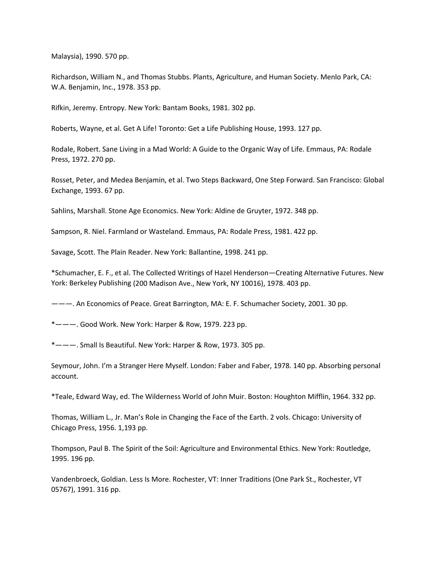Malaysia), 1990. 570 pp.

Richardson, William N., and Thomas Stubbs. Plants, Agriculture, and Human Society. Menlo Park, CA: W.A. Benjamin, Inc., 1978. 353 pp.

Rifkin, Jeremy. Entropy. New York: Bantam Books, 1981. 302 pp.

Roberts, Wayne, et al. Get A Life! Toronto: Get a Life Publishing House, 1993. 127 pp.

Rodale, Robert. Sane Living in a Mad World: A Guide to the Organic Way of Life. Emmaus, PA: Rodale Press, 1972. 270 pp.

Rosset, Peter, and Medea Benjamin, et al. Two Steps Backward, One Step Forward. San Francisco: Global Exchange, 1993. 67 pp.

Sahlins, Marshall. Stone Age Economics. New York: Aldine de Gruyter, 1972. 348 pp.

Sampson, R. Niel. Farmland or Wasteland. Emmaus, PA: Rodale Press, 1981. 422 pp.

Savage, Scott. The Plain Reader. New York: Ballantine, 1998. 241 pp.

\*Schumacher, E. F., et al. The Collected Writings of Hazel Henderson—Creating Alternative Futures. New York: Berkeley Publishing (200 Madison Ave., New York, NY 10016), 1978. 403 pp.

———. An Economics of Peace. Great Barrington, MA: E. F. Schumacher Society, 2001. 30 pp.

\*———. Good Work. New York: Harper & Row, 1979. 223 pp.

\*———. Small Is Beautiful. New York: Harper & Row, 1973. 305 pp.

Seymour, John. I'm a Stranger Here Myself. London: Faber and Faber, 1978. 140 pp. Absorbing personal account.

\*Teale, Edward Way, ed. The Wilderness World of John Muir. Boston: Houghton Mifflin, 1964. 332 pp.

Thomas, William L., Jr. Man's Role in Changing the Face of the Earth. 2 vols. Chicago: University of Chicago Press, 1956. 1,193 pp.

Thompson, Paul B. The Spirit of the Soil: Agriculture and Environmental Ethics. New York: Routledge, 1995. 196 pp.

Vandenbroeck, Goldian. Less Is More. Rochester, VT: Inner Traditions (One Park St., Rochester, VT 05767), 1991. 316 pp.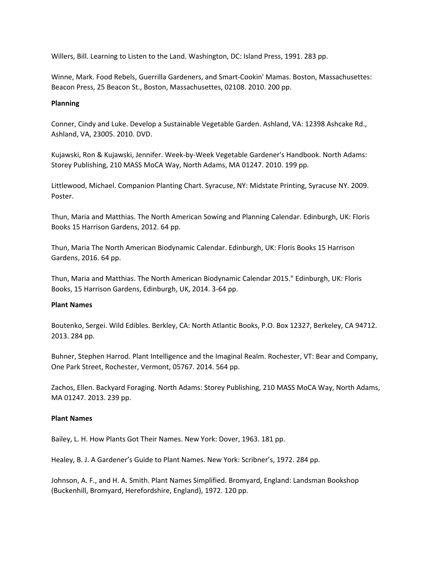Willers, Bill. Learning to Listen to the Land. Washington, DC: Island Press, 1991. 283 pp.

Winne, Mark. Food Rebels, Guerrilla Gardeners, and Smart‐Cookin' Mamas. Boston, Massachusettes: Beacon Press, 25 Beacon St., Boston, Massachusettes, 02108. 2010. 200 pp.

### **Planning**

Conner, Cindy and Luke. Develop a Sustainable Vegetable Garden. Ashland, VA: 12398 Ashcake Rd., Ashland, VA, 23005. 2010. DVD.

Kujawski, Ron & Kujawski, Jennifer. Week‐by‐Week Vegetable Gardener's Handbook. North Adams: Storey Publishing, 210 MASS MoCA Way, North Adams, MA 01247. 2010. 199 pp.

Littlewood, Michael. Companion Planting Chart. Syracuse, NY: Midstate Printing, Syracuse NY. 2009. Poster.

Thun, Maria and Matthias. The North American Sowing and Planning Calendar. Edinburgh, UK: Floris Books 15 Harrison Gardens, 2012. 64 pp.

Thun, Maria The North American Biodynamic Calendar. Edinburgh, UK: Floris Books 15 Harrison Gardens, 2016. 64 pp.

Thun, Maria and Matthias. The North American Biodynamic Calendar 2015." Edinburgh, UK: Floris Books, 15 Harrison Gardens, Edinburgh, UK, 2014. 3‐64 pp.

# **Plant Names**

Boutenko, Sergei. Wild Edibles. Berkley, CA: North Atlantic Books, P.O. Box 12327, Berkeley, CA 94712. 2013. 284 pp.

Buhner, Stephen Harrod. Plant Intelligence and the Imaginal Realm. Rochester, VT: Bear and Company, One Park Street, Rochester, Vermont, 05767. 2014. 564 pp.

Zachos, Ellen. Backyard Foraging. North Adams: Storey Publishing, 210 MASS MoCA Way, North Adams, MA 01247. 2013. 239 pp.

### **Plant Names**

Bailey, L. H. How Plants Got Their Names. New York: Dover, 1963. 181 pp.

Healey, B. J. A Gardener's Guide to Plant Names. New York: Scribner's, 1972. 284 pp.

Johnson, A. F., and H. A. Smith. Plant Names Simplified. Bromyard, England: Landsman Bookshop (Buckenhill, Bromyard, Herefordshire, England), 1972. 120 pp.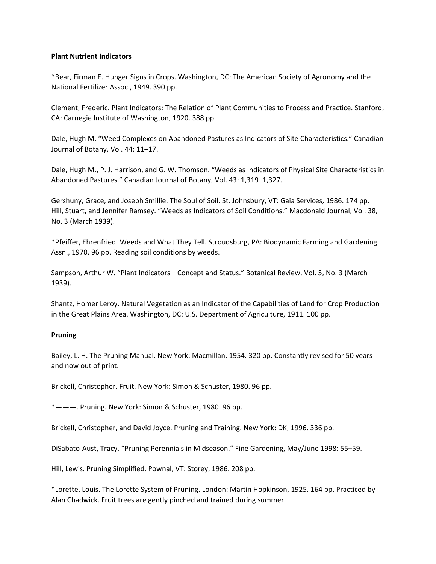## **Plant Nutrient Indicators**

\*Bear, Firman E. Hunger Signs in Crops. Washington, DC: The American Society of Agronomy and the National Fertilizer Assoc., 1949. 390 pp.

Clement, Frederic. Plant Indicators: The Relation of Plant Communities to Process and Practice. Stanford, CA: Carnegie Institute of Washington, 1920. 388 pp.

Dale, Hugh M. "Weed Complexes on Abandoned Pastures as Indicators of Site Characteristics." Canadian Journal of Botany, Vol. 44: 11–17.

Dale, Hugh M., P. J. Harrison, and G. W. Thomson. "Weeds as Indicators of Physical Site Characteristics in Abandoned Pastures." Canadian Journal of Botany, Vol. 43: 1,319–1,327.

Gershuny, Grace, and Joseph Smillie. The Soul of Soil. St. Johnsbury, VT: Gaia Services, 1986. 174 pp. Hill, Stuart, and Jennifer Ramsey. "Weeds as Indicators of Soil Conditions." Macdonald Journal, Vol. 38, No. 3 (March 1939).

\*Pfeiffer, Ehrenfried. Weeds and What They Tell. Stroudsburg, PA: Biodynamic Farming and Gardening Assn., 1970. 96 pp. Reading soil conditions by weeds.

Sampson, Arthur W. "Plant Indicators—Concept and Status." Botanical Review, Vol. 5, No. 3 (March 1939).

Shantz, Homer Leroy. Natural Vegetation as an Indicator of the Capabilities of Land for Crop Production in the Great Plains Area. Washington, DC: U.S. Department of Agriculture, 1911. 100 pp.

# **Pruning**

Bailey, L. H. The Pruning Manual. New York: Macmillan, 1954. 320 pp. Constantly revised for 50 years and now out of print.

Brickell, Christopher. Fruit. New York: Simon & Schuster, 1980. 96 pp.

\*———. Pruning. New York: Simon & Schuster, 1980. 96 pp.

Brickell, Christopher, and David Joyce. Pruning and Training. New York: DK, 1996. 336 pp.

DiSabato‐Aust, Tracy. "Pruning Perennials in Midseason." Fine Gardening, May/June 1998: 55–59.

Hill, Lewis. Pruning Simplified. Pownal, VT: Storey, 1986. 208 pp.

\*Lorette, Louis. The Lorette System of Pruning. London: Martin Hopkinson, 1925. 164 pp. Practiced by Alan Chadwick. Fruit trees are gently pinched and trained during summer.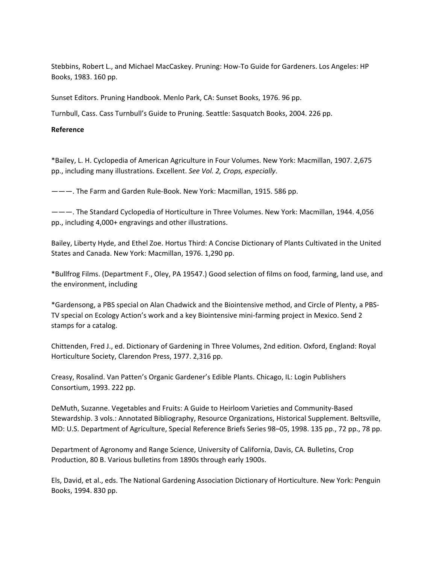Stebbins, Robert L., and Michael MacCaskey. Pruning: How‐To Guide for Gardeners. Los Angeles: HP Books, 1983. 160 pp.

Sunset Editors. Pruning Handbook. Menlo Park, CA: Sunset Books, 1976. 96 pp.

Turnbull, Cass. Cass Turnbull's Guide to Pruning. Seattle: Sasquatch Books, 2004. 226 pp.

## **Reference**

\*Bailey, L. H. Cyclopedia of American Agriculture in Four Volumes. New York: Macmillan, 1907. 2,675 pp., including many illustrations. Excellent. *See Vol. 2, Crops, especially*.

———. The Farm and Garden Rule‐Book. New York: Macmillan, 1915. 586 pp.

———. The Standard Cyclopedia of Horticulture in Three Volumes. New York: Macmillan, 1944. 4,056 pp., including 4,000+ engravings and other illustrations.

Bailey, Liberty Hyde, and Ethel Zoe. Hortus Third: A Concise Dictionary of Plants Cultivated in the United States and Canada. New York: Macmillan, 1976. 1,290 pp.

\*Bullfrog Films. (Department F., Oley, PA 19547.) Good selection of films on food, farming, land use, and the environment, including

\*Gardensong, a PBS special on Alan Chadwick and the Biointensive method, and Circle of Plenty, a PBS‐ TV special on Ecology Action's work and a key Biointensive mini‐farming project in Mexico. Send 2 stamps for a catalog.

Chittenden, Fred J., ed. Dictionary of Gardening in Three Volumes, 2nd edition. Oxford, England: Royal Horticulture Society, Clarendon Press, 1977. 2,316 pp.

Creasy, Rosalind. Van Patten's Organic Gardener's Edible Plants. Chicago, IL: Login Publishers Consortium, 1993. 222 pp.

DeMuth, Suzanne. Vegetables and Fruits: A Guide to Heirloom Varieties and Community‐Based Stewardship. 3 vols.: Annotated Bibliography, Resource Organizations, Historical Supplement. Beltsville, MD: U.S. Department of Agriculture, Special Reference Briefs Series 98–05, 1998. 135 pp., 72 pp., 78 pp.

Department of Agronomy and Range Science, University of California, Davis, CA. Bulletins, Crop Production, 80 B. Various bulletins from 1890s through early 1900s.

Els, David, et al., eds. The National Gardening Association Dictionary of Horticulture. New York: Penguin Books, 1994. 830 pp.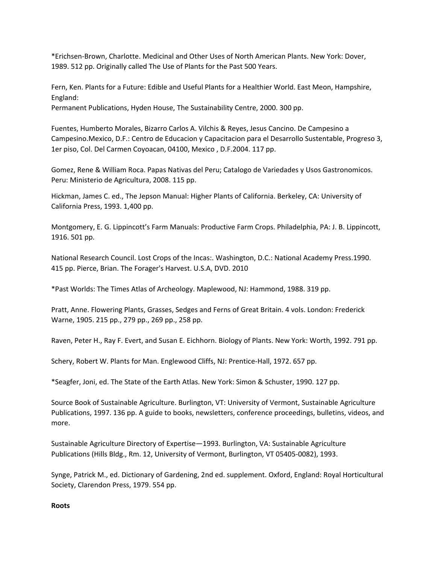\*Erichsen‐Brown, Charlotte. Medicinal and Other Uses of North American Plants. New York: Dover, 1989. 512 pp. Originally called The Use of Plants for the Past 500 Years.

Fern, Ken. Plants for a Future: Edible and Useful Plants for a Healthier World. East Meon, Hampshire, England:

Permanent Publications, Hyden House, The Sustainability Centre, 2000. 300 pp.

Fuentes, Humberto Morales, Bizarro Carlos A. Vilchis & Reyes, Jesus Cancino. De Campesino a Campesino.Mexico, D.F.: Centro de Educacion y Capacitacion para el Desarrollo Sustentable, Progreso 3, 1er piso, Col. Del Carmen Coyoacan, 04100, Mexico , D.F.2004. 117 pp.

Gomez, Rene & William Roca. Papas Nativas del Peru; Catalogo de Variedades y Usos Gastronomicos. Peru: Ministerio de Agricultura, 2008. 115 pp.

Hickman, James C. ed., The Jepson Manual: Higher Plants of California. Berkeley, CA: University of California Press, 1993. 1,400 pp.

Montgomery, E. G. Lippincott's Farm Manuals: Productive Farm Crops. Philadelphia, PA: J. B. Lippincott, 1916. 501 pp.

National Research Council. Lost Crops of the Incas:. Washington, D.C.: National Academy Press.1990. 415 pp. Pierce, Brian. The Forager's Harvest. U.S.A, DVD. 2010

\*Past Worlds: The Times Atlas of Archeology. Maplewood, NJ: Hammond, 1988. 319 pp.

Pratt, Anne. Flowering Plants, Grasses, Sedges and Ferns of Great Britain. 4 vols. London: Frederick Warne, 1905. 215 pp., 279 pp., 269 pp., 258 pp.

Raven, Peter H., Ray F. Evert, and Susan E. Eichhorn. Biology of Plants. New York: Worth, 1992. 791 pp.

Schery, Robert W. Plants for Man. Englewood Cliffs, NJ: Prentice-Hall, 1972. 657 pp.

\*Seagfer, Joni, ed. The State of the Earth Atlas. New York: Simon & Schuster, 1990. 127 pp.

Source Book of Sustainable Agriculture. Burlington, VT: University of Vermont, Sustainable Agriculture Publications, 1997. 136 pp. A guide to books, newsletters, conference proceedings, bulletins, videos, and more.

Sustainable Agriculture Directory of Expertise—1993. Burlington, VA: Sustainable Agriculture Publications (Hills Bldg., Rm. 12, University of Vermont, Burlington, VT 05405‐0082), 1993.

Synge, Patrick M., ed. Dictionary of Gardening, 2nd ed. supplement. Oxford, England: Royal Horticultural Society, Clarendon Press, 1979. 554 pp.

### **Roots**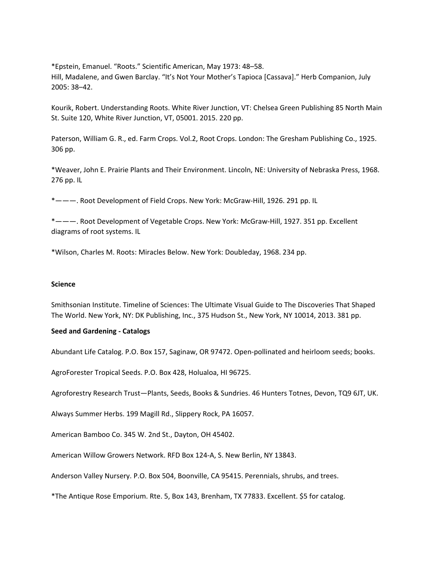\*Epstein, Emanuel. "Roots." Scientific American, May 1973: 48–58. Hill, Madalene, and Gwen Barclay. "It's Not Your Mother's Tapioca [Cassava]." Herb Companion, July 2005: 38–42.

Kourik, Robert. Understanding Roots. White River Junction, VT: Chelsea Green Publishing 85 North Main St. Suite 120, White River Junction, VT, 05001. 2015. 220 pp.

Paterson, William G. R., ed. Farm Crops. Vol.2, Root Crops. London: The Gresham Publishing Co., 1925. 306 pp.

\*Weaver, John E. Prairie Plants and Their Environment. Lincoln, NE: University of Nebraska Press, 1968. 276 pp. IL

\*———. Root Development of Field Crops. New York: McGraw‐Hill, 1926. 291 pp. IL

\*———. Root Development of Vegetable Crops. New York: McGraw‐Hill, 1927. 351 pp. Excellent diagrams of root systems. IL

\*Wilson, Charles M. Roots: Miracles Below. New York: Doubleday, 1968. 234 pp.

#### **Science**

Smithsonian Institute. Timeline of Sciences: The Ultimate Visual Guide to The Discoveries That Shaped The World. New York, NY: DK Publishing, Inc., 375 Hudson St., New York, NY 10014, 2013. 381 pp.

#### **Seed and Gardening ‐ Catalogs**

Abundant Life Catalog. P.O. Box 157, Saginaw, OR 97472. Open‐pollinated and heirloom seeds; books.

AgroForester Tropical Seeds. P.O. Box 428, Holualoa, HI 96725.

Agroforestry Research Trust—Plants, Seeds, Books & Sundries. 46 Hunters Totnes, Devon, TQ9 6JT, UK.

Always Summer Herbs. 199 Magill Rd., Slippery Rock, PA 16057.

American Bamboo Co. 345 W. 2nd St., Dayton, OH 45402.

American Willow Growers Network. RFD Box 124‐A, S. New Berlin, NY 13843.

Anderson Valley Nursery. P.O. Box 504, Boonville, CA 95415. Perennials, shrubs, and trees.

\*The Antique Rose Emporium. Rte. 5, Box 143, Brenham, TX 77833. Excellent. \$5 for catalog.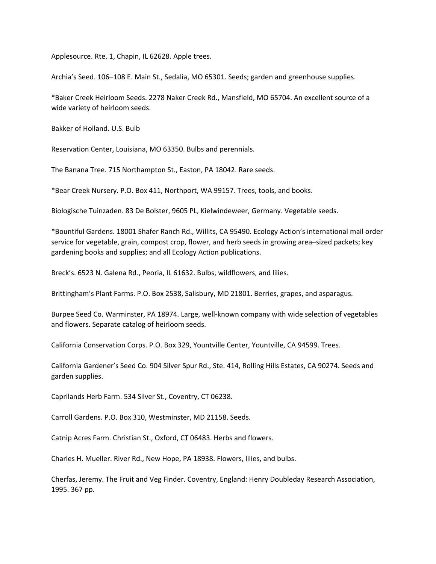Applesource. Rte. 1, Chapin, IL 62628. Apple trees.

Archia's Seed. 106–108 E. Main St., Sedalia, MO 65301. Seeds; garden and greenhouse supplies.

\*Baker Creek Heirloom Seeds. 2278 Naker Creek Rd., Mansfield, MO 65704. An excellent source of a wide variety of heirloom seeds.

Bakker of Holland. U.S. Bulb

Reservation Center, Louisiana, MO 63350. Bulbs and perennials.

The Banana Tree. 715 Northampton St., Easton, PA 18042. Rare seeds.

\*Bear Creek Nursery. P.O. Box 411, Northport, WA 99157. Trees, tools, and books.

Biologische Tuinzaden. 83 De Bolster, 9605 PL, Kielwindeweer, Germany. Vegetable seeds.

\*Bountiful Gardens. 18001 Shafer Ranch Rd., Willits, CA 95490. Ecology Action's international mail order service for vegetable, grain, compost crop, flower, and herb seeds in growing area–sized packets; key gardening books and supplies; and all Ecology Action publications.

Breck's. 6523 N. Galena Rd., Peoria, IL 61632. Bulbs, wildflowers, and lilies.

Brittingham's Plant Farms. P.O. Box 2538, Salisbury, MD 21801. Berries, grapes, and asparagus.

Burpee Seed Co. Warminster, PA 18974. Large, well-known company with wide selection of vegetables and flowers. Separate catalog of heirloom seeds.

California Conservation Corps. P.O. Box 329, Yountville Center, Yountville, CA 94599. Trees.

California Gardener's Seed Co. 904 Silver Spur Rd., Ste. 414, Rolling Hills Estates, CA 90274. Seeds and garden supplies.

Caprilands Herb Farm. 534 Silver St., Coventry, CT 06238.

Carroll Gardens. P.O. Box 310, Westminster, MD 21158. Seeds.

Catnip Acres Farm. Christian St., Oxford, CT 06483. Herbs and flowers.

Charles H. Mueller. River Rd., New Hope, PA 18938. Flowers, lilies, and bulbs.

Cherfas, Jeremy. The Fruit and Veg Finder. Coventry, England: Henry Doubleday Research Association, 1995. 367 pp.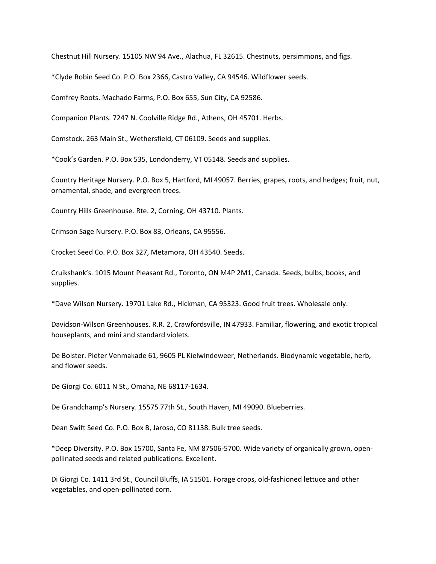Chestnut Hill Nursery. 15105 NW 94 Ave., Alachua, FL 32615. Chestnuts, persimmons, and figs.

\*Clyde Robin Seed Co. P.O. Box 2366, Castro Valley, CA 94546. Wildflower seeds.

Comfrey Roots. Machado Farms, P.O. Box 655, Sun City, CA 92586.

Companion Plants. 7247 N. Coolville Ridge Rd., Athens, OH 45701. Herbs.

Comstock. 263 Main St., Wethersfield, CT 06109. Seeds and supplies.

\*Cook's Garden. P.O. Box 535, Londonderry, VT 05148. Seeds and supplies.

Country Heritage Nursery. P.O. Box 5, Hartford, MI 49057. Berries, grapes, roots, and hedges; fruit, nut, ornamental, shade, and evergreen trees.

Country Hills Greenhouse. Rte. 2, Corning, OH 43710. Plants.

Crimson Sage Nursery. P.O. Box 83, Orleans, CA 95556.

Crocket Seed Co. P.O. Box 327, Metamora, OH 43540. Seeds.

Cruikshank's. 1015 Mount Pleasant Rd., Toronto, ON M4P 2M1, Canada. Seeds, bulbs, books, and supplies.

\*Dave Wilson Nursery. 19701 Lake Rd., Hickman, CA 95323. Good fruit trees. Wholesale only.

Davidson‐Wilson Greenhouses. R.R. 2, Crawfordsville, IN 47933. Familiar, flowering, and exotic tropical houseplants, and mini and standard violets.

De Bolster. Pieter Venmakade 61, 9605 PL Kielwindeweer, Netherlands. Biodynamic vegetable, herb, and flower seeds.

De Giorgi Co. 6011 N St., Omaha, NE 68117‐1634.

De Grandchamp's Nursery. 15575 77th St., South Haven, MI 49090. Blueberries.

Dean Swift Seed Co. P.O. Box B, Jaroso, CO 81138. Bulk tree seeds.

\*Deep Diversity. P.O. Box 15700, Santa Fe, NM 87506‐5700. Wide variety of organically grown, open‐ pollinated seeds and related publications. Excellent.

Di Giorgi Co. 1411 3rd St., Council Bluffs, IA 51501. Forage crops, old‐fashioned lettuce and other vegetables, and open‐pollinated corn.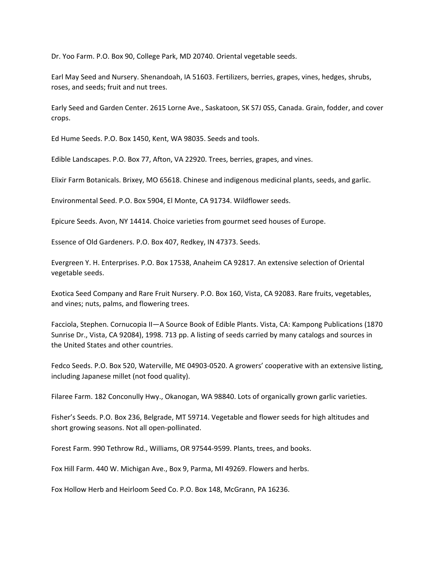Dr. Yoo Farm. P.O. Box 90, College Park, MD 20740. Oriental vegetable seeds.

Earl May Seed and Nursery. Shenandoah, IA 51603. Fertilizers, berries, grapes, vines, hedges, shrubs, roses, and seeds; fruit and nut trees.

Early Seed and Garden Center. 2615 Lorne Ave., Saskatoon, SK S7J 0S5, Canada. Grain, fodder, and cover crops.

Ed Hume Seeds. P.O. Box 1450, Kent, WA 98035. Seeds and tools.

Edible Landscapes. P.O. Box 77, Afton, VA 22920. Trees, berries, grapes, and vines.

Elixir Farm Botanicals. Brixey, MO 65618. Chinese and indigenous medicinal plants, seeds, and garlic.

Environmental Seed. P.O. Box 5904, El Monte, CA 91734. Wildflower seeds.

Epicure Seeds. Avon, NY 14414. Choice varieties from gourmet seed houses of Europe.

Essence of Old Gardeners. P.O. Box 407, Redkey, IN 47373. Seeds.

Evergreen Y. H. Enterprises. P.O. Box 17538, Anaheim CA 92817. An extensive selection of Oriental vegetable seeds.

Exotica Seed Company and Rare Fruit Nursery. P.O. Box 160, Vista, CA 92083. Rare fruits, vegetables, and vines; nuts, palms, and flowering trees.

Facciola, Stephen. Cornucopia II—A Source Book of Edible Plants. Vista, CA: Kampong Publications (1870 Sunrise Dr., Vista, CA 92084), 1998. 713 pp. A listing of seeds carried by many catalogs and sources in the United States and other countries.

Fedco Seeds. P.O. Box 520, Waterville, ME 04903‐0520. A growers' cooperative with an extensive listing, including Japanese millet (not food quality).

Filaree Farm. 182 Conconully Hwy., Okanogan, WA 98840. Lots of organically grown garlic varieties.

Fisher's Seeds. P.O. Box 236, Belgrade, MT 59714. Vegetable and flower seeds for high altitudes and short growing seasons. Not all open‐pollinated.

Forest Farm. 990 Tethrow Rd., Williams, OR 97544‐9599. Plants, trees, and books.

Fox Hill Farm. 440 W. Michigan Ave., Box 9, Parma, MI 49269. Flowers and herbs.

Fox Hollow Herb and Heirloom Seed Co. P.O. Box 148, McGrann, PA 16236.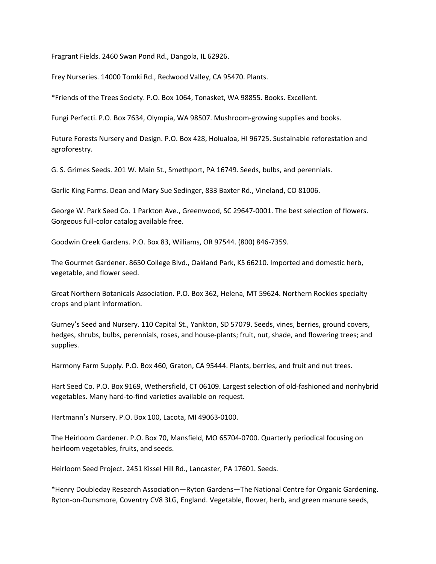Fragrant Fields. 2460 Swan Pond Rd., Dangola, IL 62926.

Frey Nurseries. 14000 Tomki Rd., Redwood Valley, CA 95470. Plants.

\*Friends of the Trees Society. P.O. Box 1064, Tonasket, WA 98855. Books. Excellent.

Fungi Perfecti. P.O. Box 7634, Olympia, WA 98507. Mushroom‐growing supplies and books.

Future Forests Nursery and Design. P.O. Box 428, Holualoa, HI 96725. Sustainable reforestation and agroforestry.

G. S. Grimes Seeds. 201 W. Main St., Smethport, PA 16749. Seeds, bulbs, and perennials.

Garlic King Farms. Dean and Mary Sue Sedinger, 833 Baxter Rd., Vineland, CO 81006.

George W. Park Seed Co. 1 Parkton Ave., Greenwood, SC 29647‐0001. The best selection of flowers. Gorgeous full‐color catalog available free.

Goodwin Creek Gardens. P.O. Box 83, Williams, OR 97544. (800) 846‐7359.

The Gourmet Gardener. 8650 College Blvd., Oakland Park, KS 66210. Imported and domestic herb, vegetable, and flower seed.

Great Northern Botanicals Association. P.O. Box 362, Helena, MT 59624. Northern Rockies specialty crops and plant information.

Gurney's Seed and Nursery. 110 Capital St., Yankton, SD 57079. Seeds, vines, berries, ground covers, hedges, shrubs, bulbs, perennials, roses, and house‐plants; fruit, nut, shade, and flowering trees; and supplies.

Harmony Farm Supply. P.O. Box 460, Graton, CA 95444. Plants, berries, and fruit and nut trees.

Hart Seed Co. P.O. Box 9169, Wethersfield, CT 06109. Largest selection of old‐fashioned and nonhybrid vegetables. Many hard‐to‐find varieties available on request.

Hartmann's Nursery. P.O. Box 100, Lacota, MI 49063‐0100.

The Heirloom Gardener. P.O. Box 70, Mansfield, MO 65704‐0700. Quarterly periodical focusing on heirloom vegetables, fruits, and seeds.

Heirloom Seed Project. 2451 Kissel Hill Rd., Lancaster, PA 17601. Seeds.

\*Henry Doubleday Research Association—Ryton Gardens—The National Centre for Organic Gardening. Ryton‐on‐Dunsmore, Coventry CV8 3LG, England. Vegetable, flower, herb, and green manure seeds,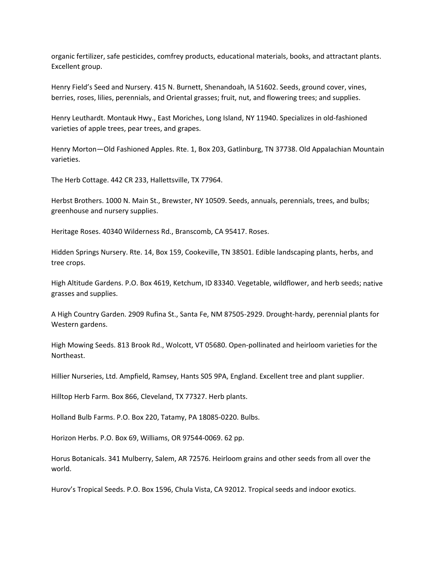organic fertilizer, safe pesticides, comfrey products, educational materials, books, and attractant plants. Excellent group.

Henry Field's Seed and Nursery. 415 N. Burnett, Shenandoah, IA 51602. Seeds, ground cover, vines, berries, roses, lilies, perennials, and Oriental grasses; fruit, nut, and flowering trees; and supplies.

Henry Leuthardt. Montauk Hwy., East Moriches, Long Island, NY 11940. Specializes in old‐fashioned varieties of apple trees, pear trees, and grapes.

Henry Morton—Old Fashioned Apples. Rte. 1, Box 203, Gatlinburg, TN 37738. Old Appalachian Mountain varieties.

The Herb Cottage. 442 CR 233, Hallettsville, TX 77964.

Herbst Brothers. 1000 N. Main St., Brewster, NY 10509. Seeds, annuals, perennials, trees, and bulbs; greenhouse and nursery supplies.

Heritage Roses. 40340 Wilderness Rd., Branscomb, CA 95417. Roses.

Hidden Springs Nursery. Rte. 14, Box 159, Cookeville, TN 38501. Edible landscaping plants, herbs, and tree crops.

High Altitude Gardens. P.O. Box 4619, Ketchum, ID 83340. Vegetable, wildflower, and herb seeds; native grasses and supplies.

A High Country Garden. 2909 Rufina St., Santa Fe, NM 87505‐2929. Drought‐hardy, perennial plants for Western gardens.

High Mowing Seeds. 813 Brook Rd., Wolcott, VT 05680. Open‐pollinated and heirloom varieties for the Northeast.

Hillier Nurseries, Ltd. Ampfield, Ramsey, Hants S05 9PA, England. Excellent tree and plant supplier.

Hilltop Herb Farm. Box 866, Cleveland, TX 77327. Herb plants.

Holland Bulb Farms. P.O. Box 220, Tatamy, PA 18085‐0220. Bulbs.

Horizon Herbs. P.O. Box 69, Williams, OR 97544‐0069. 62 pp.

Horus Botanicals. 341 Mulberry, Salem, AR 72576. Heirloom grains and other seeds from all over the world.

Hurov's Tropical Seeds. P.O. Box 1596, Chula Vista, CA 92012. Tropical seeds and indoor exotics.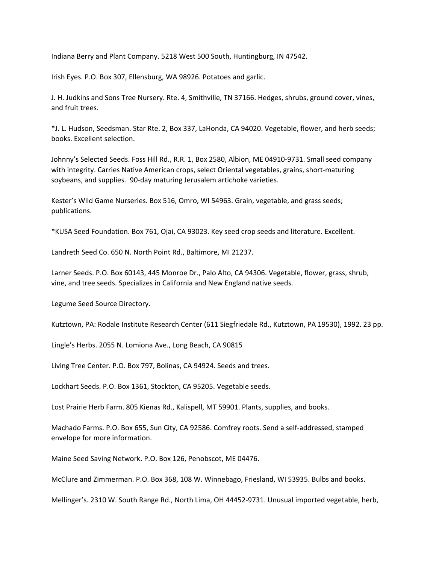Indiana Berry and Plant Company. 5218 West 500 South, Huntingburg, IN 47542.

Irish Eyes. P.O. Box 307, Ellensburg, WA 98926. Potatoes and garlic.

J. H. Judkins and Sons Tree Nursery. Rte. 4, Smithville, TN 37166. Hedges, shrubs, ground cover, vines, and fruit trees.

\*J. L. Hudson, Seedsman. Star Rte. 2, Box 337, LaHonda, CA 94020. Vegetable, flower, and herb seeds; books. Excellent selection.

Johnny's Selected Seeds. Foss Hill Rd., R.R. 1, Box 2580, Albion, ME 04910‐9731. Small seed company with integrity. Carries Native American crops, select Oriental vegetables, grains, short‐maturing soybeans, and supplies. 90‐day maturing Jerusalem artichoke varieties.

Kester's Wild Game Nurseries. Box 516, Omro, WI 54963. Grain, vegetable, and grass seeds; publications.

\*KUSA Seed Foundation. Box 761, Ojai, CA 93023. Key seed crop seeds and literature. Excellent.

Landreth Seed Co. 650 N. North Point Rd., Baltimore, MI 21237.

Larner Seeds. P.O. Box 60143, 445 Monroe Dr., Palo Alto, CA 94306. Vegetable, flower, grass, shrub, vine, and tree seeds. Specializes in California and New England native seeds.

Legume Seed Source Directory.

Kutztown, PA: Rodale Institute Research Center (611 Siegfriedale Rd., Kutztown, PA 19530), 1992. 23 pp.

Lingle's Herbs. 2055 N. Lomiona Ave., Long Beach, CA 90815

Living Tree Center. P.O. Box 797, Bolinas, CA 94924. Seeds and trees.

Lockhart Seeds. P.O. Box 1361, Stockton, CA 95205. Vegetable seeds.

Lost Prairie Herb Farm. 805 Kienas Rd., Kalispell, MT 59901. Plants, supplies, and books.

Machado Farms. P.O. Box 655, Sun City, CA 92586. Comfrey roots. Send a self‐addressed, stamped envelope for more information.

Maine Seed Saving Network. P.O. Box 126, Penobscot, ME 04476.

McClure and Zimmerman. P.O. Box 368, 108 W. Winnebago, Friesland, WI 53935. Bulbs and books.

Mellinger's. 2310 W. South Range Rd., North Lima, OH 44452‐9731. Unusual imported vegetable, herb,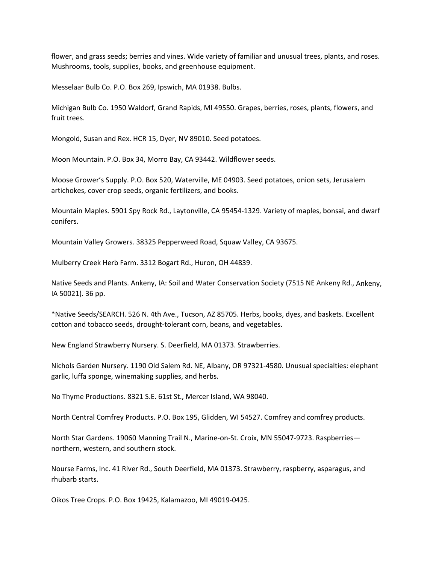flower, and grass seeds; berries and vines. Wide variety of familiar and unusual trees, plants, and roses. Mushrooms, tools, supplies, books, and greenhouse equipment.

Messelaar Bulb Co. P.O. Box 269, Ipswich, MA 01938. Bulbs.

Michigan Bulb Co. 1950 Waldorf, Grand Rapids, MI 49550. Grapes, berries, roses, plants, flowers, and fruit trees.

Mongold, Susan and Rex. HCR 15, Dyer, NV 89010. Seed potatoes.

Moon Mountain. P.O. Box 34, Morro Bay, CA 93442. Wildflower seeds.

Moose Grower's Supply. P.O. Box 520, Waterville, ME 04903. Seed potatoes, onion sets, Jerusalem artichokes, cover crop seeds, organic fertilizers, and books.

Mountain Maples. 5901 Spy Rock Rd., Laytonville, CA 95454‐1329. Variety of maples, bonsai, and dwarf conifers.

Mountain Valley Growers. 38325 Pepperweed Road, Squaw Valley, CA 93675.

Mulberry Creek Herb Farm. 3312 Bogart Rd., Huron, OH 44839.

Native Seeds and Plants. Ankeny, IA: Soil and Water Conservation Society (7515 NE Ankeny Rd., Ankeny, IA 50021). 36 pp.

\*Native Seeds/SEARCH. 526 N. 4th Ave., Tucson, AZ 85705. Herbs, books, dyes, and baskets. Excellent cotton and tobacco seeds, drought‐tolerant corn, beans, and vegetables.

New England Strawberry Nursery. S. Deerfield, MA 01373. Strawberries.

Nichols Garden Nursery. 1190 Old Salem Rd. NE, Albany, OR 97321‐4580. Unusual specialties: elephant garlic, luffa sponge, winemaking supplies, and herbs.

No Thyme Productions. 8321 S.E. 61st St., Mercer Island, WA 98040.

North Central Comfrey Products. P.O. Box 195, Glidden, WI 54527. Comfrey and comfrey products.

North Star Gardens. 19060 Manning Trail N., Marine‐on‐St. Croix, MN 55047‐9723. Raspberries northern, western, and southern stock.

Nourse Farms, Inc. 41 River Rd., South Deerfield, MA 01373. Strawberry, raspberry, asparagus, and rhubarb starts.

Oikos Tree Crops. P.O. Box 19425, Kalamazoo, MI 49019‐0425.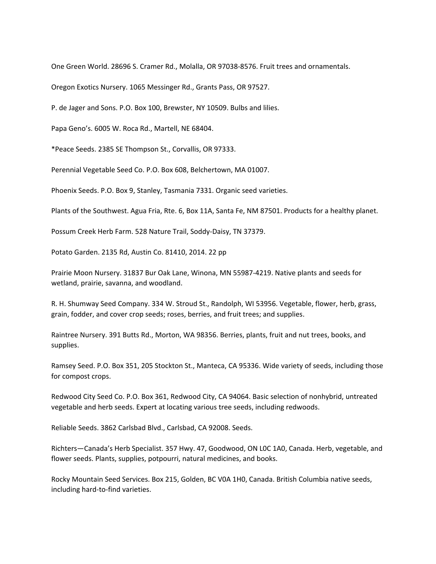One Green World. 28696 S. Cramer Rd., Molalla, OR 97038‐8576. Fruit trees and ornamentals.

Oregon Exotics Nursery. 1065 Messinger Rd., Grants Pass, OR 97527.

P. de Jager and Sons. P.O. Box 100, Brewster, NY 10509. Bulbs and lilies.

Papa Geno's. 6005 W. Roca Rd., Martell, NE 68404.

\*Peace Seeds. 2385 SE Thompson St., Corvallis, OR 97333.

Perennial Vegetable Seed Co. P.O. Box 608, Belchertown, MA 01007.

Phoenix Seeds. P.O. Box 9, Stanley, Tasmania 7331. Organic seed varieties.

Plants of the Southwest. Agua Fria, Rte. 6, Box 11A, Santa Fe, NM 87501. Products for a healthy planet.

Possum Creek Herb Farm. 528 Nature Trail, Soddy‐Daisy, TN 37379.

Potato Garden. 2135 Rd, Austin Co. 81410, 2014. 22 pp

Prairie Moon Nursery. 31837 Bur Oak Lane, Winona, MN 55987‐4219. Native plants and seeds for wetland, prairie, savanna, and woodland.

R. H. Shumway Seed Company. 334 W. Stroud St., Randolph, WI 53956. Vegetable, flower, herb, grass, grain, fodder, and cover crop seeds; roses, berries, and fruit trees; and supplies.

Raintree Nursery. 391 Butts Rd., Morton, WA 98356. Berries, plants, fruit and nut trees, books, and supplies.

Ramsey Seed. P.O. Box 351, 205 Stockton St., Manteca, CA 95336. Wide variety of seeds, including those for compost crops.

Redwood City Seed Co. P.O. Box 361, Redwood City, CA 94064. Basic selection of nonhybrid, untreated vegetable and herb seeds. Expert at locating various tree seeds, including redwoods.

Reliable Seeds. 3862 Carlsbad Blvd., Carlsbad, CA 92008. Seeds.

Richters—Canada's Herb Specialist. 357 Hwy. 47, Goodwood, ON L0C 1A0, Canada. Herb, vegetable, and flower seeds. Plants, supplies, potpourri, natural medicines, and books.

Rocky Mountain Seed Services. Box 215, Golden, BC V0A 1H0, Canada. British Columbia native seeds, including hard‐to‐find varieties.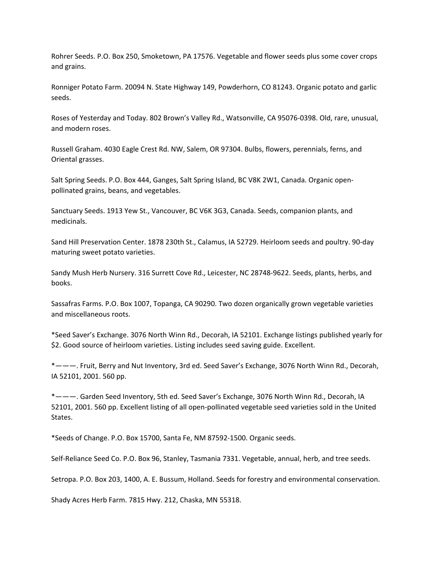Rohrer Seeds. P.O. Box 250, Smoketown, PA 17576. Vegetable and flower seeds plus some cover crops and grains.

Ronniger Potato Farm. 20094 N. State Highway 149, Powderhorn, CO 81243. Organic potato and garlic seeds.

Roses of Yesterday and Today. 802 Brown's Valley Rd., Watsonville, CA 95076‐0398. Old, rare, unusual, and modern roses.

Russell Graham. 4030 Eagle Crest Rd. NW, Salem, OR 97304. Bulbs, flowers, perennials, ferns, and Oriental grasses.

Salt Spring Seeds. P.O. Box 444, Ganges, Salt Spring Island, BC V8K 2W1, Canada. Organic open‐ pollinated grains, beans, and vegetables.

Sanctuary Seeds. 1913 Yew St., Vancouver, BC V6K 3G3, Canada. Seeds, companion plants, and medicinals.

Sand Hill Preservation Center. 1878 230th St., Calamus, IA 52729. Heirloom seeds and poultry. 90‐day maturing sweet potato varieties.

Sandy Mush Herb Nursery. 316 Surrett Cove Rd., Leicester, NC 28748‐9622. Seeds, plants, herbs, and books.

Sassafras Farms. P.O. Box 1007, Topanga, CA 90290. Two dozen organically grown vegetable varieties and miscellaneous roots.

\*Seed Saver's Exchange. 3076 North Winn Rd., Decorah, IA 52101. Exchange listings published yearly for \$2. Good source of heirloom varieties. Listing includes seed saving guide. Excellent.

\*———. Fruit, Berry and Nut Inventory, 3rd ed. Seed Saver's Exchange, 3076 North Winn Rd., Decorah, IA 52101, 2001. 560 pp.

\*———. Garden Seed Inventory, 5th ed. Seed Saver's Exchange, 3076 North Winn Rd., Decorah, IA 52101, 2001. 560 pp. Excellent listing of all open‐pollinated vegetable seed varieties sold in the United States.

\*Seeds of Change. P.O. Box 15700, Santa Fe, NM 87592‐1500. Organic seeds.

Self‐Reliance Seed Co. P.O. Box 96, Stanley, Tasmania 7331. Vegetable, annual, herb, and tree seeds.

Setropa. P.O. Box 203, 1400, A. E. Bussum, Holland. Seeds for forestry and environmental conservation.

Shady Acres Herb Farm. 7815 Hwy. 212, Chaska, MN 55318.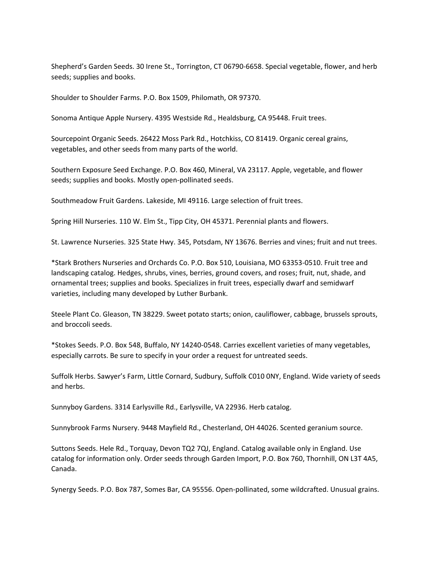Shepherd's Garden Seeds. 30 Irene St., Torrington, CT 06790‐6658. Special vegetable, flower, and herb seeds; supplies and books.

Shoulder to Shoulder Farms. P.O. Box 1509, Philomath, OR 97370.

Sonoma Antique Apple Nursery. 4395 Westside Rd., Healdsburg, CA 95448. Fruit trees.

Sourcepoint Organic Seeds. 26422 Moss Park Rd., Hotchkiss, CO 81419. Organic cereal grains, vegetables, and other seeds from many parts of the world.

Southern Exposure Seed Exchange. P.O. Box 460, Mineral, VA 23117. Apple, vegetable, and flower seeds; supplies and books. Mostly open‐pollinated seeds.

Southmeadow Fruit Gardens. Lakeside, MI 49116. Large selection of fruit trees.

Spring Hill Nurseries. 110 W. Elm St., Tipp City, OH 45371. Perennial plants and flowers.

St. Lawrence Nurseries. 325 State Hwy. 345, Potsdam, NY 13676. Berries and vines; fruit and nut trees.

\*Stark Brothers Nurseries and Orchards Co. P.O. Box 510, Louisiana, MO 63353‐0510. Fruit tree and landscaping catalog. Hedges, shrubs, vines, berries, ground covers, and roses; fruit, nut, shade, and ornamental trees; supplies and books. Specializes in fruit trees, especially dwarf and semidwarf varieties, including many developed by Luther Burbank.

Steele Plant Co. Gleason, TN 38229. Sweet potato starts; onion, cauliflower, cabbage, brussels sprouts, and broccoli seeds.

\*Stokes Seeds. P.O. Box 548, Buffalo, NY 14240‐0548. Carries excellent varieties of many vegetables, especially carrots. Be sure to specify in your order a request for untreated seeds.

Suffolk Herbs. Sawyer's Farm, Little Cornard, Sudbury, Suffolk C010 0NY, England. Wide variety of seeds and herbs.

Sunnyboy Gardens. 3314 Earlysville Rd., Earlysville, VA 22936. Herb catalog.

Sunnybrook Farms Nursery. 9448 Mayfield Rd., Chesterland, OH 44026. Scented geranium source.

Suttons Seeds. Hele Rd., Torquay, Devon TQ2 7QJ, England. Catalog available only in England. Use catalog for information only. Order seeds through Garden Import, P.O. Box 760, Thornhill, ON L3T 4A5, Canada.

Synergy Seeds. P.O. Box 787, Somes Bar, CA 95556. Open‐pollinated, some wildcrafted. Unusual grains.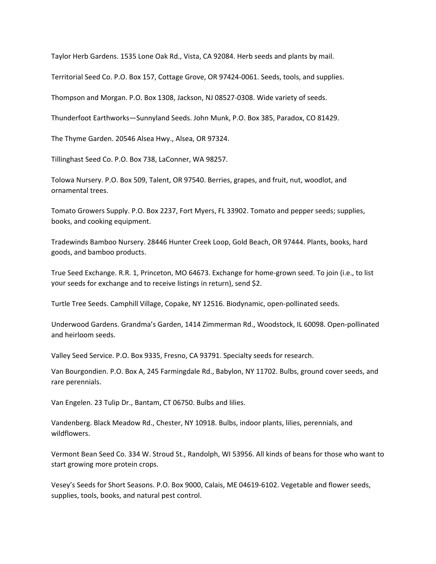Taylor Herb Gardens. 1535 Lone Oak Rd., Vista, CA 92084. Herb seeds and plants by mail.

Territorial Seed Co. P.O. Box 157, Cottage Grove, OR 97424‐0061. Seeds, tools, and supplies.

Thompson and Morgan. P.O. Box 1308, Jackson, NJ 08527‐0308. Wide variety of seeds.

Thunderfoot Earthworks—Sunnyland Seeds. John Munk, P.O. Box 385, Paradox, CO 81429.

The Thyme Garden. 20546 Alsea Hwy., Alsea, OR 97324.

Tillinghast Seed Co. P.O. Box 738, LaConner, WA 98257.

Tolowa Nursery. P.O. Box 509, Talent, OR 97540. Berries, grapes, and fruit, nut, woodlot, and ornamental trees.

Tomato Growers Supply. P.O. Box 2237, Fort Myers, FL 33902. Tomato and pepper seeds; supplies, books, and cooking equipment.

Tradewinds Bamboo Nursery. 28446 Hunter Creek Loop, Gold Beach, OR 97444. Plants, books, hard goods, and bamboo products.

True Seed Exchange. R.R. 1, Princeton, MO 64673. Exchange for home‐grown seed. To join (i.e., to list your seeds for exchange and to receive listings in return), send \$2.

Turtle Tree Seeds. Camphill Village, Copake, NY 12516. Biodynamic, open‐pollinated seeds.

Underwood Gardens. Grandma's Garden, 1414 Zimmerman Rd., Woodstock, IL 60098. Open‐pollinated and heirloom seeds.

Valley Seed Service. P.O. Box 9335, Fresno, CA 93791. Specialty seeds for research.

Van Bourgondien. P.O. Box A, 245 Farmingdale Rd., Babylon, NY 11702. Bulbs, ground cover seeds, and rare perennials.

Van Engelen. 23 Tulip Dr., Bantam, CT 06750. Bulbs and lilies.

Vandenberg. Black Meadow Rd., Chester, NY 10918. Bulbs, indoor plants, lilies, perennials, and wildflowers.

Vermont Bean Seed Co. 334 W. Stroud St., Randolph, WI 53956. All kinds of beans for those who want to start growing more protein crops.

Vesey's Seeds for Short Seasons. P.O. Box 9000, Calais, ME 04619‐6102. Vegetable and flower seeds, supplies, tools, books, and natural pest control.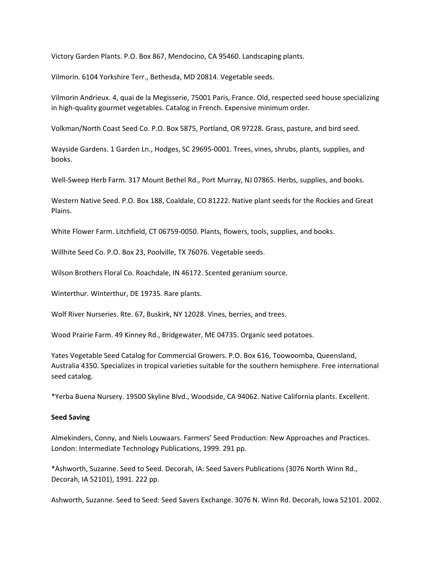Victory Garden Plants. P.O. Box 867, Mendocino, CA 95460. Landscaping plants.

Vilmorin. 6104 Yorkshire Terr., Bethesda, MD 20814. Vegetable seeds.

Vilmorin Andrieux. 4, quai de la Megisserie, 75001 Paris, France. Old, respected seed house specializing in high-quality gourmet vegetables. Catalog in French. Expensive minimum order.

Volkman/North Coast Seed Co. P.O. Box 5875, Portland, OR 97228. Grass, pasture, and bird seed.

Wayside Gardens. 1 Garden Ln., Hodges, SC 29695‐0001. Trees, vines, shrubs, plants, supplies, and books.

Well-Sweep Herb Farm. 317 Mount Bethel Rd., Port Murray, NJ 07865. Herbs, supplies, and books.

Western Native Seed. P.O. Box 188, Coaldale, CO 81222. Native plant seeds for the Rockies and Great Plains.

White Flower Farm. Litchfield, CT 06759‐0050. Plants, flowers, tools, supplies, and books.

Willhite Seed Co. P.O. Box 23, Poolville, TX 76076. Vegetable seeds.

Wilson Brothers Floral Co. Roachdale, IN 46172. Scented geranium source.

Winterthur. Winterthur, DE 19735. Rare plants.

Wolf River Nurseries. Rte. 67, Buskirk, NY 12028. Vines, berries, and trees.

Wood Prairie Farm. 49 Kinney Rd., Bridgewater, ME 04735. Organic seed potatoes.

Yates Vegetable Seed Catalog for Commercial Growers. P.O. Box 616, Toowoomba, Queensland, Australia 4350. Specializes in tropical varieties suitable for the southern hemisphere. Free international seed catalog.

\*Yerba Buena Nursery. 19500 Skyline Blvd., Woodside, CA 94062. Native California plants. Excellent.

### **Seed Saving**

Almekinders, Conny, and Niels Louwaars. Farmers' Seed Production: New Approaches and Practices. London: Intermediate Technology Publications, 1999. 291 pp.

\*Ashworth, Suzanne. Seed to Seed. Decorah, IA: Seed Savers Publications (3076 North Winn Rd., Decorah, IA 52101), 1991. 222 pp.

Ashworth, Suzanne. Seed to Seed: Seed Savers Exchange. 3076 N. Winn Rd. Decorah, Iowa 52101. 2002.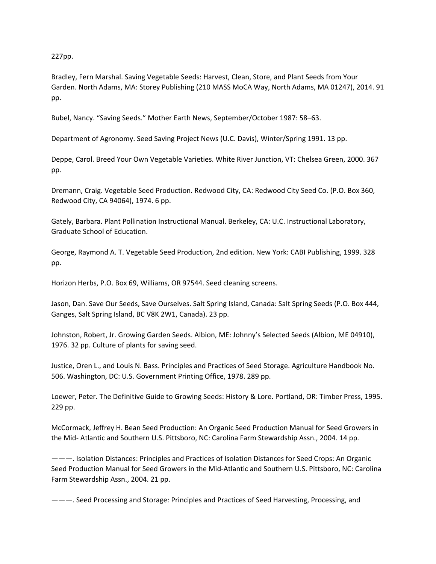227pp.

Bradley, Fern Marshal. Saving Vegetable Seeds: Harvest, Clean, Store, and Plant Seeds from Your Garden. North Adams, MA: Storey Publishing (210 MASS MoCA Way, North Adams, MA 01247), 2014. 91 pp.

Bubel, Nancy. "Saving Seeds." Mother Earth News, September/October 1987: 58–63.

Department of Agronomy. Seed Saving Project News (U.C. Davis), Winter/Spring 1991. 13 pp.

Deppe, Carol. Breed Your Own Vegetable Varieties. White River Junction, VT: Chelsea Green, 2000. 367 pp.

Dremann, Craig. Vegetable Seed Production. Redwood City, CA: Redwood City Seed Co. (P.O. Box 360, Redwood City, CA 94064), 1974. 6 pp.

Gately, Barbara. Plant Pollination Instructional Manual. Berkeley, CA: U.C. Instructional Laboratory, Graduate School of Education.

George, Raymond A. T. Vegetable Seed Production, 2nd edition. New York: CABI Publishing, 1999. 328 pp.

Horizon Herbs, P.O. Box 69, Williams, OR 97544. Seed cleaning screens.

Jason, Dan. Save Our Seeds, Save Ourselves. Salt Spring Island, Canada: Salt Spring Seeds (P.O. Box 444, Ganges, Salt Spring Island, BC V8K 2W1, Canada). 23 pp.

Johnston, Robert, Jr. Growing Garden Seeds. Albion, ME: Johnny's Selected Seeds (Albion, ME 04910), 1976. 32 pp. Culture of plants for saving seed.

Justice, Oren L., and Louis N. Bass. Principles and Practices of Seed Storage. Agriculture Handbook No. 506. Washington, DC: U.S. Government Printing Office, 1978. 289 pp.

Loewer, Peter. The Definitive Guide to Growing Seeds: History & Lore. Portland, OR: Timber Press, 1995. 229 pp.

McCormack, Jeffrey H. Bean Seed Production: An Organic Seed Production Manual for Seed Growers in the Mid‐ Atlantic and Southern U.S. Pittsboro, NC: Carolina Farm Stewardship Assn., 2004. 14 pp.

———. Isolation Distances: Principles and Practices of Isolation Distances for Seed Crops: An Organic Seed Production Manual for Seed Growers in the Mid‐Atlantic and Southern U.S. Pittsboro, NC: Carolina Farm Stewardship Assn., 2004. 21 pp.

———. Seed Processing and Storage: Principles and Practices of Seed Harvesting, Processing, and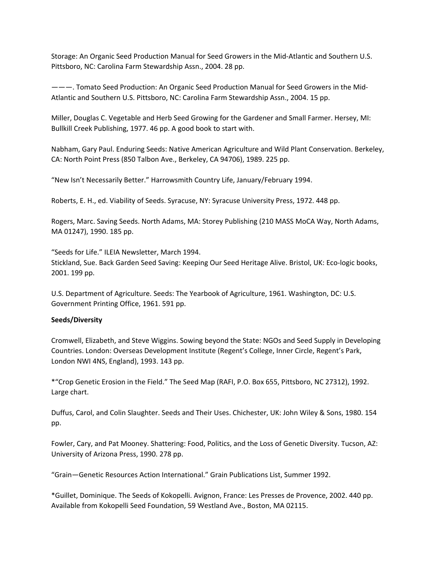Storage: An Organic Seed Production Manual for Seed Growers in the Mid‐Atlantic and Southern U.S. Pittsboro, NC: Carolina Farm Stewardship Assn., 2004. 28 pp.

———. Tomato Seed Production: An Organic Seed Production Manual for Seed Growers in the Mid‐ Atlantic and Southern U.S. Pittsboro, NC: Carolina Farm Stewardship Assn., 2004. 15 pp.

Miller, Douglas C. Vegetable and Herb Seed Growing for the Gardener and Small Farmer. Hersey, MI: Bullkill Creek Publishing, 1977. 46 pp. A good book to start with.

Nabham, Gary Paul. Enduring Seeds: Native American Agriculture and Wild Plant Conservation. Berkeley, CA: North Point Press (850 Talbon Ave., Berkeley, CA 94706), 1989. 225 pp.

"New Isn't Necessarily Better." Harrowsmith Country Life, January/February 1994.

Roberts, E. H., ed. Viability of Seeds. Syracuse, NY: Syracuse University Press, 1972. 448 pp.

Rogers, Marc. Saving Seeds. North Adams, MA: Storey Publishing (210 MASS MoCA Way, North Adams, MA 01247), 1990. 185 pp.

"Seeds for Life." ILEIA Newsletter, March 1994. Stickland, Sue. Back Garden Seed Saving: Keeping Our Seed Heritage Alive. Bristol, UK: Eco‐logic books, 2001. 199 pp.

U.S. Department of Agriculture. Seeds: The Yearbook of Agriculture, 1961. Washington, DC: U.S. Government Printing Office, 1961. 591 pp.

# **Seeds/Diversity**

Cromwell, Elizabeth, and Steve Wiggins. Sowing beyond the State: NGOs and Seed Supply in Developing Countries. London: Overseas Development Institute (Regent's College, Inner Circle, Regent's Park, London NWI 4NS, England), 1993. 143 pp.

\*"Crop Genetic Erosion in the Field." The Seed Map (RAFI, P.O. Box 655, Pittsboro, NC 27312), 1992. Large chart.

Duffus, Carol, and Colin Slaughter. Seeds and Their Uses. Chichester, UK: John Wiley & Sons, 1980. 154 pp.

Fowler, Cary, and Pat Mooney. Shattering: Food, Politics, and the Loss of Genetic Diversity. Tucson, AZ: University of Arizona Press, 1990. 278 pp.

"Grain—Genetic Resources Action International." Grain Publications List, Summer 1992.

\*Guillet, Dominique. The Seeds of Kokopelli. Avignon, France: Les Presses de Provence, 2002. 440 pp. Available from Kokopelli Seed Foundation, 59 Westland Ave., Boston, MA 02115.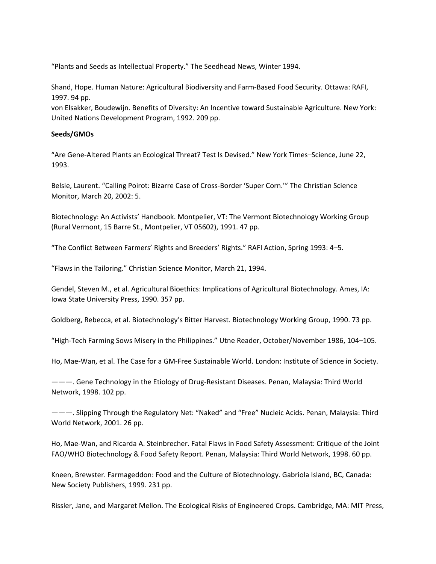"Plants and Seeds as Intellectual Property." The Seedhead News, Winter 1994.

Shand, Hope. Human Nature: Agricultural Biodiversity and Farm‐Based Food Security. Ottawa: RAFI, 1997. 94 pp.

von Elsakker, Boudewijn. Benefits of Diversity: An Incentive toward Sustainable Agriculture. New York: United Nations Development Program, 1992. 209 pp.

### **Seeds/GMOs**

"Are Gene‐Altered Plants an Ecological Threat? Test Is Devised." New York Times–Science, June 22, 1993.

Belsie, Laurent. "Calling Poirot: Bizarre Case of Cross‐Border 'Super Corn.'" The Christian Science Monitor, March 20, 2002: 5.

Biotechnology: An Activists' Handbook. Montpelier, VT: The Vermont Biotechnology Working Group (Rural Vermont, 15 Barre St., Montpelier, VT 05602), 1991. 47 pp.

"The Conflict Between Farmers' Rights and Breeders' Rights." RAFI Action, Spring 1993: 4–5.

"Flaws in the Tailoring." Christian Science Monitor, March 21, 1994.

Gendel, Steven M., et al. Agricultural Bioethics: Implications of Agricultural Biotechnology. Ames, IA: Iowa State University Press, 1990. 357 pp.

Goldberg, Rebecca, et al. Biotechnology's Bitter Harvest. Biotechnology Working Group, 1990. 73 pp.

"High‐Tech Farming Sows Misery in the Philippines." Utne Reader, October/November 1986, 104–105.

Ho, Mae‐Wan, et al. The Case for a GM‐Free Sustainable World. London: Institute of Science in Society.

———. Gene Technology in the Etiology of Drug‐Resistant Diseases. Penan, Malaysia: Third World Network, 1998. 102 pp.

———. Slipping Through the Regulatory Net: "Naked" and "Free" Nucleic Acids. Penan, Malaysia: Third World Network, 2001. 26 pp.

Ho, Mae‐Wan, and Ricarda A. Steinbrecher. Fatal Flaws in Food Safety Assessment: Critique of the Joint FAO/WHO Biotechnology & Food Safety Report. Penan, Malaysia: Third World Network, 1998. 60 pp.

Kneen, Brewster. Farmageddon: Food and the Culture of Biotechnology. Gabriola Island, BC, Canada: New Society Publishers, 1999. 231 pp.

Rissler, Jane, and Margaret Mellon. The Ecological Risks of Engineered Crops. Cambridge, MA: MIT Press,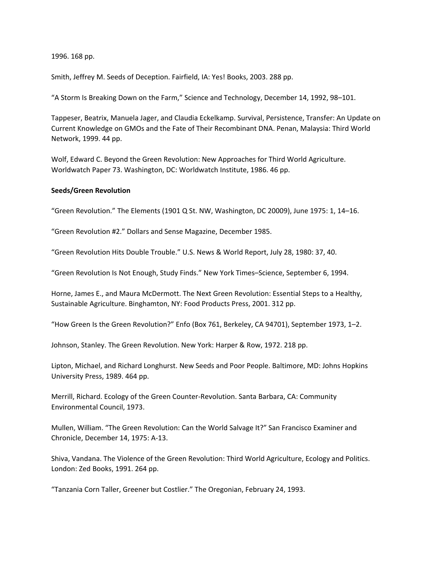1996. 168 pp.

Smith, Jeffrey M. Seeds of Deception. Fairfield, IA: Yes! Books, 2003. 288 pp.

"A Storm Is Breaking Down on the Farm," Science and Technology, December 14, 1992, 98–101.

Tappeser, Beatrix, Manuela Jager, and Claudia Eckelkamp. Survival, Persistence, Transfer: An Update on Current Knowledge on GMOs and the Fate of Their Recombinant DNA. Penan, Malaysia: Third World Network, 1999. 44 pp.

Wolf, Edward C. Beyond the Green Revolution: New Approaches for Third World Agriculture. Worldwatch Paper 73. Washington, DC: Worldwatch Institute, 1986. 46 pp.

#### **Seeds/Green Revolution**

"Green Revolution." The Elements (1901 Q St. NW, Washington, DC 20009), June 1975: 1, 14–16.

"Green Revolution #2." Dollars and Sense Magazine, December 1985.

"Green Revolution Hits Double Trouble." U.S. News & World Report, July 28, 1980: 37, 40.

"Green Revolution Is Not Enough, Study Finds." New York Times–Science, September 6, 1994.

Horne, James E., and Maura McDermott. The Next Green Revolution: Essential Steps to a Healthy, Sustainable Agriculture. Binghamton, NY: Food Products Press, 2001. 312 pp.

"How Green Is the Green Revolution?" Enfo (Box 761, Berkeley, CA 94701), September 1973, 1–2.

Johnson, Stanley. The Green Revolution. New York: Harper & Row, 1972. 218 pp.

Lipton, Michael, and Richard Longhurst. New Seeds and Poor People. Baltimore, MD: Johns Hopkins University Press, 1989. 464 pp.

Merrill, Richard. Ecology of the Green Counter‐Revolution. Santa Barbara, CA: Community Environmental Council, 1973.

Mullen, William. "The Green Revolution: Can the World Salvage It?" San Francisco Examiner and Chronicle, December 14, 1975: A‐13.

Shiva, Vandana. The Violence of the Green Revolution: Third World Agriculture, Ecology and Politics. London: Zed Books, 1991. 264 pp.

"Tanzania Corn Taller, Greener but Costlier." The Oregonian, February 24, 1993.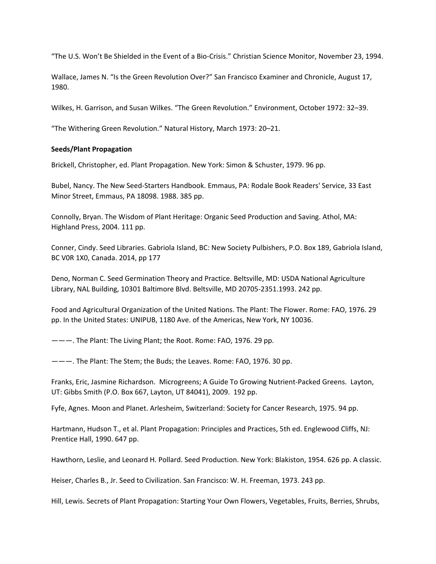"The U.S. Won't Be Shielded in the Event of a Bio‐Crisis." Christian Science Monitor, November 23, 1994.

Wallace, James N. "Is the Green Revolution Over?" San Francisco Examiner and Chronicle, August 17, 1980.

Wilkes, H. Garrison, and Susan Wilkes. "The Green Revolution." Environment, October 1972: 32–39.

"The Withering Green Revolution." Natural History, March 1973: 20–21.

## **Seeds/Plant Propagation**

Brickell, Christopher, ed. Plant Propagation. New York: Simon & Schuster, 1979. 96 pp.

Bubel, Nancy. The New Seed‐Starters Handbook. Emmaus, PA: Rodale Book Readers' Service, 33 East Minor Street, Emmaus, PA 18098. 1988. 385 pp.

Connolly, Bryan. The Wisdom of Plant Heritage: Organic Seed Production and Saving. Athol, MA: Highland Press, 2004. 111 pp.

Conner, Cindy. Seed Libraries. Gabriola Island, BC: New Society Pulbishers, P.O. Box 189, Gabriola Island, BC V0R 1X0, Canada. 2014, pp 177

Deno, Norman C. Seed Germination Theory and Practice. Beltsville, MD: USDA National Agriculture Library, NAL Building, 10301 Baltimore Blvd. Beltsville, MD 20705‐2351.1993. 242 pp.

Food and Agricultural Organization of the United Nations. The Plant: The Flower. Rome: FAO, 1976. 29 pp. In the United States: UNIPUB, 1180 Ave. of the Americas, New York, NY 10036.

———. The Plant: The Living Plant; the Root. Rome: FAO, 1976. 29 pp.

———. The Plant: The Stem; the Buds; the Leaves. Rome: FAO, 1976. 30 pp.

Franks, Eric, Jasmine Richardson. Microgreens; A Guide To Growing Nutrient‐Packed Greens. Layton, UT: Gibbs Smith (P.O. Box 667, Layton, UT 84041), 2009. 192 pp.

Fyfe, Agnes. Moon and Planet. Arlesheim, Switzerland: Society for Cancer Research, 1975. 94 pp.

Hartmann, Hudson T., et al. Plant Propagation: Principles and Practices, 5th ed. Englewood Cliffs, NJ: Prentice Hall, 1990. 647 pp.

Hawthorn, Leslie, and Leonard H. Pollard. Seed Production. New York: Blakiston, 1954. 626 pp. A classic.

Heiser, Charles B., Jr. Seed to Civilization. San Francisco: W. H. Freeman, 1973. 243 pp.

Hill, Lewis. Secrets of Plant Propagation: Starting Your Own Flowers, Vegetables, Fruits, Berries, Shrubs,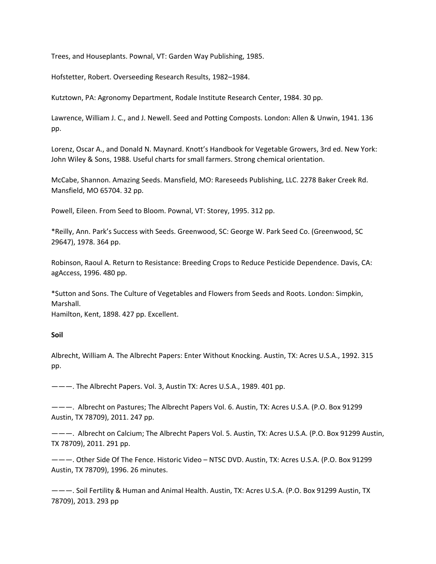Trees, and Houseplants. Pownal, VT: Garden Way Publishing, 1985.

Hofstetter, Robert. Overseeding Research Results, 1982–1984.

Kutztown, PA: Agronomy Department, Rodale Institute Research Center, 1984. 30 pp.

Lawrence, William J. C., and J. Newell. Seed and Potting Composts. London: Allen & Unwin, 1941. 136 pp.

Lorenz, Oscar A., and Donald N. Maynard. Knott's Handbook for Vegetable Growers, 3rd ed. New York: John Wiley & Sons, 1988. Useful charts for small farmers. Strong chemical orientation.

McCabe, Shannon. Amazing Seeds. Mansfield, MO: Rareseeds Publishing, LLC. 2278 Baker Creek Rd. Mansfield, MO 65704. 32 pp.

Powell, Eileen. From Seed to Bloom. Pownal, VT: Storey, 1995. 312 pp.

\*Reilly, Ann. Park's Success with Seeds. Greenwood, SC: George W. Park Seed Co. (Greenwood, SC 29647), 1978. 364 pp.

Robinson, Raoul A. Return to Resistance: Breeding Crops to Reduce Pesticide Dependence. Davis, CA: agAccess, 1996. 480 pp.

\*Sutton and Sons. The Culture of Vegetables and Flowers from Seeds and Roots. London: Simpkin, Marshall.

Hamilton, Kent, 1898. 427 pp. Excellent.

### **Soil**

Albrecht, William A. The Albrecht Papers: Enter Without Knocking. Austin, TX: Acres U.S.A., 1992. 315 pp.

———. The Albrecht Papers. Vol. 3, Austin TX: Acres U.S.A., 1989. 401 pp.

———. Albrecht on Pastures; The Albrecht Papers Vol. 6. Austin, TX: Acres U.S.A. (P.O. Box 91299 Austin, TX 78709), 2011. 247 pp.

———. Albrecht on Calcium; The Albrecht Papers Vol. 5. Austin, TX: Acres U.S.A. (P.O. Box 91299 Austin, TX 78709), 2011. 291 pp.

———. Other Side Of The Fence. Historic Video – NTSC DVD. Austin, TX: Acres U.S.A. (P.O. Box 91299 Austin, TX 78709), 1996. 26 minutes.

———. Soil Fertility & Human and Animal Health. Austin, TX: Acres U.S.A. (P.O. Box 91299 Austin, TX 78709), 2013. 293 pp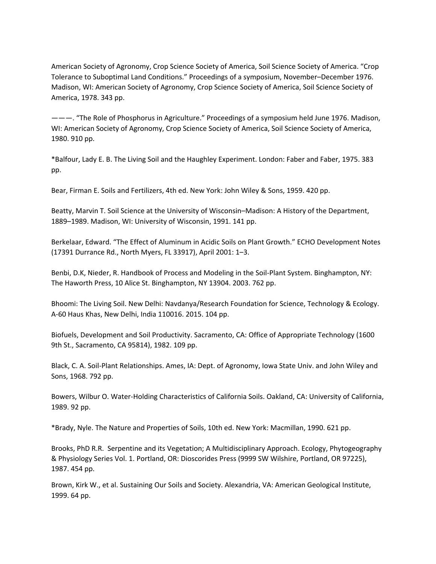American Society of Agronomy, Crop Science Society of America, Soil Science Society of America. "Crop Tolerance to Suboptimal Land Conditions." Proceedings of a symposium, November–December 1976. Madison, WI: American Society of Agronomy, Crop Science Society of America, Soil Science Society of America, 1978. 343 pp.

———. "The Role of Phosphorus in Agriculture." Proceedings of a symposium held June 1976. Madison, WI: American Society of Agronomy, Crop Science Society of America, Soil Science Society of America, 1980. 910 pp.

\*Balfour, Lady E. B. The Living Soil and the Haughley Experiment. London: Faber and Faber, 1975. 383 pp.

Bear, Firman E. Soils and Fertilizers, 4th ed. New York: John Wiley & Sons, 1959. 420 pp.

Beatty, Marvin T. Soil Science at the University of Wisconsin–Madison: A History of the Department, 1889–1989. Madison, WI: University of Wisconsin, 1991. 141 pp.

Berkelaar, Edward. "The Effect of Aluminum in Acidic Soils on Plant Growth." ECHO Development Notes (17391 Durrance Rd., North Myers, FL 33917), April 2001: 1–3.

Benbi, D.K, Nieder, R. Handbook of Process and Modeling in the Soil‐Plant System. Binghampton, NY: The Haworth Press, 10 Alice St. Binghampton, NY 13904. 2003. 762 pp.

Bhoomi: The Living Soil. New Delhi: Navdanya/Research Foundation for Science, Technology & Ecology. A‐60 Haus Khas, New Delhi, India 110016. 2015. 104 pp.

Biofuels, Development and Soil Productivity. Sacramento, CA: Office of Appropriate Technology (1600 9th St., Sacramento, CA 95814), 1982. 109 pp.

Black, C. A. Soil‐Plant Relationships. Ames, IA: Dept. of Agronomy, Iowa State Univ. and John Wiley and Sons, 1968. 792 pp.

Bowers, Wilbur O. Water‐Holding Characteristics of California Soils. Oakland, CA: University of California, 1989. 92 pp.

\*Brady, Nyle. The Nature and Properties of Soils, 10th ed. New York: Macmillan, 1990. 621 pp.

Brooks, PhD R.R. Serpentine and its Vegetation; A Multidisciplinary Approach. Ecology, Phytogeography & Physiology Series Vol. 1. Portland, OR: Dioscorides Press (9999 SW Wilshire, Portland, OR 97225), 1987. 454 pp.

Brown, Kirk W., et al. Sustaining Our Soils and Society. Alexandria, VA: American Geological Institute, 1999. 64 pp.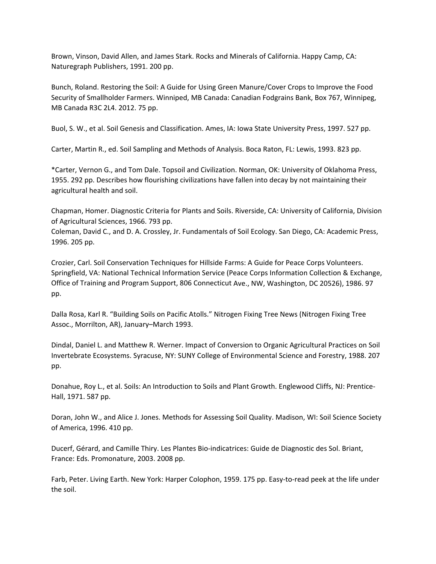Brown, Vinson, David Allen, and James Stark. Rocks and Minerals of California. Happy Camp, CA: Naturegraph Publishers, 1991. 200 pp.

Bunch, Roland. Restoring the Soil: A Guide for Using Green Manure/Cover Crops to Improve the Food Security of Smallholder Farmers. Winniped, MB Canada: Canadian Fodgrains Bank, Box 767, Winnipeg, MB Canada R3C 2L4. 2012. 75 pp.

Buol, S. W., et al. Soil Genesis and Classification. Ames, IA: Iowa State University Press, 1997. 527 pp.

Carter, Martin R., ed. Soil Sampling and Methods of Analysis. Boca Raton, FL: Lewis, 1993. 823 pp.

\*Carter, Vernon G., and Tom Dale. Topsoil and Civilization. Norman, OK: University of Oklahoma Press, 1955. 292 pp. Describes how flourishing civilizations have fallen into decay by not maintaining their agricultural health and soil.

Chapman, Homer. Diagnostic Criteria for Plants and Soils. Riverside, CA: University of California, Division of Agricultural Sciences, 1966. 793 pp.

Coleman, David C., and D. A. Crossley, Jr. Fundamentals of Soil Ecology. San Diego, CA: Academic Press, 1996. 205 pp.

Crozier, Carl. Soil Conservation Techniques for Hillside Farms: A Guide for Peace Corps Volunteers. Springfield, VA: National Technical Information Service (Peace Corps Information Collection & Exchange, Office of Training and Program Support, 806 Connecticut Ave., NW, Washington, DC 20526), 1986. 97 pp.

Dalla Rosa, Karl R. "Building Soils on Pacific Atolls." Nitrogen Fixing Tree News (Nitrogen Fixing Tree Assoc., Morrilton, AR), January–March 1993.

Dindal, Daniel L. and Matthew R. Werner. Impact of Conversion to Organic Agricultural Practices on Soil Invertebrate Ecosystems. Syracuse, NY: SUNY College of Environmental Science and Forestry, 1988. 207 pp.

Donahue, Roy L., et al. Soils: An Introduction to Soils and Plant Growth. Englewood Cliffs, NJ: Prentice‐ Hall, 1971. 587 pp.

Doran, John W., and Alice J. Jones. Methods for Assessing Soil Quality. Madison, WI: Soil Science Society of America, 1996. 410 pp.

Ducerf, Gérard, and Camille Thiry. Les Plantes Bio‐indicatrices: Guide de Diagnostic des Sol. Briant, France: Eds. Promonature, 2003. 2008 pp.

Farb, Peter. Living Earth. New York: Harper Colophon, 1959. 175 pp. Easy‐to‐read peek at the life under the soil.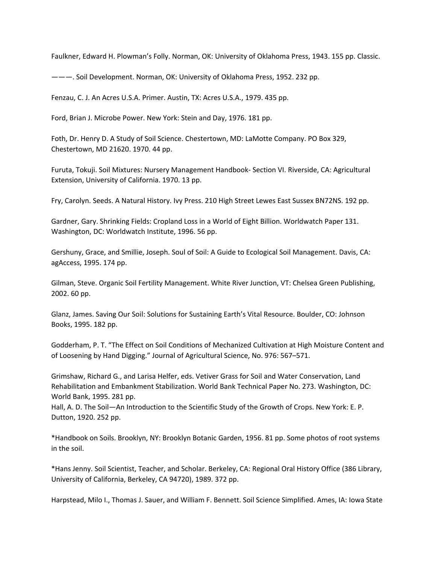Faulkner, Edward H. Plowman's Folly. Norman, OK: University of Oklahoma Press, 1943. 155 pp. Classic.

———. Soil Development. Norman, OK: University of Oklahoma Press, 1952. 232 pp.

Fenzau, C. J. An Acres U.S.A. Primer. Austin, TX: Acres U.S.A., 1979. 435 pp.

Ford, Brian J. Microbe Power. New York: Stein and Day, 1976. 181 pp.

Foth, Dr. Henry D. A Study of Soil Science. Chestertown, MD: LaMotte Company. PO Box 329, Chestertown, MD 21620. 1970. 44 pp.

Furuta, Tokuji. Soil Mixtures: Nursery Management Handbook‐ Section VI. Riverside, CA: Agricultural Extension, University of California. 1970. 13 pp.

Fry, Carolyn. Seeds. A Natural History. Ivy Press. 210 High Street Lewes East Sussex BN72NS. 192 pp.

Gardner, Gary. Shrinking Fields: Cropland Loss in a World of Eight Billion. Worldwatch Paper 131. Washington, DC: Worldwatch Institute, 1996. 56 pp.

Gershuny, Grace, and Smillie, Joseph. Soul of Soil: A Guide to Ecological Soil Management. Davis, CA: agAccess, 1995. 174 pp.

Gilman, Steve. Organic Soil Fertility Management. White River Junction, VT: Chelsea Green Publishing, 2002. 60 pp.

Glanz, James. Saving Our Soil: Solutions for Sustaining Earth's Vital Resource. Boulder, CO: Johnson Books, 1995. 182 pp.

Godderham, P. T. "The Effect on Soil Conditions of Mechanized Cultivation at High Moisture Content and of Loosening by Hand Digging." Journal of Agricultural Science, No. 976: 567–571.

Grimshaw, Richard G., and Larisa Helfer, eds. Vetiver Grass for Soil and Water Conservation, Land Rehabilitation and Embankment Stabilization. World Bank Technical Paper No. 273. Washington, DC: World Bank, 1995. 281 pp.

Hall, A. D. The Soil—An Introduction to the Scientific Study of the Growth of Crops. New York: E. P. Dutton, 1920. 252 pp.

\*Handbook on Soils. Brooklyn, NY: Brooklyn Botanic Garden, 1956. 81 pp. Some photos of root systems in the soil.

\*Hans Jenny. Soil Scientist, Teacher, and Scholar. Berkeley, CA: Regional Oral History Office (386 Library, University of California, Berkeley, CA 94720), 1989. 372 pp.

Harpstead, Milo I., Thomas J. Sauer, and William F. Bennett. Soil Science Simplified. Ames, IA: Iowa State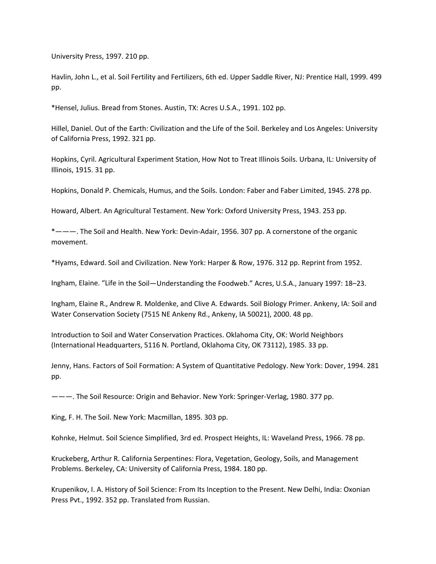University Press, 1997. 210 pp.

Havlin, John L., et al. Soil Fertility and Fertilizers, 6th ed. Upper Saddle River, NJ: Prentice Hall, 1999. 499 pp.

\*Hensel, Julius. Bread from Stones. Austin, TX: Acres U.S.A., 1991. 102 pp.

Hillel, Daniel. Out of the Earth: Civilization and the Life of the Soil. Berkeley and Los Angeles: University of California Press, 1992. 321 pp.

Hopkins, Cyril. Agricultural Experiment Station, How Not to Treat Illinois Soils. Urbana, IL: University of Illinois, 1915. 31 pp.

Hopkins, Donald P. Chemicals, Humus, and the Soils. London: Faber and Faber Limited, 1945. 278 pp.

Howard, Albert. An Agricultural Testament. New York: Oxford University Press, 1943. 253 pp.

\*———. The Soil and Health. New York: Devin-Adair, 1956. 307 pp. A cornerstone of the organic movement.

\*Hyams, Edward. Soil and Civilization. New York: Harper & Row, 1976. 312 pp. Reprint from 1952.

Ingham, Elaine. "Life in the Soil—Understanding the Foodweb." Acres, U.S.A., January 1997: 18–23.

Ingham, Elaine R., Andrew R. Moldenke, and Clive A. Edwards. Soil Biology Primer. Ankeny, IA: Soil and Water Conservation Society (7515 NE Ankeny Rd., Ankeny, IA 50021), 2000. 48 pp.

Introduction to Soil and Water Conservation Practices. Oklahoma City, OK: World Neighbors (International Headquarters, 5116 N. Portland, Oklahoma City, OK 73112), 1985. 33 pp.

Jenny, Hans. Factors of Soil Formation: A System of Quantitative Pedology. New York: Dover, 1994. 281 pp.

———. The Soil Resource: Origin and Behavior. New York: Springer‐Verlag, 1980. 377 pp.

King, F. H. The Soil. New York: Macmillan, 1895. 303 pp.

Kohnke, Helmut. Soil Science Simplified, 3rd ed. Prospect Heights, IL: Waveland Press, 1966. 78 pp.

Kruckeberg, Arthur R. California Serpentines: Flora, Vegetation, Geology, Soils, and Management Problems. Berkeley, CA: University of California Press, 1984. 180 pp.

Krupenikov, I. A. History of Soil Science: From Its Inception to the Present. New Delhi, India: Oxonian Press Pvt., 1992. 352 pp. Translated from Russian.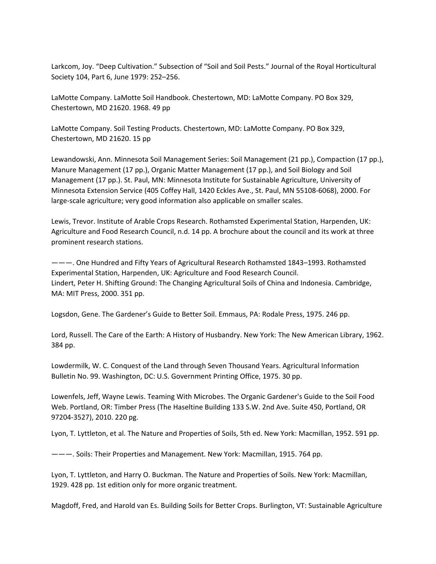Larkcom, Joy. "Deep Cultivation." Subsection of "Soil and Soil Pests." Journal of the Royal Horticultural Society 104, Part 6, June 1979: 252–256.

LaMotte Company. LaMotte Soil Handbook. Chestertown, MD: LaMotte Company. PO Box 329, Chestertown, MD 21620. 1968. 49 pp

LaMotte Company. Soil Testing Products. Chestertown, MD: LaMotte Company. PO Box 329, Chestertown, MD 21620. 15 pp

Lewandowski, Ann. Minnesota Soil Management Series: Soil Management (21 pp.), Compaction (17 pp.), Manure Management (17 pp.), Organic Matter Management (17 pp.), and Soil Biology and Soil Management (17 pp.). St. Paul, MN: Minnesota Institute for Sustainable Agriculture, University of Minnesota Extension Service (405 Coffey Hall, 1420 Eckles Ave., St. Paul, MN 55108‐6068), 2000. For large‐scale agriculture; very good information also applicable on smaller scales.

Lewis, Trevor. Institute of Arable Crops Research. Rothamsted Experimental Station, Harpenden, UK: Agriculture and Food Research Council, n.d. 14 pp. A brochure about the council and its work at three prominent research stations.

———. One Hundred and Fifty Years of Agricultural Research Rothamsted 1843–1993. Rothamsted Experimental Station, Harpenden, UK: Agriculture and Food Research Council. Lindert, Peter H. Shifting Ground: The Changing Agricultural Soils of China and Indonesia. Cambridge, MA: MIT Press, 2000. 351 pp.

Logsdon, Gene. The Gardener's Guide to Better Soil. Emmaus, PA: Rodale Press, 1975. 246 pp.

Lord, Russell. The Care of the Earth: A History of Husbandry. New York: The New American Library, 1962. 384 pp.

Lowdermilk, W. C. Conquest of the Land through Seven Thousand Years. Agricultural Information Bulletin No. 99. Washington, DC: U.S. Government Printing Office, 1975. 30 pp.

Lowenfels, Jeff, Wayne Lewis. Teaming With Microbes. The Organic Gardener's Guide to the Soil Food Web. Portland, OR: Timber Press (The Haseltine Building 133 S.W. 2nd Ave. Suite 450, Portland, OR 97204‐3527), 2010. 220 pg.

Lyon, T. Lyttleton, et al. The Nature and Properties of Soils, 5th ed. New York: Macmillan, 1952. 591 pp.

———. Soils: Their Properties and Management. New York: Macmillan, 1915. 764 pp.

Lyon, T. Lyttleton, and Harry O. Buckman. The Nature and Properties of Soils. New York: Macmillan, 1929. 428 pp. 1st edition only for more organic treatment.

Magdoff, Fred, and Harold van Es. Building Soils for Better Crops. Burlington, VT: Sustainable Agriculture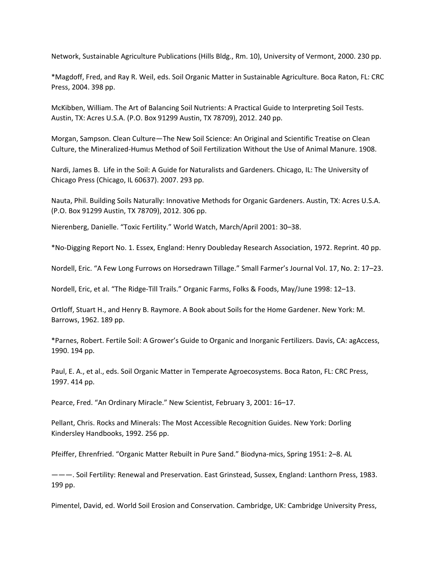Network, Sustainable Agriculture Publications (Hills Bldg., Rm. 10), University of Vermont, 2000. 230 pp.

\*Magdoff, Fred, and Ray R. Weil, eds. Soil Organic Matter in Sustainable Agriculture. Boca Raton, FL: CRC Press, 2004. 398 pp.

McKibben, William. The Art of Balancing Soil Nutrients: A Practical Guide to Interpreting Soil Tests. Austin, TX: Acres U.S.A. (P.O. Box 91299 Austin, TX 78709), 2012. 240 pp.

Morgan, Sampson. Clean Culture—The New Soil Science: An Original and Scientific Treatise on Clean Culture, the Mineralized‐Humus Method of Soil Fertilization Without the Use of Animal Manure. 1908.

Nardi, James B. Life in the Soil: A Guide for Naturalists and Gardeners. Chicago, IL: The University of Chicago Press (Chicago, IL 60637). 2007. 293 pp.

Nauta, Phil. Building Soils Naturally: Innovative Methods for Organic Gardeners. Austin, TX: Acres U.S.A. (P.O. Box 91299 Austin, TX 78709), 2012. 306 pp.

Nierenberg, Danielle. "Toxic Fertility." World Watch, March/April 2001: 30–38.

\*No‐Digging Report No. 1. Essex, England: Henry Doubleday Research Association, 1972. Reprint. 40 pp.

Nordell, Eric. "A Few Long Furrows on Horsedrawn Tillage." Small Farmer's Journal Vol. 17, No. 2: 17–23.

Nordell, Eric, et al. "The Ridge‐Till Trails." Organic Farms, Folks & Foods, May/June 1998: 12–13.

Ortloff, Stuart H., and Henry B. Raymore. A Book about Soils for the Home Gardener. New York: M. Barrows, 1962. 189 pp.

\*Parnes, Robert. Fertile Soil: A Grower's Guide to Organic and Inorganic Fertilizers. Davis, CA: agAccess, 1990. 194 pp.

Paul, E. A., et al., eds. Soil Organic Matter in Temperate Agroecosystems. Boca Raton, FL: CRC Press, 1997. 414 pp.

Pearce, Fred. "An Ordinary Miracle." New Scientist, February 3, 2001: 16–17.

Pellant, Chris. Rocks and Minerals: The Most Accessible Recognition Guides. New York: Dorling Kindersley Handbooks, 1992. 256 pp.

Pfeiffer, Ehrenfried. "Organic Matter Rebuilt in Pure Sand." Biodyna‐mics, Spring 1951: 2–8. AL

———. Soil Fertility: Renewal and Preservation. East Grinstead, Sussex, England: Lanthorn Press, 1983. 199 pp.

Pimentel, David, ed. World Soil Erosion and Conservation. Cambridge, UK: Cambridge University Press,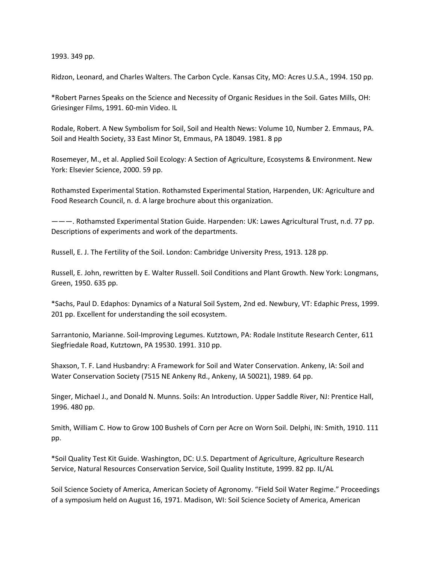1993. 349 pp.

Ridzon, Leonard, and Charles Walters. The Carbon Cycle. Kansas City, MO: Acres U.S.A., 1994. 150 pp.

\*Robert Parnes Speaks on the Science and Necessity of Organic Residues in the Soil. Gates Mills, OH: Griesinger Films, 1991. 60‐min Video. IL

Rodale, Robert. A New Symbolism for Soil, Soil and Health News: Volume 10, Number 2. Emmaus, PA. Soil and Health Society, 33 East Minor St, Emmaus, PA 18049. 1981. 8 pp

Rosemeyer, M., et al. Applied Soil Ecology: A Section of Agriculture, Ecosystems & Environment. New York: Elsevier Science, 2000. 59 pp.

Rothamsted Experimental Station. Rothamsted Experimental Station, Harpenden, UK: Agriculture and Food Research Council, n. d. A large brochure about this organization.

———. Rothamsted Experimental Station Guide. Harpenden: UK: Lawes Agricultural Trust, n.d. 77 pp. Descriptions of experiments and work of the departments.

Russell, E. J. The Fertility of the Soil. London: Cambridge University Press, 1913. 128 pp.

Russell, E. John, rewritten by E. Walter Russell. Soil Conditions and Plant Growth. New York: Longmans, Green, 1950. 635 pp.

\*Sachs, Paul D. Edaphos: Dynamics of a Natural Soil System, 2nd ed. Newbury, VT: Edaphic Press, 1999. 201 pp. Excellent for understanding the soil ecosystem.

Sarrantonio, Marianne. Soil‐Improving Legumes. Kutztown, PA: Rodale Institute Research Center, 611 Siegfriedale Road, Kutztown, PA 19530. 1991. 310 pp.

Shaxson, T. F. Land Husbandry: A Framework for Soil and Water Conservation. Ankeny, IA: Soil and Water Conservation Society (7515 NE Ankeny Rd., Ankeny, IA 50021), 1989. 64 pp.

Singer, Michael J., and Donald N. Munns. Soils: An Introduction. Upper Saddle River, NJ: Prentice Hall, 1996. 480 pp.

Smith, William C. How to Grow 100 Bushels of Corn per Acre on Worn Soil. Delphi, IN: Smith, 1910. 111 pp.

\*Soil Quality Test Kit Guide. Washington, DC: U.S. Department of Agriculture, Agriculture Research Service, Natural Resources Conservation Service, Soil Quality Institute, 1999. 82 pp. IL/AL

Soil Science Society of America, American Society of Agronomy. "Field Soil Water Regime." Proceedings of a symposium held on August 16, 1971. Madison, WI: Soil Science Society of America, American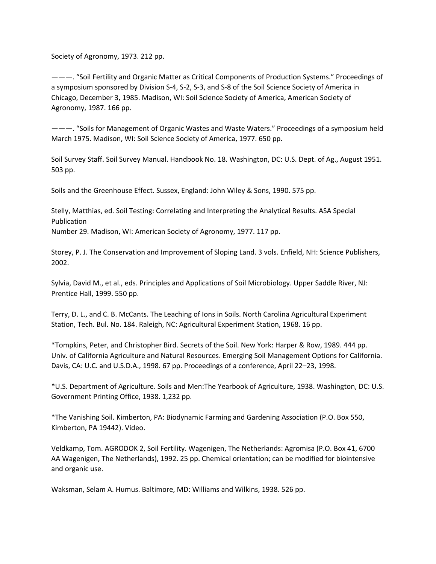Society of Agronomy, 1973. 212 pp.

———. "Soil Fertility and Organic Matter as Critical Components of Production Systems." Proceedings of a symposium sponsored by Division S‐4, S‐2, S‐3, and S‐8 of the Soil Science Society of America in Chicago, December 3, 1985. Madison, WI: Soil Science Society of America, American Society of Agronomy, 1987. 166 pp.

———. "Soils for Management of Organic Wastes and Waste Waters." Proceedings of a symposium held March 1975. Madison, WI: Soil Science Society of America, 1977. 650 pp.

Soil Survey Staff. Soil Survey Manual. Handbook No. 18. Washington, DC: U.S. Dept. of Ag., August 1951. 503 pp.

Soils and the Greenhouse Effect. Sussex, England: John Wiley & Sons, 1990. 575 pp.

Stelly, Matthias, ed. Soil Testing: Correlating and Interpreting the Analytical Results. ASA Special Publication

Number 29. Madison, WI: American Society of Agronomy, 1977. 117 pp.

Storey, P. J. The Conservation and Improvement of Sloping Land. 3 vols. Enfield, NH: Science Publishers, 2002.

Sylvia, David M., et al., eds. Principles and Applications of Soil Microbiology. Upper Saddle River, NJ: Prentice Hall, 1999. 550 pp.

Terry, D. L., and C. B. McCants. The Leaching of Ions in Soils. North Carolina Agricultural Experiment Station, Tech. Bul. No. 184. Raleigh, NC: Agricultural Experiment Station, 1968. 16 pp.

\*Tompkins, Peter, and Christopher Bird. Secrets of the Soil. New York: Harper & Row, 1989. 444 pp. Univ. of California Agriculture and Natural Resources. Emerging Soil Management Options for California. Davis, CA: U.C. and U.S.D.A., 1998. 67 pp. Proceedings of a conference, April 22–23, 1998.

\*U.S. Department of Agriculture. Soils and Men:The Yearbook of Agriculture, 1938. Washington, DC: U.S. Government Printing Office, 1938. 1,232 pp.

\*The Vanishing Soil. Kimberton, PA: Biodynamic Farming and Gardening Association (P.O. Box 550, Kimberton, PA 19442). Video.

Veldkamp, Tom. AGRODOK 2, Soil Fertility. Wagenigen, The Netherlands: Agromisa (P.O. Box 41, 6700 AA Wagenigen, The Netherlands), 1992. 25 pp. Chemical orientation; can be modified for biointensive and organic use.

Waksman, Selam A. Humus. Baltimore, MD: Williams and Wilkins, 1938. 526 pp.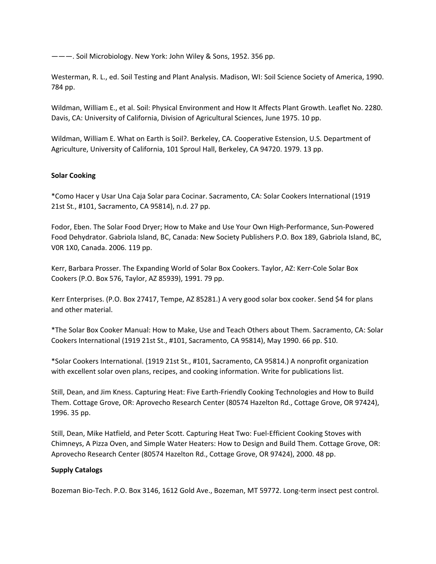———. Soil Microbiology. New York: John Wiley & Sons, 1952. 356 pp.

Westerman, R. L., ed. Soil Testing and Plant Analysis. Madison, WI: Soil Science Society of America, 1990. 784 pp.

Wildman, William E., et al. Soil: Physical Environment and How It Affects Plant Growth. Leaflet No. 2280. Davis, CA: University of California, Division of Agricultural Sciences, June 1975. 10 pp.

Wildman, William E. What on Earth is Soil?. Berkeley, CA. Cooperative Estension, U.S. Department of Agriculture, University of California, 101 Sproul Hall, Berkeley, CA 94720. 1979. 13 pp.

## **Solar Cooking**

\*Como Hacer y Usar Una Caja Solar para Cocinar. Sacramento, CA: Solar Cookers International (1919 21st St., #101, Sacramento, CA 95814), n.d. 27 pp.

Fodor, Eben. The Solar Food Dryer; How to Make and Use Your Own High‐Performance, Sun‐Powered Food Dehydrator. Gabriola Island, BC, Canada: New Society Publishers P.O. Box 189, Gabriola Island, BC, V0R 1X0, Canada. 2006. 119 pp.

Kerr, Barbara Prosser. The Expanding World of Solar Box Cookers. Taylor, AZ: Kerr‐Cole Solar Box Cookers (P.O. Box 576, Taylor, AZ 85939), 1991. 79 pp.

Kerr Enterprises. (P.O. Box 27417, Tempe, AZ 85281.) A very good solar box cooker. Send \$4 for plans and other material.

\*The Solar Box Cooker Manual: How to Make, Use and Teach Others about Them. Sacramento, CA: Solar Cookers International (1919 21st St., #101, Sacramento, CA 95814), May 1990. 66 pp. \$10.

\*Solar Cookers International. (1919 21st St., #101, Sacramento, CA 95814.) A nonprofit organization with excellent solar oven plans, recipes, and cooking information. Write for publications list.

Still, Dean, and Jim Kness. Capturing Heat: Five Earth‐Friendly Cooking Technologies and How to Build Them. Cottage Grove, OR: Aprovecho Research Center (80574 Hazelton Rd., Cottage Grove, OR 97424), 1996. 35 pp.

Still, Dean, Mike Hatfield, and Peter Scott. Capturing Heat Two: Fuel‐Efficient Cooking Stoves with Chimneys, A Pizza Oven, and Simple Water Heaters: How to Design and Build Them. Cottage Grove, OR: Aprovecho Research Center (80574 Hazelton Rd., Cottage Grove, OR 97424), 2000. 48 pp.

### **Supply Catalogs**

Bozeman Bio‐Tech. P.O. Box 3146, 1612 Gold Ave., Bozeman, MT 59772. Long‐term insect pest control.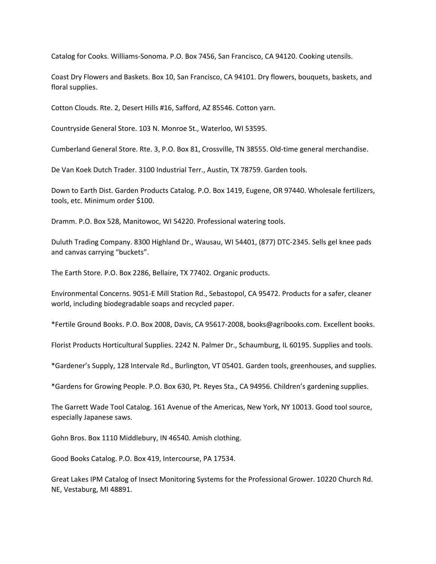Catalog for Cooks. Williams‐Sonoma. P.O. Box 7456, San Francisco, CA 94120. Cooking utensils.

Coast Dry Flowers and Baskets. Box 10, San Francisco, CA 94101. Dry flowers, bouquets, baskets, and floral supplies.

Cotton Clouds. Rte. 2, Desert Hills #16, Safford, AZ 85546. Cotton yarn.

Countryside General Store. 103 N. Monroe St., Waterloo, WI 53595.

Cumberland General Store. Rte. 3, P.O. Box 81, Crossville, TN 38555. Old‐time general merchandise.

De Van Koek Dutch Trader. 3100 Industrial Terr., Austin, TX 78759. Garden tools.

Down to Earth Dist. Garden Products Catalog. P.O. Box 1419, Eugene, OR 97440. Wholesale fertilizers, tools, etc. Minimum order \$100.

Dramm. P.O. Box 528, Manitowoc, WI 54220. Professional watering tools.

Duluth Trading Company. 8300 Highland Dr., Wausau, WI 54401, (877) DTC‐2345. Sells gel knee pads and canvas carrying "buckets".

The Earth Store. P.O. Box 2286, Bellaire, TX 77402. Organic products.

Environmental Concerns. 9051‐E Mill Station Rd., Sebastopol, CA 95472. Products for a safer, cleaner world, including biodegradable soaps and recycled paper.

\*Fertile Ground Books. P.O. Box 2008, Davis, CA 95617‐2008, books@agribooks.com. Excellent books.

Florist Products Horticultural Supplies. 2242 N. Palmer Dr., Schaumburg, IL 60195. Supplies and tools.

\*Gardener's Supply, 128 Intervale Rd., Burlington, VT 05401. Garden tools, greenhouses, and supplies.

\*Gardens for Growing People. P.O. Box 630, Pt. Reyes Sta., CA 94956. Children's gardening supplies.

The Garrett Wade Tool Catalog. 161 Avenue of the Americas, New York, NY 10013. Good tool source, especially Japanese saws.

Gohn Bros. Box 1110 Middlebury, IN 46540. Amish clothing.

Good Books Catalog. P.O. Box 419, Intercourse, PA 17534.

Great Lakes IPM Catalog of Insect Monitoring Systems for the Professional Grower. 10220 Church Rd. NE, Vestaburg, MI 48891.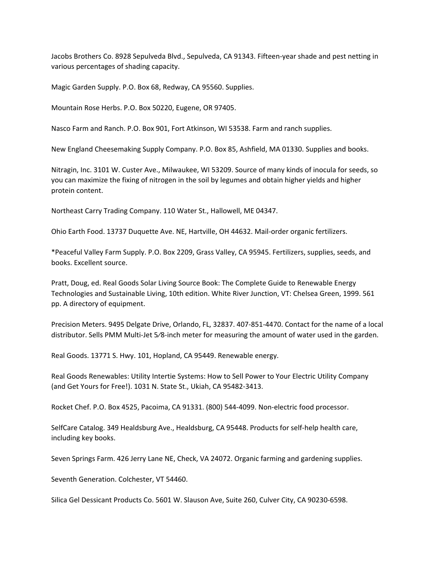Jacobs Brothers Co. 8928 Sepulveda Blvd., Sepulveda, CA 91343. Fifteen‐year shade and pest netting in various percentages of shading capacity.

Magic Garden Supply. P.O. Box 68, Redway, CA 95560. Supplies.

Mountain Rose Herbs. P.O. Box 50220, Eugene, OR 97405.

Nasco Farm and Ranch. P.O. Box 901, Fort Atkinson, WI 53538. Farm and ranch supplies.

New England Cheesemaking Supply Company. P.O. Box 85, Ashfield, MA 01330. Supplies and books.

Nitragin, Inc. 3101 W. Custer Ave., Milwaukee, WI 53209. Source of many kinds of inocula for seeds, so you can maximize the fixing of nitrogen in the soil by legumes and obtain higher yields and higher protein content.

Northeast Carry Trading Company. 110 Water St., Hallowell, ME 04347.

Ohio Earth Food. 13737 Duquette Ave. NE, Hartville, OH 44632. Mail‐order organic fertilizers.

\*Peaceful Valley Farm Supply. P.O. Box 2209, Grass Valley, CA 95945. Fertilizers, supplies, seeds, and books. Excellent source.

Pratt, Doug, ed. Real Goods Solar Living Source Book: The Complete Guide to Renewable Energy Technologies and Sustainable Living, 10th edition. White River Junction, VT: Chelsea Green, 1999. 561 pp. A directory of equipment.

Precision Meters. 9495 Delgate Drive, Orlando, FL, 32837. 407‐851‐4470. Contact for the name of a local distributor. Sells PMM Multi‐Jet 5⁄8‐inch meter for measuring the amount of water used in the garden.

Real Goods. 13771 S. Hwy. 101, Hopland, CA 95449. Renewable energy.

Real Goods Renewables: Utility Intertie Systems: How to Sell Power to Your Electric Utility Company (and Get Yours for Free!). 1031 N. State St., Ukiah, CA 95482‐3413.

Rocket Chef. P.O. Box 4525, Pacoima, CA 91331. (800) 544‐4099. Non‐electric food processor.

SelfCare Catalog. 349 Healdsburg Ave., Healdsburg, CA 95448. Products for self‐help health care, including key books.

Seven Springs Farm. 426 Jerry Lane NE, Check, VA 24072. Organic farming and gardening supplies.

Seventh Generation. Colchester, VT 54460.

Silica Gel Dessicant Products Co. 5601 W. Slauson Ave, Suite 260, Culver City, CA 90230‐6598.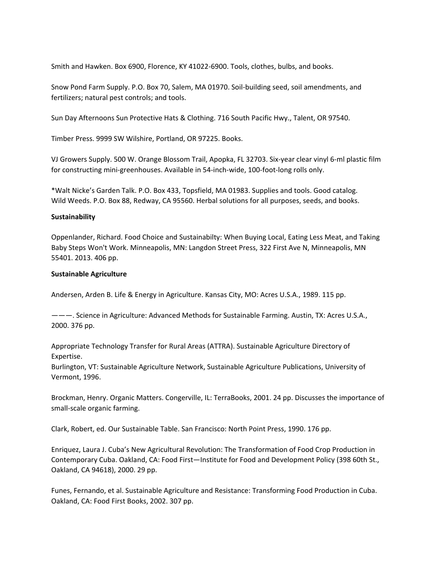Smith and Hawken. Box 6900, Florence, KY 41022-6900. Tools, clothes, bulbs, and books.

Snow Pond Farm Supply. P.O. Box 70, Salem, MA 01970. Soil‐building seed, soil amendments, and fertilizers; natural pest controls; and tools.

Sun Day Afternoons Sun Protective Hats & Clothing. 716 South Pacific Hwy., Talent, OR 97540.

Timber Press. 9999 SW Wilshire, Portland, OR 97225. Books.

VJ Growers Supply. 500 W. Orange Blossom Trail, Apopka, FL 32703. Six‐year clear vinyl 6‐ml plastic film for constructing mini‐greenhouses. Available in 54‐inch‐wide, 100‐foot‐long rolls only.

\*Walt Nicke's Garden Talk. P.O. Box 433, Topsfield, MA 01983. Supplies and tools. Good catalog. Wild Weeds. P.O. Box 88, Redway, CA 95560. Herbal solutions for all purposes, seeds, and books.

### **Sustainability**

Oppenlander, Richard. Food Choice and Sustainabilty: When Buying Local, Eating Less Meat, and Taking Baby Steps Won't Work. Minneapolis, MN: Langdon Street Press, 322 First Ave N, Minneapolis, MN 55401. 2013. 406 pp.

## **Sustainable Agriculture**

Andersen, Arden B. Life & Energy in Agriculture. Kansas City, MO: Acres U.S.A., 1989. 115 pp.

———. Science in Agriculture: Advanced Methods for Sustainable Farming. Austin, TX: Acres U.S.A., 2000. 376 pp.

Appropriate Technology Transfer for Rural Areas (ATTRA). Sustainable Agriculture Directory of Expertise.

Burlington, VT: Sustainable Agriculture Network, Sustainable Agriculture Publications, University of Vermont, 1996.

Brockman, Henry. Organic Matters. Congerville, IL: TerraBooks, 2001. 24 pp. Discusses the importance of small‐scale organic farming.

Clark, Robert, ed. Our Sustainable Table. San Francisco: North Point Press, 1990. 176 pp.

Enriquez, Laura J. Cuba's New Agricultural Revolution: The Transformation of Food Crop Production in Contemporary Cuba. Oakland, CA: Food First—Institute for Food and Development Policy (398 60th St., Oakland, CA 94618), 2000. 29 pp.

Funes, Fernando, et al. Sustainable Agriculture and Resistance: Transforming Food Production in Cuba. Oakland, CA: Food First Books, 2002. 307 pp.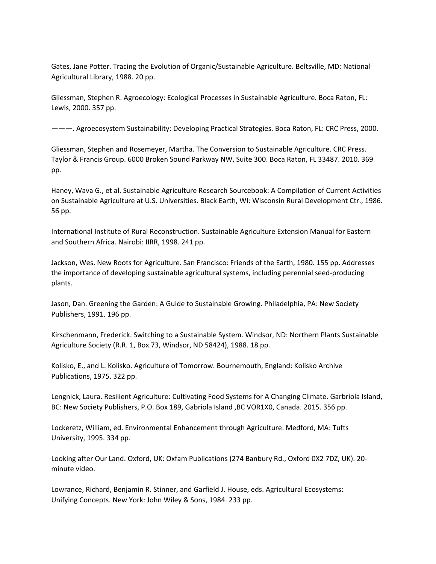Gates, Jane Potter. Tracing the Evolution of Organic/Sustainable Agriculture. Beltsville, MD: National Agricultural Library, 1988. 20 pp.

Gliessman, Stephen R. Agroecology: Ecological Processes in Sustainable Agriculture. Boca Raton, FL: Lewis, 2000. 357 pp.

———. Agroecosystem Sustainability: Developing Practical Strategies. Boca Raton, FL: CRC Press, 2000.

Gliessman, Stephen and Rosemeyer, Martha. The Conversion to Sustainable Agriculture. CRC Press. Taylor & Francis Group. 6000 Broken Sound Parkway NW, Suite 300. Boca Raton, FL 33487. 2010. 369 pp.

Haney, Wava G., et al. Sustainable Agriculture Research Sourcebook: A Compilation of Current Activities on Sustainable Agriculture at U.S. Universities. Black Earth, WI: Wisconsin Rural Development Ctr., 1986. 56 pp.

International Institute of Rural Reconstruction. Sustainable Agriculture Extension Manual for Eastern and Southern Africa. Nairobi: IIRR, 1998. 241 pp.

Jackson, Wes. New Roots for Agriculture. San Francisco: Friends of the Earth, 1980. 155 pp. Addresses the importance of developing sustainable agricultural systems, including perennial seed‐producing plants.

Jason, Dan. Greening the Garden: A Guide to Sustainable Growing. Philadelphia, PA: New Society Publishers, 1991. 196 pp.

Kirschenmann, Frederick. Switching to a Sustainable System. Windsor, ND: Northern Plants Sustainable Agriculture Society (R.R. 1, Box 73, Windsor, ND 58424), 1988. 18 pp.

Kolisko, E., and L. Kolisko. Agriculture of Tomorrow. Bournemouth, England: Kolisko Archive Publications, 1975. 322 pp.

Lengnick, Laura. Resilient Agriculture: Cultivating Food Systems for A Changing Climate. Garbriola Island, BC: New Society Publishers, P.O. Box 189, Gabriola Island ,BC VOR1X0, Canada. 2015. 356 pp.

Lockeretz, William, ed. Environmental Enhancement through Agriculture. Medford, MA: Tufts University, 1995. 334 pp.

Looking after Our Land. Oxford, UK: Oxfam Publications (274 Banbury Rd., Oxford 0X2 7DZ, UK). 20‐ minute video.

Lowrance, Richard, Benjamin R. Stinner, and Garfield J. House, eds. Agricultural Ecosystems: Unifying Concepts. New York: John Wiley & Sons, 1984. 233 pp.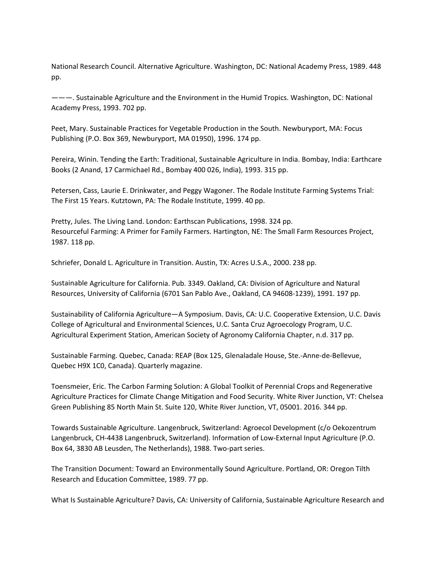National Research Council. Alternative Agriculture. Washington, DC: National Academy Press, 1989. 448 pp.

———. Sustainable Agriculture and the Environment in the Humid Tropics. Washington, DC: National Academy Press, 1993. 702 pp.

Peet, Mary. Sustainable Practices for Vegetable Production in the South. Newburyport, MA: Focus Publishing (P.O. Box 369, Newburyport, MA 01950), 1996. 174 pp.

Pereira, Winin. Tending the Earth: Traditional, Sustainable Agriculture in India. Bombay, India: Earthcare Books (2 Anand, 17 Carmichael Rd., Bombay 400 026, India), 1993. 315 pp.

Petersen, Cass, Laurie E. Drinkwater, and Peggy Wagoner. The Rodale Institute Farming Systems Trial: The First 15 Years. Kutztown, PA: The Rodale Institute, 1999. 40 pp.

Pretty, Jules. The Living Land. London: Earthscan Publications, 1998. 324 pp. Resourceful Farming: A Primer for Family Farmers. Hartington, NE: The Small Farm Resources Project, 1987. 118 pp.

Schriefer, Donald L. Agriculture in Transition. Austin, TX: Acres U.S.A., 2000. 238 pp.

Sustainable Agriculture for California. Pub. 3349. Oakland, CA: Division of Agriculture and Natural Resources, University of California (6701 San Pablo Ave., Oakland, CA 94608‐1239), 1991. 197 pp.

Sustainability of California Agriculture—A Symposium. Davis, CA: U.C. Cooperative Extension, U.C. Davis College of Agricultural and Environmental Sciences, U.C. Santa Cruz Agroecology Program, U.C. Agricultural Experiment Station, American Society of Agronomy California Chapter, n.d. 317 pp.

Sustainable Farming. Quebec, Canada: REAP (Box 125, Glenaladale House, Ste.‐Anne‐de‐Bellevue, Quebec H9X 1C0, Canada). Quarterly magazine.

Toensmeier, Eric. The Carbon Farming Solution: A Global Toolkit of Perennial Crops and Regenerative Agriculture Practices for Climate Change Mitigation and Food Security. White River Junction, VT: Chelsea Green Publishing 85 North Main St. Suite 120, White River Junction, VT, 05001. 2016. 344 pp.

Towards Sustainable Agriculture. Langenbruck, Switzerland: Agroecol Development (c/o Oekozentrum Langenbruck, CH‐4438 Langenbruck, Switzerland). Information of Low‐External Input Agriculture (P.O. Box 64, 3830 AB Leusden, The Netherlands), 1988. Two-part series.

The Transition Document: Toward an Environmentally Sound Agriculture. Portland, OR: Oregon Tilth Research and Education Committee, 1989. 77 pp.

What Is Sustainable Agriculture? Davis, CA: University of California, Sustainable Agriculture Research and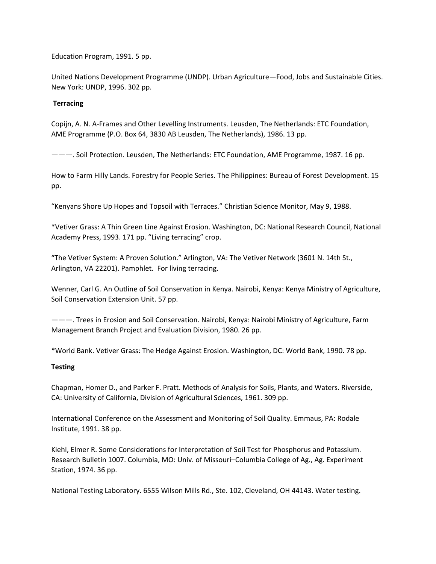Education Program, 1991. 5 pp.

United Nations Development Programme (UNDP). Urban Agriculture—Food, Jobs and Sustainable Cities. New York: UNDP, 1996. 302 pp.

### **Terracing**

Copijn, A. N. A‐Frames and Other Levelling Instruments. Leusden, The Netherlands: ETC Foundation, AME Programme (P.O. Box 64, 3830 AB Leusden, The Netherlands), 1986. 13 pp.

———. Soil Protection. Leusden, The Netherlands: ETC Foundation, AME Programme, 1987. 16 pp.

How to Farm Hilly Lands. Forestry for People Series. The Philippines: Bureau of Forest Development. 15 pp.

"Kenyans Shore Up Hopes and Topsoil with Terraces." Christian Science Monitor, May 9, 1988.

\*Vetiver Grass: A Thin Green Line Against Erosion. Washington, DC: National Research Council, National Academy Press, 1993. 171 pp. "Living terracing" crop.

"The Vetiver System: A Proven Solution." Arlington, VA: The Vetiver Network (3601 N. 14th St., Arlington, VA 22201). Pamphlet. For living terracing.

Wenner, Carl G. An Outline of Soil Conservation in Kenya. Nairobi, Kenya: Kenya Ministry of Agriculture, Soil Conservation Extension Unit. 57 pp.

———. Trees in Erosion and Soil Conservation. Nairobi, Kenya: Nairobi Ministry of Agriculture, Farm Management Branch Project and Evaluation Division, 1980. 26 pp.

\*World Bank. Vetiver Grass: The Hedge Against Erosion. Washington, DC: World Bank, 1990. 78 pp.

### **Testing**

Chapman, Homer D., and Parker F. Pratt. Methods of Analysis for Soils, Plants, and Waters. Riverside, CA: University of California, Division of Agricultural Sciences, 1961. 309 pp.

International Conference on the Assessment and Monitoring of Soil Quality. Emmaus, PA: Rodale Institute, 1991. 38 pp.

Kiehl, Elmer R. Some Considerations for Interpretation of Soil Test for Phosphorus and Potassium. Research Bulletin 1007. Columbia, MO: Univ. of Missouri–Columbia College of Ag., Ag. Experiment Station, 1974. 36 pp.

National Testing Laboratory. 6555 Wilson Mills Rd., Ste. 102, Cleveland, OH 44143. Water testing.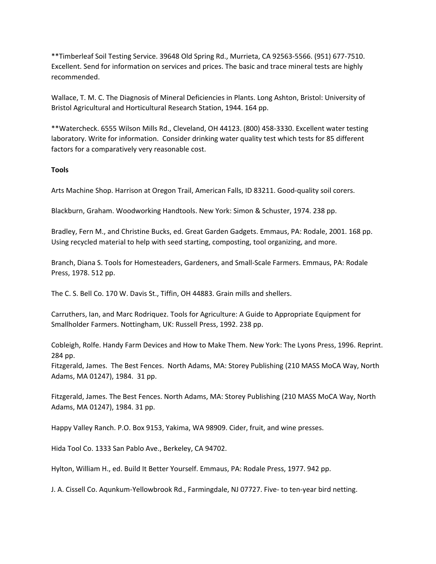\*\*Timberleaf Soil Testing Service. 39648 Old Spring Rd., Murrieta, CA 92563‐5566. (951) 677‐7510. Excellent. Send for information on services and prices. The basic and trace mineral tests are highly recommended.

Wallace, T. M. C. The Diagnosis of Mineral Deficiencies in Plants. Long Ashton, Bristol: University of Bristol Agricultural and Horticultural Research Station, 1944. 164 pp.

\*\*Watercheck. 6555 Wilson Mills Rd., Cleveland, OH 44123. (800) 458‐3330. Excellent water testing laboratory. Write for information. Consider drinking water quality test which tests for 85 different factors for a comparatively very reasonable cost.

# **Tools**

Arts Machine Shop. Harrison at Oregon Trail, American Falls, ID 83211. Good‐quality soil corers.

Blackburn, Graham. Woodworking Handtools. New York: Simon & Schuster, 1974. 238 pp.

Bradley, Fern M., and Christine Bucks, ed. Great Garden Gadgets. Emmaus, PA: Rodale, 2001. 168 pp. Using recycled material to help with seed starting, composting, tool organizing, and more.

Branch, Diana S. Tools for Homesteaders, Gardeners, and Small‐Scale Farmers. Emmaus, PA: Rodale Press, 1978. 512 pp.

The C. S. Bell Co. 170 W. Davis St., Tiffin, OH 44883. Grain mills and shellers.

Carruthers, Ian, and Marc Rodriquez. Tools for Agriculture: A Guide to Appropriate Equipment for Smallholder Farmers. Nottingham, UK: Russell Press, 1992. 238 pp.

Cobleigh, Rolfe. Handy Farm Devices and How to Make Them. New York: The Lyons Press, 1996. Reprint. 284 pp.

Fitzgerald, James. The Best Fences. North Adams, MA: Storey Publishing (210 MASS MoCA Way, North Adams, MA 01247), 1984. 31 pp.

Fitzgerald, James. The Best Fences. North Adams, MA: Storey Publishing (210 MASS MoCA Way, North Adams, MA 01247), 1984. 31 pp.

Happy Valley Ranch. P.O. Box 9153, Yakima, WA 98909. Cider, fruit, and wine presses.

Hida Tool Co. 1333 San Pablo Ave., Berkeley, CA 94702.

Hylton, William H., ed. Build It Better Yourself. Emmaus, PA: Rodale Press, 1977. 942 pp.

J. A. Cissell Co. Aqunkum‐Yellowbrook Rd., Farmingdale, NJ 07727. Five‐ to ten‐year bird netting.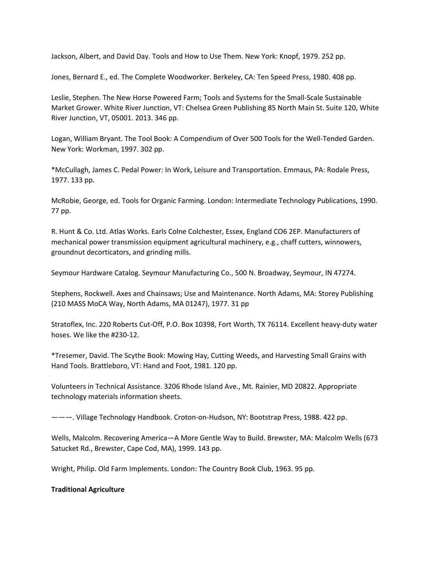Jackson, Albert, and David Day. Tools and How to Use Them. New York: Knopf, 1979. 252 pp.

Jones, Bernard E., ed. The Complete Woodworker. Berkeley, CA: Ten Speed Press, 1980. 408 pp.

Leslie, Stephen. The New Horse Powered Farm; Tools and Systems for the Small‐Scale Sustainable Market Grower. White River Junction, VT: Chelsea Green Publishing 85 North Main St. Suite 120, White River Junction, VT, 05001. 2013. 346 pp.

Logan, William Bryant. The Tool Book: A Compendium of Over 500 Tools for the Well‐Tended Garden. New York: Workman, 1997. 302 pp.

\*McCullagh, James C. Pedal Power: In Work, Leisure and Transportation. Emmaus, PA: Rodale Press, 1977. 133 pp.

McRobie, George, ed. Tools for Organic Farming. London: Intermediate Technology Publications, 1990. 77 pp.

R. Hunt & Co. Ltd. Atlas Works. Earls Colne Colchester, Essex, England CO6 2EP. Manufacturers of mechanical power transmission equipment agricultural machinery, e.g., chaff cutters, winnowers, groundnut decorticators, and grinding mills.

Seymour Hardware Catalog. Seymour Manufacturing Co., 500 N. Broadway, Seymour, IN 47274.

Stephens, Rockwell. Axes and Chainsaws; Use and Maintenance. North Adams, MA: Storey Publishing (210 MASS MoCA Way, North Adams, MA 01247), 1977. 31 pp

Stratoflex, Inc. 220 Roberts Cut‐Off, P.O. Box 10398, Fort Worth, TX 76114. Excellent heavy‐duty water hoses. We like the #230‐12.

\*Tresemer, David. The Scythe Book: Mowing Hay, Cutting Weeds, and Harvesting Small Grains with Hand Tools. Brattleboro, VT: Hand and Foot, 1981. 120 pp.

Volunteers in Technical Assistance. 3206 Rhode Island Ave., Mt. Rainier, MD 20822. Appropriate technology materials information sheets.

———. Village Technology Handbook. Croton‐on‐Hudson, NY: Bootstrap Press, 1988. 422 pp.

Wells, Malcolm. Recovering America—A More Gentle Way to Build. Brewster, MA: Malcolm Wells (673 Satucket Rd., Brewster, Cape Cod, MA), 1999. 143 pp.

Wright, Philip. Old Farm Implements. London: The Country Book Club, 1963. 95 pp.

# **Traditional Agriculture**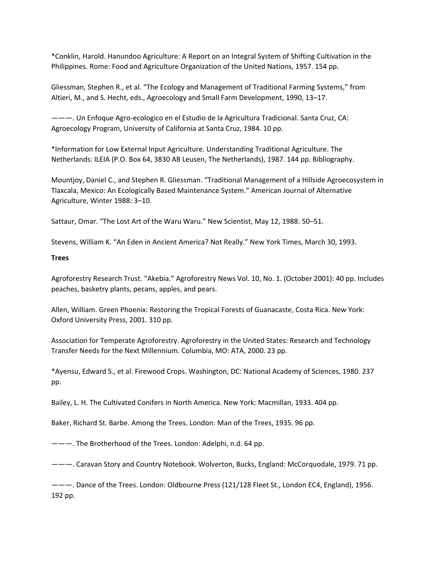\*Conklin, Harold. Hanundoo Agriculture: A Report on an Integral System of Shifting Cultivation in the Philippines. Rome: Food and Agriculture Organization of the United Nations, 1957. 154 pp.

Gliessman, Stephen R., et al. "The Ecology and Management of Traditional Farming Systems," from Altieri, M., and S. Hecht, eds., Agroecology and Small Farm Development, 1990, 13–17.

———. Un Enfoque Agro‐ecologico en el Estudio de la Agricultura Tradicional. Santa Cruz, CA: Agroecology Program, University of California at Santa Cruz, 1984. 10 pp.

\*Information for Low External Input Agriculture. Understanding Traditional Agriculture. The Netherlands: ILEIA (P.O. Box 64, 3830 AB Leusen, The Netherlands), 1987. 144 pp. Bibliography.

Mountjoy, Daniel C., and Stephen R. Gliessman. "Traditional Management of a Hillside Agroecosystem in Tlaxcala, Mexico: An Ecologically Based Maintenance System." American Journal of Alternative Agriculture, Winter 1988: 3–10.

Sattaur, Omar. "The Lost Art of the Waru Waru." New Scientist, May 12, 1988: 50–51.

Stevens, William K. "An Eden in Ancient America? Not Really." New York Times, March 30, 1993.

**Trees**

Agroforestry Research Trust. "Akebia." Agroforestry News Vol. 10, No. 1. (October 2001): 40 pp. Includes peaches, basketry plants, pecans, apples, and pears.

Allen, William. Green Phoenix: Restoring the Tropical Forests of Guanacaste, Costa Rica. New York: Oxford University Press, 2001. 310 pp.

Association for Temperate Agroforestry. Agroforestry in the United States: Research and Technology Transfer Needs for the Next Millennium. Columbia, MO: ATA, 2000. 23 pp.

\*Ayensu, Edward S., et al. Firewood Crops. Washington, DC: National Academy of Sciences, 1980. 237 pp.

Bailey, L. H. The Cultivated Conifers in North America. New York: Macmillan, 1933. 404 pp.

Baker, Richard St. Barbe. Among the Trees. London: Man of the Trees, 1935. 96 pp.

———. The Brotherhood of the Trees. London: Adelphi, n.d. 64 pp.

———. Caravan Story and Country Notebook. Wolverton, Bucks, England: McCorquodale, 1979. 71 pp.

———. Dance of the Trees. London: Oldbourne Press (121/128 Fleet St., London EC4, England), 1956. 192 pp.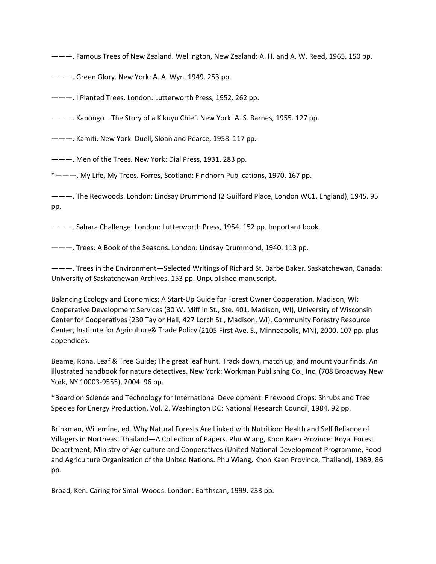———. Famous Trees of New Zealand. Wellington, New Zealand: A. H. and A. W. Reed, 1965. 150 pp.

———. Green Glory. New York: A. A. Wyn, 1949. 253 pp.

———. I Planted Trees. London: Lutterworth Press, 1952. 262 pp.

———. Kabongo—The Story of a Kikuyu Chief. New York: A. S. Barnes, 1955. 127 pp.

———. Kamiti. New York: Duell, Sloan and Pearce, 1958. 117 pp.

———. Men of the Trees. New York: Dial Press, 1931. 283 pp.

\*———. My Life, My Trees. Forres, Scotland: Findhorn Publications, 1970. 167 pp.

———. The Redwoods. London: Lindsay Drummond (2 Guilford Place, London WC1, England), 1945. 95 pp.

———. Sahara Challenge. London: Lutterworth Press, 1954. 152 pp. Important book.

———. Trees: A Book of the Seasons. London: Lindsay Drummond, 1940. 113 pp.

———. Trees in the Environment—Selected Writings of Richard St. Barbe Baker. Saskatchewan, Canada: University of Saskatchewan Archives. 153 pp. Unpublished manuscript.

Balancing Ecology and Economics: A Start-Up Guide for Forest Owner Cooperation. Madison, WI: Cooperative Development Services (30 W. Mifflin St., Ste. 401, Madison, WI), University of Wisconsin Center for Cooperatives (230 Taylor Hall, 427 Lorch St., Madison, WI), Community Forestry Resource Center, Institute for Agriculture& Trade Policy (2105 First Ave. S., Minneapolis, MN), 2000. 107 pp. plus appendices.

Beame, Rona. Leaf & Tree Guide; The great leaf hunt. Track down, match up, and mount your finds. An illustrated handbook for nature detectives. New York: Workman Publishing Co., Inc. (708 Broadway New York, NY 10003‐9555), 2004. 96 pp.

\*Board on Science and Technology for International Development. Firewood Crops: Shrubs and Tree Species for Energy Production, Vol. 2. Washington DC: National Research Council, 1984. 92 pp.

Brinkman, Willemine, ed. Why Natural Forests Are Linked with Nutrition: Health and Self Reliance of Villagers in Northeast Thailand—A Collection of Papers. Phu Wiang, Khon Kaen Province: Royal Forest Department, Ministry of Agriculture and Cooperatives (United National Development Programme, Food and Agriculture Organization of the United Nations. Phu Wiang, Khon Kaen Province, Thailand), 1989. 86 pp.

Broad, Ken. Caring for Small Woods. London: Earthscan, 1999. 233 pp.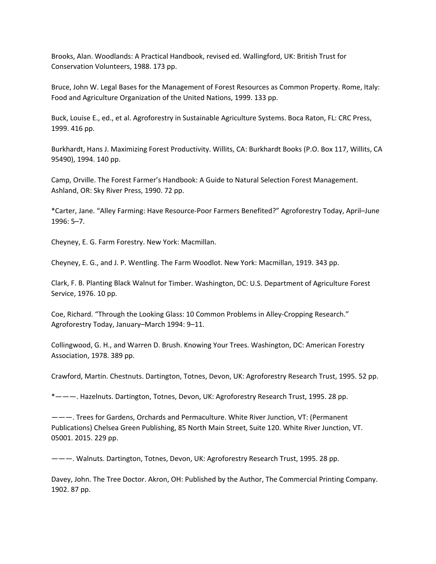Brooks, Alan. Woodlands: A Practical Handbook, revised ed. Wallingford, UK: British Trust for Conservation Volunteers, 1988. 173 pp.

Bruce, John W. Legal Bases for the Management of Forest Resources as Common Property. Rome, Italy: Food and Agriculture Organization of the United Nations, 1999. 133 pp.

Buck, Louise E., ed., et al. Agroforestry in Sustainable Agriculture Systems. Boca Raton, FL: CRC Press, 1999. 416 pp.

Burkhardt, Hans J. Maximizing Forest Productivity. Willits, CA: Burkhardt Books (P.O. Box 117, Willits, CA 95490), 1994. 140 pp.

Camp, Orville. The Forest Farmer's Handbook: A Guide to Natural Selection Forest Management. Ashland, OR: Sky River Press, 1990. 72 pp.

\*Carter, Jane. "Alley Farming: Have Resource‐Poor Farmers Benefited?" Agroforestry Today, April–June 1996: 5–7.

Cheyney, E. G. Farm Forestry. New York: Macmillan.

Cheyney, E. G., and J. P. Wentling. The Farm Woodlot. New York: Macmillan, 1919. 343 pp.

Clark, F. B. Planting Black Walnut for Timber. Washington, DC: U.S. Department of Agriculture Forest Service, 1976. 10 pp.

Coe, Richard. "Through the Looking Glass: 10 Common Problems in Alley‐Cropping Research." Agroforestry Today, January–March 1994: 9–11.

Collingwood, G. H., and Warren D. Brush. Knowing Your Trees. Washington, DC: American Forestry Association, 1978. 389 pp.

Crawford, Martin. Chestnuts. Dartington, Totnes, Devon, UK: Agroforestry Research Trust, 1995. 52 pp.

\*———. Hazelnuts. Dartington, Totnes, Devon, UK: Agroforestry Research Trust, 1995. 28 pp.

———. Trees for Gardens, Orchards and Permaculture. White River Junction, VT: (Permanent Publications) Chelsea Green Publishing, 85 North Main Street, Suite 120. White River Junction, VT. 05001. 2015. 229 pp.

———. Walnuts. Dartington, Totnes, Devon, UK: Agroforestry Research Trust, 1995. 28 pp.

Davey, John. The Tree Doctor. Akron, OH: Published by the Author, The Commercial Printing Company. 1902. 87 pp.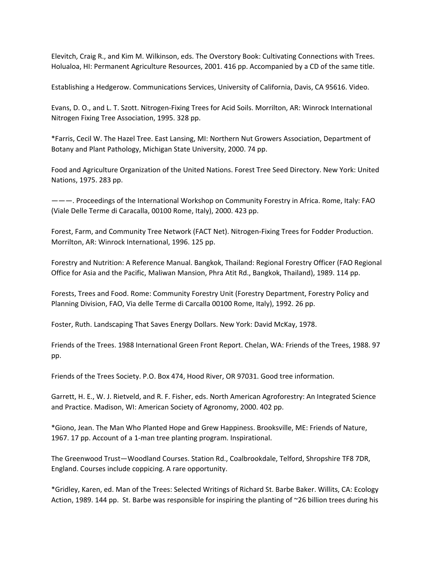Elevitch, Craig R., and Kim M. Wilkinson, eds. The Overstory Book: Cultivating Connections with Trees. Holualoa, HI: Permanent Agriculture Resources, 2001. 416 pp. Accompanied by a CD of the same title.

Establishing a Hedgerow. Communications Services, University of California, Davis, CA 95616. Video.

Evans, D. O., and L. T. Szott. Nitrogen‐Fixing Trees for Acid Soils. Morrilton, AR: Winrock International Nitrogen Fixing Tree Association, 1995. 328 pp.

\*Farris, Cecil W. The Hazel Tree. East Lansing, MI: Northern Nut Growers Association, Department of Botany and Plant Pathology, Michigan State University, 2000. 74 pp.

Food and Agriculture Organization of the United Nations. Forest Tree Seed Directory. New York: United Nations, 1975. 283 pp.

———. Proceedings of the International Workshop on Community Forestry in Africa. Rome, Italy: FAO (Viale Delle Terme di Caracalla, 00100 Rome, Italy), 2000. 423 pp.

Forest, Farm, and Community Tree Network (FACT Net). Nitrogen‐Fixing Trees for Fodder Production. Morrilton, AR: Winrock International, 1996. 125 pp.

Forestry and Nutrition: A Reference Manual. Bangkok, Thailand: Regional Forestry Officer (FAO Regional Office for Asia and the Pacific, Maliwan Mansion, Phra Atit Rd., Bangkok, Thailand), 1989. 114 pp.

Forests, Trees and Food. Rome: Community Forestry Unit (Forestry Department, Forestry Policy and Planning Division, FAO, Via delle Terme di Carcalla 00100 Rome, Italy), 1992. 26 pp.

Foster, Ruth. Landscaping That Saves Energy Dollars. New York: David McKay, 1978.

Friends of the Trees. 1988 International Green Front Report. Chelan, WA: Friends of the Trees, 1988. 97 pp.

Friends of the Trees Society. P.O. Box 474, Hood River, OR 97031. Good tree information.

Garrett, H. E., W. J. Rietveld, and R. F. Fisher, eds. North American Agroforestry: An Integrated Science and Practice. Madison, WI: American Society of Agronomy, 2000. 402 pp.

\*Giono, Jean. The Man Who Planted Hope and Grew Happiness. Brooksville, ME: Friends of Nature, 1967. 17 pp. Account of a 1‐man tree planting program. Inspirational.

The Greenwood Trust—Woodland Courses. Station Rd., Coalbrookdale, Telford, Shropshire TF8 7DR, England. Courses include coppicing. A rare opportunity.

\*Gridley, Karen, ed. Man of the Trees: Selected Writings of Richard St. Barbe Baker. Willits, CA: Ecology Action, 1989. 144 pp. St. Barbe was responsible for inspiring the planting of ~26 billion trees during his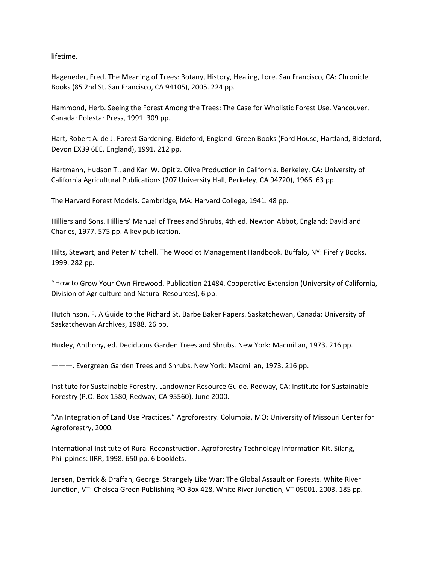lifetime.

Hageneder, Fred. The Meaning of Trees: Botany, History, Healing, Lore. San Francisco, CA: Chronicle Books (85 2nd St. San Francisco, CA 94105), 2005. 224 pp.

Hammond, Herb. Seeing the Forest Among the Trees: The Case for Wholistic Forest Use. Vancouver, Canada: Polestar Press, 1991. 309 pp.

Hart, Robert A. de J. Forest Gardening. Bideford, England: Green Books (Ford House, Hartland, Bideford, Devon EX39 6EE, England), 1991. 212 pp.

Hartmann, Hudson T., and Karl W. Opitiz. Olive Production in California. Berkeley, CA: University of California Agricultural Publications (207 University Hall, Berkeley, CA 94720), 1966. 63 pp.

The Harvard Forest Models. Cambridge, MA: Harvard College, 1941. 48 pp.

Hilliers and Sons. Hilliers' Manual of Trees and Shrubs, 4th ed. Newton Abbot, England: David and Charles, 1977. 575 pp. A key publication.

Hilts, Stewart, and Peter Mitchell. The Woodlot Management Handbook. Buffalo, NY: Firefly Books, 1999. 282 pp.

\*How to Grow Your Own Firewood. Publication 21484. Cooperative Extension (University of California, Division of Agriculture and Natural Resources), 6 pp.

Hutchinson, F. A Guide to the Richard St. Barbe Baker Papers. Saskatchewan, Canada: University of Saskatchewan Archives, 1988. 26 pp.

Huxley, Anthony, ed. Deciduous Garden Trees and Shrubs. New York: Macmillan, 1973. 216 pp.

———. Evergreen Garden Trees and Shrubs. New York: Macmillan, 1973. 216 pp.

Institute for Sustainable Forestry. Landowner Resource Guide. Redway, CA: Institute for Sustainable Forestry (P.O. Box 1580, Redway, CA 95560), June 2000.

"An Integration of Land Use Practices." Agroforestry. Columbia, MO: University of Missouri Center for Agroforestry, 2000.

International Institute of Rural Reconstruction. Agroforestry Technology Information Kit. Silang, Philippines: IIRR, 1998. 650 pp. 6 booklets.

Jensen, Derrick & Draffan, George. Strangely Like War; The Global Assault on Forests. White River Junction, VT: Chelsea Green Publishing PO Box 428, White River Junction, VT 05001. 2003. 185 pp.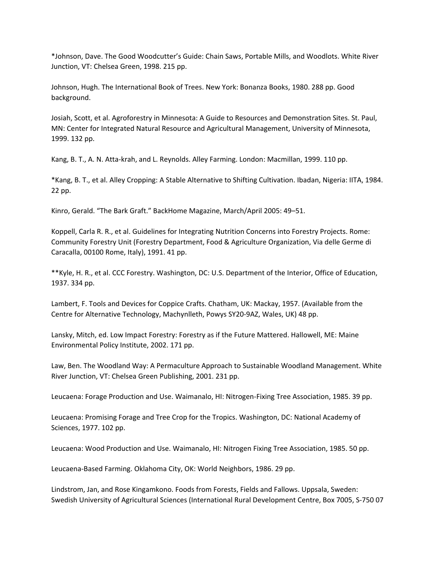\*Johnson, Dave. The Good Woodcutter's Guide: Chain Saws, Portable Mills, and Woodlots. White River Junction, VT: Chelsea Green, 1998. 215 pp.

Johnson, Hugh. The International Book of Trees. New York: Bonanza Books, 1980. 288 pp. Good background.

Josiah, Scott, et al. Agroforestry in Minnesota: A Guide to Resources and Demonstration Sites. St. Paul, MN: Center for Integrated Natural Resource and Agricultural Management, University of Minnesota, 1999. 132 pp.

Kang, B. T., A. N. Atta-krah, and L. Reynolds. Alley Farming. London: Macmillan, 1999. 110 pp.

\*Kang, B. T., et al. Alley Cropping: A Stable Alternative to Shifting Cultivation. Ibadan, Nigeria: IITA, 1984. 22 pp.

Kinro, Gerald. "The Bark Graft." BackHome Magazine, March/April 2005: 49–51.

Koppell, Carla R. R., et al. Guidelines for Integrating Nutrition Concerns into Forestry Projects. Rome: Community Forestry Unit (Forestry Department, Food & Agriculture Organization, Via delle Germe di Caracalla, 00100 Rome, Italy), 1991. 41 pp.

\*\*Kyle, H. R., et al. CCC Forestry. Washington, DC: U.S. Department of the Interior, Office of Education, 1937. 334 pp.

Lambert, F. Tools and Devices for Coppice Crafts. Chatham, UK: Mackay, 1957. (Available from the Centre for Alternative Technology, Machynlleth, Powys SY20‐9AZ, Wales, UK) 48 pp.

Lansky, Mitch, ed. Low Impact Forestry: Forestry as if the Future Mattered. Hallowell, ME: Maine Environmental Policy Institute, 2002. 171 pp.

Law, Ben. The Woodland Way: A Permaculture Approach to Sustainable Woodland Management. White River Junction, VT: Chelsea Green Publishing, 2001. 231 pp.

Leucaena: Forage Production and Use. Waimanalo, HI: Nitrogen‐Fixing Tree Association, 1985. 39 pp.

Leucaena: Promising Forage and Tree Crop for the Tropics. Washington, DC: National Academy of Sciences, 1977. 102 pp.

Leucaena: Wood Production and Use. Waimanalo, HI: Nitrogen Fixing Tree Association, 1985. 50 pp.

Leucaena‐Based Farming. Oklahoma City, OK: World Neighbors, 1986. 29 pp.

Lindstrom, Jan, and Rose Kingamkono. Foods from Forests, Fields and Fallows. Uppsala, Sweden: Swedish University of Agricultural Sciences (International Rural Development Centre, Box 7005, S‐750 07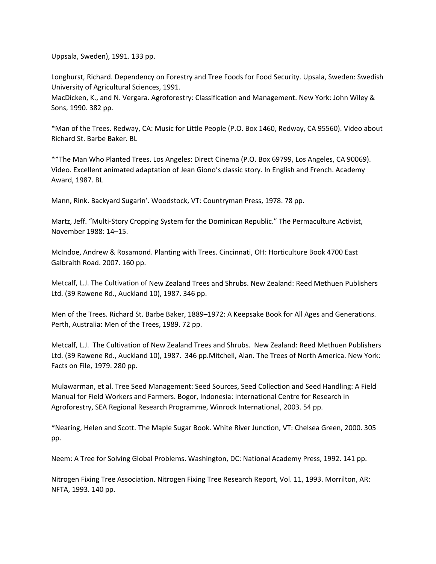Uppsala, Sweden), 1991. 133 pp.

Longhurst, Richard. Dependency on Forestry and Tree Foods for Food Security. Upsala, Sweden: Swedish University of Agricultural Sciences, 1991.

MacDicken, K., and N. Vergara. Agroforestry: Classification and Management. New York: John Wiley & Sons, 1990. 382 pp.

\*Man of the Trees. Redway, CA: Music for Little People (P.O. Box 1460, Redway, CA 95560). Video about Richard St. Barbe Baker. BL

\*\*The Man Who Planted Trees. Los Angeles: Direct Cinema (P.O. Box 69799, Los Angeles, CA 90069). Video. Excellent animated adaptation of Jean Giono's classic story. In English and French. Academy Award, 1987. BL

Mann, Rink. Backyard Sugarin'. Woodstock, VT: Countryman Press, 1978. 78 pp.

Martz, Jeff. "Multi‐Story Cropping System for the Dominican Republic." The Permaculture Activist, November 1988: 14–15.

McIndoe, Andrew & Rosamond. Planting with Trees. Cincinnati, OH: Horticulture Book 4700 East Galbraith Road. 2007. 160 pp.

Metcalf, L.J. The Cultivation of New Zealand Trees and Shrubs. New Zealand: Reed Methuen Publishers Ltd. (39 Rawene Rd., Auckland 10), 1987. 346 pp.

Men of the Trees. Richard St. Barbe Baker, 1889–1972: A Keepsake Book for All Ages and Generations. Perth, Australia: Men of the Trees, 1989. 72 pp.

Metcalf, L.J. The Cultivation of New Zealand Trees and Shrubs. New Zealand: Reed Methuen Publishers Ltd. (39 Rawene Rd., Auckland 10), 1987. 346 pp.Mitchell, Alan. The Trees of North America. New York: Facts on File, 1979. 280 pp.

Mulawarman, et al. Tree Seed Management: Seed Sources, Seed Collection and Seed Handling: A Field Manual for Field Workers and Farmers. Bogor, Indonesia: International Centre for Research in Agroforestry, SEA Regional Research Programme, Winrock International, 2003. 54 pp.

\*Nearing, Helen and Scott. The Maple Sugar Book. White River Junction, VT: Chelsea Green, 2000. 305 pp.

Neem: A Tree for Solving Global Problems. Washington, DC: National Academy Press, 1992. 141 pp.

Nitrogen Fixing Tree Association. Nitrogen Fixing Tree Research Report, Vol. 11, 1993. Morrilton, AR: NFTA, 1993. 140 pp.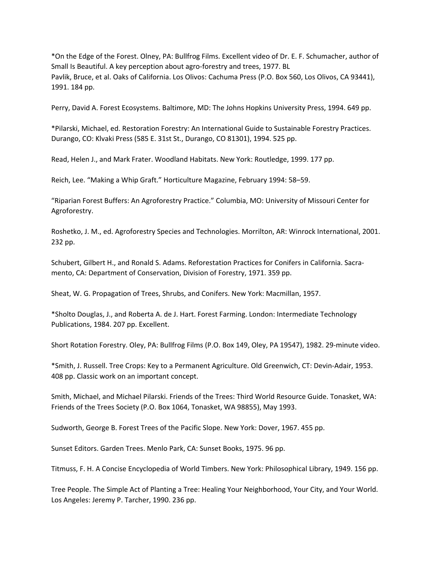\*On the Edge of the Forest. Olney, PA: Bullfrog Films. Excellent video of Dr. E. F. Schumacher, author of Small Is Beautiful. A key perception about agro-forestry and trees, 1977. BL Pavlik, Bruce, et al. Oaks of California. Los Olivos: Cachuma Press (P.O. Box 560, Los Olivos, CA 93441), 1991. 184 pp.

Perry, David A. Forest Ecosystems. Baltimore, MD: The Johns Hopkins University Press, 1994. 649 pp.

\*Pilarski, Michael, ed. Restoration Forestry: An International Guide to Sustainable Forestry Practices. Durango, CO: Klvaki Press (585 E. 31st St., Durango, CO 81301), 1994. 525 pp.

Read, Helen J., and Mark Frater. Woodland Habitats. New York: Routledge, 1999. 177 pp.

Reich, Lee. "Making a Whip Graft." Horticulture Magazine, February 1994: 58–59.

"Riparian Forest Buffers: An Agroforestry Practice." Columbia, MO: University of Missouri Center for Agroforestry.

Roshetko, J. M., ed. Agroforestry Species and Technologies. Morrilton, AR: Winrock International, 2001. 232 pp.

Schubert, Gilbert H., and Ronald S. Adams. Reforestation Practices for Conifers in California. Sacra‐ mento, CA: Department of Conservation, Division of Forestry, 1971. 359 pp.

Sheat, W. G. Propagation of Trees, Shrubs, and Conifers. New York: Macmillan, 1957.

\*Sholto Douglas, J., and Roberta A. de J. Hart. Forest Farming. London: Intermediate Technology Publications, 1984. 207 pp. Excellent.

Short Rotation Forestry. Oley, PA: Bullfrog Films (P.O. Box 149, Oley, PA 19547), 1982. 29‐minute video.

\*Smith, J. Russell. Tree Crops: Key to a Permanent Agriculture. Old Greenwich, CT: Devin‐Adair, 1953. 408 pp. Classic work on an important concept.

Smith, Michael, and Michael Pilarski. Friends of the Trees: Third World Resource Guide. Tonasket, WA: Friends of the Trees Society (P.O. Box 1064, Tonasket, WA 98855), May 1993.

Sudworth, George B. Forest Trees of the Pacific Slope. New York: Dover, 1967. 455 pp.

Sunset Editors. Garden Trees. Menlo Park, CA: Sunset Books, 1975. 96 pp.

Titmuss, F. H. A Concise Encyclopedia of World Timbers. New York: Philosophical Library, 1949. 156 pp.

Tree People. The Simple Act of Planting a Tree: Healing Your Neighborhood, Your City, and Your World. Los Angeles: Jeremy P. Tarcher, 1990. 236 pp.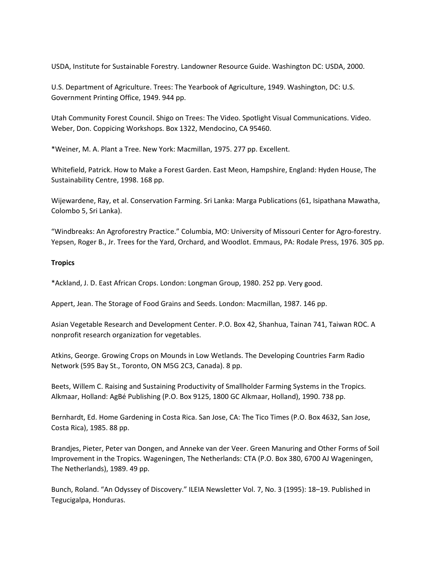USDA, Institute for Sustainable Forestry. Landowner Resource Guide. Washington DC: USDA, 2000.

U.S. Department of Agriculture. Trees: The Yearbook of Agriculture, 1949. Washington, DC: U.S. Government Printing Office, 1949. 944 pp.

Utah Community Forest Council. Shigo on Trees: The Video. Spotlight Visual Communications. Video. Weber, Don. Coppicing Workshops. Box 1322, Mendocino, CA 95460.

\*Weiner, M. A. Plant a Tree. New York: Macmillan, 1975. 277 pp. Excellent.

Whitefield, Patrick. How to Make a Forest Garden. East Meon, Hampshire, England: Hyden House, The Sustainability Centre, 1998. 168 pp.

Wijewardene, Ray, et al. Conservation Farming. Sri Lanka: Marga Publications (61, Isipathana Mawatha, Colombo 5, Sri Lanka).

"Windbreaks: An Agroforestry Practice." Columbia, MO: University of Missouri Center for Agro‐forestry. Yepsen, Roger B., Jr. Trees for the Yard, Orchard, and Woodlot. Emmaus, PA: Rodale Press, 1976. 305 pp.

# **Tropics**

\*Ackland, J. D. East African Crops. London: Longman Group, 1980. 252 pp. Very good.

Appert, Jean. The Storage of Food Grains and Seeds. London: Macmillan, 1987. 146 pp.

Asian Vegetable Research and Development Center. P.O. Box 42, Shanhua, Tainan 741, Taiwan ROC. A nonprofit research organization for vegetables.

Atkins, George. Growing Crops on Mounds in Low Wetlands. The Developing Countries Farm Radio Network (595 Bay St., Toronto, ON M5G 2C3, Canada). 8 pp.

Beets, Willem C. Raising and Sustaining Productivity of Smallholder Farming Systems in the Tropics. Alkmaar, Holland: AgBé Publishing (P.O. Box 9125, 1800 GC Alkmaar, Holland), 1990. 738 pp.

Bernhardt, Ed. Home Gardening in Costa Rica. San Jose, CA: The Tico Times (P.O. Box 4632, San Jose, Costa Rica), 1985. 88 pp.

Brandjes, Pieter, Peter van Dongen, and Anneke van der Veer. Green Manuring and Other Forms of Soil Improvement in the Tropics. Wageningen, The Netherlands: CTA (P.O. Box 380, 6700 AJ Wageningen, The Netherlands), 1989. 49 pp.

Bunch, Roland. "An Odyssey of Discovery." ILEIA Newsletter Vol. 7, No. 3 (1995): 18–19. Published in Tegucigalpa, Honduras.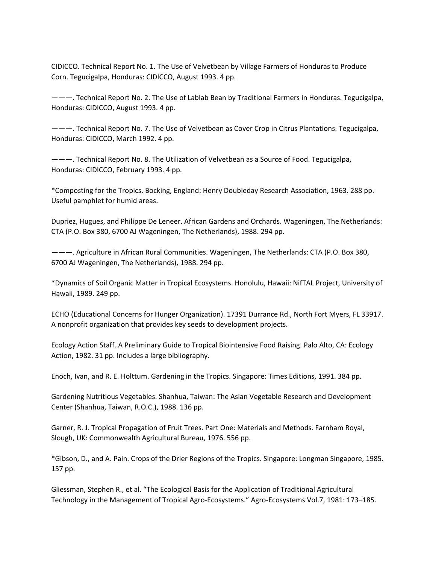CIDICCO. Technical Report No. 1. The Use of Velvetbean by Village Farmers of Honduras to Produce Corn. Tegucigalpa, Honduras: CIDICCO, August 1993. 4 pp.

———. Technical Report No. 2. The Use of Lablab Bean by Traditional Farmers in Honduras. Tegucigalpa, Honduras: CIDICCO, August 1993. 4 pp.

———. Technical Report No. 7. The Use of Velvetbean as Cover Crop in Citrus Plantations. Tegucigalpa, Honduras: CIDICCO, March 1992. 4 pp.

———. Technical Report No. 8. The Utilization of Velvetbean as a Source of Food. Tegucigalpa, Honduras: CIDICCO, February 1993. 4 pp.

\*Composting for the Tropics. Bocking, England: Henry Doubleday Research Association, 1963. 288 pp. Useful pamphlet for humid areas.

Dupriez, Hugues, and Philippe De Leneer. African Gardens and Orchards. Wageningen, The Netherlands: CTA (P.O. Box 380, 6700 AJ Wageningen, The Netherlands), 1988. 294 pp.

———. Agriculture in African Rural Communities. Wageningen, The Netherlands: CTA (P.O. Box 380, 6700 AJ Wageningen, The Netherlands), 1988. 294 pp.

\*Dynamics of Soil Organic Matter in Tropical Ecosystems. Honolulu, Hawaii: NifTAL Project, University of Hawaii, 1989. 249 pp.

ECHO (Educational Concerns for Hunger Organization). 17391 Durrance Rd., North Fort Myers, FL 33917. A nonprofit organization that provides key seeds to development projects.

Ecology Action Staff. A Preliminary Guide to Tropical Biointensive Food Raising. Palo Alto, CA: Ecology Action, 1982. 31 pp. Includes a large bibliography.

Enoch, Ivan, and R. E. Holttum. Gardening in the Tropics. Singapore: Times Editions, 1991. 384 pp.

Gardening Nutritious Vegetables. Shanhua, Taiwan: The Asian Vegetable Research and Development Center (Shanhua, Taiwan, R.O.C.), 1988. 136 pp.

Garner, R. J. Tropical Propagation of Fruit Trees. Part One: Materials and Methods. Farnham Royal, Slough, UK: Commonwealth Agricultural Bureau, 1976. 556 pp.

\*Gibson, D., and A. Pain. Crops of the Drier Regions of the Tropics. Singapore: Longman Singapore, 1985. 157 pp.

Gliessman, Stephen R., et al. "The Ecological Basis for the Application of Traditional Agricultural Technology in the Management of Tropical Agro‐Ecosystems." Agro‐Ecosystems Vol.7, 1981: 173–185.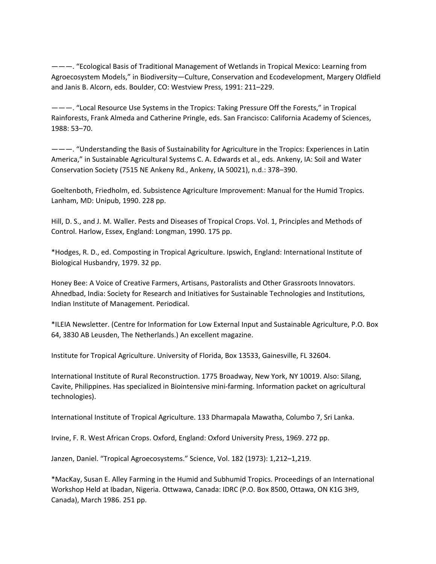———. "Ecological Basis of Traditional Management of Wetlands in Tropical Mexico: Learning from Agroecosystem Models," in Biodiversity—Culture, Conservation and Ecodevelopment, Margery Oldfield and Janis B. Alcorn, eds. Boulder, CO: Westview Press, 1991: 211–229.

———. "Local Resource Use Systems in the Tropics: Taking Pressure Off the Forests," in Tropical Rainforests, Frank Almeda and Catherine Pringle, eds. San Francisco: California Academy of Sciences, 1988: 53–70.

———. "Understanding the Basis of Sustainability for Agriculture in the Tropics: Experiences in Latin America," in Sustainable Agricultural Systems C. A. Edwards et al., eds. Ankeny, IA: Soil and Water Conservation Society (7515 NE Ankeny Rd., Ankeny, IA 50021), n.d.: 378–390.

Goeltenboth, Friedholm, ed. Subsistence Agriculture Improvement: Manual for the Humid Tropics. Lanham, MD: Unipub, 1990. 228 pp.

Hill, D. S., and J. M. Waller. Pests and Diseases of Tropical Crops. Vol. 1, Principles and Methods of Control. Harlow, Essex, England: Longman, 1990. 175 pp.

\*Hodges, R. D., ed. Composting in Tropical Agriculture. Ipswich, England: International Institute of Biological Husbandry, 1979. 32 pp.

Honey Bee: A Voice of Creative Farmers, Artisans, Pastoralists and Other Grassroots Innovators. Ahnedbad, India: Society for Research and Initiatives for Sustainable Technologies and Institutions, Indian Institute of Management. Periodical.

\*ILEIA Newsletter. (Centre for Information for Low External Input and Sustainable Agriculture, P.O. Box 64, 3830 AB Leusden, The Netherlands.) An excellent magazine.

Institute for Tropical Agriculture. University of Florida, Box 13533, Gainesville, FL 32604.

International Institute of Rural Reconstruction. 1775 Broadway, New York, NY 10019. Also: Silang, Cavite, Philippines. Has specialized in Biointensive mini‐farming. Information packet on agricultural technologies).

International Institute of Tropical Agriculture. 133 Dharmapala Mawatha, Columbo 7, Sri Lanka.

Irvine, F. R. West African Crops. Oxford, England: Oxford University Press, 1969. 272 pp.

Janzen, Daniel. "Tropical Agroecosystems." Science, Vol. 182 (1973): 1,212–1,219.

\*MacKay, Susan E. Alley Farming in the Humid and Subhumid Tropics. Proceedings of an International Workshop Held at Ibadan, Nigeria. Ottwawa, Canada: IDRC (P.O. Box 8500, Ottawa, ON K1G 3H9, Canada), March 1986. 251 pp.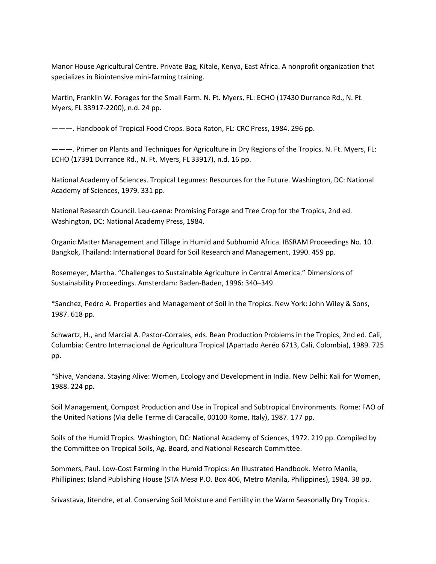Manor House Agricultural Centre. Private Bag, Kitale, Kenya, East Africa. A nonprofit organization that specializes in Biointensive mini‐farming training.

Martin, Franklin W. Forages for the Small Farm. N. Ft. Myers, FL: ECHO (17430 Durrance Rd., N. Ft. Myers, FL 33917‐2200), n.d. 24 pp.

———. Handbook of Tropical Food Crops. Boca Raton, FL: CRC Press, 1984. 296 pp.

———. Primer on Plants and Techniques for Agriculture in Dry Regions of the Tropics. N. Ft. Myers, FL: ECHO (17391 Durrance Rd., N. Ft. Myers, FL 33917), n.d. 16 pp.

National Academy of Sciences. Tropical Legumes: Resources for the Future. Washington, DC: National Academy of Sciences, 1979. 331 pp.

National Research Council. Leu‐caena: Promising Forage and Tree Crop for the Tropics, 2nd ed. Washington, DC: National Academy Press, 1984.

Organic Matter Management and Tillage in Humid and Subhumid Africa. IBSRAM Proceedings No. 10. Bangkok, Thailand: International Board for Soil Research and Management, 1990. 459 pp.

Rosemeyer, Martha. "Challenges to Sustainable Agriculture in Central America." Dimensions of Sustainability Proceedings. Amsterdam: Baden‐Baden, 1996: 340–349.

\*Sanchez, Pedro A. Properties and Management of Soil in the Tropics. New York: John Wiley & Sons, 1987. 618 pp.

Schwartz, H., and Marcial A. Pastor‐Corrales, eds. Bean Production Problems in the Tropics, 2nd ed. Cali, Columbia: Centro Internacional de Agricultura Tropical (Apartado Aeréo 6713, Cali, Colombia), 1989. 725 pp.

\*Shiva, Vandana. Staying Alive: Women, Ecology and Development in India. New Delhi: Kali for Women, 1988. 224 pp.

Soil Management, Compost Production and Use in Tropical and Subtropical Environments. Rome: FAO of the United Nations (Via delle Terme di Caracalle, 00100 Rome, Italy), 1987. 177 pp.

Soils of the Humid Tropics. Washington, DC: National Academy of Sciences, 1972. 219 pp. Compiled by the Committee on Tropical Soils, Ag. Board, and National Research Committee.

Sommers, Paul. Low‐Cost Farming in the Humid Tropics: An Illustrated Handbook. Metro Manila, Phillipines: Island Publishing House (STA Mesa P.O. Box 406, Metro Manila, Philippines), 1984. 38 pp.

Srivastava, Jitendre, et al. Conserving Soil Moisture and Fertility in the Warm Seasonally Dry Tropics.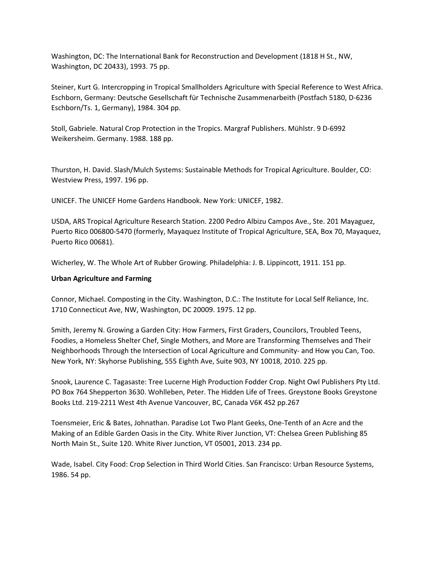Washington, DC: The International Bank for Reconstruction and Development (1818 H St., NW, Washington, DC 20433), 1993. 75 pp.

Steiner, Kurt G. Intercropping in Tropical Smallholders Agriculture with Special Reference to West Africa. Eschborn, Germany: Deutsche Gesellschaft für Technische Zusammenarbeith (Postfach 5180, D‐6236 Eschborn/Ts. 1, Germany), 1984. 304 pp.

Stoll, Gabriele. Natural Crop Protection in the Tropics. Margraf Publishers. Mühlstr. 9 D‐6992 Weikersheim. Germany. 1988. 188 pp.

Thurston, H. David. Slash/Mulch Systems: Sustainable Methods for Tropical Agriculture. Boulder, CO: Westview Press, 1997. 196 pp.

UNICEF. The UNICEF Home Gardens Handbook. New York: UNICEF, 1982.

USDA, ARS Tropical Agriculture Research Station. 2200 Pedro Albizu Campos Ave., Ste. 201 Mayaguez, Puerto Rico 006800‐5470 (formerly, Mayaquez Institute of Tropical Agriculture, SEA, Box 70, Mayaquez, Puerto Rico 00681).

Wicherley, W. The Whole Art of Rubber Growing. Philadelphia: J. B. Lippincott, 1911. 151 pp.

## **Urban Agriculture and Farming**

Connor, Michael. Composting in the City. Washington, D.C.: The Institute for Local Self Reliance, Inc. 1710 Connecticut Ave, NW, Washington, DC 20009. 1975. 12 pp.

Smith, Jeremy N. Growing a Garden City: How Farmers, First Graders, Councilors, Troubled Teens, Foodies, a Homeless Shelter Chef, Single Mothers, and More are Transforming Themselves and Their Neighborhoods Through the Intersection of Local Agriculture and Community‐ and How you Can, Too. New York, NY: Skyhorse Publishing, 555 Eighth Ave, Suite 903, NY 10018, 2010. 225 pp.

Snook, Laurence C. Tagasaste: Tree Lucerne High Production Fodder Crop. Night Owl Publishers Pty Ltd. PO Box 764 Shepperton 3630. Wohlleben, Peter. The Hidden Life of Trees. Greystone Books Greystone Books Ltd. 219‐2211 West 4th Avenue Vancouver, BC, Canada V6K 4S2 pp.267

Toensmeier, Eric & Bates, Johnathan. Paradise Lot Two Plant Geeks, One‐Tenth of an Acre and the Making of an Edible Garden Oasis in the City. White River Junction, VT: Chelsea Green Publishing 85 North Main St., Suite 120. White River Junction, VT 05001, 2013. 234 pp.

Wade, Isabel. City Food: Crop Selection in Third World Cities. San Francisco: Urban Resource Systems, 1986. 54 pp.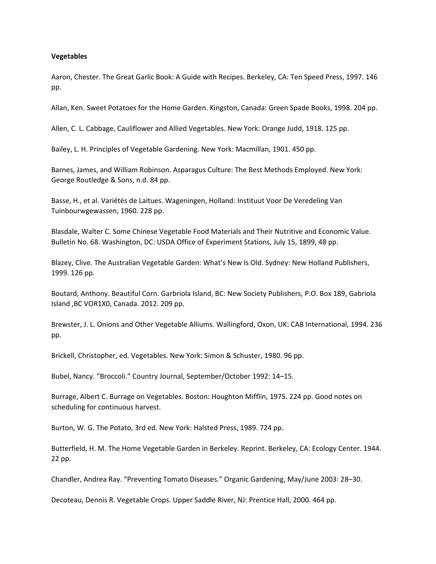### **Vegetables**

Aaron, Chester. The Great Garlic Book: A Guide with Recipes. Berkeley, CA: Ten Speed Press, 1997. 146 pp.

Allan, Ken. Sweet Potatoes for the Home Garden. Kingston, Canada: Green Spade Books, 1998. 204 pp.

Allen, C. L. Cabbage, Cauliflower and Allied Vegetables. New York: Orange Judd, 1918. 125 pp.

Bailey, L. H. Principles of Vegetable Gardening. New York: Macmillan, 1901. 450 pp.

Barnes, James, and William Robinson. Asparagus Culture: The Best Methods Employed. New York: George Routledge & Sons, n.d. 84 pp.

Basse, H., et al. Variétés de Laitues. Wageningen, Holland: Instituut Voor De Veredeling Van Tuinbourwgewassen, 1960. 228 pp.

Blasdale, Walter C. Some Chinese Vegetable Food Materials and Their Nutritive and Economic Value. Bulletin No. 68. Washington, DC: USDA Office of Experiment Stations, July 15, 1899, 48 pp.

Blazey, Clive. The Australian Vegetable Garden: What's New Is Old. Sydney: New Holland Publishers, 1999. 126 pp.

Boutard, Anthony. Beautiful Corn. Garbriola Island, BC: New Society Publishers, P.O. Box 189, Gabriola Island ,BC VOR1X0, Canada. 2012. 209 pp.

Brewster, J. L. Onions and Other Vegetable Alliums. Wallingford, Oxon, UK: CAB International, 1994. 236 pp.

Brickell, Christopher, ed. Vegetables. New York: Simon & Schuster, 1980. 96 pp.

Bubel, Nancy. "Broccoli." Country Journal, September/October 1992: 14–15.

Burrage, Albert C. Burrage on Vegetables. Boston: Houghton Mifflin, 1975. 224 pp. Good notes on scheduling for continuous harvest.

Burton, W. G. The Potato, 3rd ed. New York: Halsted Press, 1989. 724 pp.

Butterfield, H. M. The Home Vegetable Garden in Berkeley. Reprint. Berkeley, CA: Ecology Center. 1944. 22 pp.

Chandler, Andrea Ray. "Preventing Tomato Diseases." Organic Gardening, May/June 2003: 28–30.

Decoteau, Dennis R. Vegetable Crops. Upper Saddle River, NJ: Prentice Hall, 2000. 464 pp.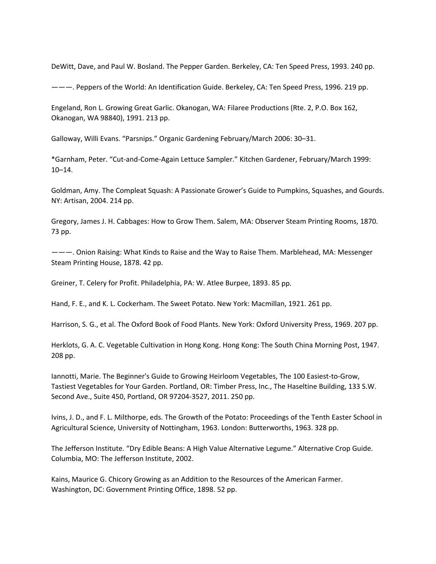DeWitt, Dave, and Paul W. Bosland. The Pepper Garden. Berkeley, CA: Ten Speed Press, 1993. 240 pp.

———. Peppers of the World: An Identification Guide. Berkeley, CA: Ten Speed Press, 1996. 219 pp.

Engeland, Ron L. Growing Great Garlic. Okanogan, WA: Filaree Productions (Rte. 2, P.O. Box 162, Okanogan, WA 98840), 1991. 213 pp.

Galloway, Willi Evans. "Parsnips." Organic Gardening February/March 2006: 30–31.

\*Garnham, Peter. "Cut‐and‐Come‐Again Lettuce Sampler." Kitchen Gardener, February/March 1999: 10–14.

Goldman, Amy. The Compleat Squash: A Passionate Grower's Guide to Pumpkins, Squashes, and Gourds. NY: Artisan, 2004. 214 pp.

Gregory, James J. H. Cabbages: How to Grow Them. Salem, MA: Observer Steam Printing Rooms, 1870. 73 pp.

———. Onion Raising: What Kinds to Raise and the Way to Raise Them. Marblehead, MA: Messenger Steam Printing House, 1878. 42 pp.

Greiner, T. Celery for Profit. Philadelphia, PA: W. Atlee Burpee, 1893. 85 pp.

Hand, F. E., and K. L. Cockerham. The Sweet Potato. New York: Macmillan, 1921. 261 pp.

Harrison, S. G., et al. The Oxford Book of Food Plants. New York: Oxford University Press, 1969. 207 pp.

Herklots, G. A. C. Vegetable Cultivation in Hong Kong. Hong Kong: The South China Morning Post, 1947. 208 pp.

Iannotti, Marie. The Beginner's Guide to Growing Heirloom Vegetables, The 100 Easiest‐to‐Grow, Tastiest Vegetables for Your Garden. Portland, OR: Timber Press, Inc., The Haseltine Building, 133 S.W. Second Ave., Suite 450, Portland, OR 97204‐3527, 2011. 250 pp.

Ivins, J. D., and F. L. Milthorpe, eds. The Growth of the Potato: Proceedings of the Tenth Easter School in Agricultural Science, University of Nottingham, 1963. London: Butterworths, 1963. 328 pp.

The Jefferson Institute. "Dry Edible Beans: A High Value Alternative Legume." Alternative Crop Guide. Columbia, MO: The Jefferson Institute, 2002.

Kains, Maurice G. Chicory Growing as an Addition to the Resources of the American Farmer. Washington, DC: Government Printing Office, 1898. 52 pp.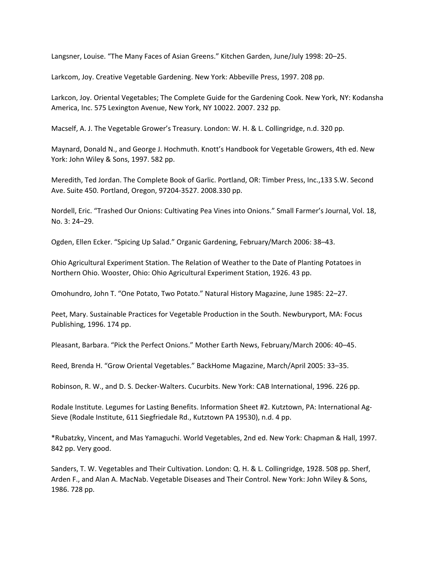Langsner, Louise. "The Many Faces of Asian Greens." Kitchen Garden, June/July 1998: 20–25.

Larkcom, Joy. Creative Vegetable Gardening. New York: Abbeville Press, 1997. 208 pp.

Larkcon, Joy. Oriental Vegetables; The Complete Guide for the Gardening Cook. New York, NY: Kodansha America, Inc. 575 Lexington Avenue, New York, NY 10022. 2007. 232 pp.

Macself, A. J. The Vegetable Grower's Treasury. London: W. H. & L. Collingridge, n.d. 320 pp.

Maynard, Donald N., and George J. Hochmuth. Knott's Handbook for Vegetable Growers, 4th ed. New York: John Wiley & Sons, 1997. 582 pp.

Meredith, Ted Jordan. The Complete Book of Garlic. Portland, OR: Timber Press, Inc.,133 S.W. Second Ave. Suite 450. Portland, Oregon, 97204‐3527. 2008.330 pp.

Nordell, Eric. "Trashed Our Onions: Cultivating Pea Vines into Onions." Small Farmer's Journal, Vol. 18, No. 3: 24–29.

Ogden, Ellen Ecker. "Spicing Up Salad." Organic Gardening, February/March 2006: 38–43.

Ohio Agricultural Experiment Station. The Relation of Weather to the Date of Planting Potatoes in Northern Ohio. Wooster, Ohio: Ohio Agricultural Experiment Station, 1926. 43 pp.

Omohundro, John T. "One Potato, Two Potato." Natural History Magazine, June 1985: 22–27.

Peet, Mary. Sustainable Practices for Vegetable Production in the South. Newburyport, MA: Focus Publishing, 1996. 174 pp.

Pleasant, Barbara. "Pick the Perfect Onions." Mother Earth News, February/March 2006: 40–45.

Reed, Brenda H. "Grow Oriental Vegetables." BackHome Magazine, March/April 2005: 33–35.

Robinson, R. W., and D. S. Decker‐Walters. Cucurbits. New York: CAB International, 1996. 226 pp.

Rodale Institute. Legumes for Lasting Benefits. Information Sheet #2. Kutztown, PA: International Ag‐ Sieve (Rodale Institute, 611 Siegfriedale Rd., Kutztown PA 19530), n.d. 4 pp.

\*Rubatzky, Vincent, and Mas Yamaguchi. World Vegetables, 2nd ed. New York: Chapman & Hall, 1997. 842 pp. Very good.

Sanders, T. W. Vegetables and Their Cultivation. London: Q. H. & L. Collingridge, 1928. 508 pp. Sherf, Arden F., and Alan A. MacNab. Vegetable Diseases and Their Control. New York: John Wiley & Sons, 1986. 728 pp.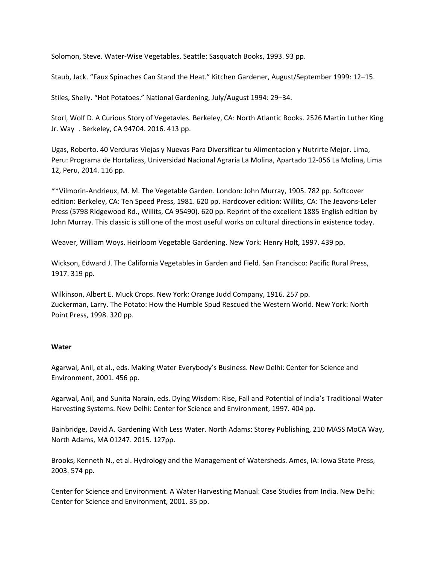Solomon, Steve. Water‐Wise Vegetables. Seattle: Sasquatch Books, 1993. 93 pp.

Staub, Jack. "Faux Spinaches Can Stand the Heat." Kitchen Gardener, August/September 1999: 12–15.

Stiles, Shelly. "Hot Potatoes." National Gardening, July/August 1994: 29–34.

Storl, Wolf D. A Curious Story of Vegetavles. Berkeley, CA: North Atlantic Books. 2526 Martin Luther King Jr. Way . Berkeley, CA 94704. 2016. 413 pp.

Ugas, Roberto. 40 Verduras Viejas y Nuevas Para Diversificar tu Alimentacion y Nutrirte Mejor. Lima, Peru: Programa de Hortalizas, Universidad Nacional Agraria La Molina, Apartado 12‐056 La Molina, Lima 12, Peru, 2014. 116 pp.

\*\*Vilmorin‐Andrieux, M. M. The Vegetable Garden. London: John Murray, 1905. 782 pp. Softcover edition: Berkeley, CA: Ten Speed Press, 1981. 620 pp. Hardcover edition: Willits, CA: The Jeavons‐Leler Press (5798 Ridgewood Rd., Willits, CA 95490). 620 pp. Reprint of the excellent 1885 English edition by John Murray. This classic is still one of the most useful works on cultural directions in existence today.

Weaver, William Woys. Heirloom Vegetable Gardening. New York: Henry Holt, 1997. 439 pp.

Wickson, Edward J. The California Vegetables in Garden and Field. San Francisco: Pacific Rural Press, 1917. 319 pp.

Wilkinson, Albert E. Muck Crops. New York: Orange Judd Company, 1916. 257 pp. Zuckerman, Larry. The Potato: How the Humble Spud Rescued the Western World. New York: North Point Press, 1998. 320 pp.

### **Water**

Agarwal, Anil, et al., eds. Making Water Everybody's Business. New Delhi: Center for Science and Environment, 2001. 456 pp.

Agarwal, Anil, and Sunita Narain, eds. Dying Wisdom: Rise, Fall and Potential of India's Traditional Water Harvesting Systems. New Delhi: Center for Science and Environment, 1997. 404 pp.

Bainbridge, David A. Gardening With Less Water. North Adams: Storey Publishing, 210 MASS MoCA Way, North Adams, MA 01247. 2015. 127pp.

Brooks, Kenneth N., et al. Hydrology and the Management of Watersheds. Ames, IA: Iowa State Press, 2003. 574 pp.

Center for Science and Environment. A Water Harvesting Manual: Case Studies from India. New Delhi: Center for Science and Environment, 2001. 35 pp.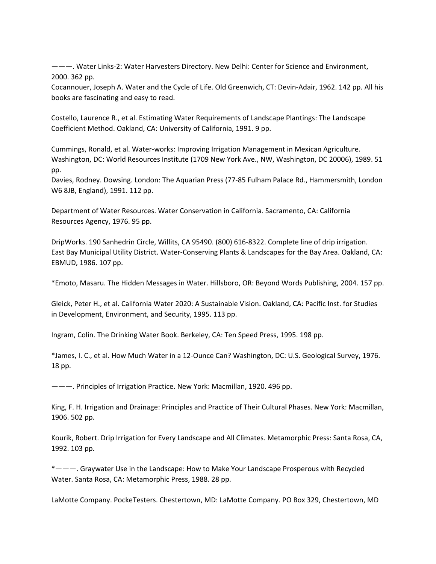———. Water Links‐2: Water Harvesters Directory. New Delhi: Center for Science and Environment, 2000. 362 pp.

Cocannouer, Joseph A. Water and the Cycle of Life. Old Greenwich, CT: Devin‐Adair, 1962. 142 pp. All his books are fascinating and easy to read.

Costello, Laurence R., et al. Estimating Water Requirements of Landscape Plantings: The Landscape Coefficient Method. Oakland, CA: University of California, 1991. 9 pp.

Cummings, Ronald, et al. Water‐works: Improving Irrigation Management in Mexican Agriculture. Washington, DC: World Resources Institute (1709 New York Ave., NW, Washington, DC 20006), 1989. 51 pp.

Davies, Rodney. Dowsing. London: The Aquarian Press (77‐85 Fulham Palace Rd., Hammersmith, London W6 8JB, England), 1991. 112 pp.

Department of Water Resources. Water Conservation in California. Sacramento, CA: California Resources Agency, 1976. 95 pp.

DripWorks. 190 Sanhedrin Circle, Willits, CA 95490. (800) 616‐8322. Complete line of drip irrigation. East Bay Municipal Utility District. Water‐Conserving Plants & Landscapes for the Bay Area. Oakland, CA: EBMUD, 1986. 107 pp.

\*Emoto, Masaru. The Hidden Messages in Water. Hillsboro, OR: Beyond Words Publishing, 2004. 157 pp.

Gleick, Peter H., et al. California Water 2020: A Sustainable Vision. Oakland, CA: Pacific Inst. for Studies in Development, Environment, and Security, 1995. 113 pp.

Ingram, Colin. The Drinking Water Book. Berkeley, CA: Ten Speed Press, 1995. 198 pp.

\*James, I. C., et al. How Much Water in a 12‐Ounce Can? Washington, DC: U.S. Geological Survey, 1976. 18 pp.

———. Principles of Irrigation Practice. New York: Macmillan, 1920. 496 pp.

King, F. H. Irrigation and Drainage: Principles and Practice of Their Cultural Phases. New York: Macmillan, 1906. 502 pp.

Kourik, Robert. Drip Irrigation for Every Landscape and All Climates. Metamorphic Press: Santa Rosa, CA, 1992. 103 pp.

\*———. Graywater Use in the Landscape: How to Make Your Landscape Prosperous with Recycled Water. Santa Rosa, CA: Metamorphic Press, 1988. 28 pp.

LaMotte Company. PockeTesters. Chestertown, MD: LaMotte Company. PO Box 329, Chestertown, MD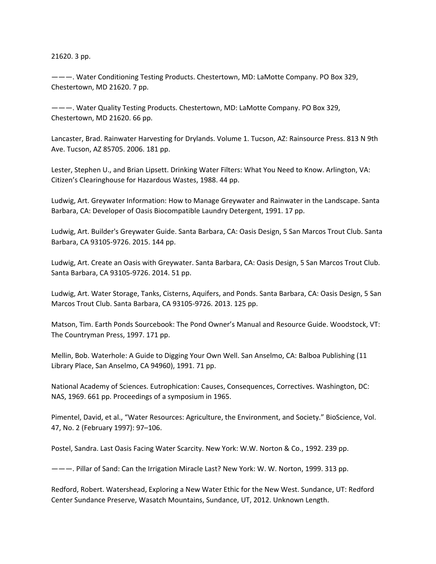### 21620. 3 pp.

———. Water Conditioning Testing Products. Chestertown, MD: LaMotte Company. PO Box 329, Chestertown, MD 21620. 7 pp.

———. Water Quality Testing Products. Chestertown, MD: LaMotte Company. PO Box 329, Chestertown, MD 21620. 66 pp.

Lancaster, Brad. Rainwater Harvesting for Drylands. Volume 1. Tucson, AZ: Rainsource Press. 813 N 9th Ave. Tucson, AZ 85705. 2006. 181 pp.

Lester, Stephen U., and Brian Lipsett. Drinking Water Filters: What You Need to Know. Arlington, VA: Citizen's Clearinghouse for Hazardous Wastes, 1988. 44 pp.

Ludwig, Art. Greywater Information: How to Manage Greywater and Rainwater in the Landscape. Santa Barbara, CA: Developer of Oasis Biocompatible Laundry Detergent, 1991. 17 pp.

Ludwig, Art. Builder's Greywater Guide. Santa Barbara, CA: Oasis Design, 5 San Marcos Trout Club. Santa Barbara, CA 93105‐9726. 2015. 144 pp.

Ludwig, Art. Create an Oasis with Greywater. Santa Barbara, CA: Oasis Design, 5 San Marcos Trout Club. Santa Barbara, CA 93105‐9726. 2014. 51 pp.

Ludwig, Art. Water Storage, Tanks, Cisterns, Aquifers, and Ponds. Santa Barbara, CA: Oasis Design, 5 San Marcos Trout Club. Santa Barbara, CA 93105‐9726. 2013. 125 pp.

Matson, Tim. Earth Ponds Sourcebook: The Pond Owner's Manual and Resource Guide. Woodstock, VT: The Countryman Press, 1997. 171 pp.

Mellin, Bob. Waterhole: A Guide to Digging Your Own Well. San Anselmo, CA: Balboa Publishing (11 Library Place, San Anselmo, CA 94960), 1991. 71 pp.

National Academy of Sciences. Eutrophication: Causes, Consequences, Correctives. Washington, DC: NAS, 1969. 661 pp. Proceedings of a symposium in 1965.

Pimentel, David, et al., "Water Resources: Agriculture, the Environment, and Society." BioScience, Vol. 47, No. 2 (February 1997): 97–106.

Postel, Sandra. Last Oasis Facing Water Scarcity. New York: W.W. Norton & Co., 1992. 239 pp.

———. Pillar of Sand: Can the Irrigation Miracle Last? New York: W. W. Norton, 1999. 313 pp.

Redford, Robert. Watershead, Exploring a New Water Ethic for the New West. Sundance, UT: Redford Center Sundance Preserve, Wasatch Mountains, Sundance, UT, 2012. Unknown Length.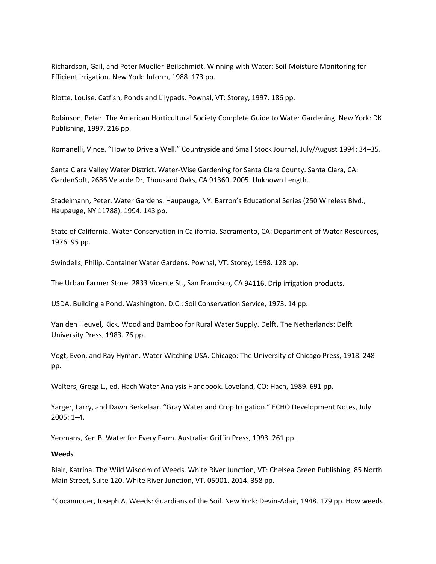Richardson, Gail, and Peter Mueller‐Beilschmidt. Winning with Water: Soil‐Moisture Monitoring for Efficient Irrigation. New York: Inform, 1988. 173 pp.

Riotte, Louise. Catfish, Ponds and Lilypads. Pownal, VT: Storey, 1997. 186 pp.

Robinson, Peter. The American Horticultural Society Complete Guide to Water Gardening. New York: DK Publishing, 1997. 216 pp.

Romanelli, Vince. "How to Drive a Well." Countryside and Small Stock Journal, July/August 1994: 34–35.

Santa Clara Valley Water District. Water‐Wise Gardening for Santa Clara County. Santa Clara, CA: GardenSoft, 2686 Velarde Dr, Thousand Oaks, CA 91360, 2005. Unknown Length.

Stadelmann, Peter. Water Gardens. Haupauge, NY: Barron's Educational Series (250 Wireless Blvd., Haupauge, NY 11788), 1994. 143 pp.

State of California. Water Conservation in California. Sacramento, CA: Department of Water Resources, 1976. 95 pp.

Swindells, Philip. Container Water Gardens. Pownal, VT: Storey, 1998. 128 pp.

The Urban Farmer Store. 2833 Vicente St., San Francisco, CA 94116. Drip irrigation products.

USDA. Building a Pond. Washington, D.C.: Soil Conservation Service, 1973. 14 pp.

Van den Heuvel, Kick. Wood and Bamboo for Rural Water Supply. Delft, The Netherlands: Delft University Press, 1983. 76 pp.

Vogt, Evon, and Ray Hyman. Water Witching USA. Chicago: The University of Chicago Press, 1918. 248 pp.

Walters, Gregg L., ed. Hach Water Analysis Handbook. Loveland, CO: Hach, 1989. 691 pp.

Yarger, Larry, and Dawn Berkelaar. "Gray Water and Crop Irrigation." ECHO Development Notes, July  $2005: 1 - 4.$ 

Yeomans, Ken B. Water for Every Farm. Australia: Griffin Press, 1993. 261 pp.

## **Weeds**

Blair, Katrina. The Wild Wisdom of Weeds. White River Junction, VT: Chelsea Green Publishing, 85 North Main Street, Suite 120. White River Junction, VT. 05001. 2014. 358 pp.

\*Cocannouer, Joseph A. Weeds: Guardians of the Soil. New York: Devin‐Adair, 1948. 179 pp. How weeds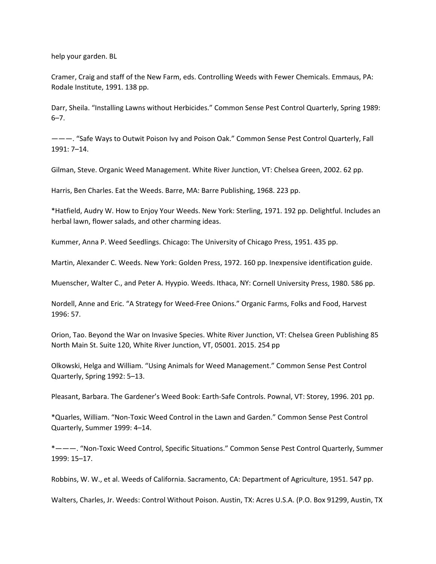help your garden. BL

Cramer, Craig and staff of the New Farm, eds. Controlling Weeds with Fewer Chemicals. Emmaus, PA: Rodale Institute, 1991. 138 pp.

Darr, Sheila. "Installing Lawns without Herbicides." Common Sense Pest Control Quarterly, Spring 1989: 6–7.

———. "Safe Ways to Outwit Poison Ivy and Poison Oak." Common Sense Pest Control Quarterly, Fall 1991: 7–14.

Gilman, Steve. Organic Weed Management. White River Junction, VT: Chelsea Green, 2002. 62 pp.

Harris, Ben Charles. Eat the Weeds. Barre, MA: Barre Publishing, 1968. 223 pp.

\*Hatfield, Audry W. How to Enjoy Your Weeds. New York: Sterling, 1971. 192 pp. Delightful. Includes an herbal lawn, flower salads, and other charming ideas.

Kummer, Anna P. Weed Seedlings. Chicago: The University of Chicago Press, 1951. 435 pp.

Martin, Alexander C. Weeds. New York: Golden Press, 1972. 160 pp. Inexpensive identification guide.

Muenscher, Walter C., and Peter A. Hyypio. Weeds. Ithaca, NY: Cornell University Press, 1980. 586 pp.

Nordell, Anne and Eric. "A Strategy for Weed‐Free Onions." Organic Farms, Folks and Food, Harvest 1996: 57.

Orion, Tao. Beyond the War on Invasive Species. White River Junction, VT: Chelsea Green Publishing 85 North Main St. Suite 120, White River Junction, VT, 05001. 2015. 254 pp

Olkowski, Helga and William. "Using Animals for Weed Management." Common Sense Pest Control Quarterly, Spring 1992: 5–13.

Pleasant, Barbara. The Gardener's Weed Book: Earth‐Safe Controls. Pownal, VT: Storey, 1996. 201 pp.

\*Quarles, William. "Non‐Toxic Weed Control in the Lawn and Garden." Common Sense Pest Control Quarterly, Summer 1999: 4–14.

\*———. "Non‐Toxic Weed Control, Specific Situations." Common Sense Pest Control Quarterly, Summer 1999: 15–17.

Robbins, W. W., et al. Weeds of California. Sacramento, CA: Department of Agriculture, 1951. 547 pp.

Walters, Charles, Jr. Weeds: Control Without Poison. Austin, TX: Acres U.S.A. (P.O. Box 91299, Austin, TX